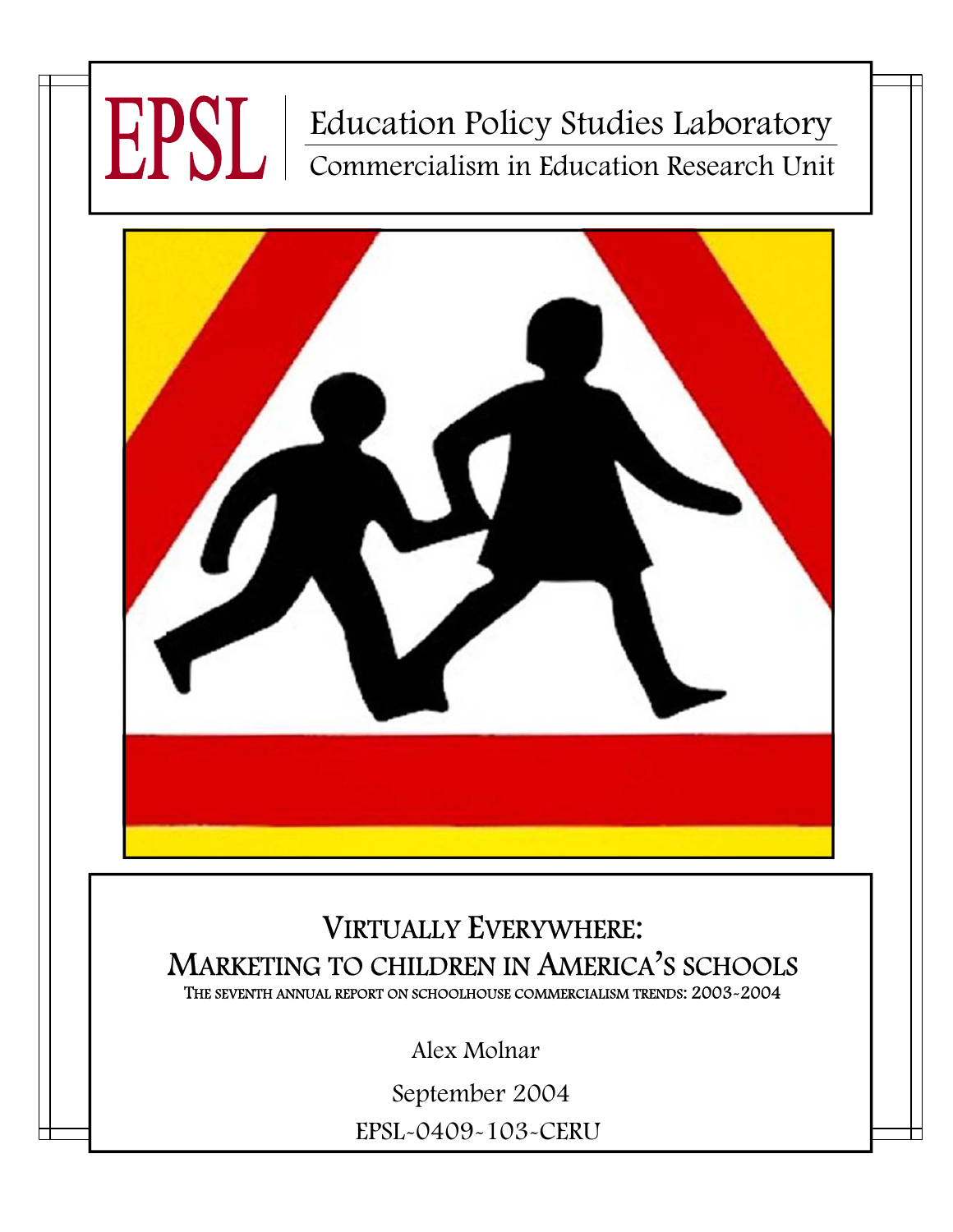# Education Policy Studies Laboratory Commercialism in Education Research Unit



## VIRTUALLY EVERYWHERE: MARKETING TO CHILDREN IN AMERICA'S SCHOOLS THE SEVENTH ANNUAL REPORT ON SCHOOLHOUSE COMMERCIALISM TRENDS: 2003-2004

Alex Molnar

EPSL-0409-103-CERU September 2004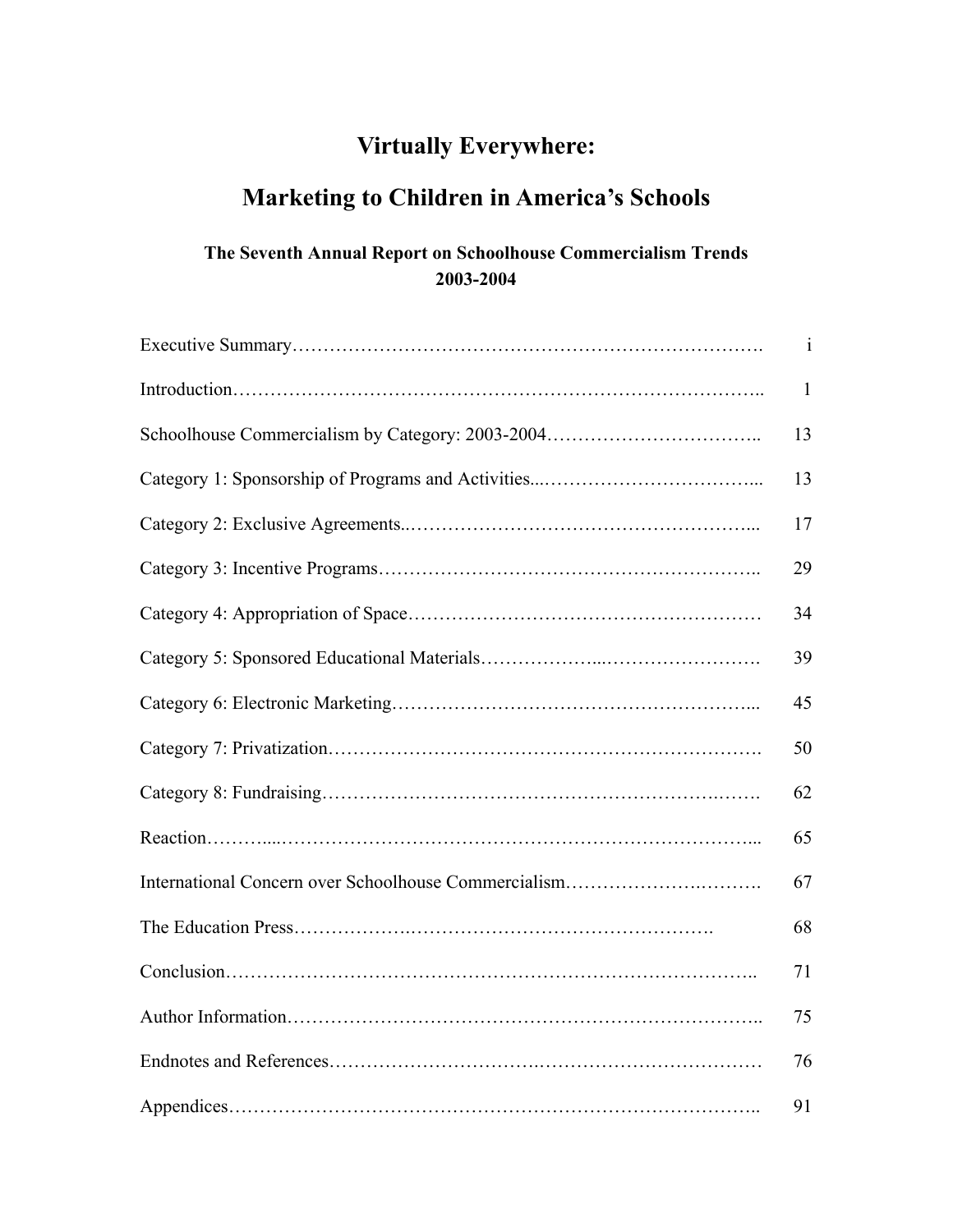## **Virtually Everywhere:**

## **Marketing to Children in America's Schools**

## **The Seventh Annual Report on Schoolhouse Commercialism Trends 2003-2004**

| $\mathbf{1}$ |
|--------------|
| $\mathbf{1}$ |
| 13           |
| 13           |
| 17           |
| 29           |
| 34           |
| 39           |
| 45           |
| 50           |
| 62           |
| 65           |
| 67           |
| 68           |
| 71           |
| 75           |
| 76           |
| 91           |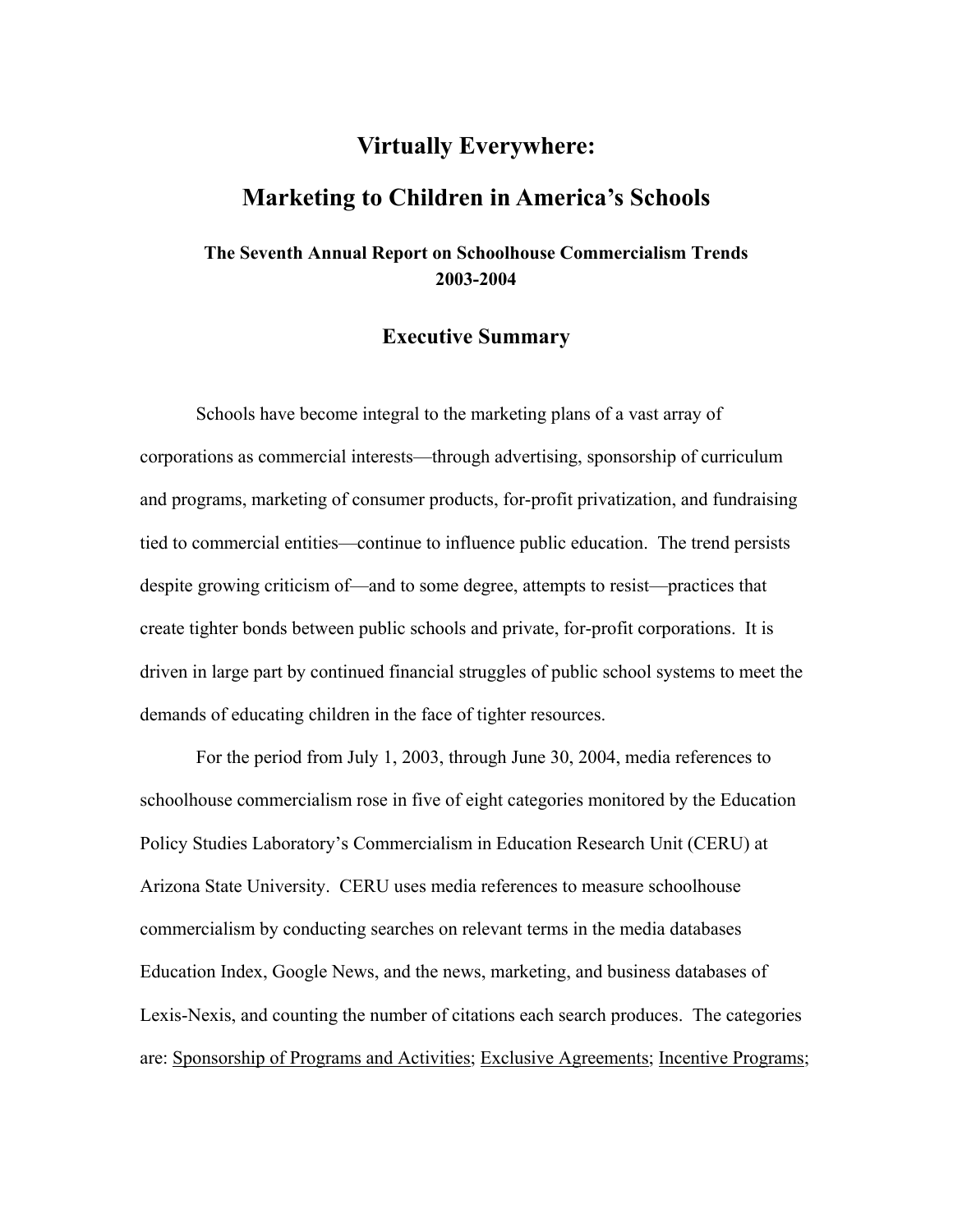## **Virtually Everywhere: Marketing to Children in America's Schools**

## **The Seventh Annual Report on Schoolhouse Commercialism Trends 2003-2004**

## **Executive Summary**

Schools have become integral to the marketing plans of a vast array of corporations as commercial interests—through advertising, sponsorship of curriculum and programs, marketing of consumer products, for-profit privatization, and fundraising tied to commercial entities—continue to influence public education. The trend persists despite growing criticism of—and to some degree, attempts to resist—practices that create tighter bonds between public schools and private, for-profit corporations. It is driven in large part by continued financial struggles of public school systems to meet the demands of educating children in the face of tighter resources.

For the period from July 1, 2003, through June 30, 2004, media references to schoolhouse commercialism rose in five of eight categories monitored by the Education Policy Studies Laboratory's Commercialism in Education Research Unit (CERU) at Arizona State University. CERU uses media references to measure schoolhouse commercialism by conducting searches on relevant terms in the media databases Education Index, Google News, and the news, marketing, and business databases of Lexis-Nexis, and counting the number of citations each search produces. The categories are: Sponsorship of Programs and Activities; Exclusive Agreements; Incentive Programs;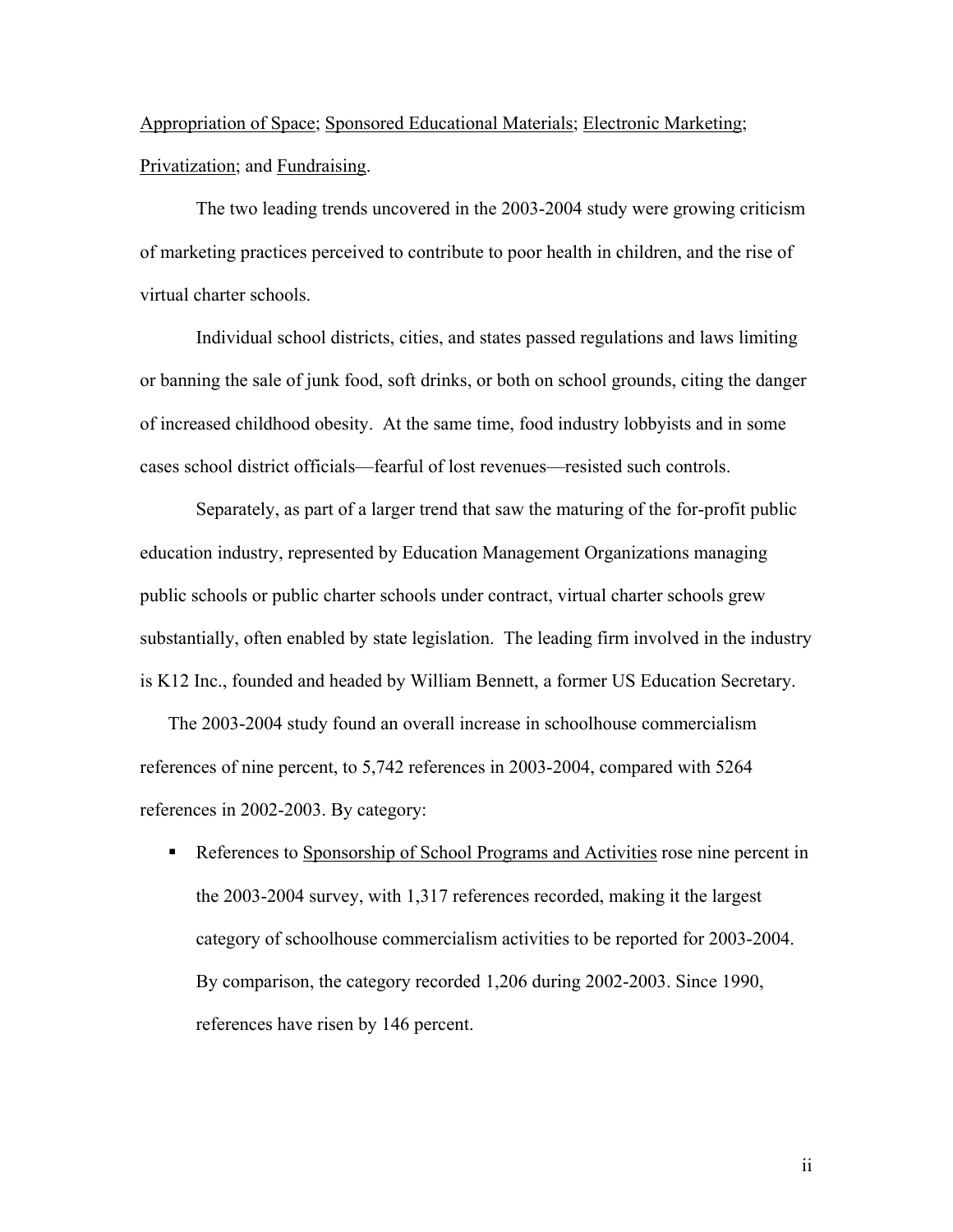Appropriation of Space; Sponsored Educational Materials; Electronic Marketing; Privatization; and Fundraising.

The two leading trends uncovered in the 2003-2004 study were growing criticism of marketing practices perceived to contribute to poor health in children, and the rise of virtual charter schools.

Individual school districts, cities, and states passed regulations and laws limiting or banning the sale of junk food, soft drinks, or both on school grounds, citing the danger of increased childhood obesity. At the same time, food industry lobbyists and in some cases school district officials—fearful of lost revenues—resisted such controls.

Separately, as part of a larger trend that saw the maturing of the for-profit public education industry, represented by Education Management Organizations managing public schools or public charter schools under contract, virtual charter schools grew substantially, often enabled by state legislation. The leading firm involved in the industry is K12 Inc., founded and headed by William Bennett, a former US Education Secretary.

The 2003-2004 study found an overall increase in schoolhouse commercialism references of nine percent, to 5,742 references in 2003-2004, compared with 5264 references in 2002-2003. By category:

References to Sponsorship of School Programs and Activities rose nine percent in the 2003-2004 survey, with 1,317 references recorded, making it the largest category of schoolhouse commercialism activities to be reported for 2003-2004. By comparison, the category recorded 1,206 during 2002-2003. Since 1990, references have risen by 146 percent.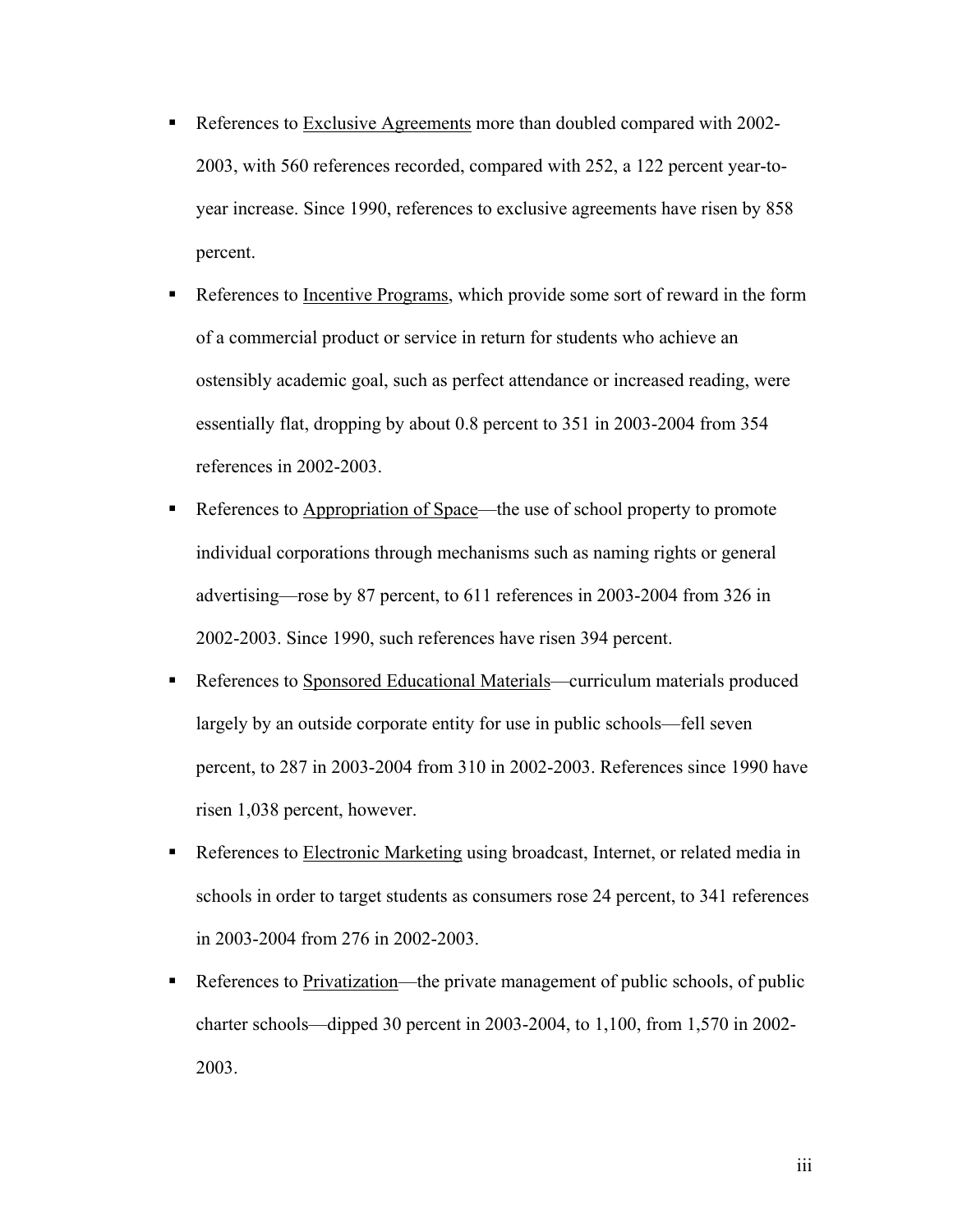- References to Exclusive Agreements more than doubled compared with 2002-2003, with 560 references recorded, compared with 252, a 122 percent year-toyear increase. Since 1990, references to exclusive agreements have risen by 858 percent.
- References to <u>Incentive Programs</u>, which provide some sort of reward in the form of a commercial product or service in return for students who achieve an ostensibly academic goal, such as perfect attendance or increased reading, were essentially flat, dropping by about 0.8 percent to 351 in 2003-2004 from 354 references in 2002-2003.
- References to Appropriation of Space—the use of school property to promote individual corporations through mechanisms such as naming rights or general advertising—rose by 87 percent, to 611 references in 2003-2004 from 326 in 2002-2003. Since 1990, such references have risen 394 percent.
- References to Sponsored Educational Materials—curriculum materials produced largely by an outside corporate entity for use in public schools—fell seven percent, to 287 in 2003-2004 from 310 in 2002-2003. References since 1990 have risen 1,038 percent, however.
- **•** References to Electronic Marketing using broadcast, Internet, or related media in schools in order to target students as consumers rose 24 percent, to 341 references in 2003-2004 from 276 in 2002-2003.
- References to Privatization—the private management of public schools, of public charter schools—dipped 30 percent in 2003-2004, to 1,100, from 1,570 in 2002- 2003.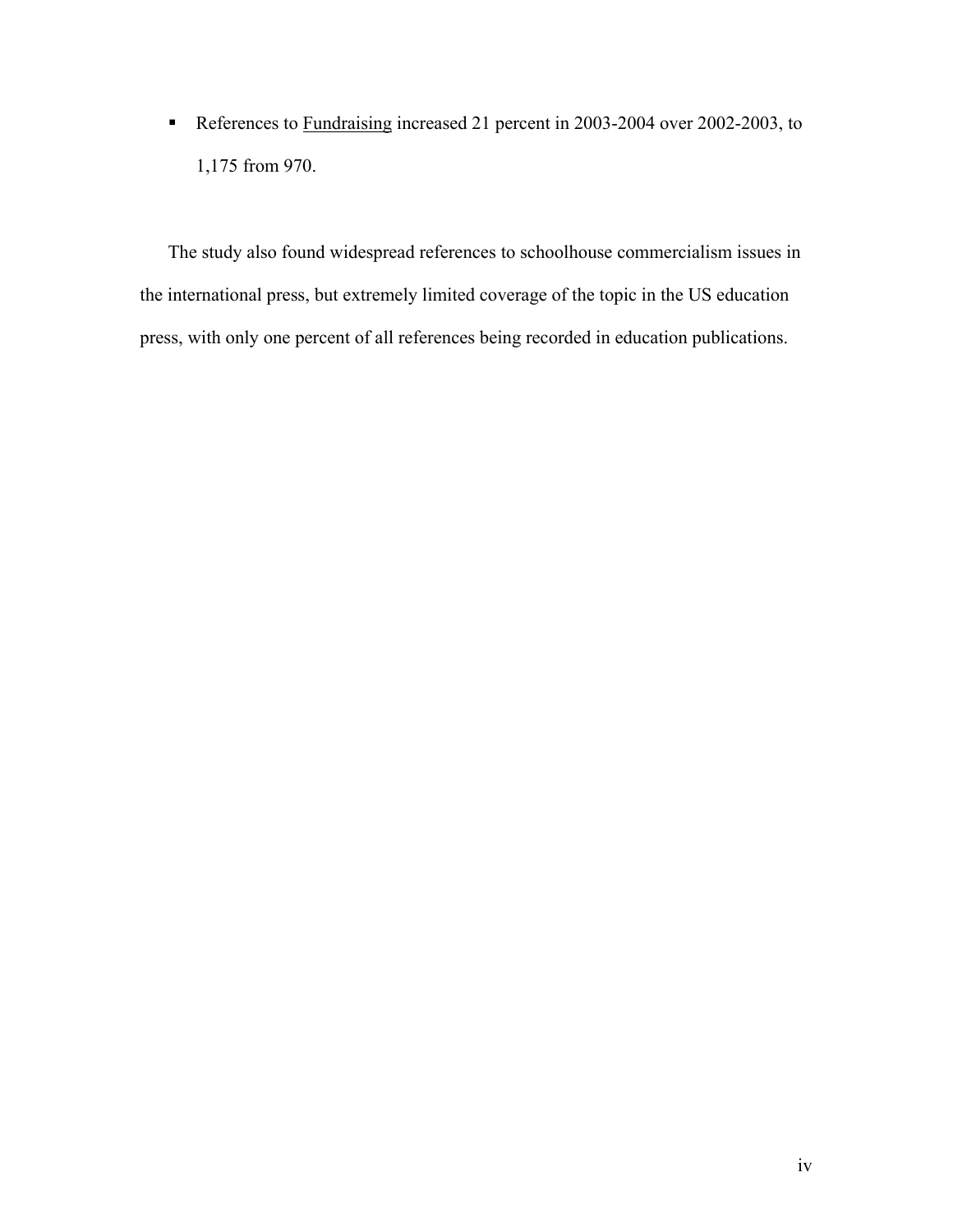References to Fundraising increased 21 percent in 2003-2004 over 2002-2003, to 1,175 from 970.

The study also found widespread references to schoolhouse commercialism issues in the international press, but extremely limited coverage of the topic in the US education press, with only one percent of all references being recorded in education publications.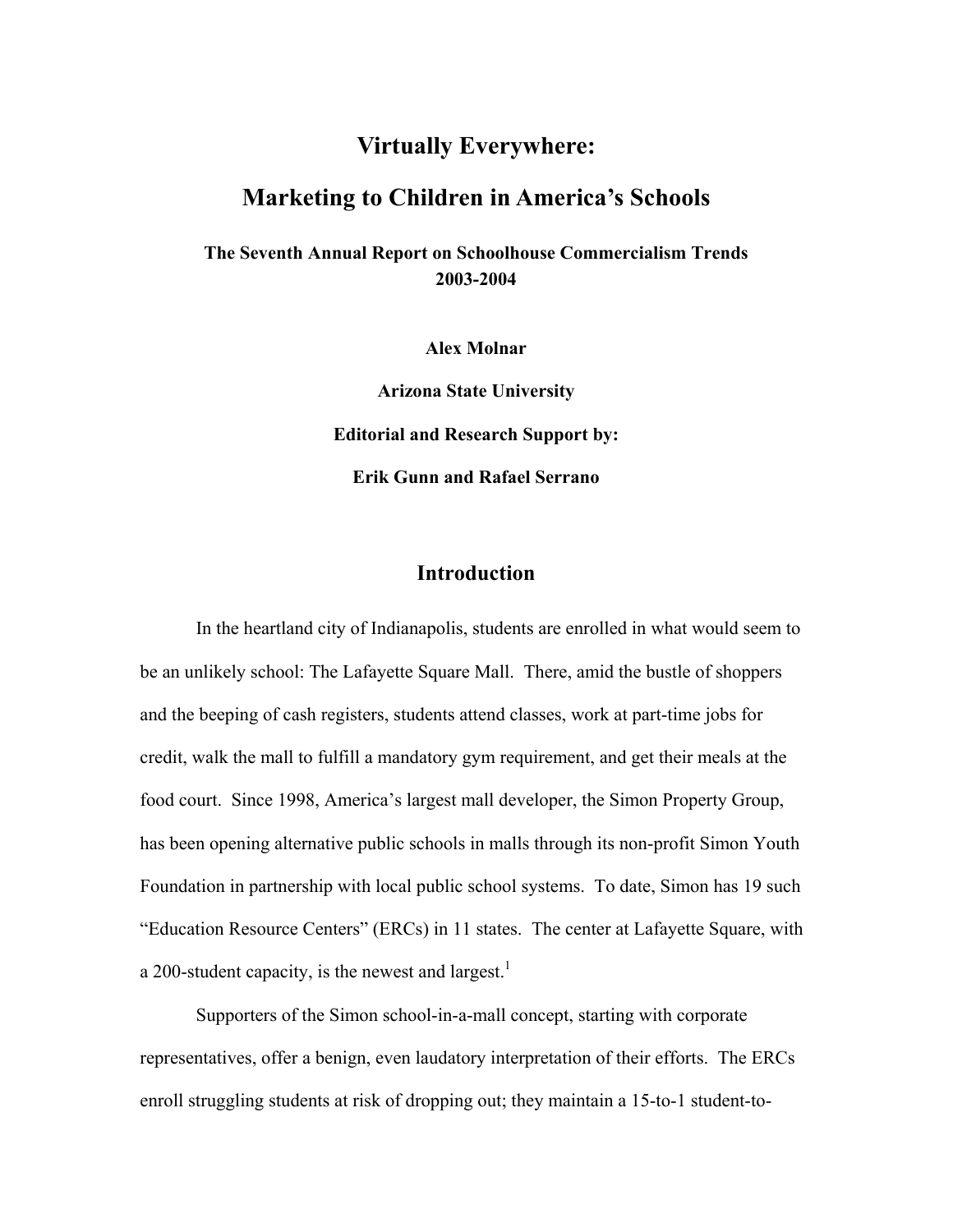## **Virtually Everywhere:**

## **Marketing to Children in America's Schools**

**The Seventh Annual Report on Schoolhouse Commercialism Trends 2003-2004** 

**Alex Molnar** 

**Arizona State University Editorial and Research Support by: Erik Gunn and Rafael Serrano** 

## **Introduction**

In the heartland city of Indianapolis, students are enrolled in what would seem to be an unlikely school: The Lafayette Square Mall. There, amid the bustle of shoppers and the beeping of cash registers, students attend classes, work at part-time jobs for credit, walk the mall to fulfill a mandatory gym requirement, and get their meals at the food court. Since 1998, America's largest mall developer, the Simon Property Group, has been opening alternative public schools in malls through its non-profit Simon Youth Foundation in partnership with local public school systems. To date, Simon has 19 such "Education Resource Centers" (ERCs) in 11 states. The center at Lafayette Square, with a 200-student capacity, is the newest and largest.<sup>1</sup>

Supporters of the Simon school-in-a-mall concept, starting with corporate representatives, offer a benign, even laudatory interpretation of their efforts. The ERCs enroll struggling students at risk of dropping out; they maintain a 15-to-1 student-to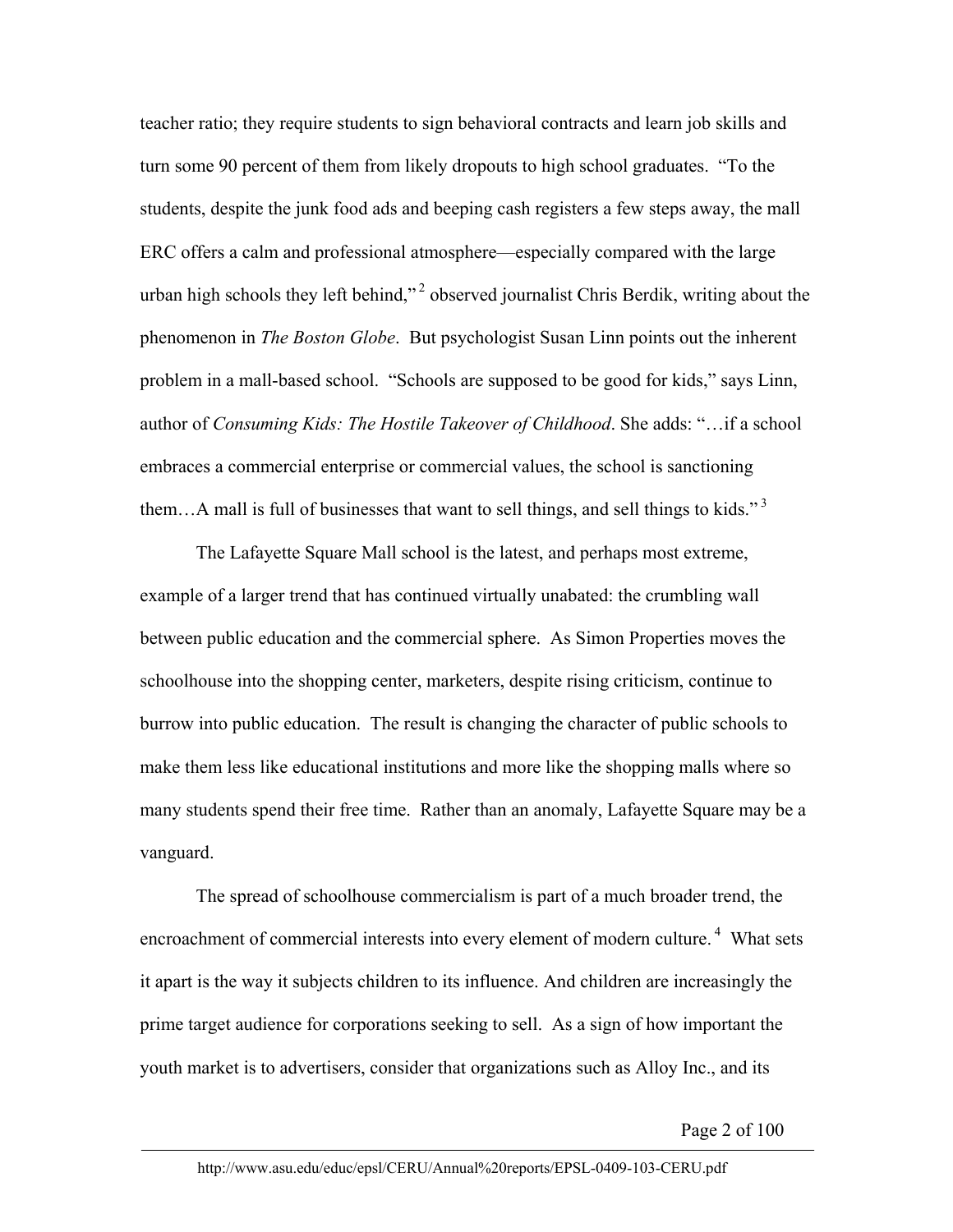teacher ratio; they require students to sign behavioral contracts and learn job skills and turn some 90 percent of them from likely dropouts to high school graduates. "To the students, despite the junk food ads and beeping cash registers a few steps away, the mall ERC offers a calm and professional atmosphere—especially compared with the large urban high schools they left behind,"<sup>2</sup> observed journalist Chris Berdik, writing about the phenomenon in *The Boston Globe*. But psychologist Susan Linn points out the inherent problem in a mall-based school. "Schools are supposed to be good for kids," says Linn, author of *Consuming Kids: The Hostile Takeover of Childhood*. She adds: "…if a school embraces a commercial enterprise or commercial values, the school is sanctioning them...A mall is full of businesses that want to sell things, and sell things to kids." $3$ 

The Lafayette Square Mall school is the latest, and perhaps most extreme, example of a larger trend that has continued virtually unabated: the crumbling wall between public education and the commercial sphere. As Simon Properties moves the schoolhouse into the shopping center, marketers, despite rising criticism, continue to burrow into public education. The result is changing the character of public schools to make them less like educational institutions and more like the shopping malls where so many students spend their free time. Rather than an anomaly, Lafayette Square may be a vanguard.

The spread of schoolhouse commercialism is part of a much broader trend, the encroachment of commercial interests into every element of modern culture.<sup>4</sup> What sets it apart is the way it subjects children to its influence. And children are increasingly the prime target audience for corporations seeking to sell. As a sign of how important the youth market is to advertisers, consider that organizations such as Alloy Inc., and its

Page 2 of 100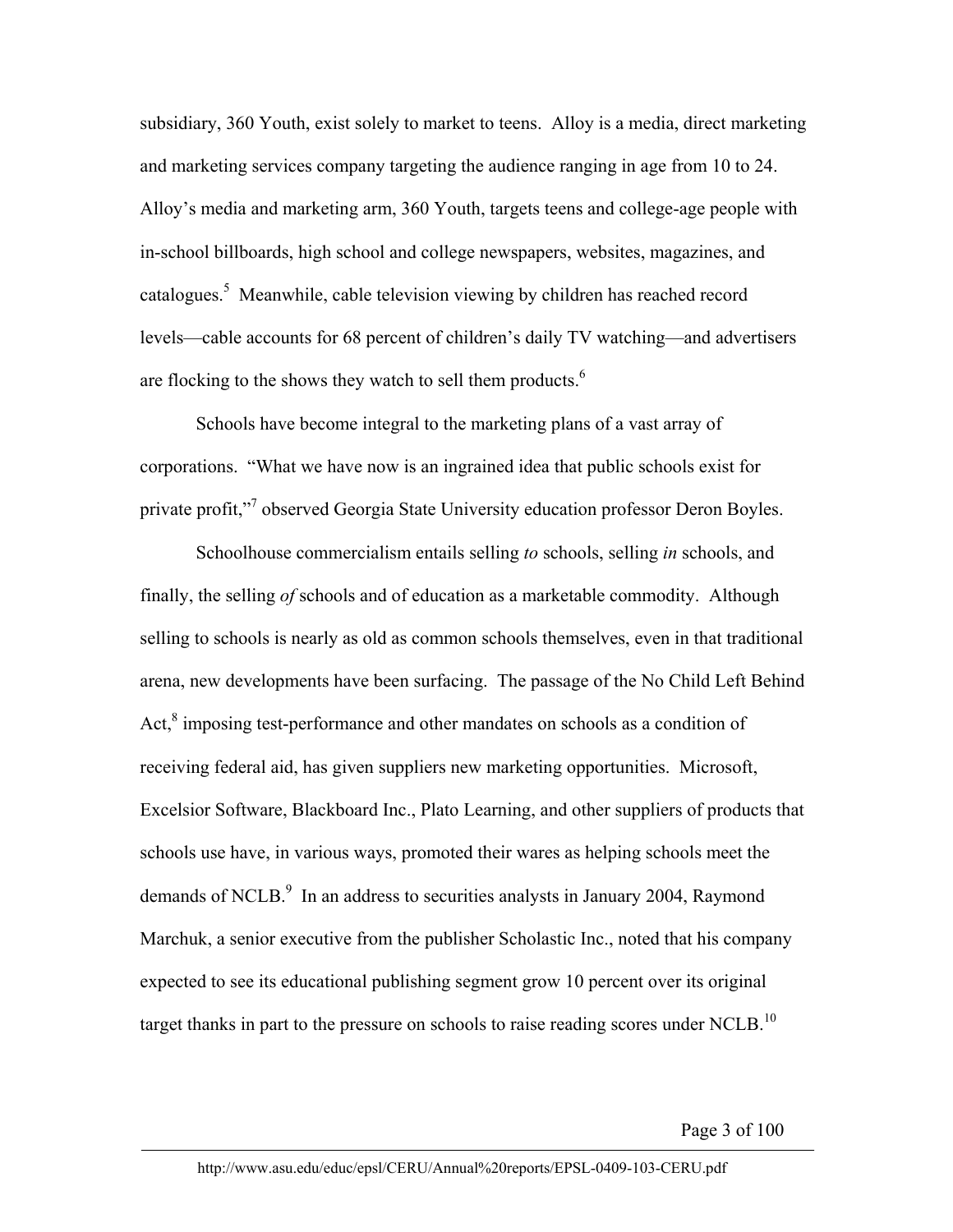subsidiary, 360 Youth, exist solely to market to teens. Alloy is a media, direct marketing and marketing services company targeting the audience ranging in age from 10 to 24. Alloy's media and marketing arm, 360 Youth, targets teens and college-age people with in-school billboards, high school and college newspapers, websites, magazines, and catalogues.<sup>5</sup> Meanwhile, cable television viewing by children has reached record levels—cable accounts for 68 percent of children's daily TV watching—and advertisers are flocking to the shows they watch to sell them products. $<sup>6</sup>$ </sup>

Schools have become integral to the marketing plans of a vast array of corporations. "What we have now is an ingrained idea that public schools exist for private profit,"<sup>7</sup> observed Georgia State University education professor Deron Boyles.

Schoolhouse commercialism entails selling *to* schools, selling *in* schools, and finally, the selling *of* schools and of education as a marketable commodity. Although selling to schools is nearly as old as common schools themselves, even in that traditional arena, new developments have been surfacing. The passage of the No Child Left Behind Act, ${}^{8}$  imposing test-performance and other mandates on schools as a condition of receiving federal aid, has given suppliers new marketing opportunities. Microsoft, Excelsior Software, Blackboard Inc., Plato Learning, and other suppliers of products that schools use have, in various ways, promoted their wares as helping schools meet the demands of NCLB. $^9$  In an address to securities analysts in January 2004, Raymond Marchuk, a senior executive from the publisher Scholastic Inc., noted that his company expected to see its educational publishing segment grow 10 percent over its original target thanks in part to the pressure on schools to raise reading scores under NCLB.<sup>10</sup>

Page 3 of 100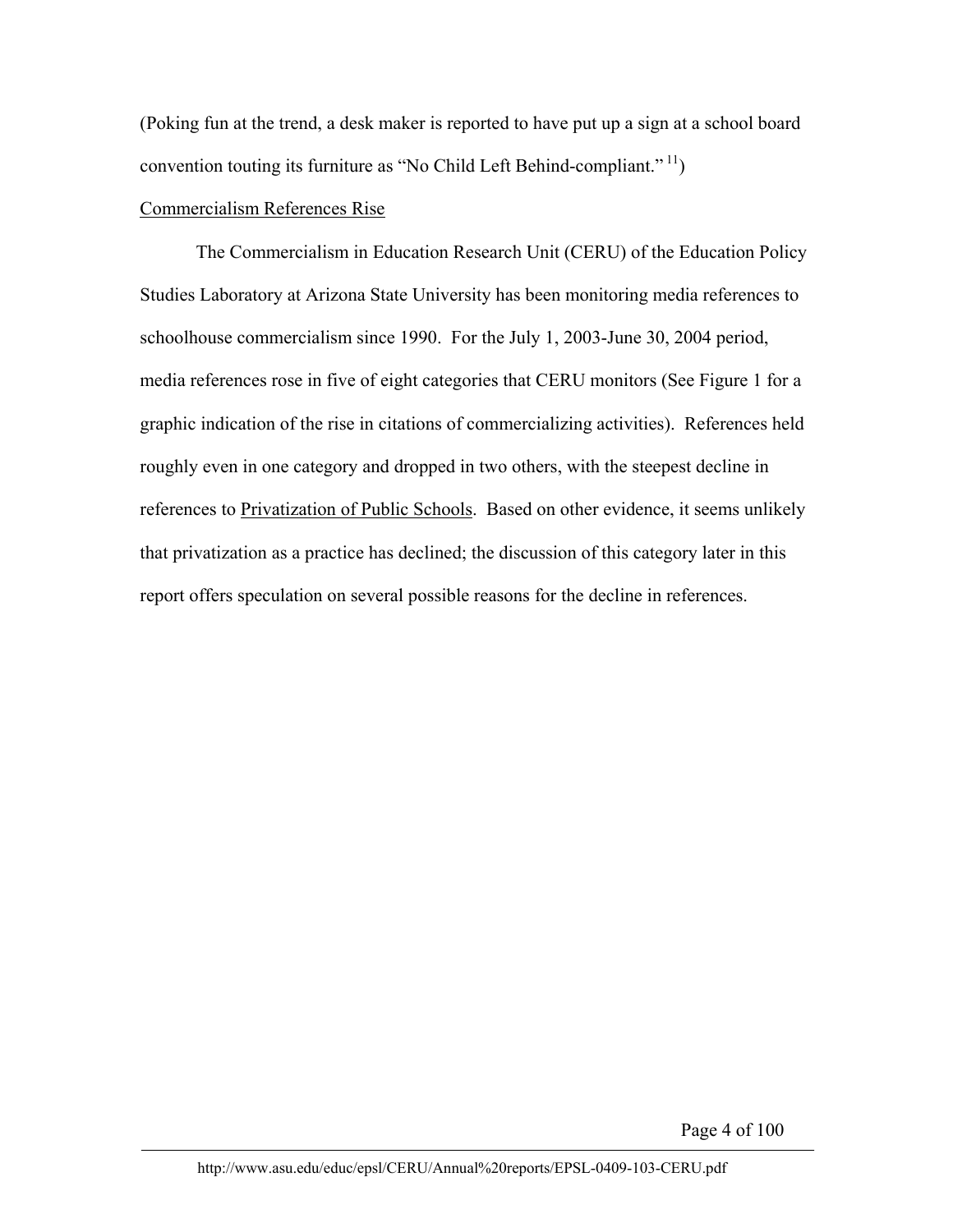(Poking fun at the trend, a desk maker is reported to have put up a sign at a school board convention touting its furniture as "No Child Left Behind-compliant."  $\frac{11}{1}$ )

## Commercialism References Rise

The Commercialism in Education Research Unit (CERU) of the Education Policy Studies Laboratory at Arizona State University has been monitoring media references to schoolhouse commercialism since 1990. For the July 1, 2003-June 30, 2004 period, media references rose in five of eight categories that CERU monitors (See Figure 1 for a graphic indication of the rise in citations of commercializing activities). References held roughly even in one category and dropped in two others, with the steepest decline in references to Privatization of Public Schools. Based on other evidence, it seems unlikely that privatization as a practice has declined; the discussion of this category later in this report offers speculation on several possible reasons for the decline in references.

Page 4 of 100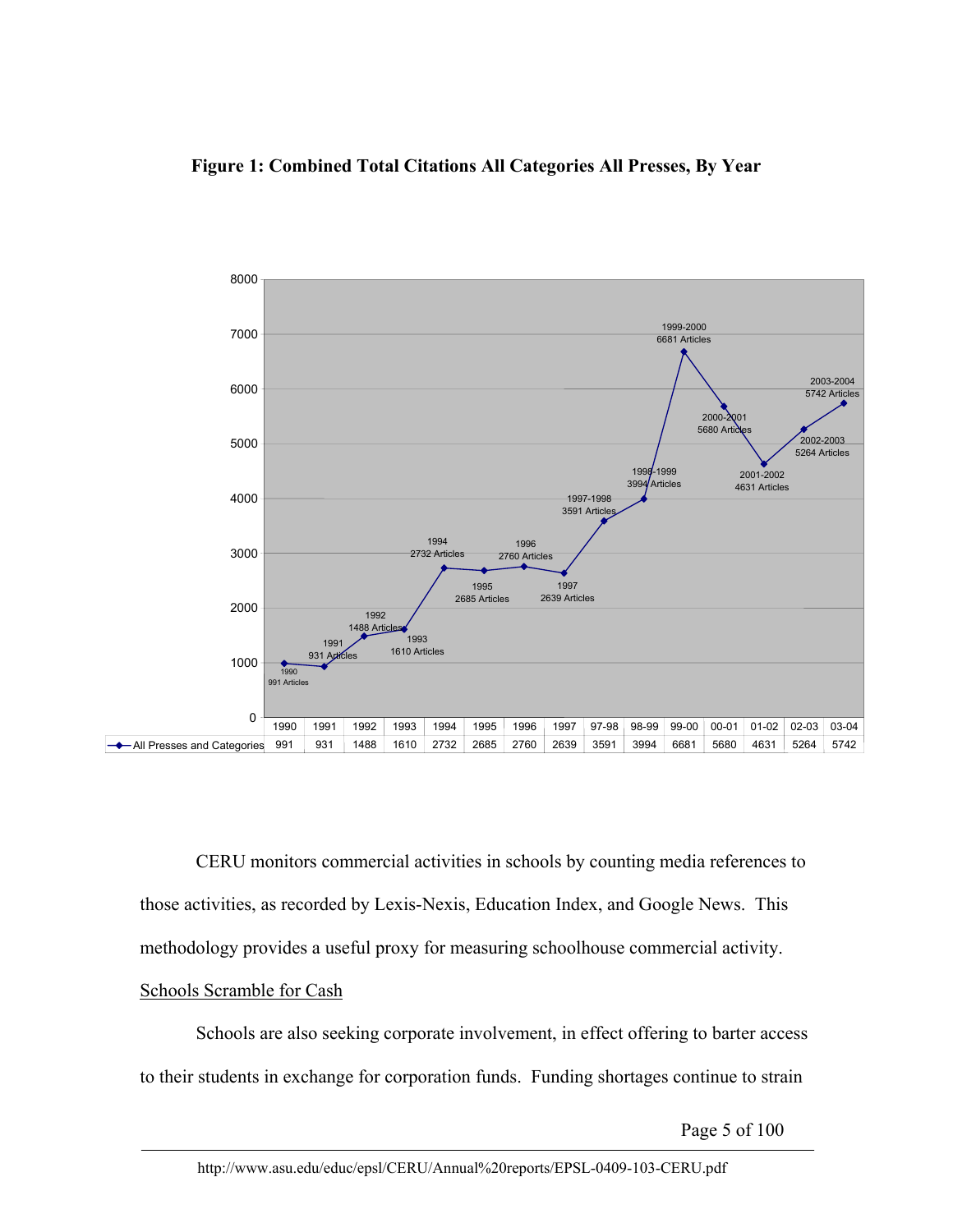## **Figure 1: Combined Total Citations All Categories All Presses, By Year**



CERU monitors commercial activities in schools by counting media references to those activities, as recorded by Lexis-Nexis, Education Index, and Google News. This methodology provides a useful proxy for measuring schoolhouse commercial activity.

## Schools Scramble for Cash

Schools are also seeking corporate involvement, in effect offering to barter access to their students in exchange for corporation funds. Funding shortages continue to strain

Page 5 of 100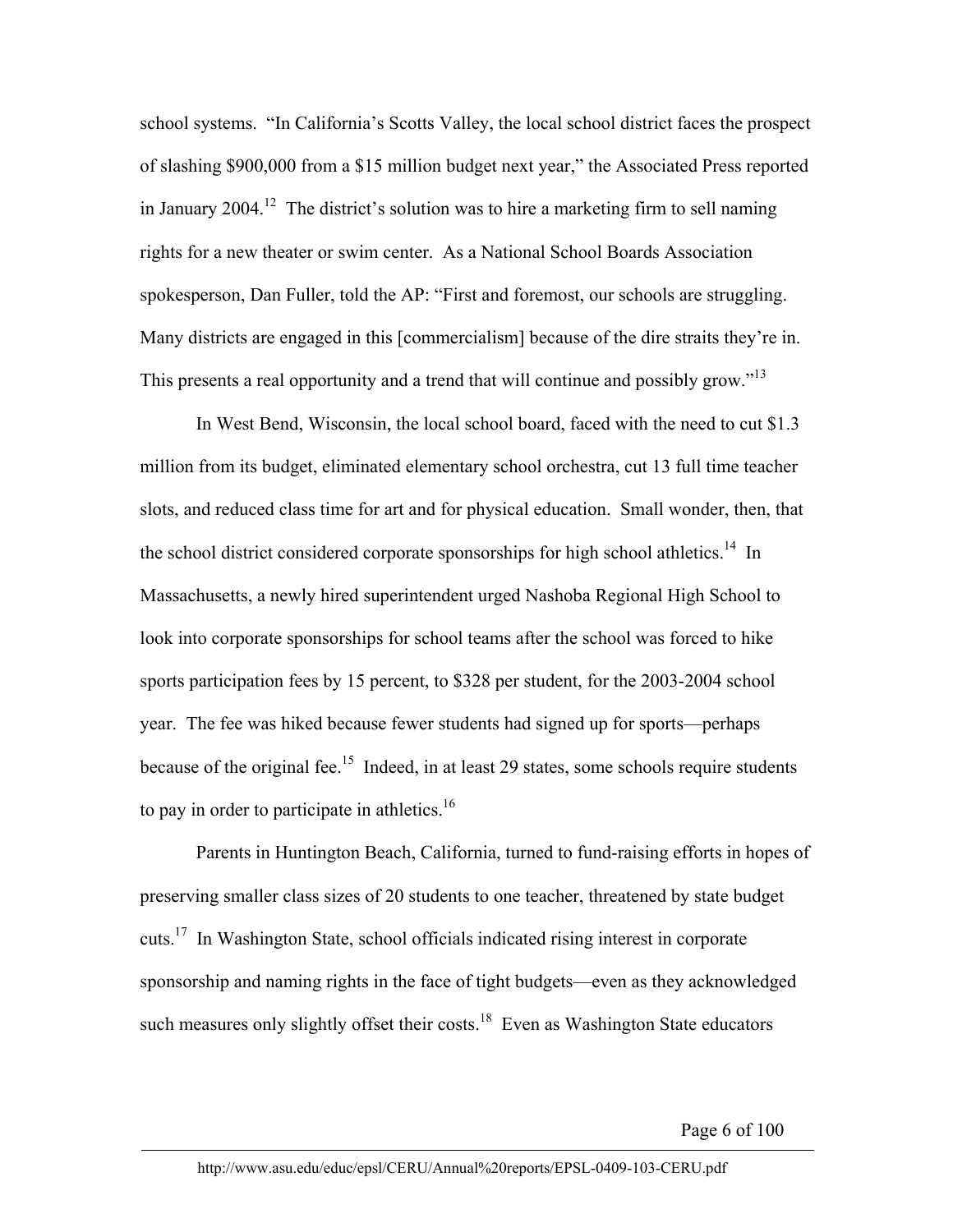school systems. "In California's Scotts Valley, the local school district faces the prospect of slashing \$900,000 from a \$15 million budget next year," the Associated Press reported in January 2004.<sup>12</sup> The district's solution was to hire a marketing firm to sell naming rights for a new theater or swim center. As a National School Boards Association spokesperson, Dan Fuller, told the AP: "First and foremost, our schools are struggling. Many districts are engaged in this [commercialism] because of the dire straits they're in. This presents a real opportunity and a trend that will continue and possibly grow."<sup>13</sup>

In West Bend, Wisconsin, the local school board, faced with the need to cut \$1.3 million from its budget, eliminated elementary school orchestra, cut 13 full time teacher slots, and reduced class time for art and for physical education. Small wonder, then, that the school district considered corporate sponsorships for high school athletics.<sup>14</sup> In Massachusetts, a newly hired superintendent urged Nashoba Regional High School to look into corporate sponsorships for school teams after the school was forced to hike sports participation fees by 15 percent, to \$328 per student, for the 2003-2004 school year. The fee was hiked because fewer students had signed up for sports—perhaps because of the original fee.<sup>15</sup> Indeed, in at least 29 states, some schools require students to pay in order to participate in athletics.<sup>16</sup>

Parents in Huntington Beach, California, turned to fund-raising efforts in hopes of preserving smaller class sizes of 20 students to one teacher, threatened by state budget cuts.17 In Washington State, school officials indicated rising interest in corporate sponsorship and naming rights in the face of tight budgets—even as they acknowledged such measures only slightly offset their costs.<sup>18</sup> Even as Washington State educators

Page 6 of 100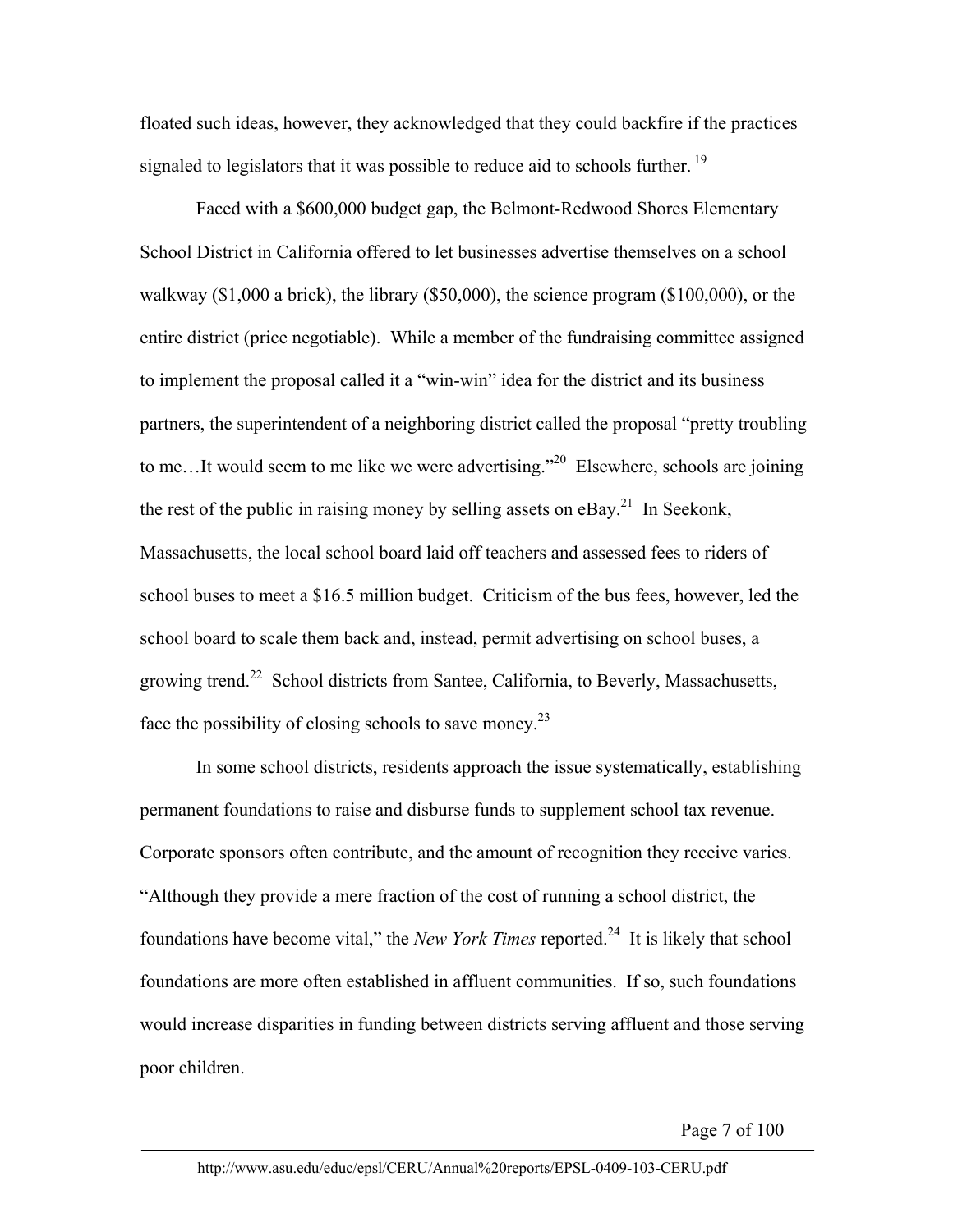floated such ideas, however, they acknowledged that they could backfire if the practices signaled to legislators that it was possible to reduce aid to schools further.<sup>19</sup>

Faced with a \$600,000 budget gap, the Belmont-Redwood Shores Elementary School District in California offered to let businesses advertise themselves on a school walkway (\$1,000 a brick), the library (\$50,000), the science program (\$100,000), or the entire district (price negotiable). While a member of the fundraising committee assigned to implement the proposal called it a "win-win" idea for the district and its business partners, the superintendent of a neighboring district called the proposal "pretty troubling to me...It would seem to me like we were advertising." <sup>20</sup> Elsewhere, schools are joining the rest of the public in raising money by selling assets on  $eBay$ <sup>21</sup>. In Seekonk, Massachusetts, the local school board laid off teachers and assessed fees to riders of school buses to meet a \$16.5 million budget. Criticism of the bus fees, however, led the school board to scale them back and, instead, permit advertising on school buses, a growing trend.22 School districts from Santee, California, to Beverly, Massachusetts, face the possibility of closing schools to save money.23

In some school districts, residents approach the issue systematically, establishing permanent foundations to raise and disburse funds to supplement school tax revenue. Corporate sponsors often contribute, and the amount of recognition they receive varies. "Although they provide a mere fraction of the cost of running a school district, the foundations have become vital," the *New York Times* reported.24 It is likely that school foundations are more often established in affluent communities. If so, such foundations would increase disparities in funding between districts serving affluent and those serving poor children.

Page 7 of 100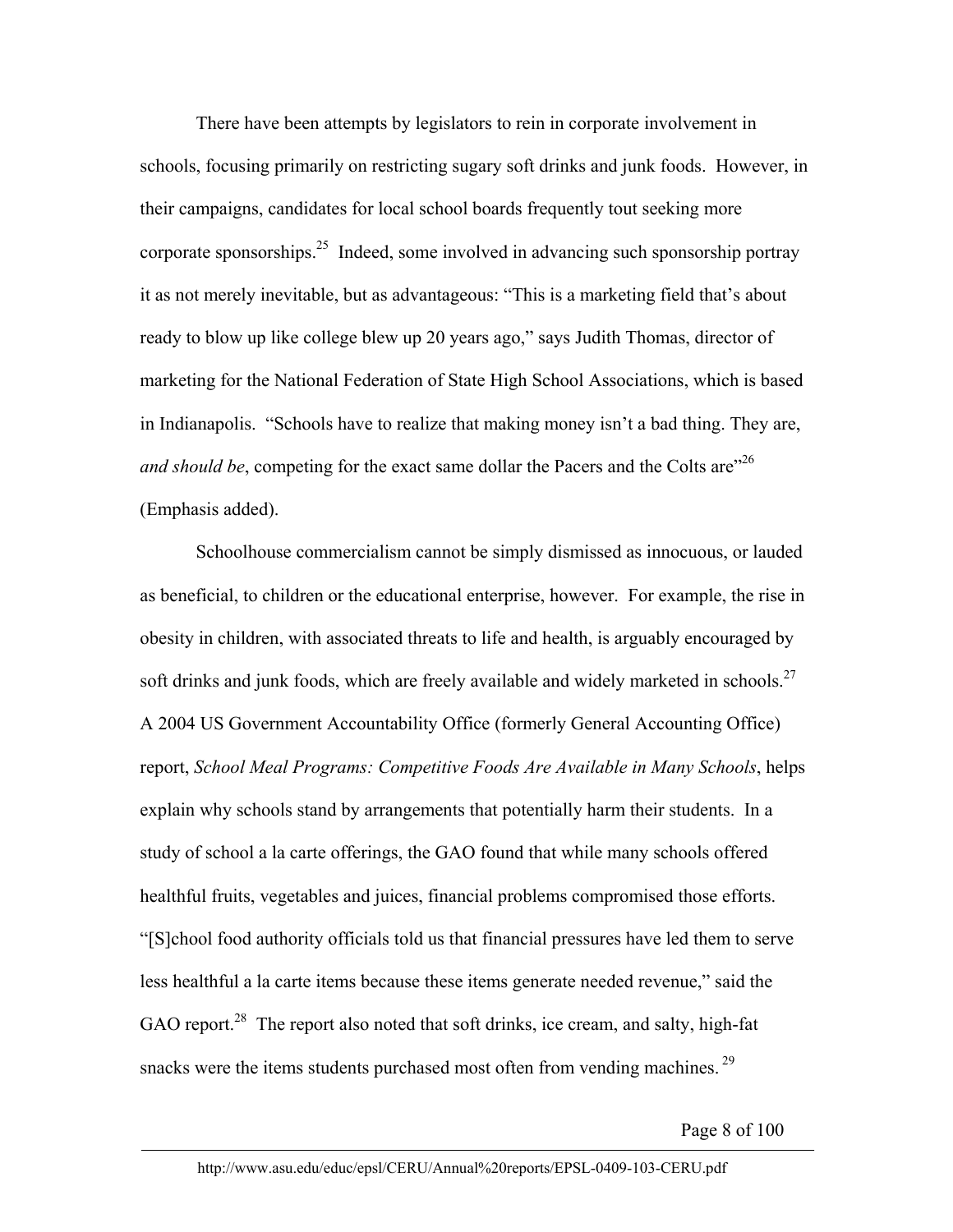There have been attempts by legislators to rein in corporate involvement in schools, focusing primarily on restricting sugary soft drinks and junk foods. However, in their campaigns, candidates for local school boards frequently tout seeking more corporate sponsorships.25 Indeed, some involved in advancing such sponsorship portray it as not merely inevitable, but as advantageous: "This is a marketing field that's about ready to blow up like college blew up 20 years ago," says Judith Thomas, director of marketing for the National Federation of State High School Associations, which is based in Indianapolis. "Schools have to realize that making money isn't a bad thing. They are, *and should be*, competing for the exact same dollar the Pacers and the Colts are<sup>"26</sup> (Emphasis added).

Schoolhouse commercialism cannot be simply dismissed as innocuous, or lauded as beneficial, to children or the educational enterprise, however. For example, the rise in obesity in children, with associated threats to life and health, is arguably encouraged by soft drinks and junk foods, which are freely available and widely marketed in schools.<sup>27</sup> A 2004 US Government Accountability Office (formerly General Accounting Office) report, *School Meal Programs: Competitive Foods Are Available in Many Schools*, helps explain why schools stand by arrangements that potentially harm their students. In a study of school a la carte offerings, the GAO found that while many schools offered healthful fruits, vegetables and juices, financial problems compromised those efforts. "[S]chool food authority officials told us that financial pressures have led them to serve less healthful a la carte items because these items generate needed revenue," said the GAO report.<sup>28</sup> The report also noted that soft drinks, ice cream, and salty, high-fat snacks were the items students purchased most often from vending machines.<sup>29</sup>

Page 8 of 100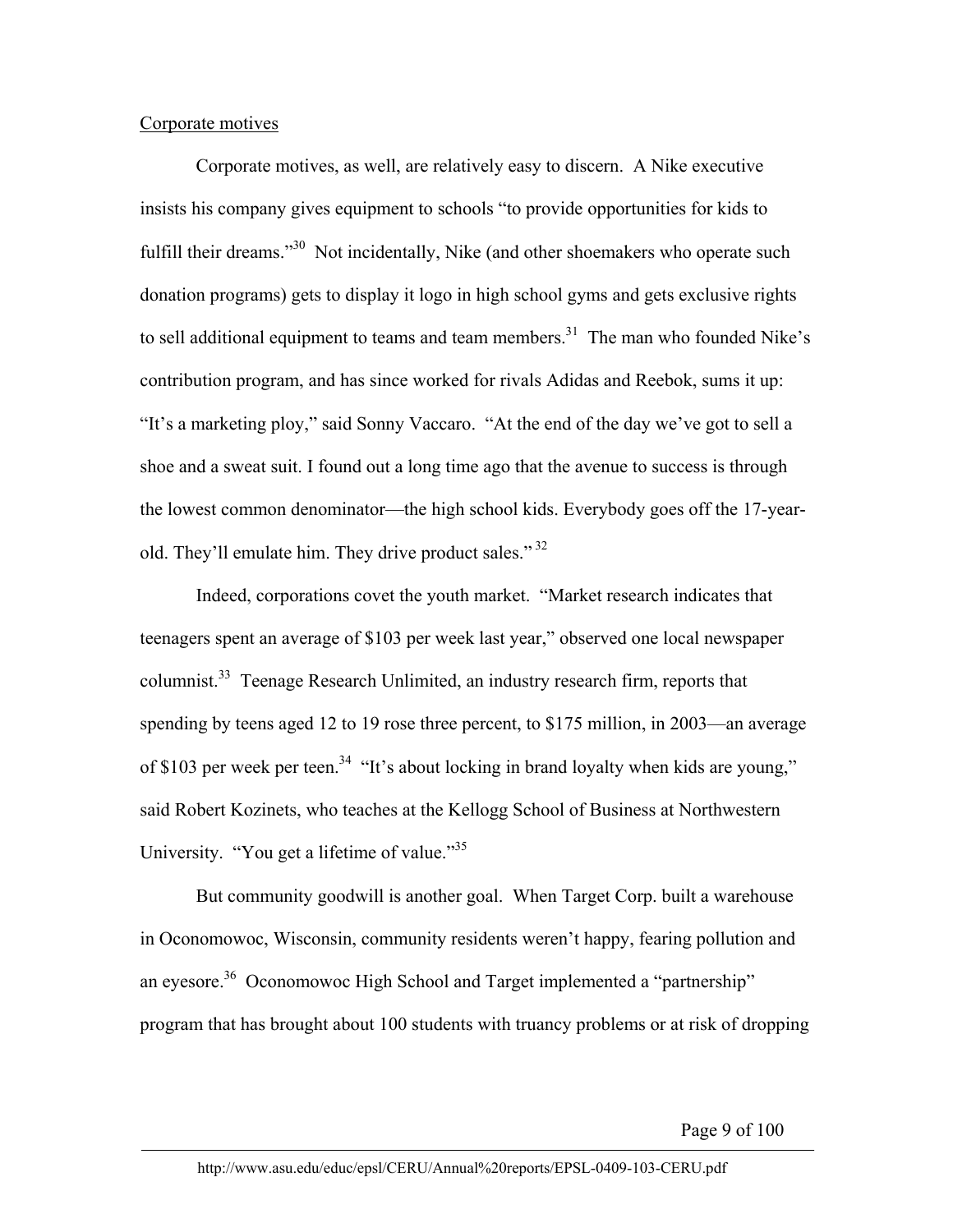## Corporate motives

Corporate motives, as well, are relatively easy to discern. A Nike executive insists his company gives equipment to schools "to provide opportunities for kids to fulfill their dreams."<sup>30</sup> Not incidentally, Nike (and other shoemakers who operate such donation programs) gets to display it logo in high school gyms and gets exclusive rights to sell additional equipment to teams and team members.<sup>31</sup> The man who founded Nike's contribution program, and has since worked for rivals Adidas and Reebok, sums it up: "It's a marketing ploy," said Sonny Vaccaro. "At the end of the day we've got to sell a shoe and a sweat suit. I found out a long time ago that the avenue to success is through the lowest common denominator—the high school kids. Everybody goes off the 17-yearold. They'll emulate him. They drive product sales."<sup>32</sup>

Indeed, corporations covet the youth market. "Market research indicates that teenagers spent an average of \$103 per week last year," observed one local newspaper columnist.33 Teenage Research Unlimited, an industry research firm, reports that spending by teens aged 12 to 19 rose three percent, to \$175 million, in 2003—an average of \$103 per week per teen.<sup>34</sup> "It's about locking in brand loyalty when kids are young," said Robert Kozinets, who teaches at the Kellogg School of Business at Northwestern University. "You get a lifetime of value."<sup>35</sup>

But community goodwill is another goal. When Target Corp. built a warehouse in Oconomowoc, Wisconsin, community residents weren't happy, fearing pollution and an eyesore.<sup>36</sup> Oconomowoc High School and Target implemented a "partnership" program that has brought about 100 students with truancy problems or at risk of dropping

Page 9 of 100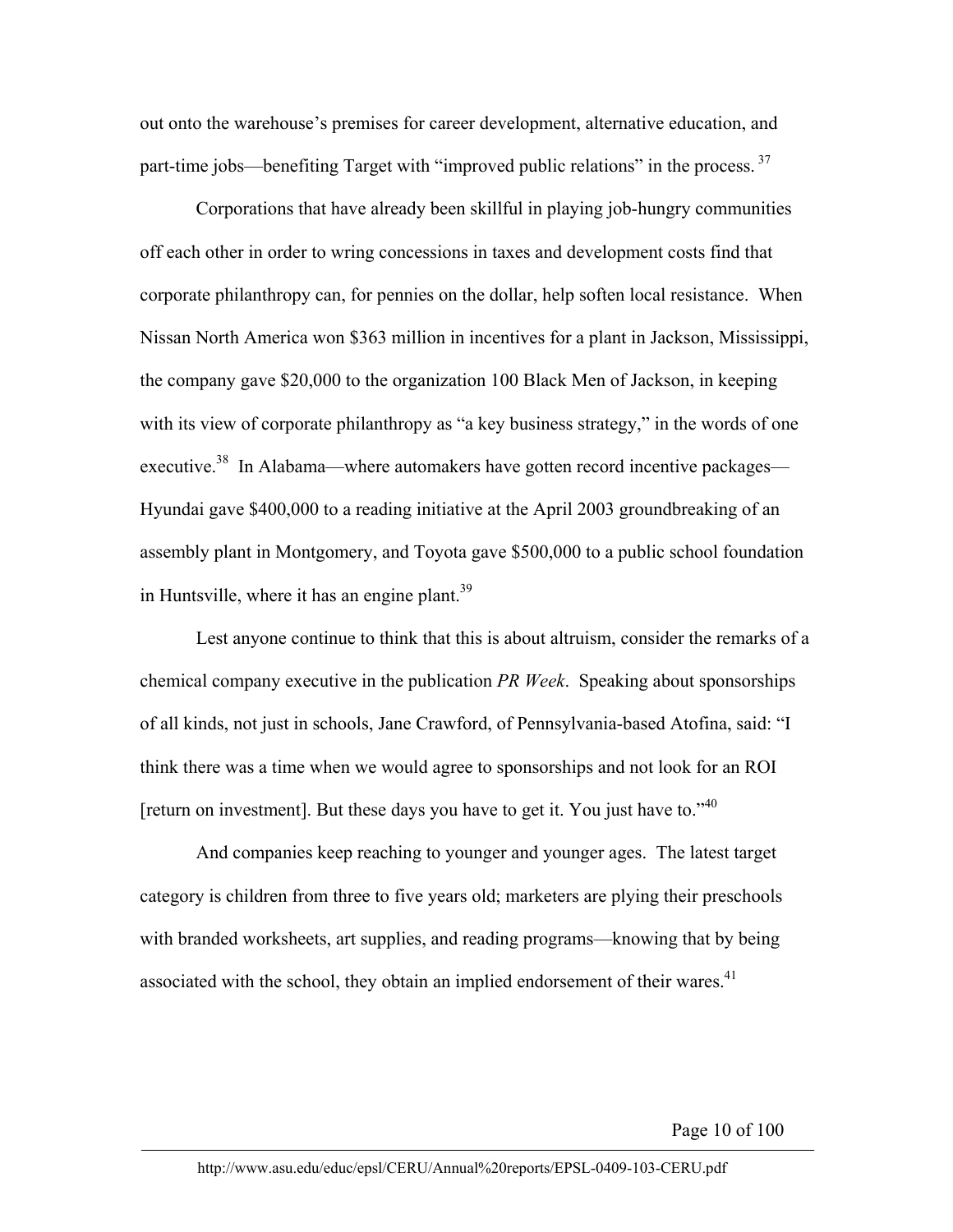out onto the warehouse's premises for career development, alternative education, and part-time jobs—benefiting Target with "improved public relations" in the process.<sup>37</sup>

Corporations that have already been skillful in playing job-hungry communities off each other in order to wring concessions in taxes and development costs find that corporate philanthropy can, for pennies on the dollar, help soften local resistance. When Nissan North America won \$363 million in incentives for a plant in Jackson, Mississippi, the company gave \$20,000 to the organization 100 Black Men of Jackson, in keeping with its view of corporate philanthropy as "a key business strategy," in the words of one executive.<sup>38</sup> In Alabama—where automakers have gotten record incentive packages— Hyundai gave \$400,000 to a reading initiative at the April 2003 groundbreaking of an assembly plant in Montgomery, and Toyota gave \$500,000 to a public school foundation in Huntsville, where it has an engine plant.<sup>39</sup>

Lest anyone continue to think that this is about altruism, consider the remarks of a chemical company executive in the publication *PR Week*. Speaking about sponsorships of all kinds, not just in schools, Jane Crawford, of Pennsylvania-based Atofina, said: "I think there was a time when we would agree to sponsorships and not look for an ROI [return on investment]. But these days you have to get it. You just have to."<sup>40</sup>

And companies keep reaching to younger and younger ages. The latest target category is children from three to five years old; marketers are plying their preschools with branded worksheets, art supplies, and reading programs—knowing that by being associated with the school, they obtain an implied endorsement of their wares.<sup>41</sup>

Page 10 of 100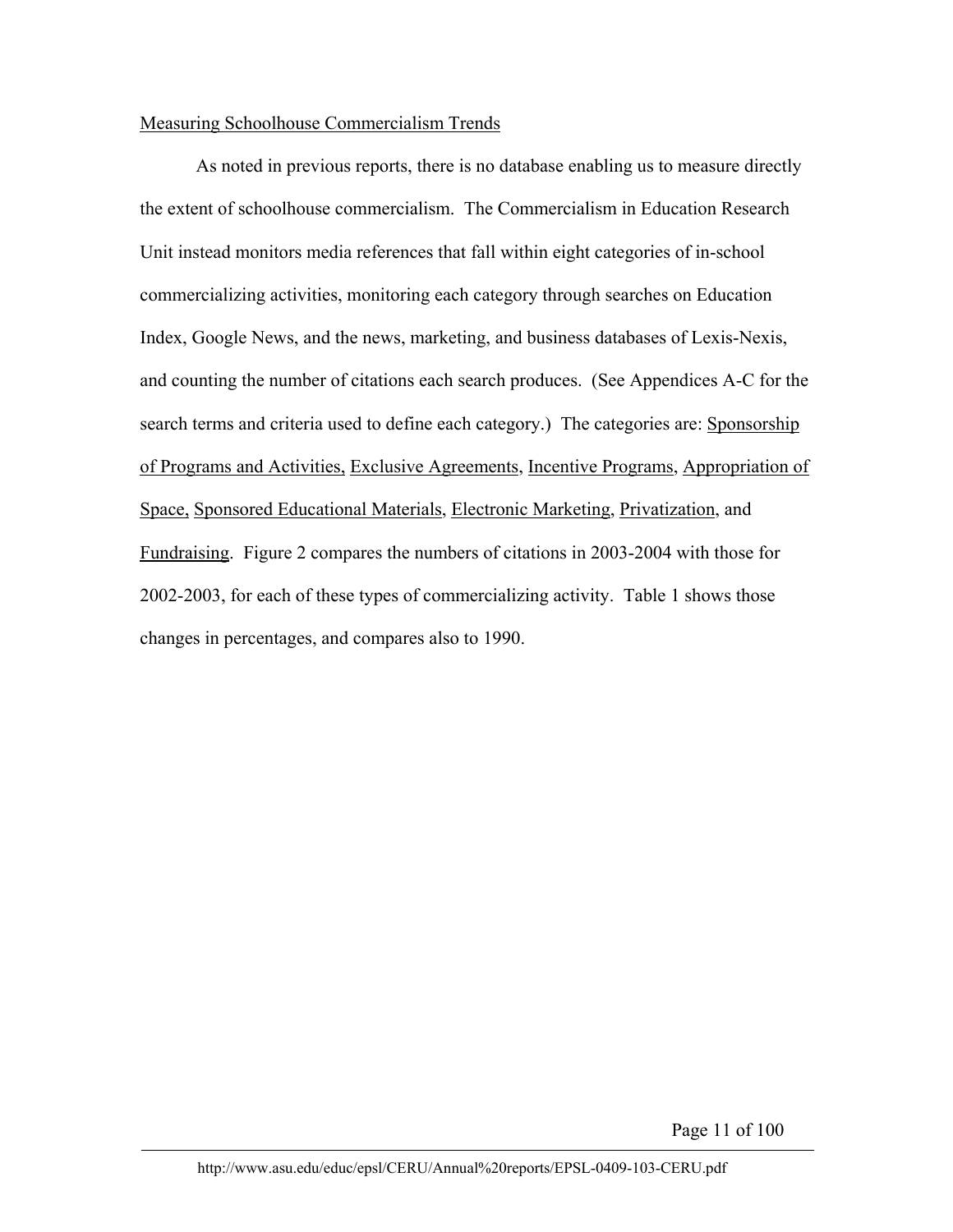## Measuring Schoolhouse Commercialism Trends

As noted in previous reports, there is no database enabling us to measure directly the extent of schoolhouse commercialism. The Commercialism in Education Research Unit instead monitors media references that fall within eight categories of in-school commercializing activities, monitoring each category through searches on Education Index, Google News, and the news, marketing, and business databases of Lexis-Nexis, and counting the number of citations each search produces. (See Appendices A-C for the search terms and criteria used to define each category.) The categories are: Sponsorship of Programs and Activities, Exclusive Agreements, Incentive Programs, Appropriation of Space, Sponsored Educational Materials, Electronic Marketing, Privatization, and Fundraising. Figure 2 compares the numbers of citations in 2003-2004 with those for 2002-2003, for each of these types of commercializing activity. Table 1 shows those changes in percentages, and compares also to 1990.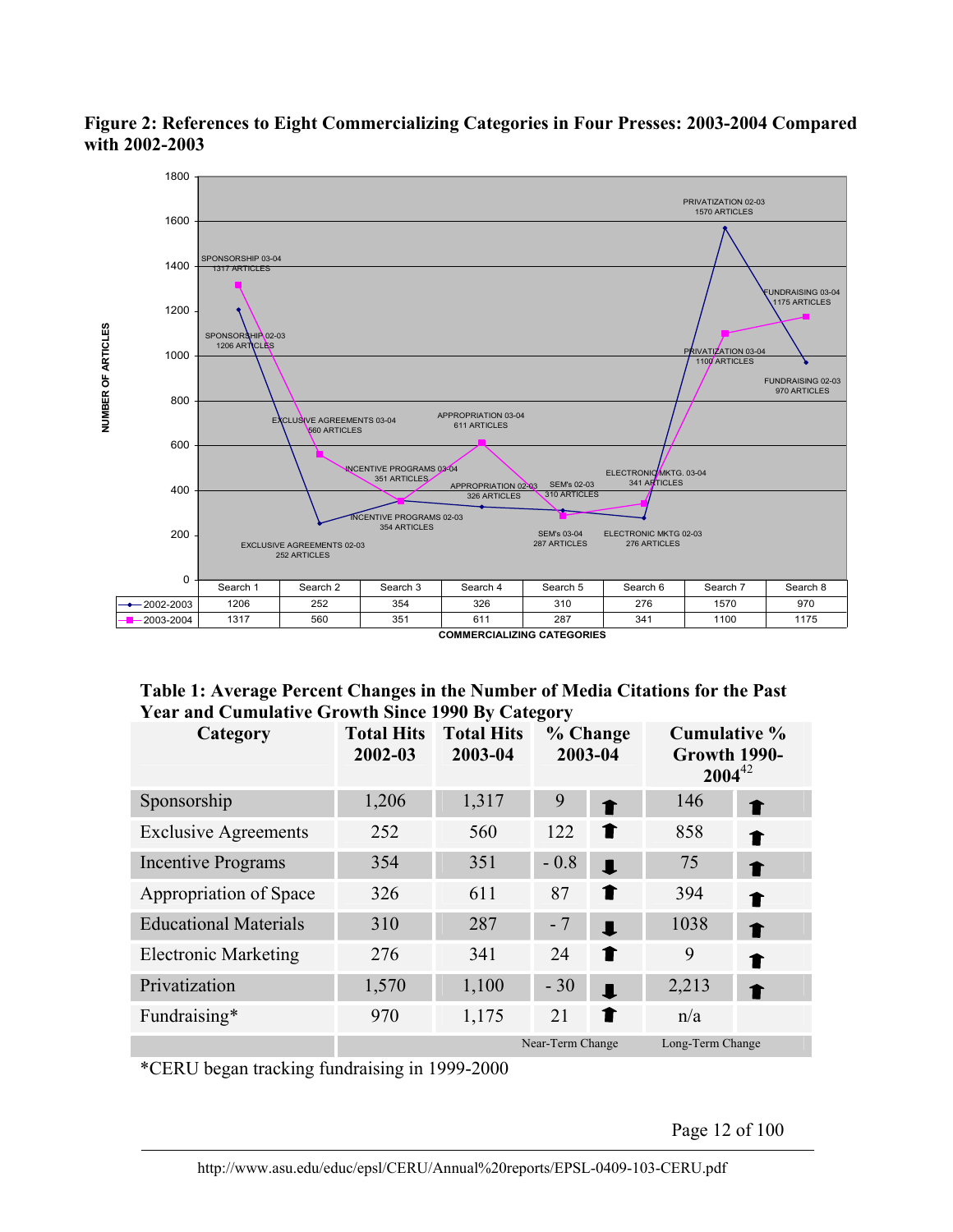

## **Figure 2: References to Eight Commercializing Categories in Four Presses: 2003-2004 Compared with 2002-2003**

| Table 1: Average Percent Changes in the Number of Media Citations for the Past |  |
|--------------------------------------------------------------------------------|--|
| <b>Year and Cumulative Growth Since 1990 By Category</b>                       |  |

| Category                     | <b>Total Hits</b><br>2002-03 | <b>Total Hits</b><br>2003-04 | % Change<br>2003-04 |                | <b>Cumulative %</b><br>Growth 1990-<br>$2004^{42}$ |   |
|------------------------------|------------------------------|------------------------------|---------------------|----------------|----------------------------------------------------|---|
| Sponsorship                  | 1,206                        | 1,317                        | 9                   | ↑              | 146                                                | T |
| <b>Exclusive Agreements</b>  | 252                          | 560                          | 122                 | T              | 858                                                |   |
| <b>Incentive Programs</b>    | 354                          | 351                          | $-0.8$              | $\blacksquare$ | 75                                                 | ↑ |
| Appropriation of Space       | 326                          | 611                          | 87                  | T              | 394                                                | ↑ |
| <b>Educational Materials</b> | 310                          | 287                          | $-7$                | $\blacksquare$ | 1038                                               |   |
| <b>Electronic Marketing</b>  | 276                          | 341                          | 24                  | T              | 9                                                  |   |
| Privatization                | 1,570                        | 1,100                        | $-30$               | $\blacksquare$ | 2,213                                              |   |
| Fundraising*                 | 970                          | 1,175                        | 21                  | 1              | n/a                                                |   |
|                              | Near-Term Change             |                              |                     |                | Long-Term Change                                   |   |

\*CERU began tracking fundraising in 1999-2000

Page 12 of 100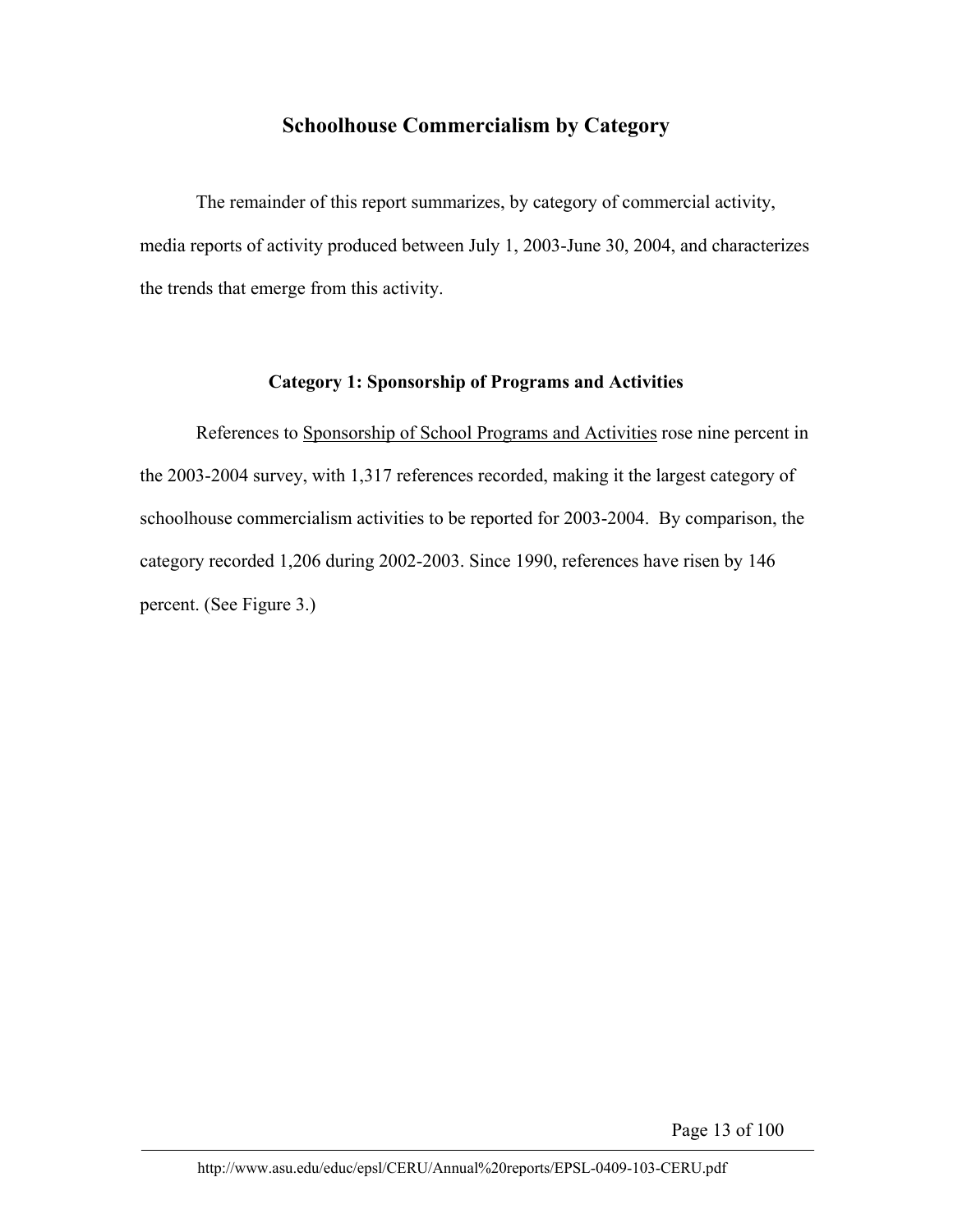## **Schoolhouse Commercialism by Category**

The remainder of this report summarizes, by category of commercial activity, media reports of activity produced between July 1, 2003-June 30, 2004, and characterizes the trends that emerge from this activity.

## **Category 1: Sponsorship of Programs and Activities**

References to Sponsorship of School Programs and Activities rose nine percent in the 2003-2004 survey, with 1,317 references recorded, making it the largest category of schoolhouse commercialism activities to be reported for 2003-2004. By comparison, the category recorded 1,206 during 2002-2003. Since 1990, references have risen by 146 percent. (See Figure 3.)

Page 13 of 100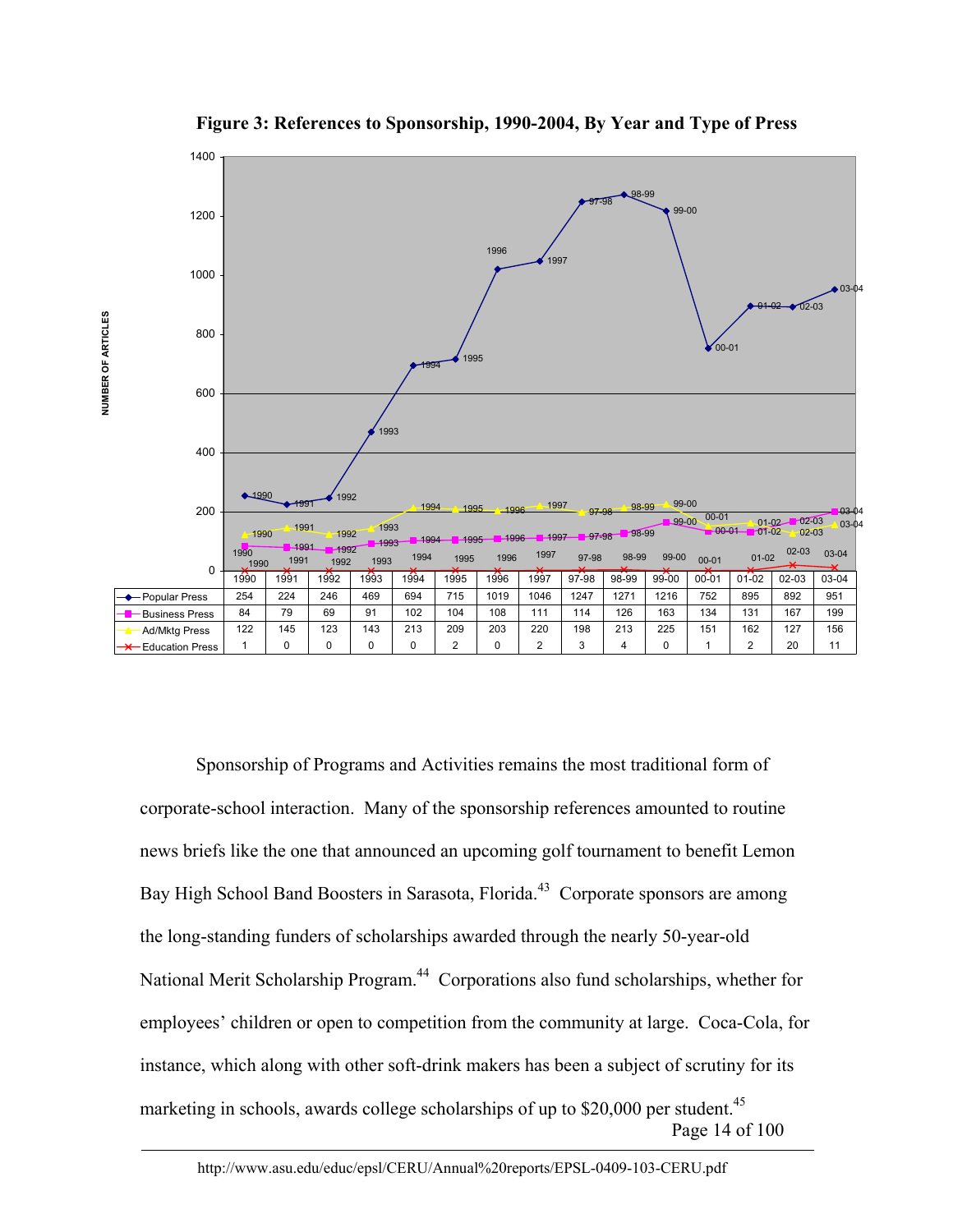

**Figure 3: References to Sponsorship, 1990-2004, By Year and Type of Press** 

Page 14 of 100 Sponsorship of Programs and Activities remains the most traditional form of corporate-school interaction. Many of the sponsorship references amounted to routine news briefs like the one that announced an upcoming golf tournament to benefit Lemon Bay High School Band Boosters in Sarasota, Florida.<sup>43</sup> Corporate sponsors are among the long-standing funders of scholarships awarded through the nearly 50-year-old National Merit Scholarship Program.<sup>44</sup> Corporations also fund scholarships, whether for employees' children or open to competition from the community at large. Coca-Cola, for instance, which along with other soft-drink makers has been a subject of scrutiny for its marketing in schools, awards college scholarships of up to  $$20,000$  per student.<sup>45</sup>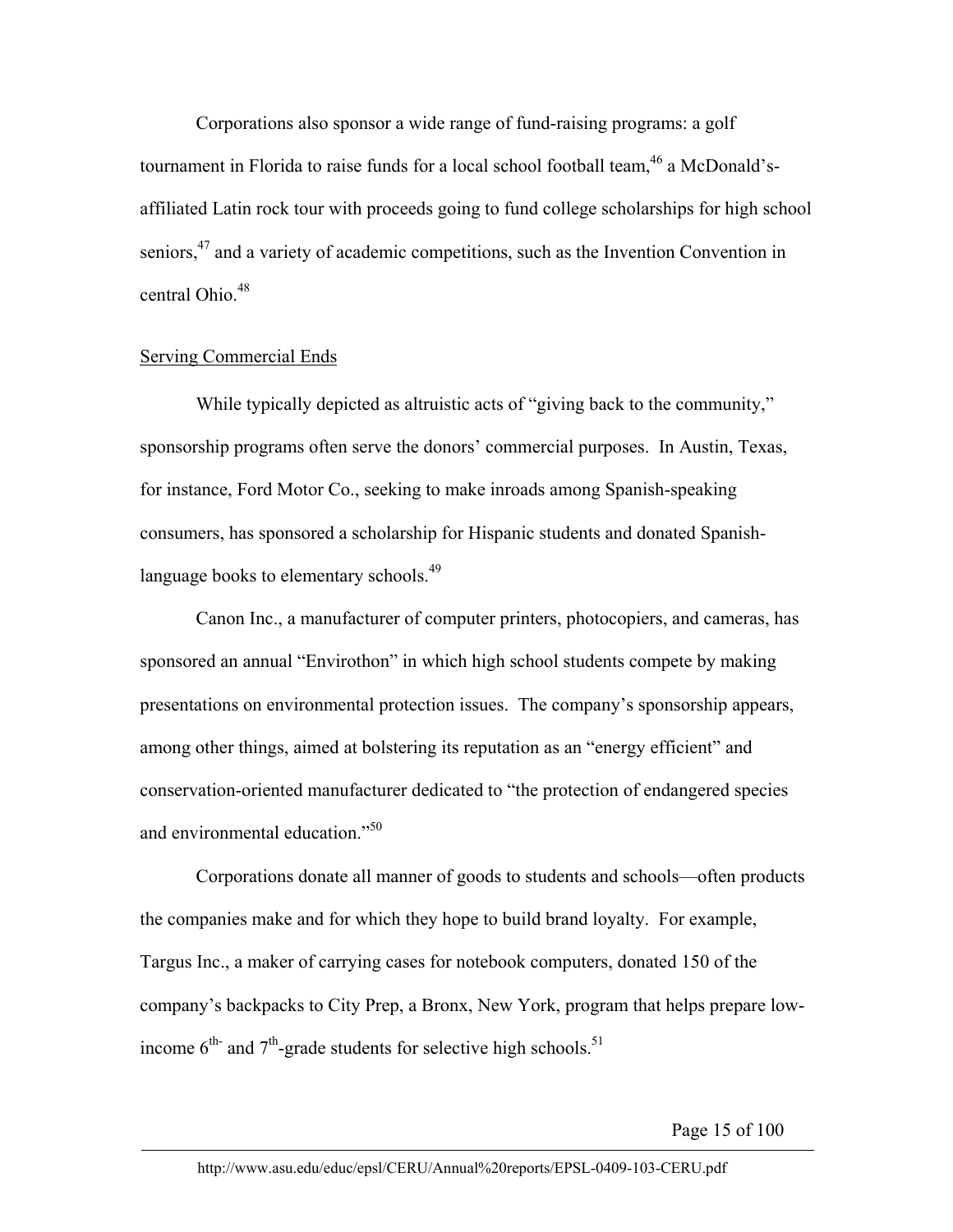Corporations also sponsor a wide range of fund-raising programs: a golf tournament in Florida to raise funds for a local school football team,<sup>46</sup> a McDonald'saffiliated Latin rock tour with proceeds going to fund college scholarships for high school seniors,<sup>47</sup> and a variety of academic competitions, such as the Invention Convention in central Ohio.<sup>48</sup>

#### Serving Commercial Ends

While typically depicted as altruistic acts of "giving back to the community," sponsorship programs often serve the donors' commercial purposes. In Austin, Texas, for instance, Ford Motor Co., seeking to make inroads among Spanish-speaking consumers, has sponsored a scholarship for Hispanic students and donated Spanishlanguage books to elementary schools.<sup>49</sup>

Canon Inc., a manufacturer of computer printers, photocopiers, and cameras, has sponsored an annual "Envirothon" in which high school students compete by making presentations on environmental protection issues. The company's sponsorship appears, among other things, aimed at bolstering its reputation as an "energy efficient" and conservation-oriented manufacturer dedicated to "the protection of endangered species and environmental education."<sup>50</sup>

Corporations donate all manner of goods to students and schools—often products the companies make and for which they hope to build brand loyalty. For example, Targus Inc., a maker of carrying cases for notebook computers, donated 150 of the company's backpacks to City Prep, a Bronx, New York, program that helps prepare lowincome  $6<sup>th</sup>$  and  $7<sup>th</sup>$ -grade students for selective high schools.<sup>51</sup>

Page 15 of 100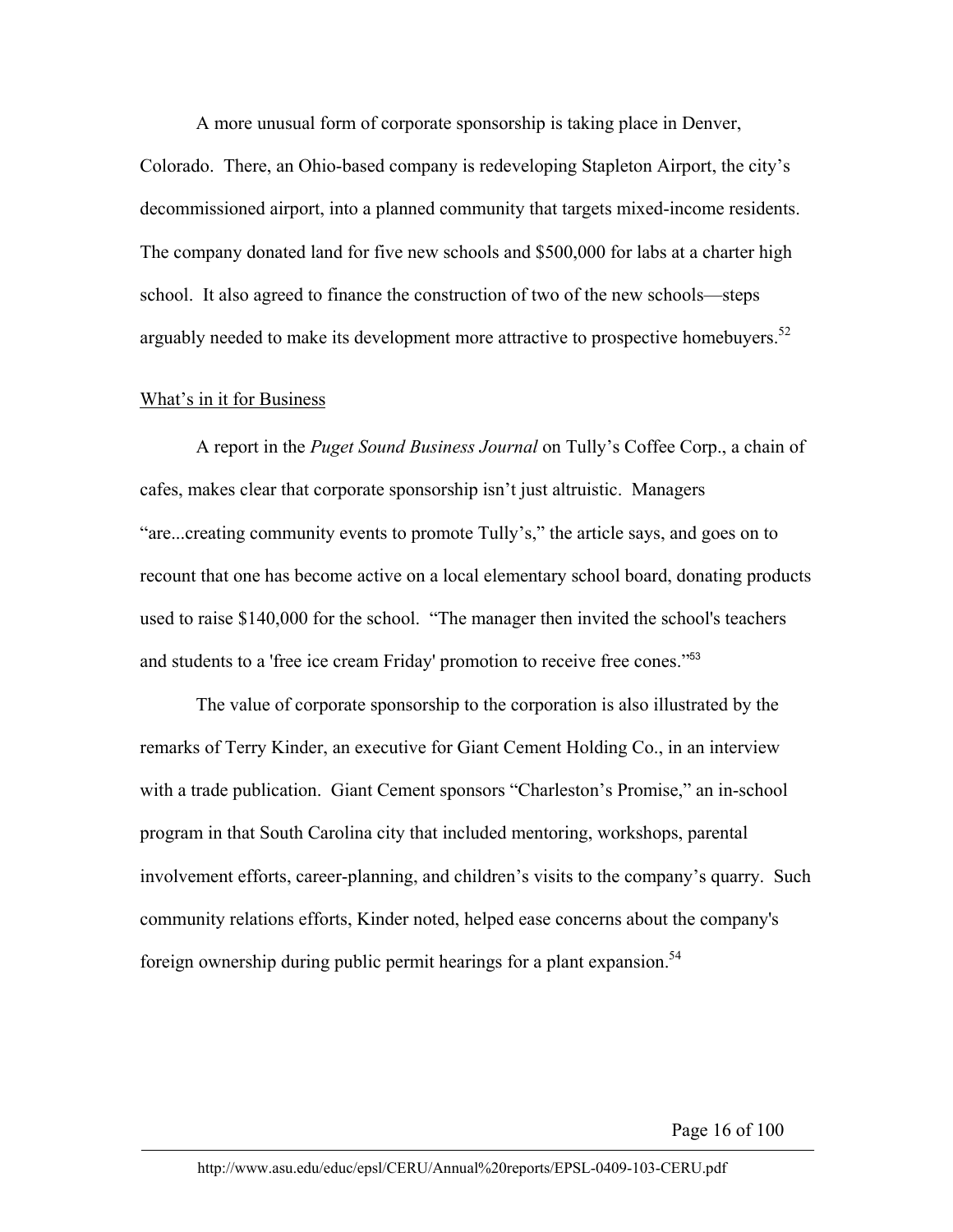A more unusual form of corporate sponsorship is taking place in Denver,

Colorado. There, an Ohio-based company is redeveloping Stapleton Airport, the city's decommissioned airport, into a planned community that targets mixed-income residents. The company donated land for five new schools and \$500,000 for labs at a charter high school. It also agreed to finance the construction of two of the new schools—steps arguably needed to make its development more attractive to prospective homebuyers.<sup>52</sup>

#### What's in it for Business

A report in the *Puget Sound Business Journal* on Tully's Coffee Corp., a chain of cafes, makes clear that corporate sponsorship isn't just altruistic. Managers "are...creating community events to promote Tully's," the article says, and goes on to recount that one has become active on a local elementary school board, donating products used to raise \$140,000 for the school. "The manager then invited the school's teachers and students to a 'free ice cream Friday' promotion to receive free cones."<sup>53</sup>

The value of corporate sponsorship to the corporation is also illustrated by the remarks of Terry Kinder, an executive for Giant Cement Holding Co., in an interview with a trade publication. Giant Cement sponsors "Charleston's Promise," an in-school program in that South Carolina city that included mentoring, workshops, parental involvement efforts, career-planning, and children's visits to the company's quarry. Such community relations efforts, Kinder noted, helped ease concerns about the company's foreign ownership during public permit hearings for a plant expansion.<sup>54</sup>

Page 16 of 100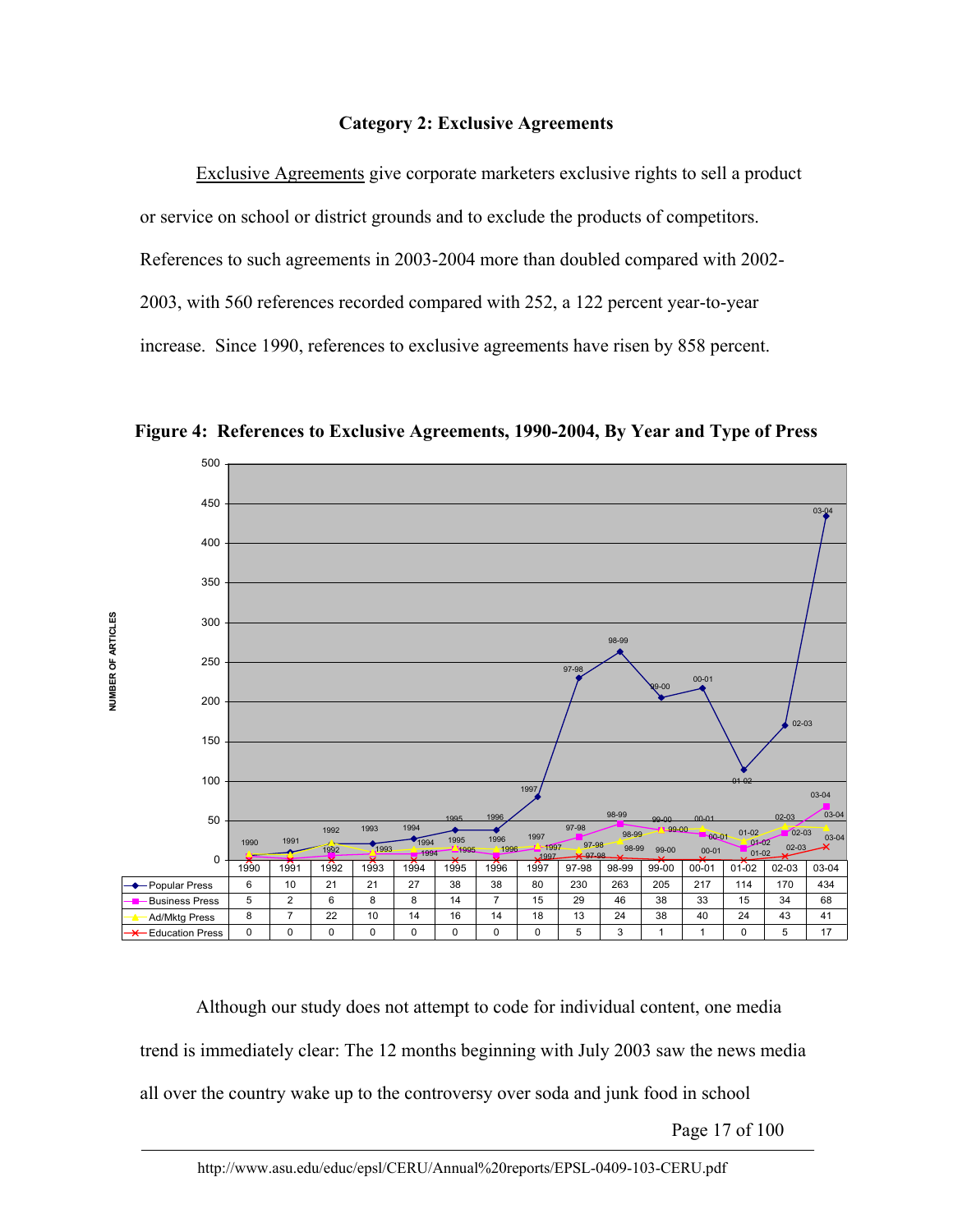#### **Category 2: Exclusive Agreements**

Exclusive Agreements give corporate marketers exclusive rights to sell a product or service on school or district grounds and to exclude the products of competitors. References to such agreements in 2003-2004 more than doubled compared with 2002- 2003, with 560 references recorded compared with 252, a 122 percent year-to-year increase. Since 1990, references to exclusive agreements have risen by 858 percent.



**Figure 4: References to Exclusive Agreements, 1990-2004, By Year and Type of Press**

Although our study does not attempt to code for individual content, one media trend is immediately clear: The 12 months beginning with July 2003 saw the news media all over the country wake up to the controversy over soda and junk food in school

Page 17 of 100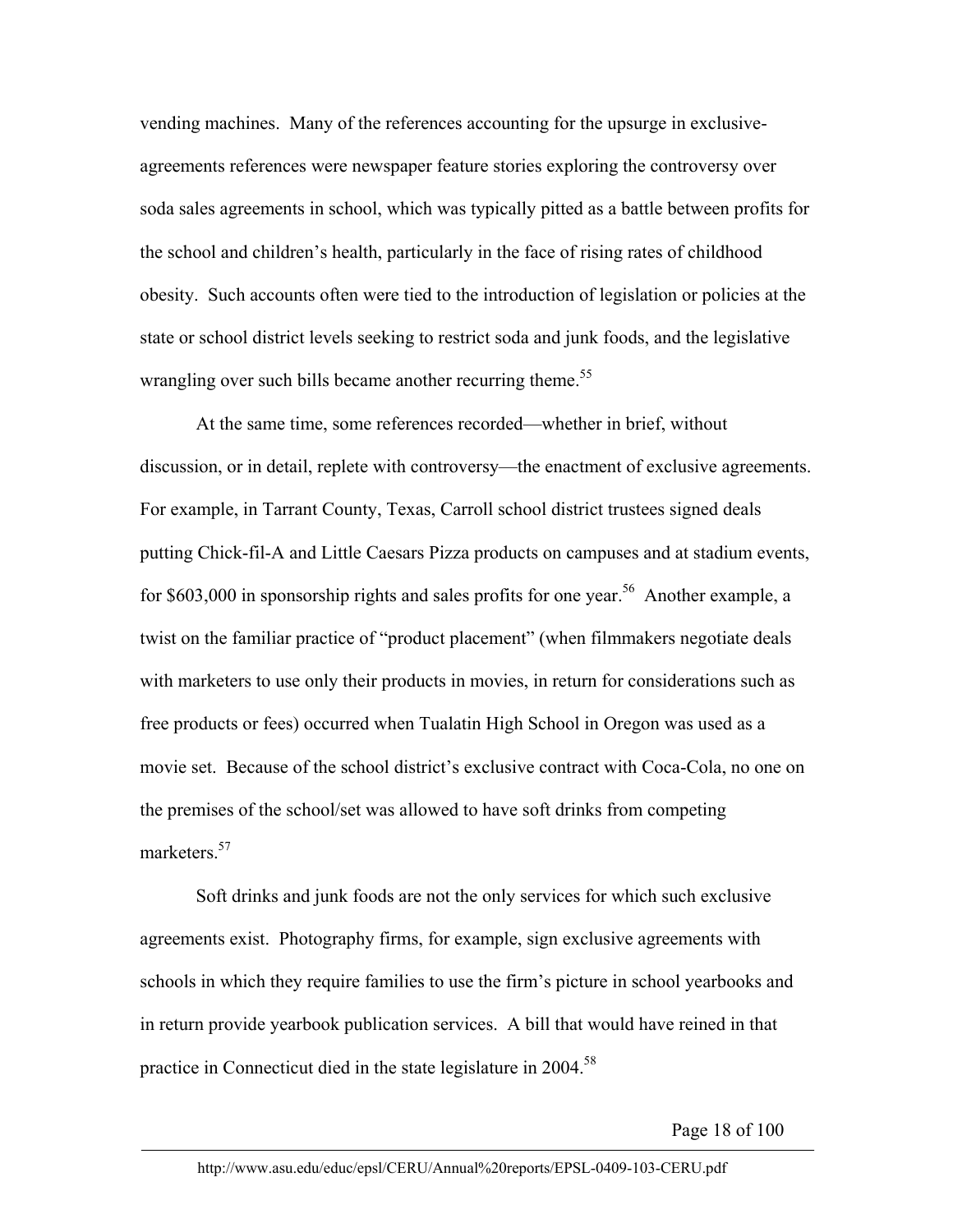vending machines. Many of the references accounting for the upsurge in exclusiveagreements references were newspaper feature stories exploring the controversy over soda sales agreements in school, which was typically pitted as a battle between profits for the school and children's health, particularly in the face of rising rates of childhood obesity. Such accounts often were tied to the introduction of legislation or policies at the state or school district levels seeking to restrict soda and junk foods, and the legislative wrangling over such bills became another recurring theme.<sup>55</sup>

At the same time, some references recorded—whether in brief, without discussion, or in detail, replete with controversy—the enactment of exclusive agreements. For example, in Tarrant County, Texas, Carroll school district trustees signed deals putting Chick-fil-A and Little Caesars Pizza products on campuses and at stadium events, for \$603,000 in sponsorship rights and sales profits for one year.<sup>56</sup> Another example, a twist on the familiar practice of "product placement" (when filmmakers negotiate deals with marketers to use only their products in movies, in return for considerations such as free products or fees) occurred when Tualatin High School in Oregon was used as a movie set. Because of the school district's exclusive contract with Coca-Cola, no one on the premises of the school/set was allowed to have soft drinks from competing marketers<sup>57</sup>

Soft drinks and junk foods are not the only services for which such exclusive agreements exist. Photography firms, for example, sign exclusive agreements with schools in which they require families to use the firm's picture in school yearbooks and in return provide yearbook publication services. A bill that would have reined in that practice in Connecticut died in the state legislature in 2004.<sup>58</sup>

Page 18 of 100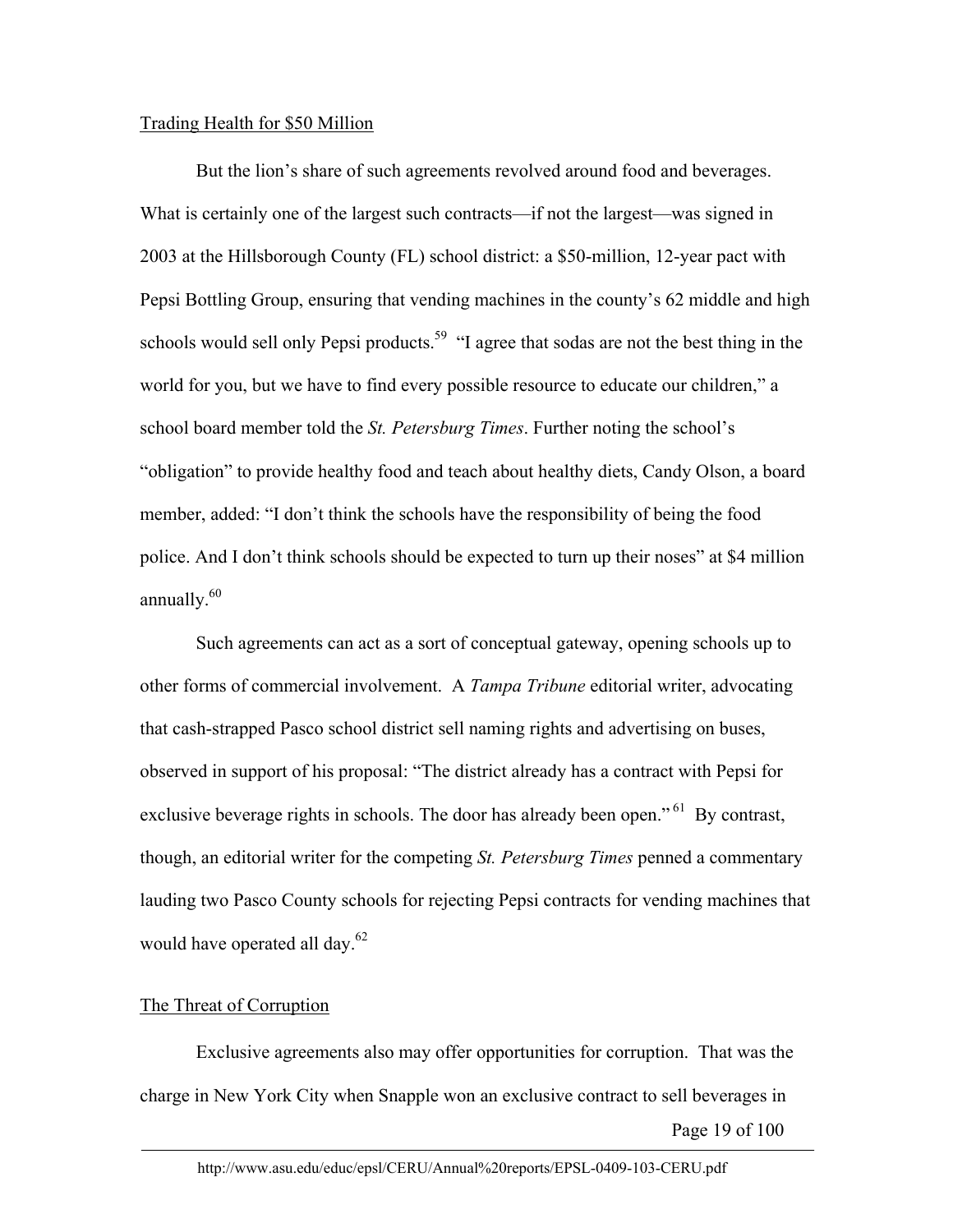## Trading Health for \$50 Million

But the lion's share of such agreements revolved around food and beverages. What is certainly one of the largest such contracts—if not the largest—was signed in 2003 at the Hillsborough County (FL) school district: a \$50-million, 12-year pact with Pepsi Bottling Group, ensuring that vending machines in the county's 62 middle and high schools would sell only Pepsi products.<sup>59</sup> "I agree that sodas are not the best thing in the world for you, but we have to find every possible resource to educate our children," a school board member told the *St. Petersburg Times*. Further noting the school's "obligation" to provide healthy food and teach about healthy diets, Candy Olson, a board member, added: "I don't think the schools have the responsibility of being the food police. And I don't think schools should be expected to turn up their noses" at \$4 million annually. $60$ 

Such agreements can act as a sort of conceptual gateway, opening schools up to other forms of commercial involvement. A *Tampa Tribune* editorial writer, advocating that cash-strapped Pasco school district sell naming rights and advertising on buses, observed in support of his proposal: "The district already has a contract with Pepsi for exclusive beverage rights in schools. The door has already been open."<sup>61</sup> By contrast, though, an editorial writer for the competing *St. Petersburg Times* penned a commentary lauding two Pasco County schools for rejecting Pepsi contracts for vending machines that would have operated all day.<sup>62</sup>

## The Threat of Corruption

Page 19 of 100 Exclusive agreements also may offer opportunities for corruption. That was the charge in New York City when Snapple won an exclusive contract to sell beverages in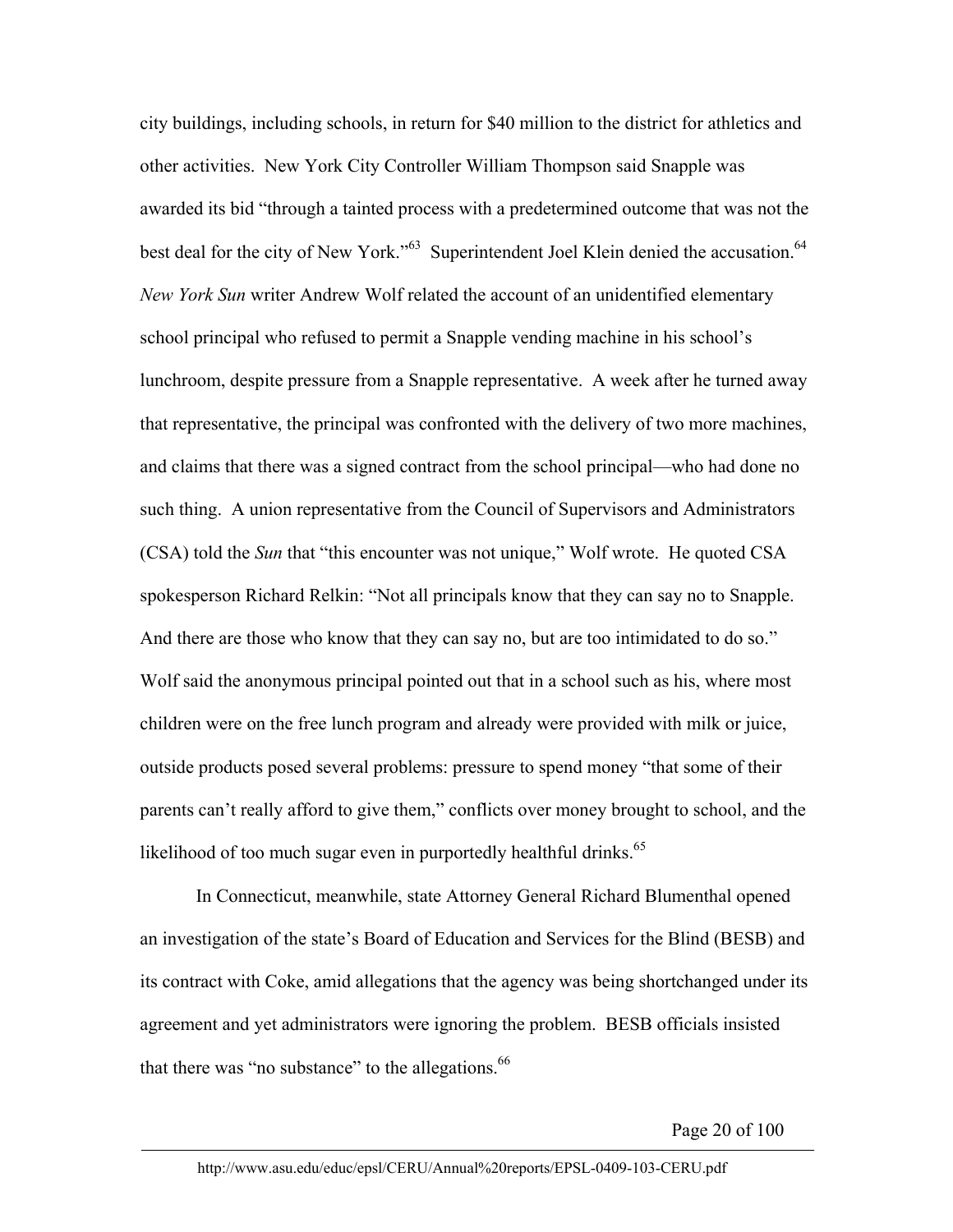city buildings, including schools, in return for \$40 million to the district for athletics and other activities. New York City Controller William Thompson said Snapple was awarded its bid "through a tainted process with a predetermined outcome that was not the best deal for the city of New York."<sup>63</sup> Superintendent Joel Klein denied the accusation.<sup>64</sup> *New York Sun* writer Andrew Wolf related the account of an unidentified elementary school principal who refused to permit a Snapple vending machine in his school's lunchroom, despite pressure from a Snapple representative. A week after he turned away that representative, the principal was confronted with the delivery of two more machines, and claims that there was a signed contract from the school principal—who had done no such thing. A union representative from the Council of Supervisors and Administrators (CSA) told the *Sun* that "this encounter was not unique," Wolf wrote. He quoted CSA spokesperson Richard Relkin: "Not all principals know that they can say no to Snapple. And there are those who know that they can say no, but are too intimidated to do so." Wolf said the anonymous principal pointed out that in a school such as his, where most children were on the free lunch program and already were provided with milk or juice, outside products posed several problems: pressure to spend money "that some of their parents can't really afford to give them," conflicts over money brought to school, and the likelihood of too much sugar even in purportedly healthful drinks. $65$ 

In Connecticut, meanwhile, state Attorney General Richard Blumenthal opened an investigation of the state's Board of Education and Services for the Blind (BESB) and its contract with Coke, amid allegations that the agency was being shortchanged under its agreement and yet administrators were ignoring the problem. BESB officials insisted that there was "no substance" to the allegations.<sup>66</sup>

Page 20 of 100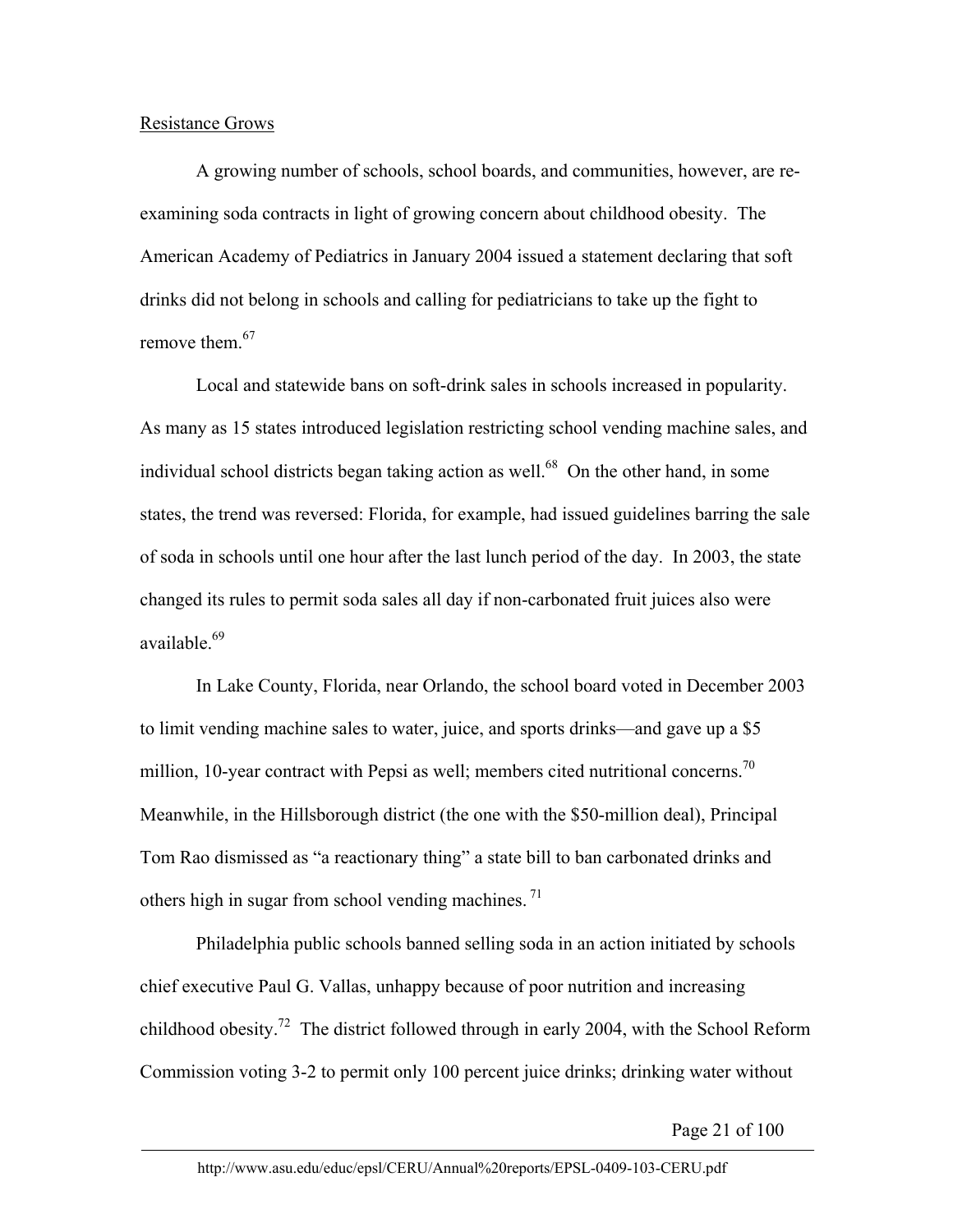### Resistance Grows

A growing number of schools, school boards, and communities, however, are reexamining soda contracts in light of growing concern about childhood obesity. The American Academy of Pediatrics in January 2004 issued a statement declaring that soft drinks did not belong in schools and calling for pediatricians to take up the fight to remove them.<sup>67</sup>

Local and statewide bans on soft-drink sales in schools increased in popularity. As many as 15 states introduced legislation restricting school vending machine sales, and individual school districts began taking action as well.<sup>68</sup> On the other hand, in some states, the trend was reversed: Florida, for example, had issued guidelines barring the sale of soda in schools until one hour after the last lunch period of the day. In 2003, the state changed its rules to permit soda sales all day if non-carbonated fruit juices also were available.<sup>69</sup>

In Lake County, Florida, near Orlando, the school board voted in December 2003 to limit vending machine sales to water, juice, and sports drinks—and gave up a \$5 million, 10-year contract with Pepsi as well; members cited nutritional concerns.<sup>70</sup> Meanwhile, in the Hillsborough district (the one with the \$50-million deal), Principal Tom Rao dismissed as "a reactionary thing" a state bill to ban carbonated drinks and others high in sugar from school vending machines.<sup>71</sup>

Philadelphia public schools banned selling soda in an action initiated by schools chief executive Paul G. Vallas, unhappy because of poor nutrition and increasing childhood obesity.<sup>72</sup> The district followed through in early 2004, with the School Reform Commission voting 3-2 to permit only 100 percent juice drinks; drinking water without

Page 21 of 100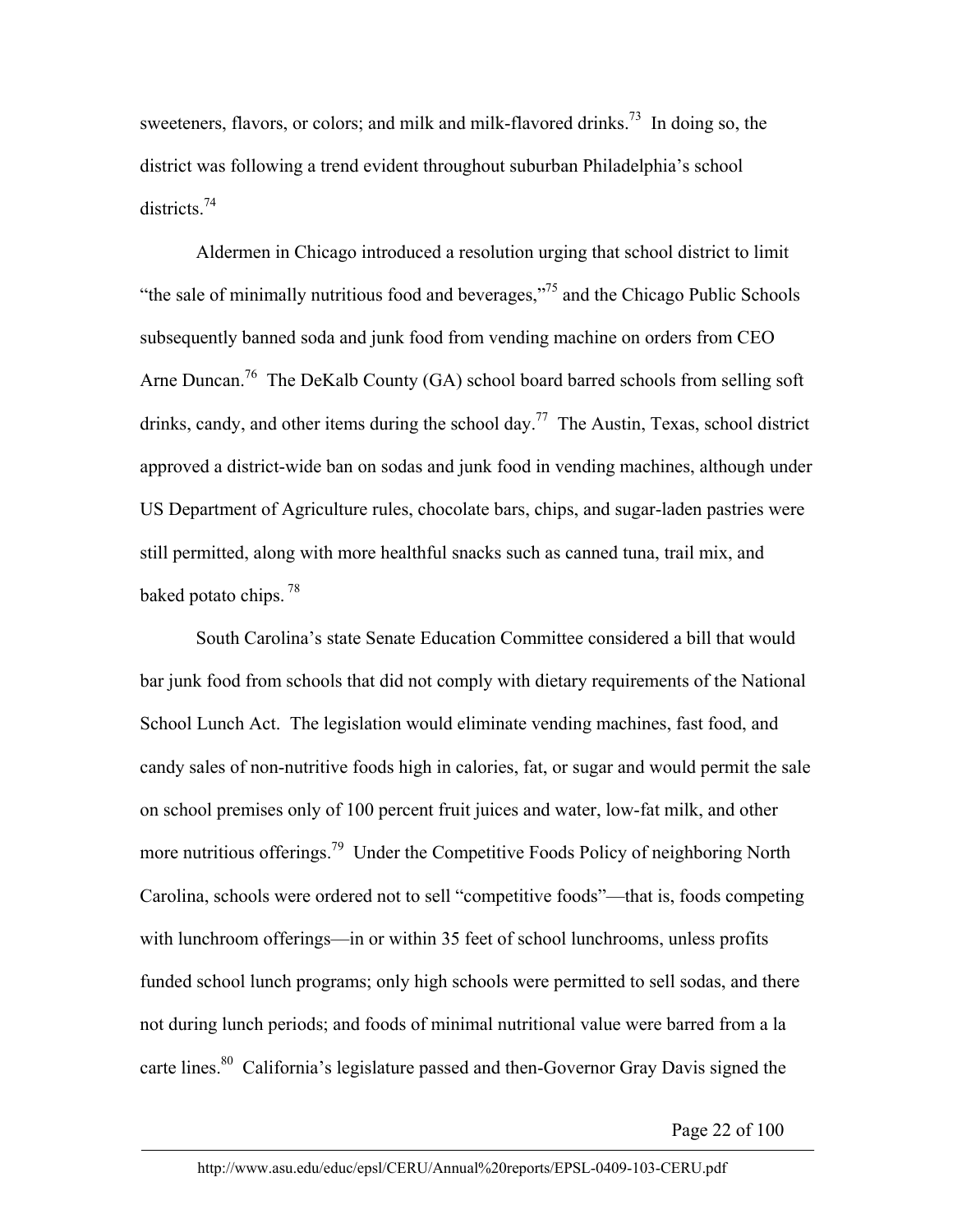sweeteners, flavors, or colors; and milk and milk-flavored drinks.<sup>73</sup> In doing so, the district was following a trend evident throughout suburban Philadelphia's school districts<sup>74</sup>

Aldermen in Chicago introduced a resolution urging that school district to limit "the sale of minimally nutritious food and beverages,"75 and the Chicago Public Schools subsequently banned soda and junk food from vending machine on orders from CEO Arne Duncan.<sup>76</sup> The DeKalb County (GA) school board barred schools from selling soft drinks, candy, and other items during the school day.<sup>77</sup> The Austin, Texas, school district approved a district-wide ban on sodas and junk food in vending machines, although under US Department of Agriculture rules, chocolate bars, chips, and sugar-laden pastries were still permitted, along with more healthful snacks such as canned tuna, trail mix, and baked potato chips.<sup>78</sup>

South Carolina's state Senate Education Committee considered a bill that would bar junk food from schools that did not comply with dietary requirements of the National School Lunch Act. The legislation would eliminate vending machines, fast food, and candy sales of non-nutritive foods high in calories, fat, or sugar and would permit the sale on school premises only of 100 percent fruit juices and water, low-fat milk, and other more nutritious offerings.<sup>79</sup> Under the Competitive Foods Policy of neighboring North Carolina, schools were ordered not to sell "competitive foods"—that is, foods competing with lunchroom offerings—in or within 35 feet of school lunchrooms, unless profits funded school lunch programs; only high schools were permitted to sell sodas, and there not during lunch periods; and foods of minimal nutritional value were barred from a la carte lines.<sup>80</sup> California's legislature passed and then-Governor Gray Davis signed the

Page 22 of 100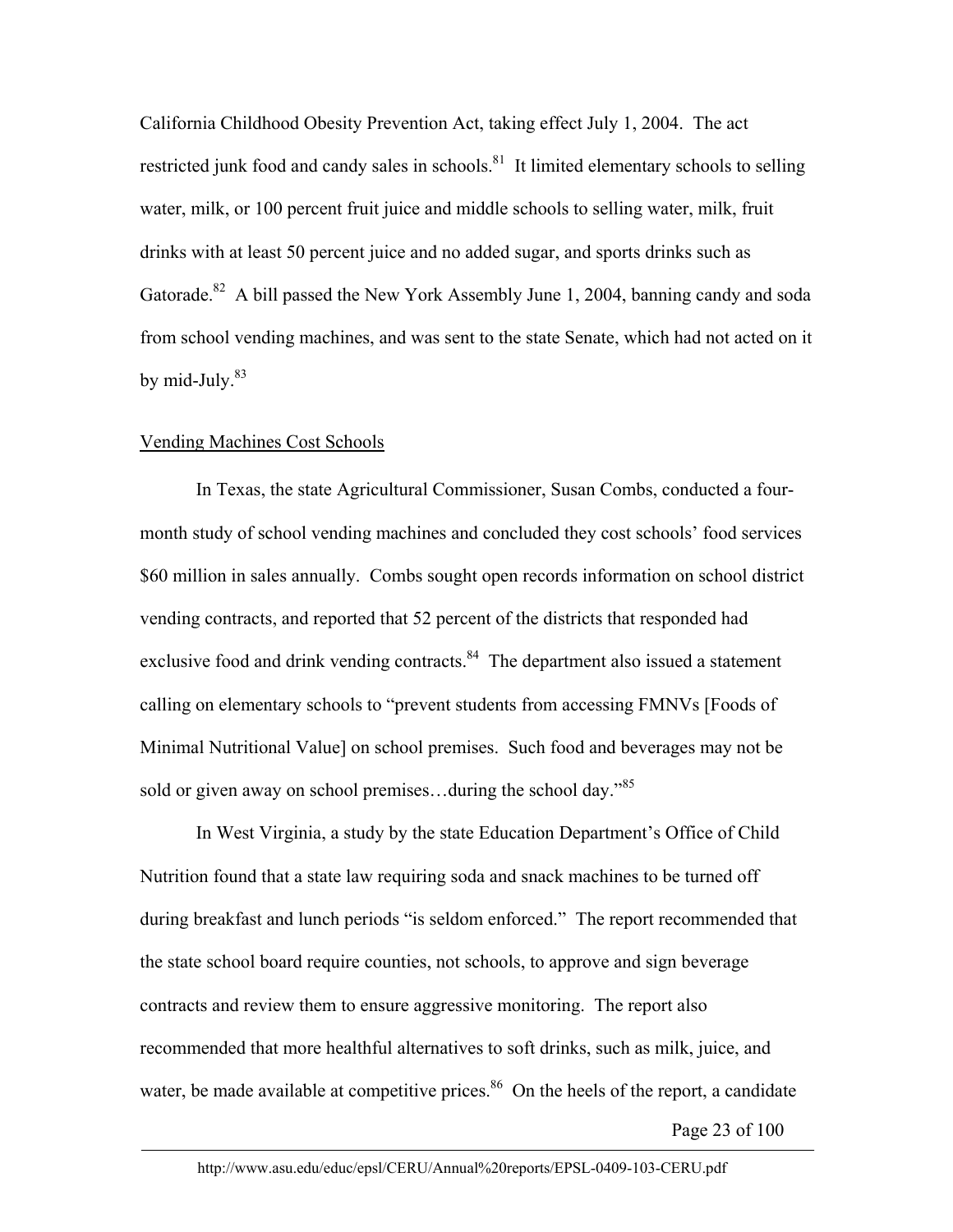California Childhood Obesity Prevention Act, taking effect July 1, 2004. The act restricted junk food and candy sales in schools.<sup>81</sup> It limited elementary schools to selling water, milk, or 100 percent fruit juice and middle schools to selling water, milk, fruit drinks with at least 50 percent juice and no added sugar, and sports drinks such as Gatorade.<sup>82</sup> A bill passed the New York Assembly June 1, 2004, banning candy and soda from school vending machines, and was sent to the state Senate, which had not acted on it by mid-July. $83$ 

#### Vending Machines Cost Schools

In Texas, the state Agricultural Commissioner, Susan Combs, conducted a fourmonth study of school vending machines and concluded they cost schools' food services \$60 million in sales annually. Combs sought open records information on school district vending contracts, and reported that 52 percent of the districts that responded had exclusive food and drink vending contracts.<sup>84</sup> The department also issued a statement calling on elementary schools to "prevent students from accessing FMNVs [Foods of Minimal Nutritional Value] on school premises. Such food and beverages may not be sold or given away on school premises...during the school day.<sup>85</sup>

In West Virginia, a study by the state Education Department's Office of Child Nutrition found that a state law requiring soda and snack machines to be turned off during breakfast and lunch periods "is seldom enforced." The report recommended that the state school board require counties, not schools, to approve and sign beverage contracts and review them to ensure aggressive monitoring. The report also recommended that more healthful alternatives to soft drinks, such as milk, juice, and water, be made available at competitive prices.<sup>86</sup> On the heels of the report, a candidate

Page 23 of 100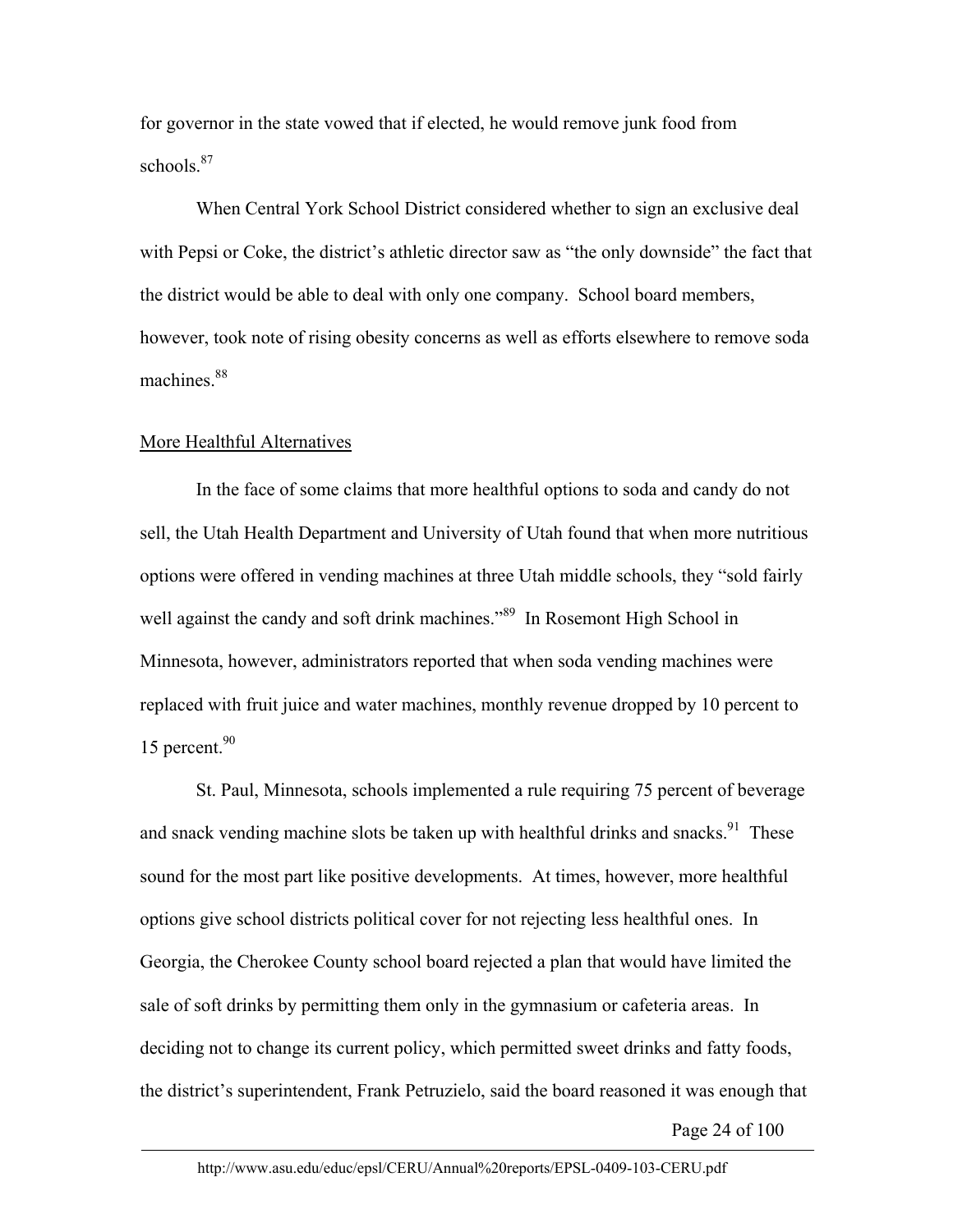for governor in the state vowed that if elected, he would remove junk food from schools.<sup>87</sup>

When Central York School District considered whether to sign an exclusive deal with Pepsi or Coke, the district's athletic director saw as "the only downside" the fact that the district would be able to deal with only one company. School board members, however, took note of rising obesity concerns as well as efforts elsewhere to remove soda machines.<sup>88</sup>

#### More Healthful Alternatives

In the face of some claims that more healthful options to soda and candy do not sell, the Utah Health Department and University of Utah found that when more nutritious options were offered in vending machines at three Utah middle schools, they "sold fairly well against the candy and soft drink machines.<sup>89</sup> In Rosemont High School in Minnesota, however, administrators reported that when soda vending machines were replaced with fruit juice and water machines, monthly revenue dropped by 10 percent to 15 percent. $90$ 

St. Paul, Minnesota, schools implemented a rule requiring 75 percent of beverage and snack vending machine slots be taken up with healthful drinks and snacks.<sup>91</sup> These sound for the most part like positive developments. At times, however, more healthful options give school districts political cover for not rejecting less healthful ones. In Georgia, the Cherokee County school board rejected a plan that would have limited the sale of soft drinks by permitting them only in the gymnasium or cafeteria areas. In deciding not to change its current policy, which permitted sweet drinks and fatty foods, the district's superintendent, Frank Petruzielo, said the board reasoned it was enough that

Page 24 of 100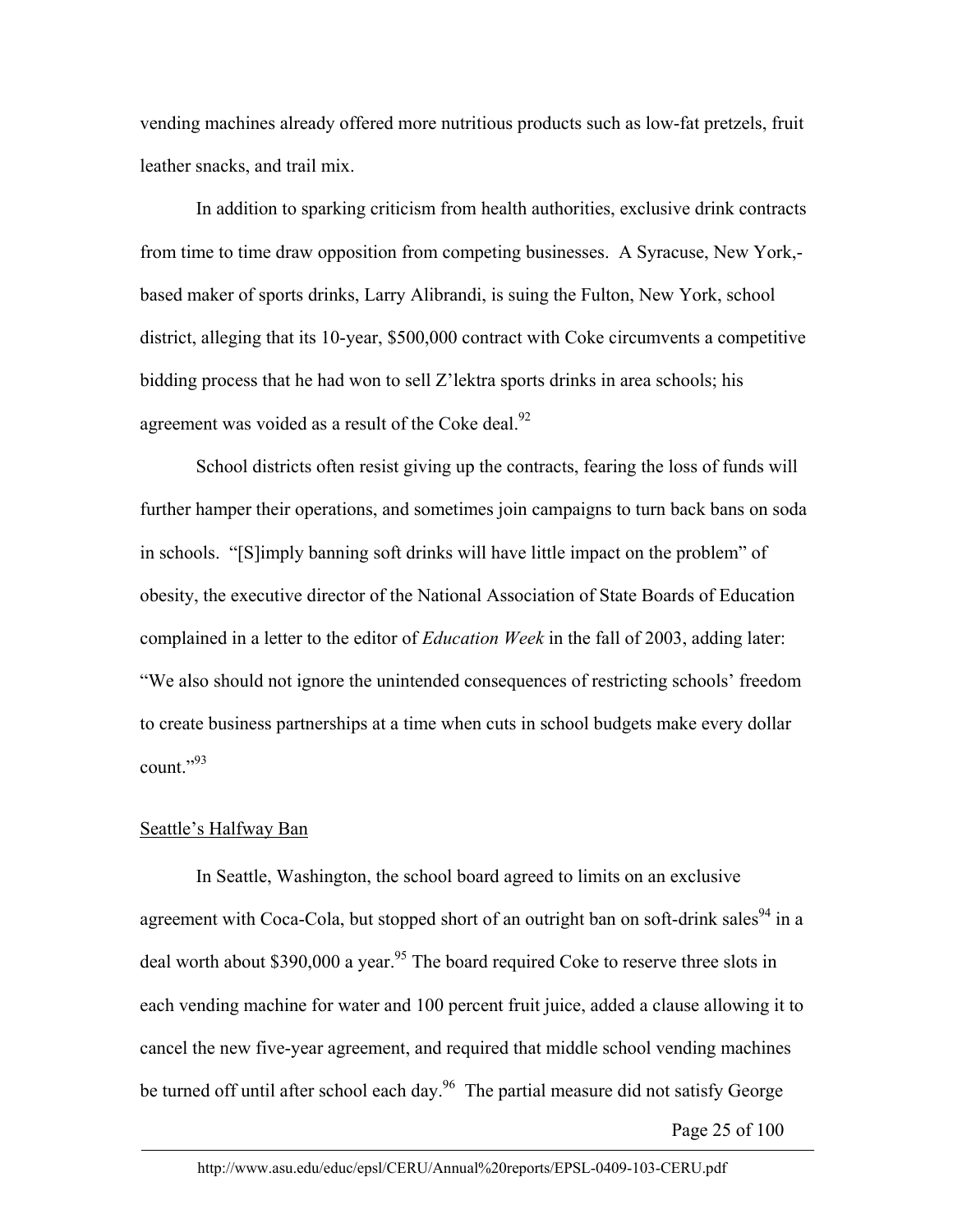vending machines already offered more nutritious products such as low-fat pretzels, fruit leather snacks, and trail mix.

In addition to sparking criticism from health authorities, exclusive drink contracts from time to time draw opposition from competing businesses. A Syracuse, New York, based maker of sports drinks, Larry Alibrandi, is suing the Fulton, New York, school district, alleging that its 10-year, \$500,000 contract with Coke circumvents a competitive bidding process that he had won to sell Z'lektra sports drinks in area schools; his agreement was voided as a result of the Coke deal. $^{92}$ 

School districts often resist giving up the contracts, fearing the loss of funds will further hamper their operations, and sometimes join campaigns to turn back bans on soda in schools. "[S]imply banning soft drinks will have little impact on the problem" of obesity, the executive director of the National Association of State Boards of Education complained in a letter to the editor of *Education Week* in the fall of 2003, adding later: "We also should not ignore the unintended consequences of restricting schools' freedom to create business partnerships at a time when cuts in school budgets make every dollar count."93

#### Seattle's Halfway Ban

In Seattle, Washington, the school board agreed to limits on an exclusive agreement with Coca-Cola, but stopped short of an outright ban on soft-drink sales<sup>94</sup> in a deal worth about \$390,000 a year.<sup>95</sup> The board required Coke to reserve three slots in each vending machine for water and 100 percent fruit juice, added a clause allowing it to cancel the new five-year agreement, and required that middle school vending machines be turned off until after school each day.<sup>96</sup> The partial measure did not satisfy George

Page 25 of 100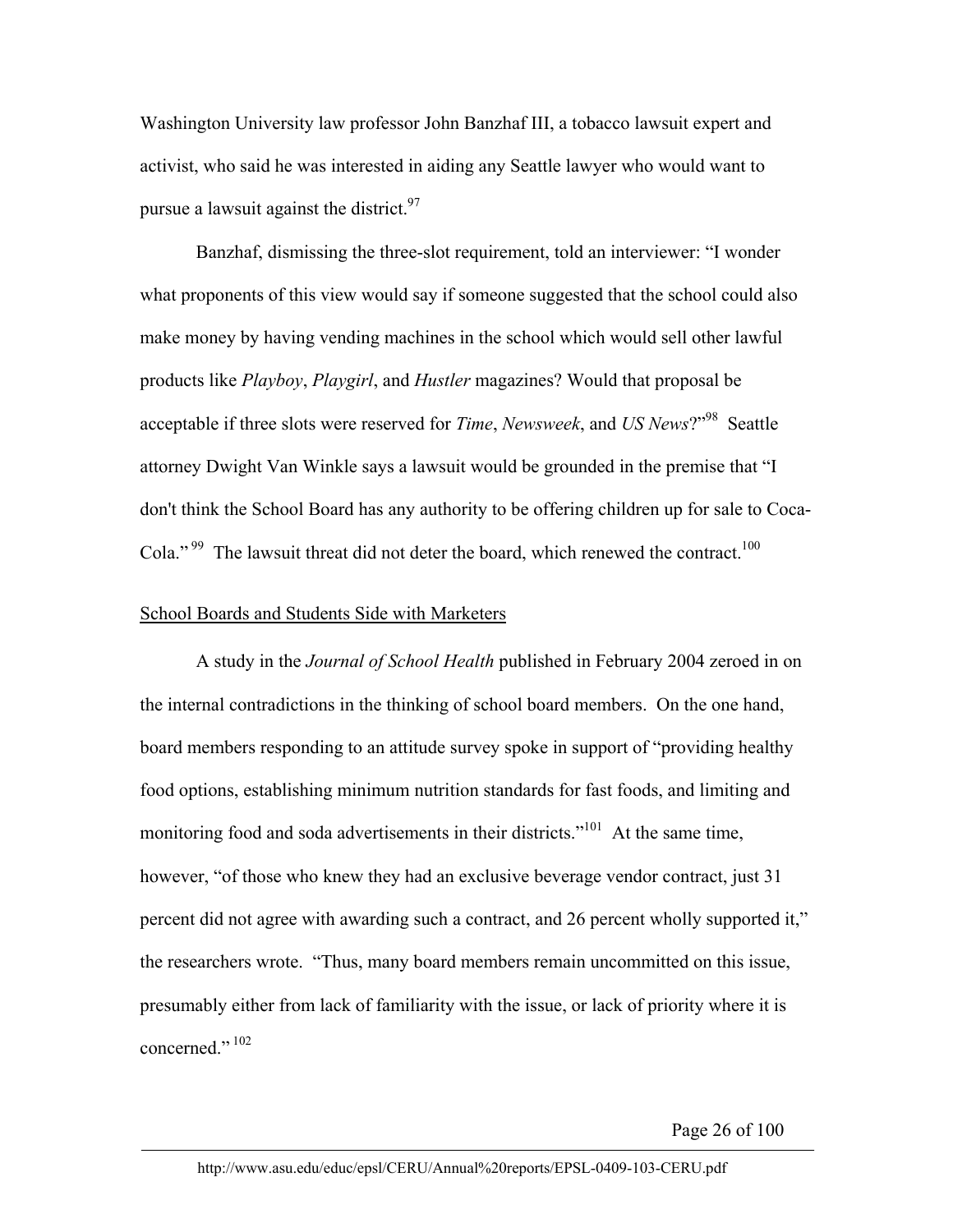Washington University law professor John Banzhaf III, a tobacco lawsuit expert and activist, who said he was interested in aiding any Seattle lawyer who would want to pursue a lawsuit against the district.<sup>97</sup>

Banzhaf, dismissing the three-slot requirement, told an interviewer: "I wonder what proponents of this view would say if someone suggested that the school could also make money by having vending machines in the school which would sell other lawful products like *Playboy*, *Playgirl*, and *Hustler* magazines? Would that proposal be acceptable if three slots were reserved for *Time*, *Newsweek*, and *US News*?"98 Seattle attorney Dwight Van Winkle says a lawsuit would be grounded in the premise that "I don't think the School Board has any authority to be offering children up for sale to Coca-Cola." <sup>99</sup> The lawsuit threat did not deter the board, which renewed the contract.<sup>100</sup>

#### School Boards and Students Side with Marketers

A study in the *Journal of School Health* published in February 2004 zeroed in on the internal contradictions in the thinking of school board members. On the one hand, board members responding to an attitude survey spoke in support of "providing healthy food options, establishing minimum nutrition standards for fast foods, and limiting and monitoring food and soda advertisements in their districts."<sup>101</sup> At the same time, however, "of those who knew they had an exclusive beverage vendor contract, just 31 percent did not agree with awarding such a contract, and 26 percent wholly supported it," the researchers wrote. "Thus, many board members remain uncommitted on this issue, presumably either from lack of familiarity with the issue, or lack of priority where it is concerned."<sup>102</sup>

Page 26 of 100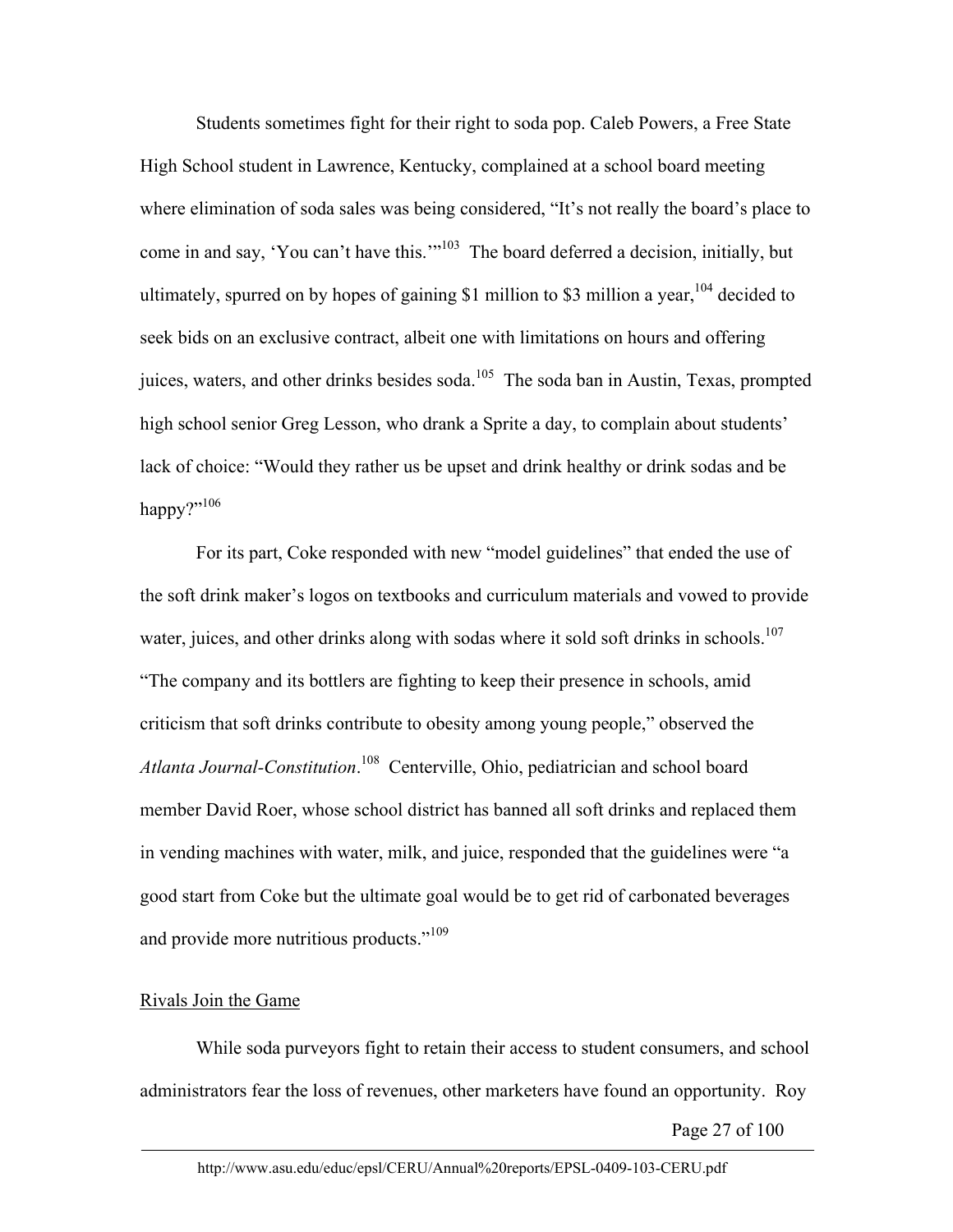Students sometimes fight for their right to soda pop. Caleb Powers, a Free State High School student in Lawrence, Kentucky, complained at a school board meeting where elimination of soda sales was being considered, "It's not really the board's place to come in and say, 'You can't have this.'"103 The board deferred a decision, initially, but ultimately, spurred on by hopes of gaining \$1 million to \$3 million a year,  $104$  decided to seek bids on an exclusive contract, albeit one with limitations on hours and offering juices, waters, and other drinks besides soda.<sup>105</sup> The soda ban in Austin, Texas, prompted high school senior Greg Lesson, who drank a Sprite a day, to complain about students' lack of choice: "Would they rather us be upset and drink healthy or drink sodas and be happy?" $106$ 

For its part, Coke responded with new "model guidelines" that ended the use of the soft drink maker's logos on textbooks and curriculum materials and vowed to provide water, juices, and other drinks along with sodas where it sold soft drinks in schools.<sup>107</sup> "The company and its bottlers are fighting to keep their presence in schools, amid criticism that soft drinks contribute to obesity among young people," observed the *Atlanta Journal-Constitution*. 108 Centerville, Ohio, pediatrician and school board member David Roer, whose school district has banned all soft drinks and replaced them in vending machines with water, milk, and juice, responded that the guidelines were "a good start from Coke but the ultimate goal would be to get rid of carbonated beverages and provide more nutritious products."<sup>109</sup>

## Rivals Join the Game

 While soda purveyors fight to retain their access to student consumers, and school administrators fear the loss of revenues, other marketers have found an opportunity. Roy

Page 27 of 100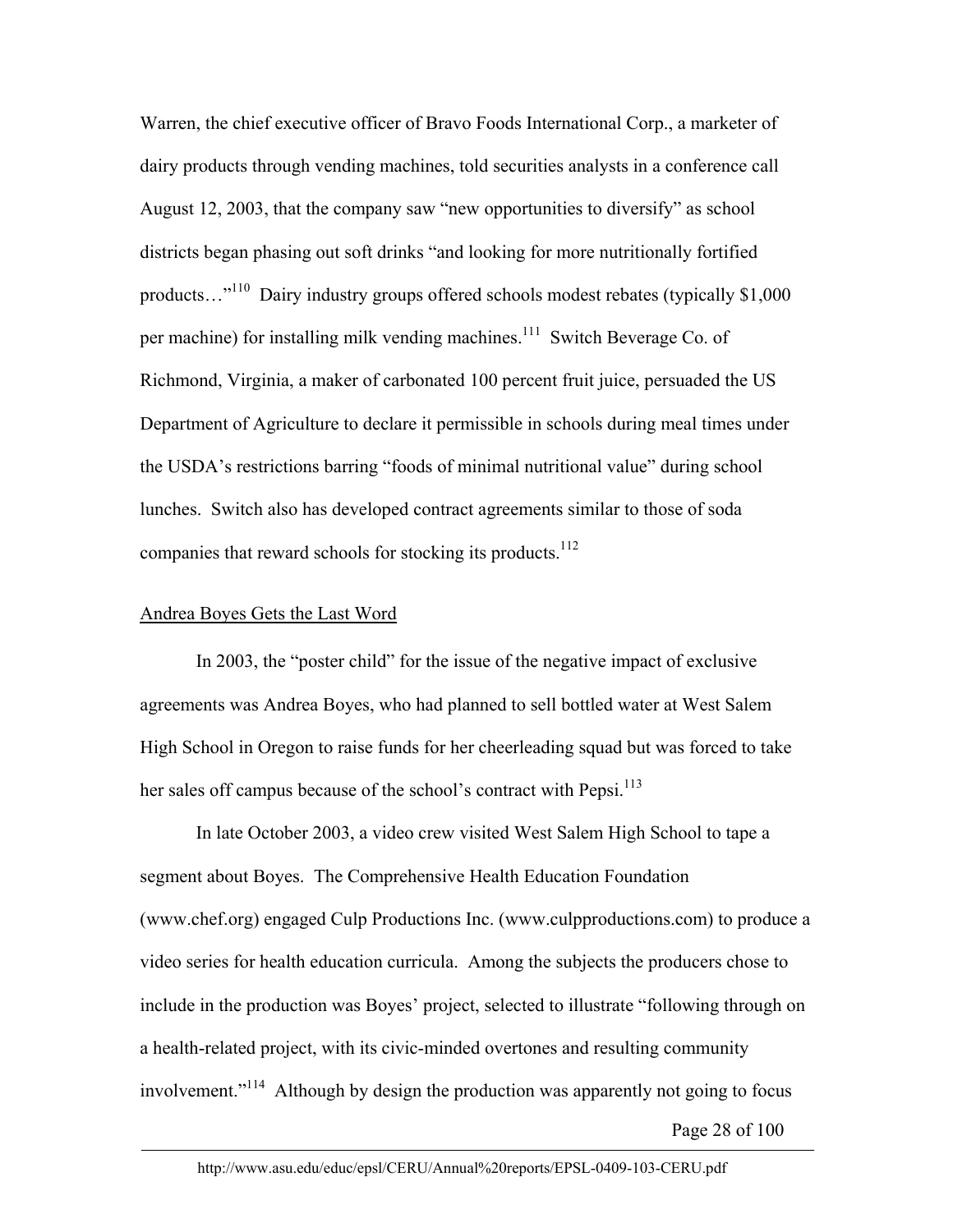Warren, the chief executive officer of Bravo Foods International Corp., a marketer of dairy products through vending machines, told securities analysts in a conference call August 12, 2003, that the company saw "new opportunities to diversify" as school districts began phasing out soft drinks "and looking for more nutritionally fortified products...<sup>"110</sup> Dairy industry groups offered schools modest rebates (typically \$1,000) per machine) for installing milk vending machines.<sup>111</sup> Switch Beverage Co. of Richmond, Virginia, a maker of carbonated 100 percent fruit juice, persuaded the US Department of Agriculture to declare it permissible in schools during meal times under the USDA's restrictions barring "foods of minimal nutritional value" during school lunches. Switch also has developed contract agreements similar to those of soda companies that reward schools for stocking its products.<sup>112</sup>

#### Andrea Boyes Gets the Last Word

In 2003, the "poster child" for the issue of the negative impact of exclusive agreements was Andrea Boyes, who had planned to sell bottled water at West Salem High School in Oregon to raise funds for her cheerleading squad but was forced to take her sales off campus because of the school's contract with Pepsi.<sup>113</sup>

In late October 2003, a video crew visited West Salem High School to tape a segment about Boyes. The Comprehensive Health Education Foundation (www.chef.org) engaged Culp Productions Inc. (www.culpproductions.com) to produce a video series for health education curricula. Among the subjects the producers chose to include in the production was Boyes' project, selected to illustrate "following through on a health-related project, with its civic-minded overtones and resulting community involvement."114 Although by design the production was apparently not going to focus

Page 28 of 100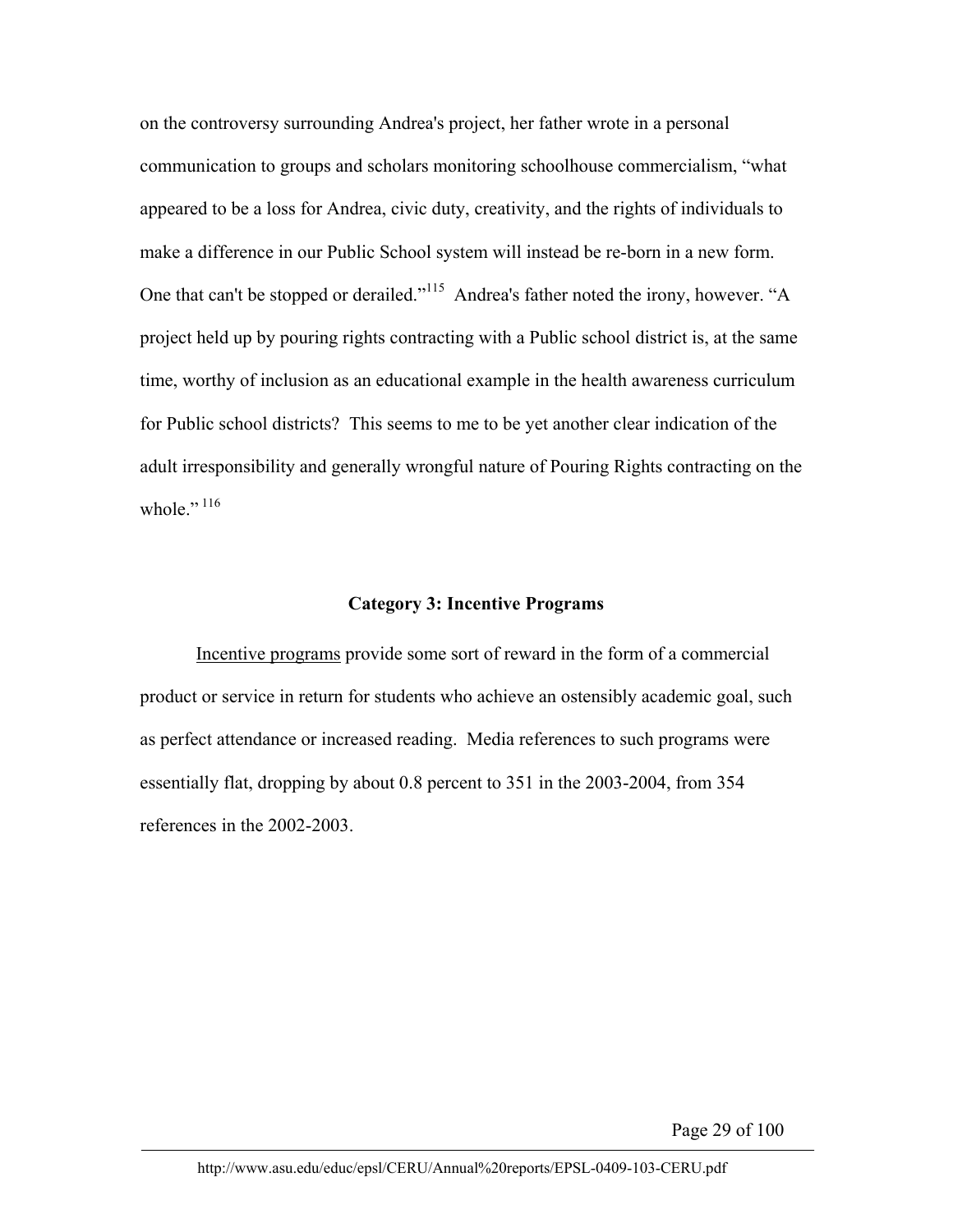on the controversy surrounding Andrea's project, her father wrote in a personal communication to groups and scholars monitoring schoolhouse commercialism, "what appeared to be a loss for Andrea, civic duty, creativity, and the rights of individuals to make a difference in our Public School system will instead be re-born in a new form. One that can't be stopped or derailed."<sup>115</sup> Andrea's father noted the irony, however. "A project held up by pouring rights contracting with a Public school district is, at the same time, worthy of inclusion as an educational example in the health awareness curriculum for Public school districts? This seems to me to be yet another clear indication of the adult irresponsibility and generally wrongful nature of Pouring Rights contracting on the whole  $\cdot$ <sup>116</sup>

#### **Category 3: Incentive Programs**

Incentive programs provide some sort of reward in the form of a commercial product or service in return for students who achieve an ostensibly academic goal, such as perfect attendance or increased reading. Media references to such programs were essentially flat, dropping by about 0.8 percent to 351 in the 2003-2004, from 354 references in the 2002-2003.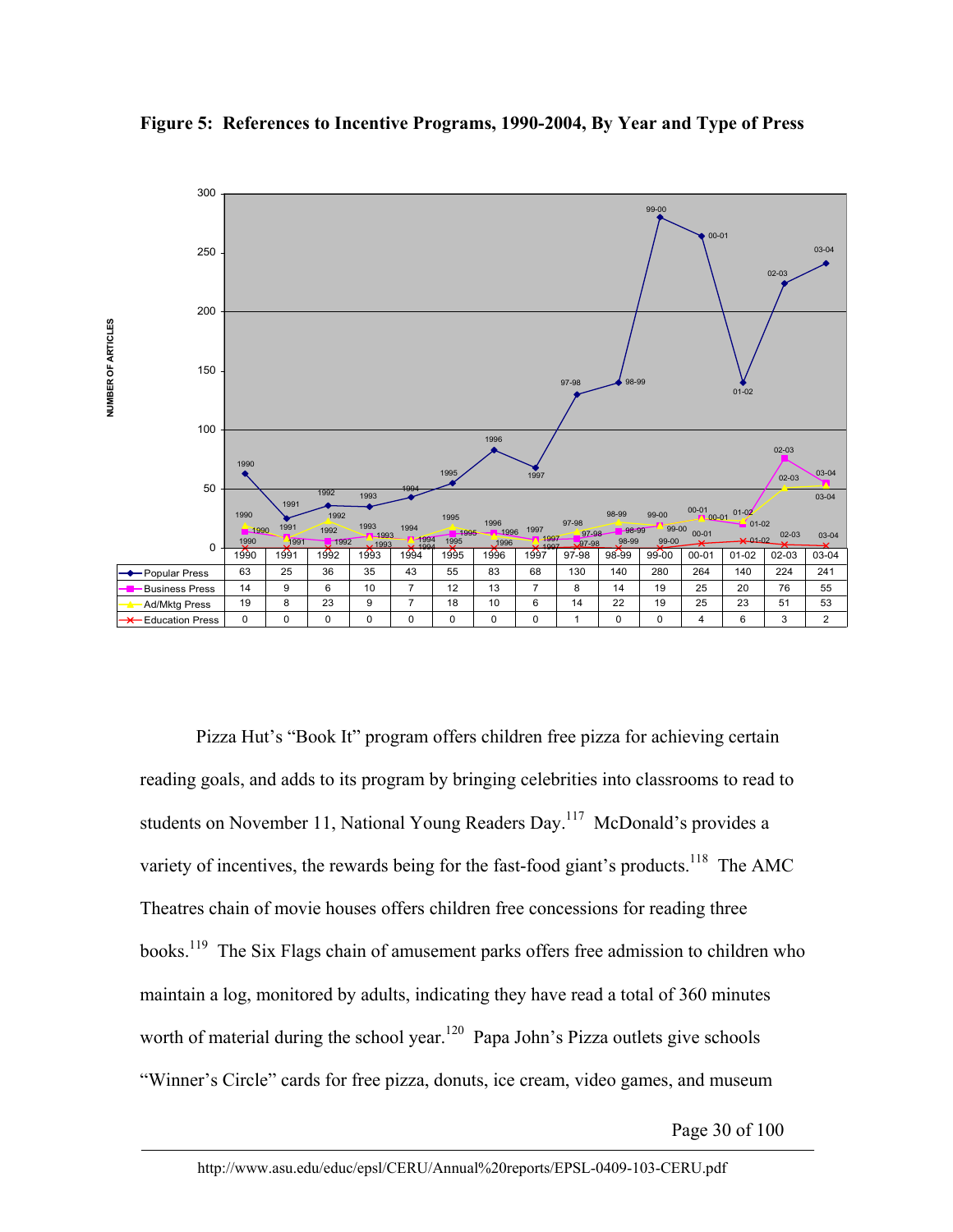



Pizza Hut's "Book It" program offers children free pizza for achieving certain reading goals, and adds to its program by bringing celebrities into classrooms to read to students on November 11, National Young Readers Day.<sup>117</sup> McDonald's provides a variety of incentives, the rewards being for the fast-food giant's products.<sup>118</sup> The AMC Theatres chain of movie houses offers children free concessions for reading three books.<sup>119</sup> The Six Flags chain of amusement parks offers free admission to children who maintain a log, monitored by adults, indicating they have read a total of 360 minutes worth of material during the school year.<sup>120</sup> Papa John's Pizza outlets give schools "Winner's Circle" cards for free pizza, donuts, ice cream, video games, and museum

Page 30 of 100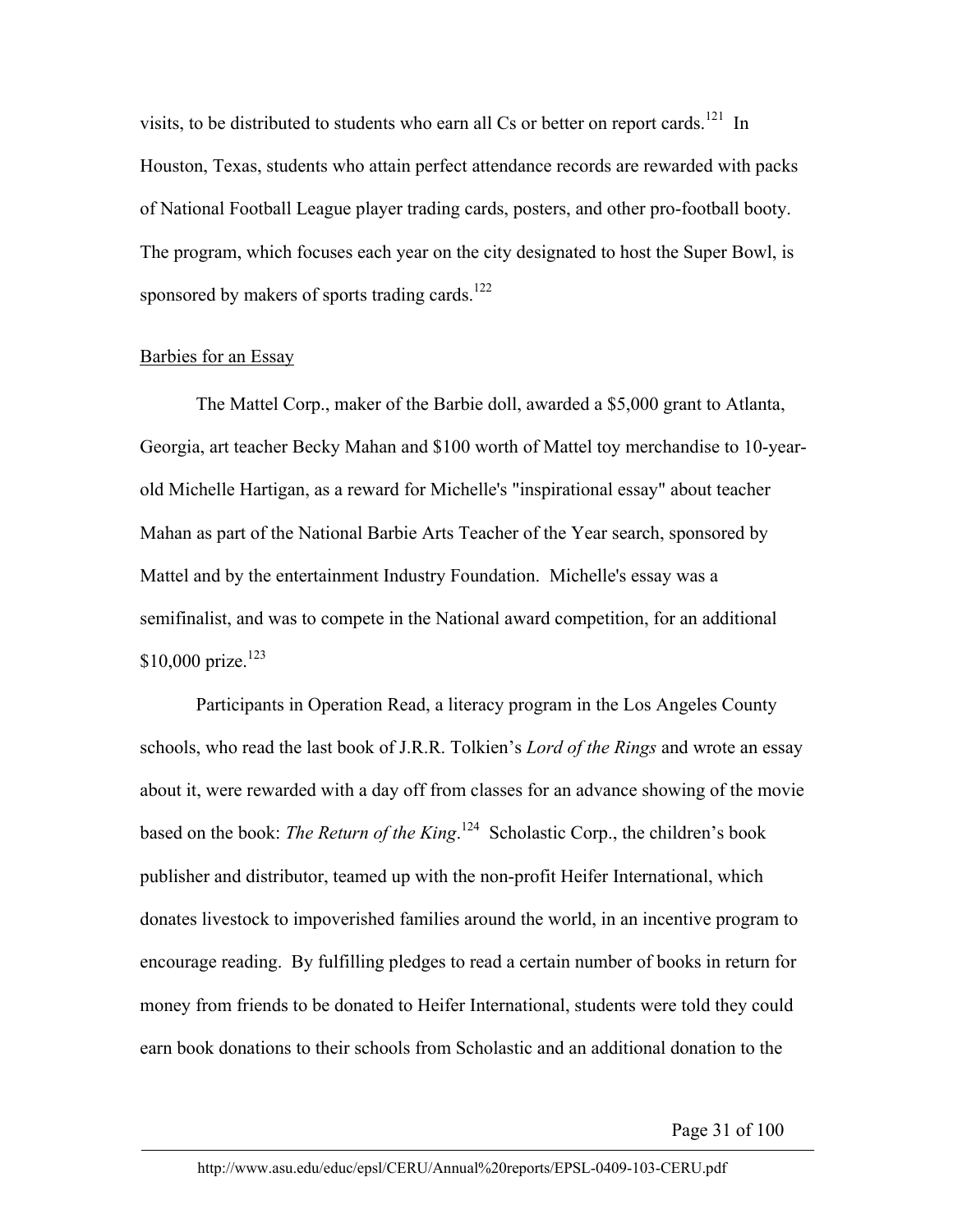visits, to be distributed to students who earn all Cs or better on report cards.<sup>121</sup> In Houston, Texas, students who attain perfect attendance records are rewarded with packs of National Football League player trading cards, posters, and other pro-football booty. The program, which focuses each year on the city designated to host the Super Bowl, is sponsored by makers of sports trading cards.<sup>122</sup>

# Barbies for an Essay

The Mattel Corp., maker of the Barbie doll, awarded a \$5,000 grant to Atlanta, Georgia, art teacher Becky Mahan and \$100 worth of Mattel toy merchandise to 10-yearold Michelle Hartigan, as a reward for Michelle's "inspirational essay" about teacher Mahan as part of the National Barbie Arts Teacher of the Year search, sponsored by Mattel and by the entertainment Industry Foundation. Michelle's essay was a semifinalist, and was to compete in the National award competition, for an additional \$10,000 prize. $123$ 

Participants in Operation Read, a literacy program in the Los Angeles County schools, who read the last book of J.R.R. Tolkien's *Lord of the Rings* and wrote an essay about it, were rewarded with a day off from classes for an advance showing of the movie based on the book: *The Return of the King*. 124 Scholastic Corp., the children's book publisher and distributor, teamed up with the non-profit Heifer International, which donates livestock to impoverished families around the world, in an incentive program to encourage reading. By fulfilling pledges to read a certain number of books in return for money from friends to be donated to Heifer International, students were told they could earn book donations to their schools from Scholastic and an additional donation to the

Page 31 of 100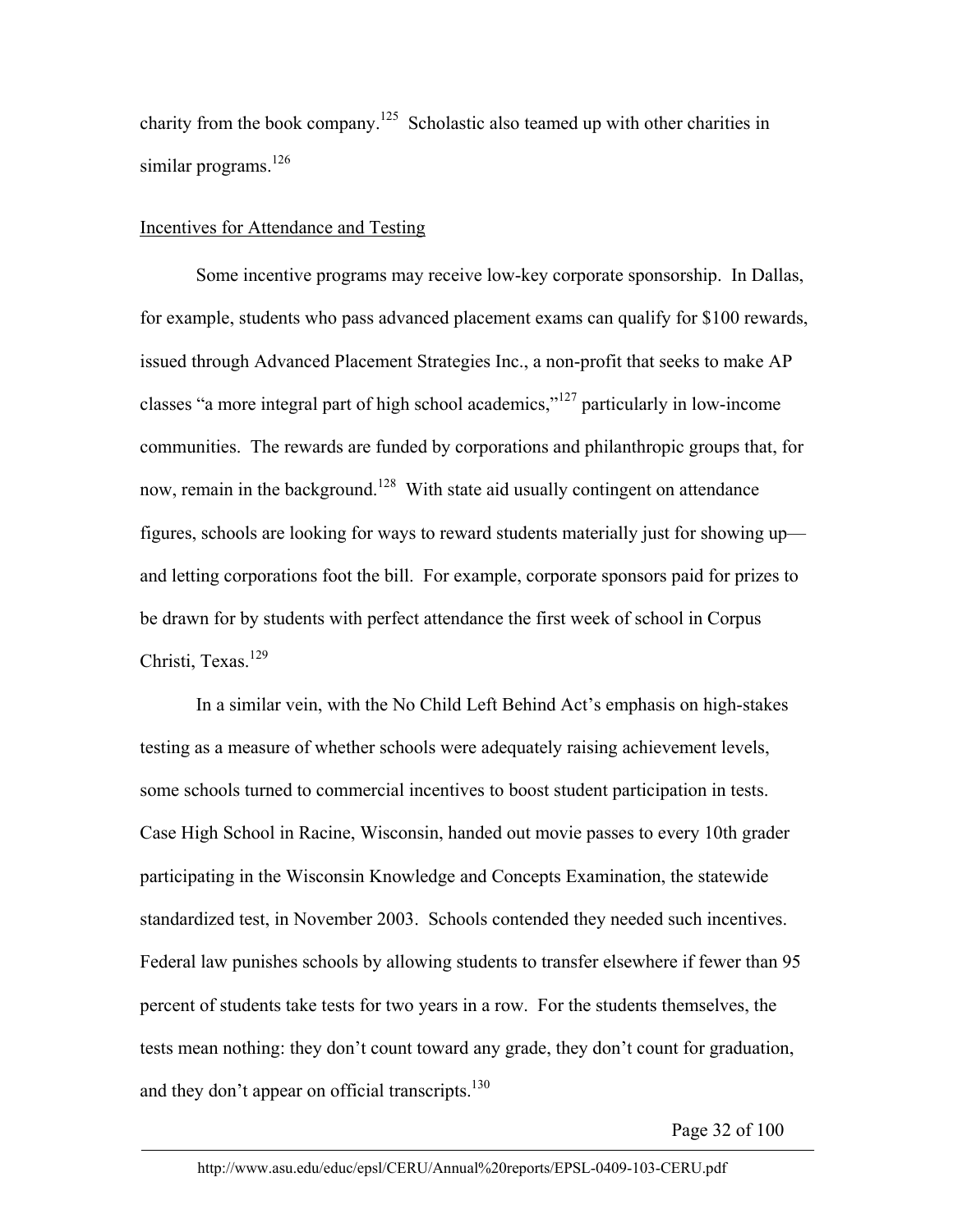charity from the book company.125 Scholastic also teamed up with other charities in similar programs.<sup>126</sup>

# Incentives for Attendance and Testing

Some incentive programs may receive low-key corporate sponsorship. In Dallas, for example, students who pass advanced placement exams can qualify for \$100 rewards, issued through Advanced Placement Strategies Inc., a non-profit that seeks to make AP classes "a more integral part of high school academics,"127 particularly in low-income communities. The rewards are funded by corporations and philanthropic groups that, for now, remain in the background.<sup>128</sup> With state aid usually contingent on attendance figures, schools are looking for ways to reward students materially just for showing up and letting corporations foot the bill. For example, corporate sponsors paid for prizes to be drawn for by students with perfect attendance the first week of school in Corpus Christi, Texas. $129$ 

In a similar vein, with the No Child Left Behind Act's emphasis on high-stakes testing as a measure of whether schools were adequately raising achievement levels, some schools turned to commercial incentives to boost student participation in tests. Case High School in Racine, Wisconsin, handed out movie passes to every 10th grader participating in the Wisconsin Knowledge and Concepts Examination, the statewide standardized test, in November 2003. Schools contended they needed such incentives. Federal law punishes schools by allowing students to transfer elsewhere if fewer than 95 percent of students take tests for two years in a row. For the students themselves, the tests mean nothing: they don't count toward any grade, they don't count for graduation, and they don't appear on official transcripts. $130$ 

Page 32 of 100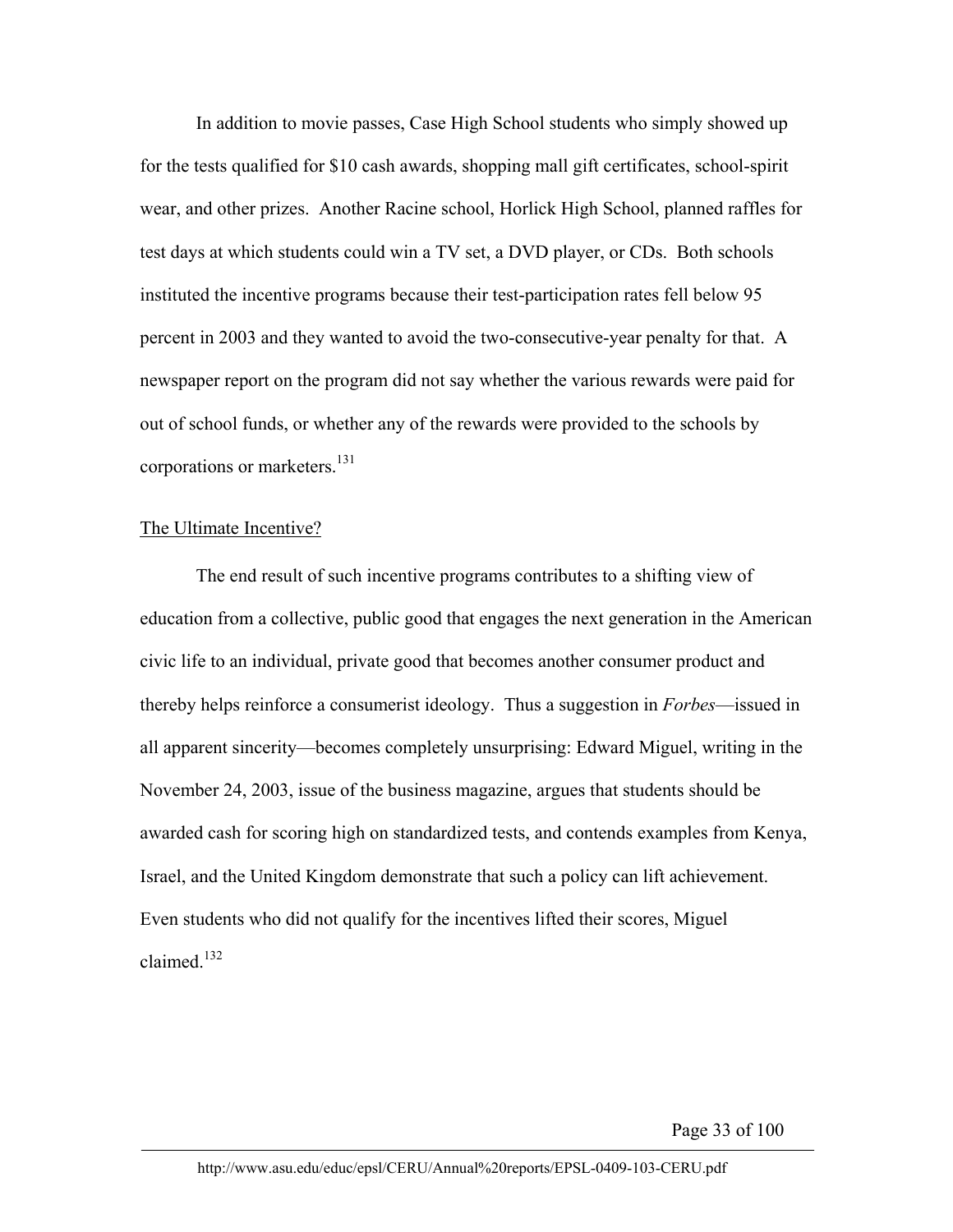In addition to movie passes, Case High School students who simply showed up for the tests qualified for \$10 cash awards, shopping mall gift certificates, school-spirit wear, and other prizes. Another Racine school, Horlick High School, planned raffles for test days at which students could win a TV set, a DVD player, or CDs. Both schools instituted the incentive programs because their test-participation rates fell below 95 percent in 2003 and they wanted to avoid the two-consecutive-year penalty for that. A newspaper report on the program did not say whether the various rewards were paid for out of school funds, or whether any of the rewards were provided to the schools by corporations or marketers.<sup>131</sup>

# The Ultimate Incentive?

The end result of such incentive programs contributes to a shifting view of education from a collective, public good that engages the next generation in the American civic life to an individual, private good that becomes another consumer product and thereby helps reinforce a consumerist ideology. Thus a suggestion in *Forbes*—issued in all apparent sincerity—becomes completely unsurprising: Edward Miguel, writing in the November 24, 2003, issue of the business magazine, argues that students should be awarded cash for scoring high on standardized tests, and contends examples from Kenya, Israel, and the United Kingdom demonstrate that such a policy can lift achievement. Even students who did not qualify for the incentives lifted their scores, Miguel claimed<sup>132</sup>

Page 33 of 100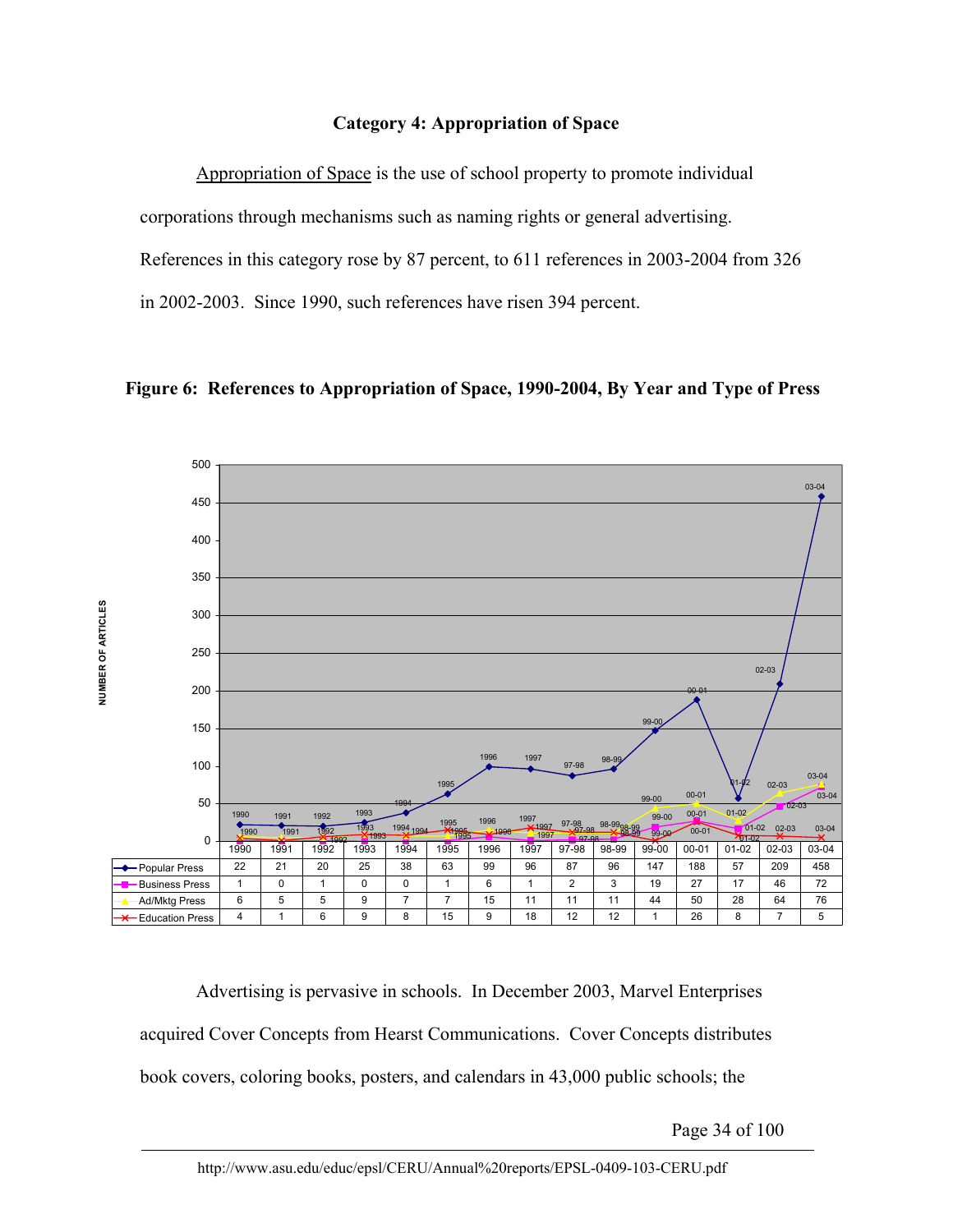# **Category 4: Appropriation of Space**

Appropriation of Space is the use of school property to promote individual corporations through mechanisms such as naming rights or general advertising. References in this category rose by 87 percent, to 611 references in 2003-2004 from 326 in 2002-2003. Since 1990, such references have risen 394 percent.





Advertising is pervasive in schools. In December 2003, Marvel Enterprises acquired Cover Concepts from Hearst Communications. Cover Concepts distributes book covers, coloring books, posters, and calendars in 43,000 public schools; the

Page 34 of 100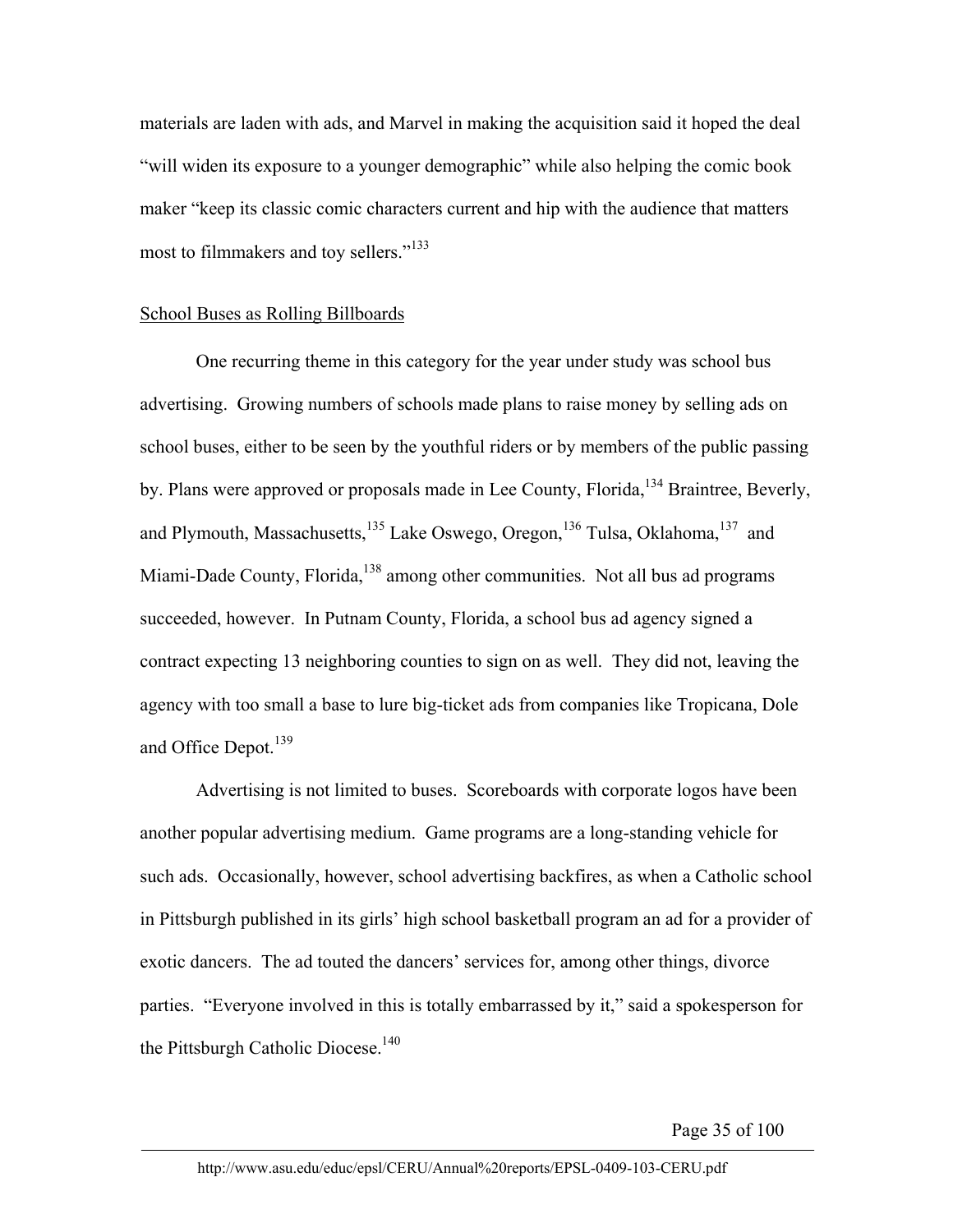materials are laden with ads, and Marvel in making the acquisition said it hoped the deal "will widen its exposure to a younger demographic" while also helping the comic book maker "keep its classic comic characters current and hip with the audience that matters most to filmmakers and toy sellers."<sup>133</sup>

#### School Buses as Rolling Billboards

One recurring theme in this category for the year under study was school bus advertising. Growing numbers of schools made plans to raise money by selling ads on school buses, either to be seen by the youthful riders or by members of the public passing by. Plans were approved or proposals made in Lee County, Florida, <sup>134</sup> Braintree, Beverly, and Plymouth, Massachusetts, $135$  Lake Oswego, Oregon, $136$  Tulsa, Oklahoma, $137$  and Miami-Dade County, Florida,<sup>138</sup> among other communities. Not all bus ad programs succeeded, however. In Putnam County, Florida, a school bus ad agency signed a contract expecting 13 neighboring counties to sign on as well. They did not, leaving the agency with too small a base to lure big-ticket ads from companies like Tropicana, Dole and Office Depot.<sup>139</sup>

Advertising is not limited to buses. Scoreboards with corporate logos have been another popular advertising medium. Game programs are a long-standing vehicle for such ads. Occasionally, however, school advertising backfires, as when a Catholic school in Pittsburgh published in its girls' high school basketball program an ad for a provider of exotic dancers. The ad touted the dancers' services for, among other things, divorce parties. "Everyone involved in this is totally embarrassed by it," said a spokesperson for the Pittsburgh Catholic Diocese.<sup>140</sup>

Page 35 of 100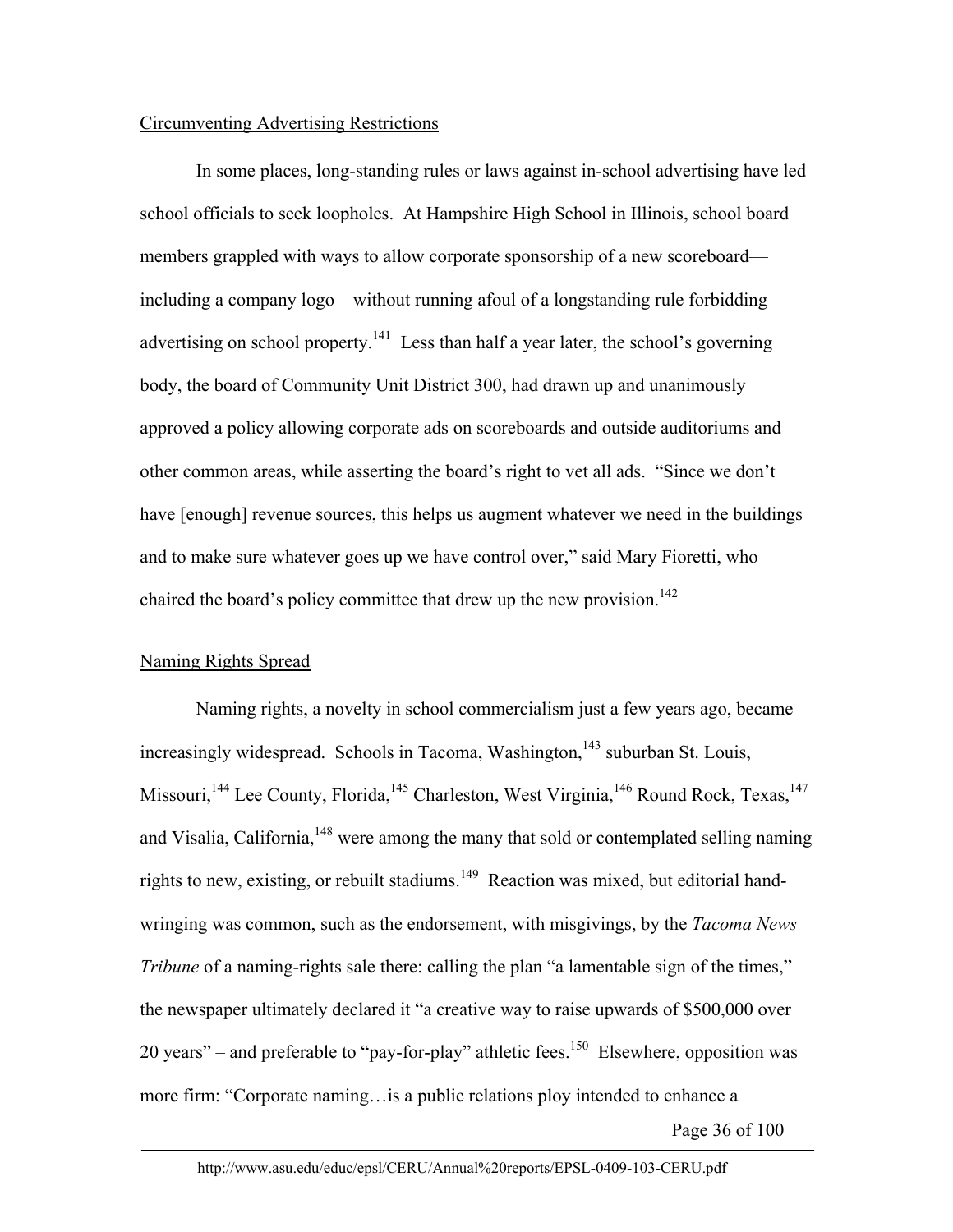# Circumventing Advertising Restrictions

In some places, long-standing rules or laws against in-school advertising have led school officials to seek loopholes. At Hampshire High School in Illinois, school board members grappled with ways to allow corporate sponsorship of a new scoreboard including a company logo—without running afoul of a longstanding rule forbidding advertising on school property.<sup>141</sup> Less than half a year later, the school's governing body, the board of Community Unit District 300, had drawn up and unanimously approved a policy allowing corporate ads on scoreboards and outside auditoriums and other common areas, while asserting the board's right to vet all ads. "Since we don't have [enough] revenue sources, this helps us augment whatever we need in the buildings and to make sure whatever goes up we have control over," said Mary Fioretti, who chaired the board's policy committee that drew up the new provision.<sup>142</sup>

# Naming Rights Spread

Naming rights, a novelty in school commercialism just a few years ago, became increasingly widespread. Schools in Tacoma, Washington, $143$  suburban St. Louis, Missouri,<sup>144</sup> Lee County, Florida,<sup>145</sup> Charleston, West Virginia,<sup>146</sup> Round Rock, Texas,<sup>147</sup> and Visalia, California, <sup>148</sup> were among the many that sold or contemplated selling naming rights to new, existing, or rebuilt stadiums.<sup>149</sup> Reaction was mixed, but editorial handwringing was common, such as the endorsement, with misgivings, by the *Tacoma News Tribune* of a naming-rights sale there: calling the plan "a lamentable sign of the times," the newspaper ultimately declared it "a creative way to raise upwards of \$500,000 over 20 years" – and preferable to "pay-for-play" athletic fees.<sup>150</sup> Elsewhere, opposition was more firm: "Corporate naming…is a public relations ploy intended to enhance a

Page 36 of 100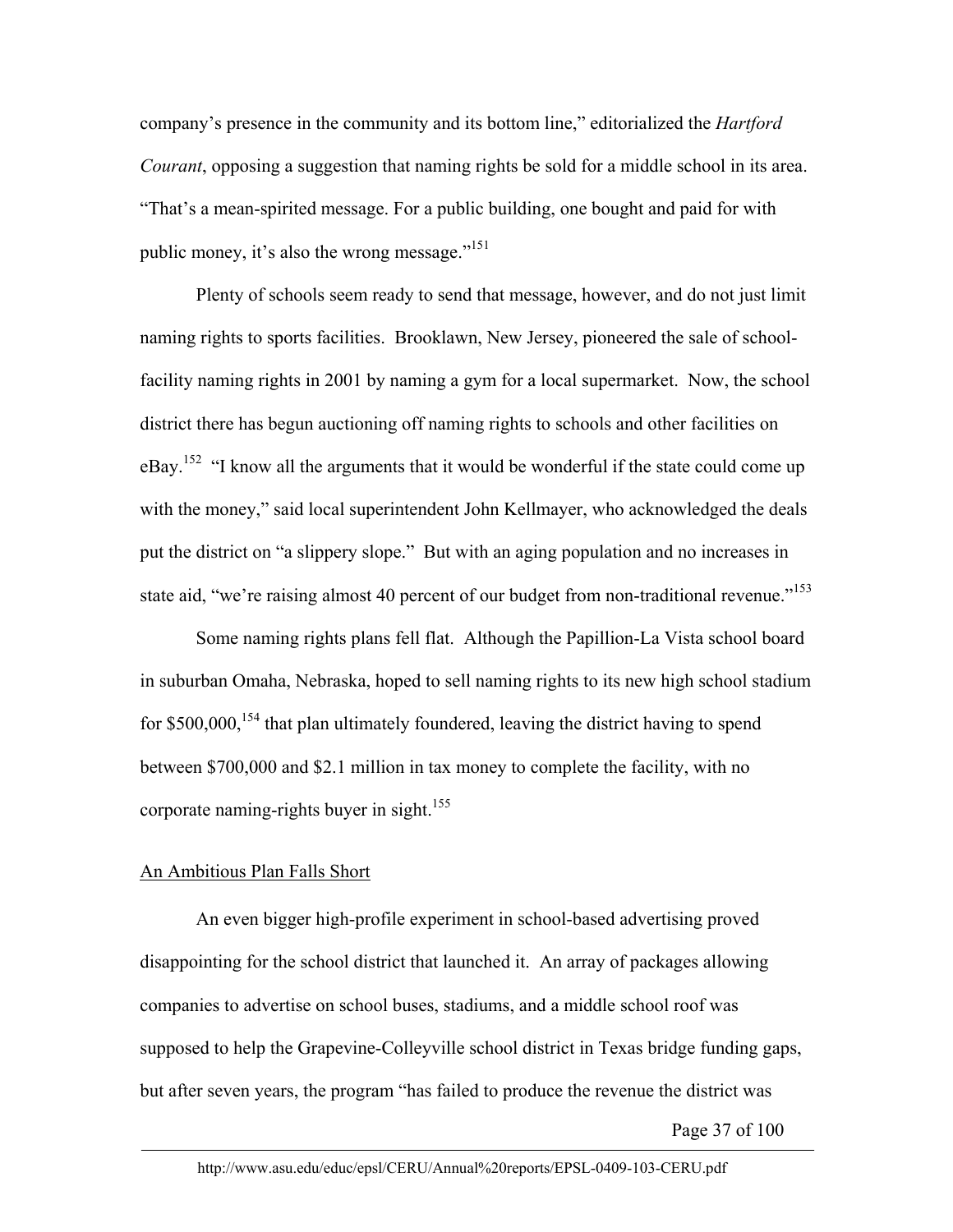company's presence in the community and its bottom line," editorialized the *Hartford Courant*, opposing a suggestion that naming rights be sold for a middle school in its area. "That's a mean-spirited message. For a public building, one bought and paid for with public money, it's also the wrong message."151

Plenty of schools seem ready to send that message, however, and do not just limit naming rights to sports facilities. Brooklawn, New Jersey, pioneered the sale of schoolfacility naming rights in 2001 by naming a gym for a local supermarket. Now, the school district there has begun auctioning off naming rights to schools and other facilities on eBay.<sup>152</sup> "I know all the arguments that it would be wonderful if the state could come up with the money," said local superintendent John Kellmayer, who acknowledged the deals put the district on "a slippery slope." But with an aging population and no increases in state aid, "we're raising almost 40 percent of our budget from non-traditional revenue."<sup>153</sup>

Some naming rights plans fell flat. Although the Papillion-La Vista school board in suburban Omaha, Nebraska, hoped to sell naming rights to its new high school stadium for  $$500,000$ ,<sup>154</sup> that plan ultimately foundered, leaving the district having to spend between \$700,000 and \$2.1 million in tax money to complete the facility, with no corporate naming-rights buyer in sight.<sup>155</sup>

# An Ambitious Plan Falls Short

An even bigger high-profile experiment in school-based advertising proved disappointing for the school district that launched it. An array of packages allowing companies to advertise on school buses, stadiums, and a middle school roof was supposed to help the Grapevine-Colleyville school district in Texas bridge funding gaps, but after seven years, the program "has failed to produce the revenue the district was

Page 37 of 100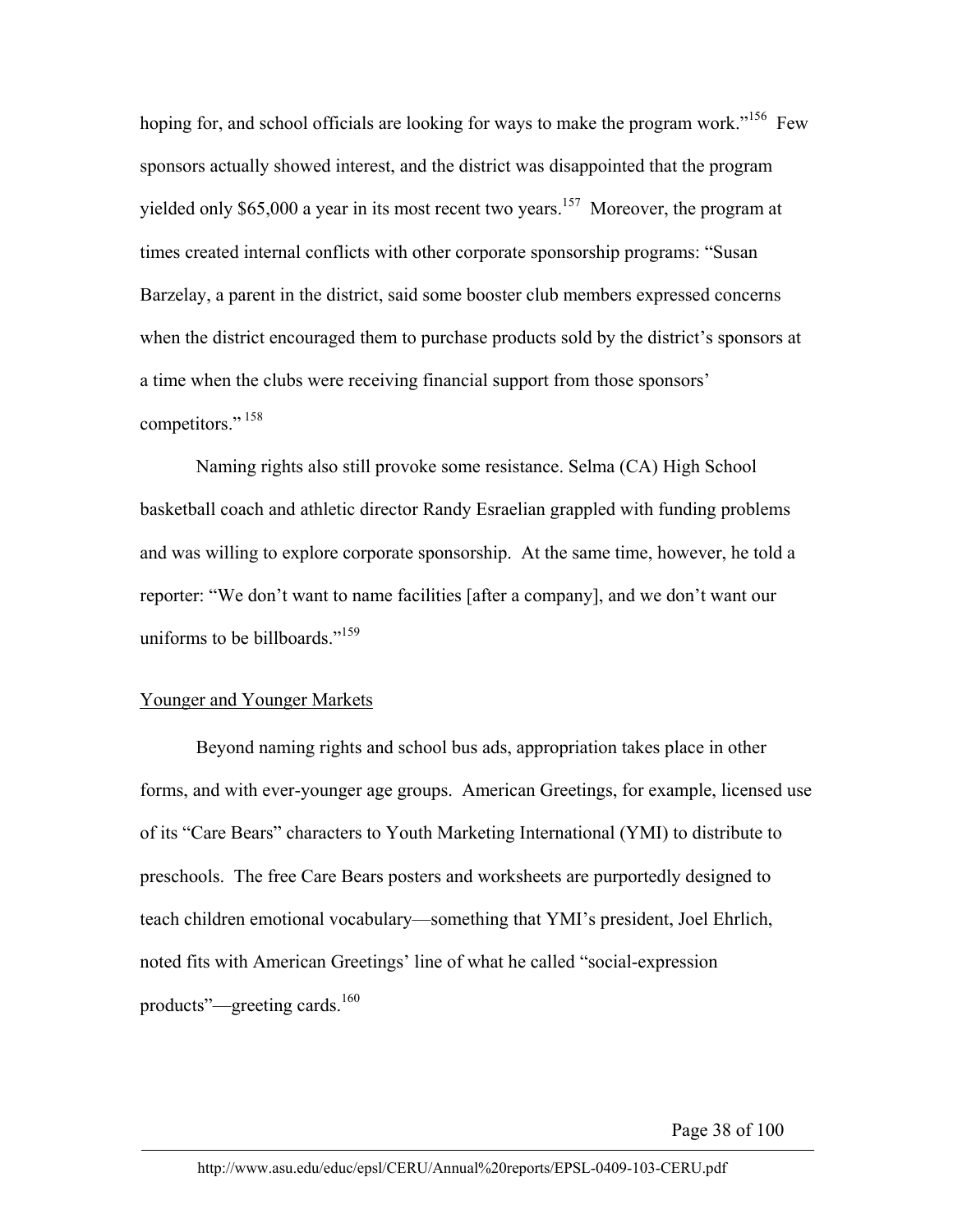hoping for, and school officials are looking for ways to make the program work."<sup>156</sup> Few sponsors actually showed interest, and the district was disappointed that the program yielded only  $$65,000$  a year in its most recent two years.<sup>157</sup> Moreover, the program at times created internal conflicts with other corporate sponsorship programs: "Susan Barzelay, a parent in the district, said some booster club members expressed concerns when the district encouraged them to purchase products sold by the district's sponsors at a time when the clubs were receiving financial support from those sponsors' competitors."<sup>158</sup>

Naming rights also still provoke some resistance. Selma (CA) High School basketball coach and athletic director Randy Esraelian grappled with funding problems and was willing to explore corporate sponsorship. At the same time, however, he told a reporter: "We don't want to name facilities [after a company], and we don't want our uniforms to be billboards."<sup>159</sup>

## Younger and Younger Markets

Beyond naming rights and school bus ads, appropriation takes place in other forms, and with ever-younger age groups. American Greetings, for example, licensed use of its "Care Bears" characters to Youth Marketing International (YMI) to distribute to preschools. The free Care Bears posters and worksheets are purportedly designed to teach children emotional vocabulary—something that YMI's president, Joel Ehrlich, noted fits with American Greetings' line of what he called "social-expression products"—greeting cards.<sup>160</sup>

Page 38 of 100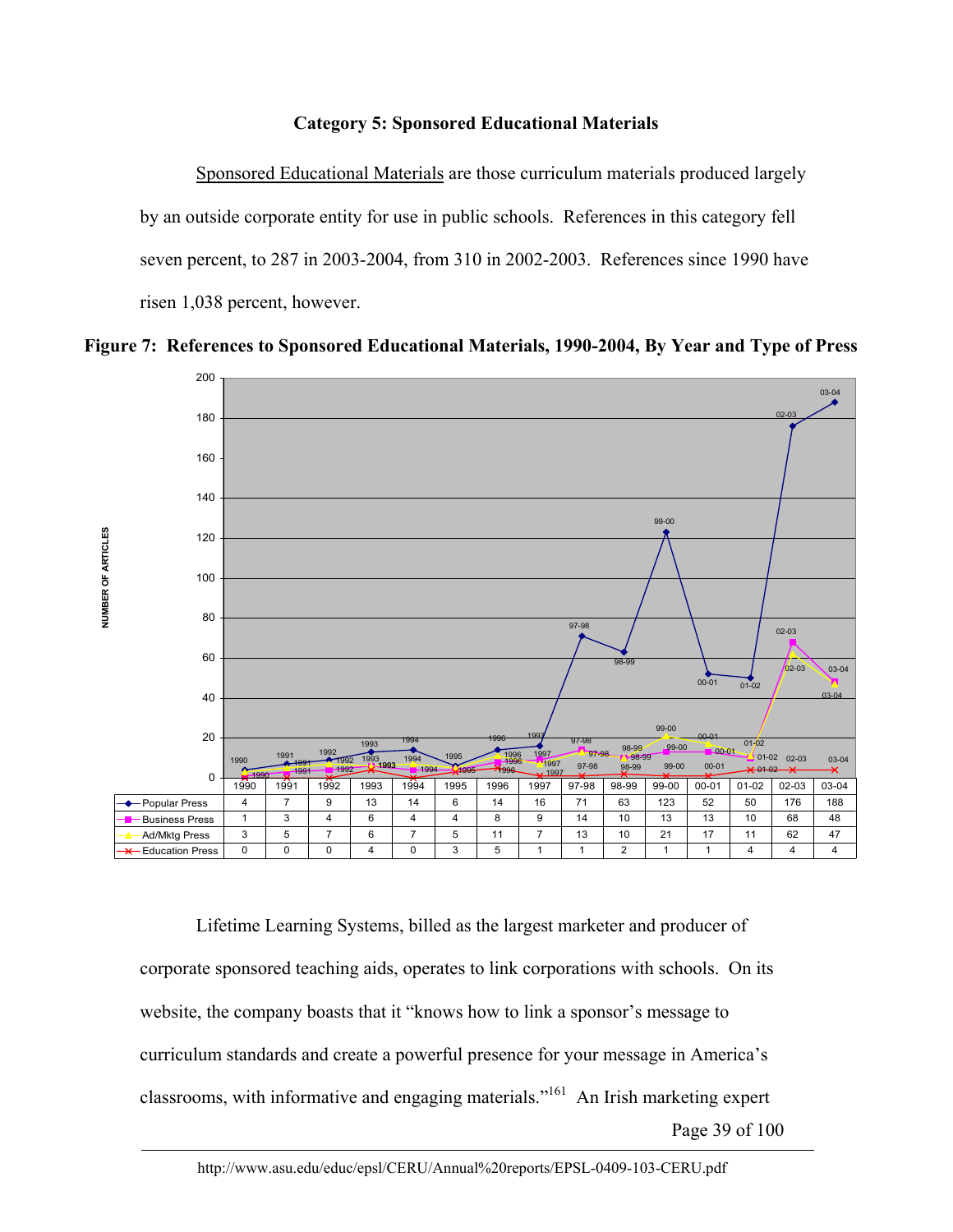# **Category 5: Sponsored Educational Materials**

Sponsored Educational Materials are those curriculum materials produced largely by an outside corporate entity for use in public schools. References in this category fell seven percent, to 287 in 2003-2004, from 310 in 2002-2003. References since 1990 have risen 1,038 percent, however.





Page 39 of 100 Lifetime Learning Systems, billed as the largest marketer and producer of corporate sponsored teaching aids, operates to link corporations with schools. On its website, the company boasts that it "knows how to link a sponsor's message to curriculum standards and create a powerful presence for your message in America's classrooms, with informative and engaging materials."161 An Irish marketing expert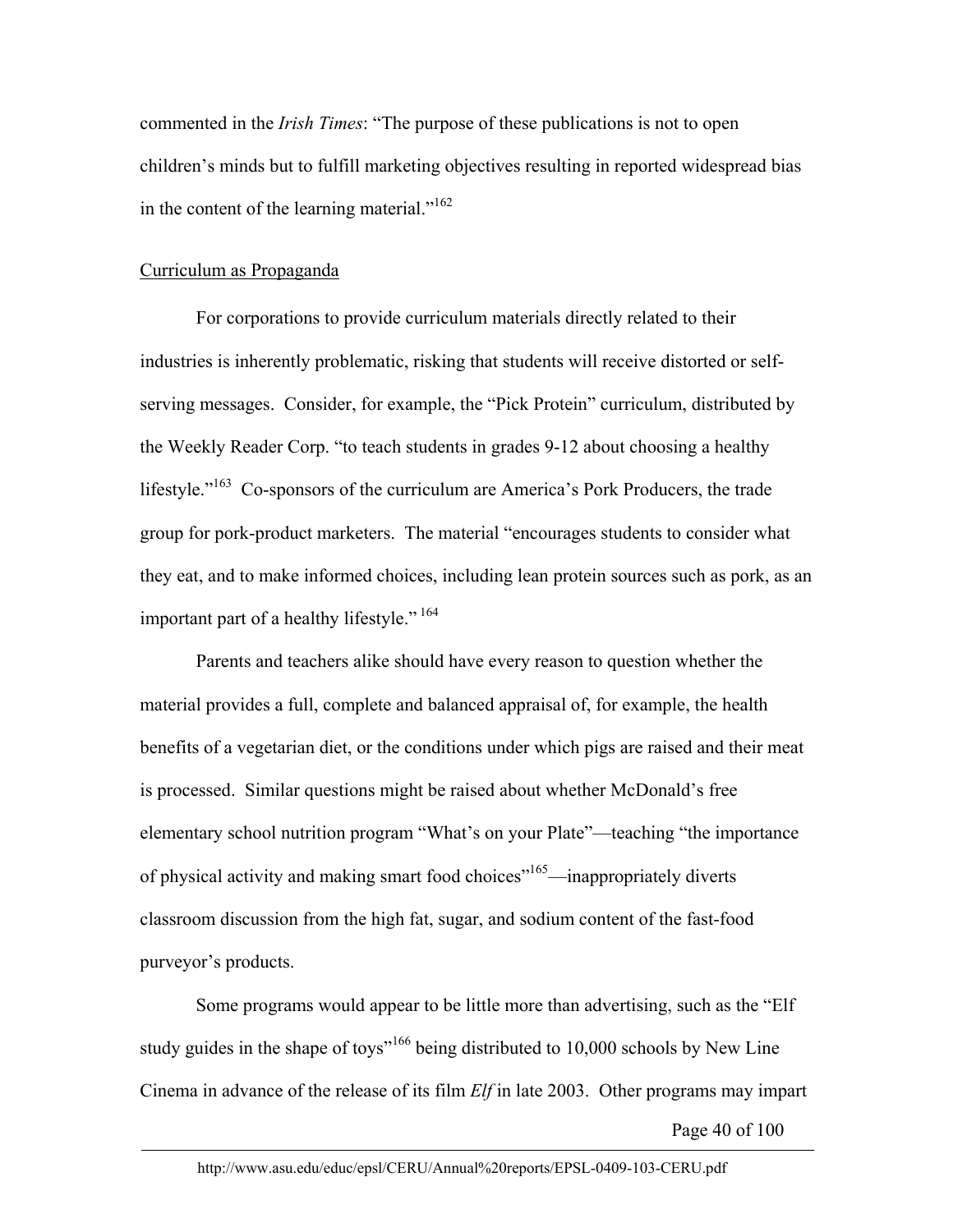commented in the *Irish Times*: "The purpose of these publications is not to open children's minds but to fulfill marketing objectives resulting in reported widespread bias in the content of the learning material."<sup>162</sup>

# Curriculum as Propaganda

For corporations to provide curriculum materials directly related to their industries is inherently problematic, risking that students will receive distorted or selfserving messages. Consider, for example, the "Pick Protein" curriculum, distributed by the Weekly Reader Corp. "to teach students in grades 9-12 about choosing a healthy lifestyle."<sup>163</sup> Co-sponsors of the curriculum are America's Pork Producers, the trade group for pork-product marketers. The material "encourages students to consider what they eat, and to make informed choices, including lean protein sources such as pork, as an important part of a healthy lifestyle."<sup>164</sup>

Parents and teachers alike should have every reason to question whether the material provides a full, complete and balanced appraisal of, for example, the health benefits of a vegetarian diet, or the conditions under which pigs are raised and their meat is processed. Similar questions might be raised about whether McDonald's free elementary school nutrition program "What's on your Plate"—teaching "the importance of physical activity and making smart food choices"<sup>165</sup>—inappropriately diverts classroom discussion from the high fat, sugar, and sodium content of the fast-food purveyor's products.

Some programs would appear to be little more than advertising, such as the "Elf study guides in the shape of toys<sup>"166</sup> being distributed to 10,000 schools by New Line Cinema in advance of the release of its film *Elf* in late 2003. Other programs may impart

Page 40 of 100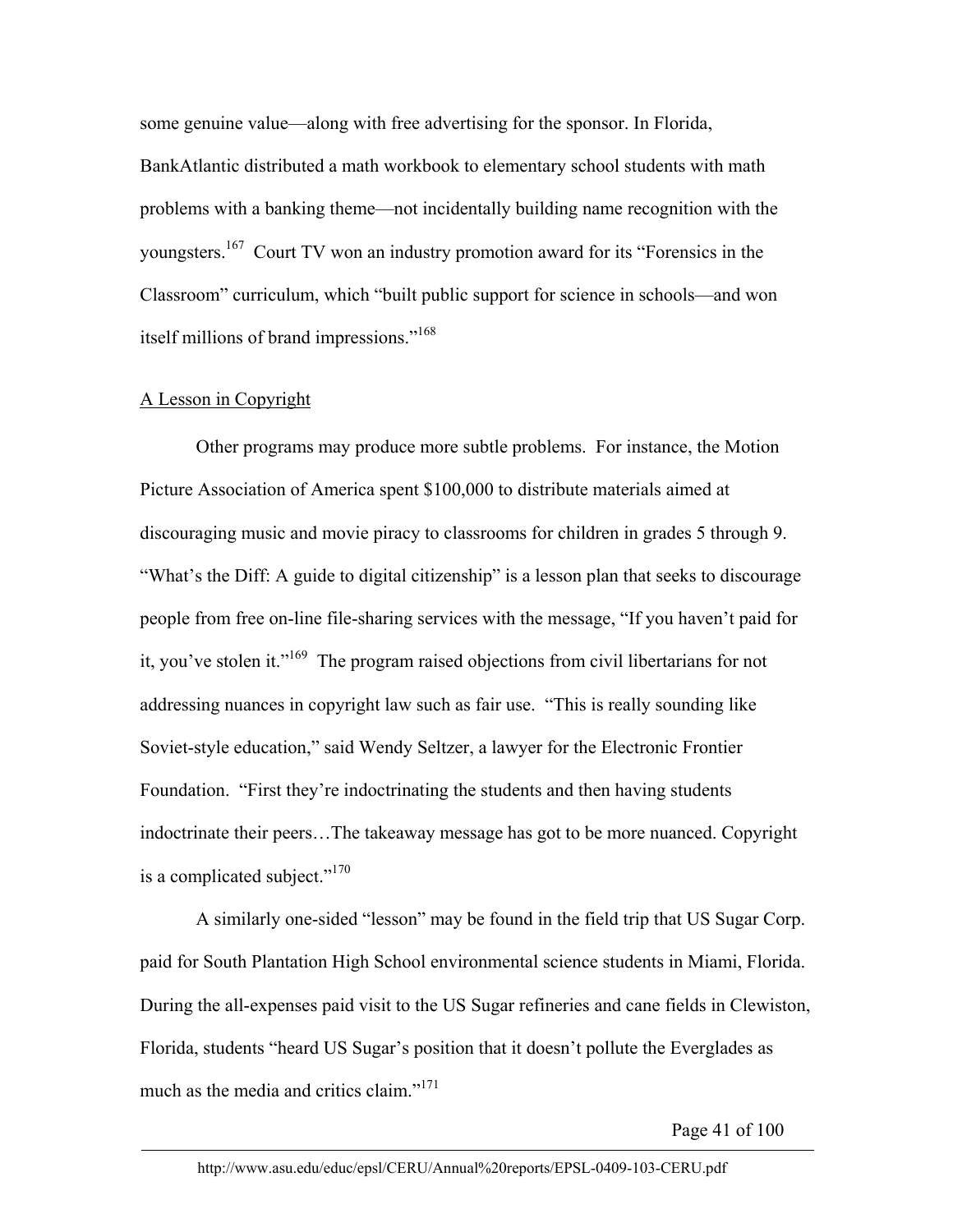some genuine value—along with free advertising for the sponsor. In Florida, BankAtlantic distributed a math workbook to elementary school students with math problems with a banking theme—not incidentally building name recognition with the youngsters.167 Court TV won an industry promotion award for its "Forensics in the Classroom" curriculum, which "built public support for science in schools—and won itself millions of brand impressions."<sup>168</sup>

## A Lesson in Copyright

Other programs may produce more subtle problems. For instance, the Motion Picture Association of America spent \$100,000 to distribute materials aimed at discouraging music and movie piracy to classrooms for children in grades 5 through 9. "What's the Diff: A guide to digital citizenship" is a lesson plan that seeks to discourage people from free on-line file-sharing services with the message, "If you haven't paid for it, you've stolen it."<sup>169</sup> The program raised objections from civil libertarians for not addressing nuances in copyright law such as fair use. "This is really sounding like Soviet-style education," said Wendy Seltzer, a lawyer for the Electronic Frontier Foundation. "First they're indoctrinating the students and then having students indoctrinate their peers…The takeaway message has got to be more nuanced. Copyright is a complicated subject." $170$ 

A similarly one-sided "lesson" may be found in the field trip that US Sugar Corp. paid for South Plantation High School environmental science students in Miami, Florida. During the all-expenses paid visit to the US Sugar refineries and cane fields in Clewiston, Florida, students "heard US Sugar's position that it doesn't pollute the Everglades as much as the media and critics claim."<sup>171</sup>

Page 41 of 100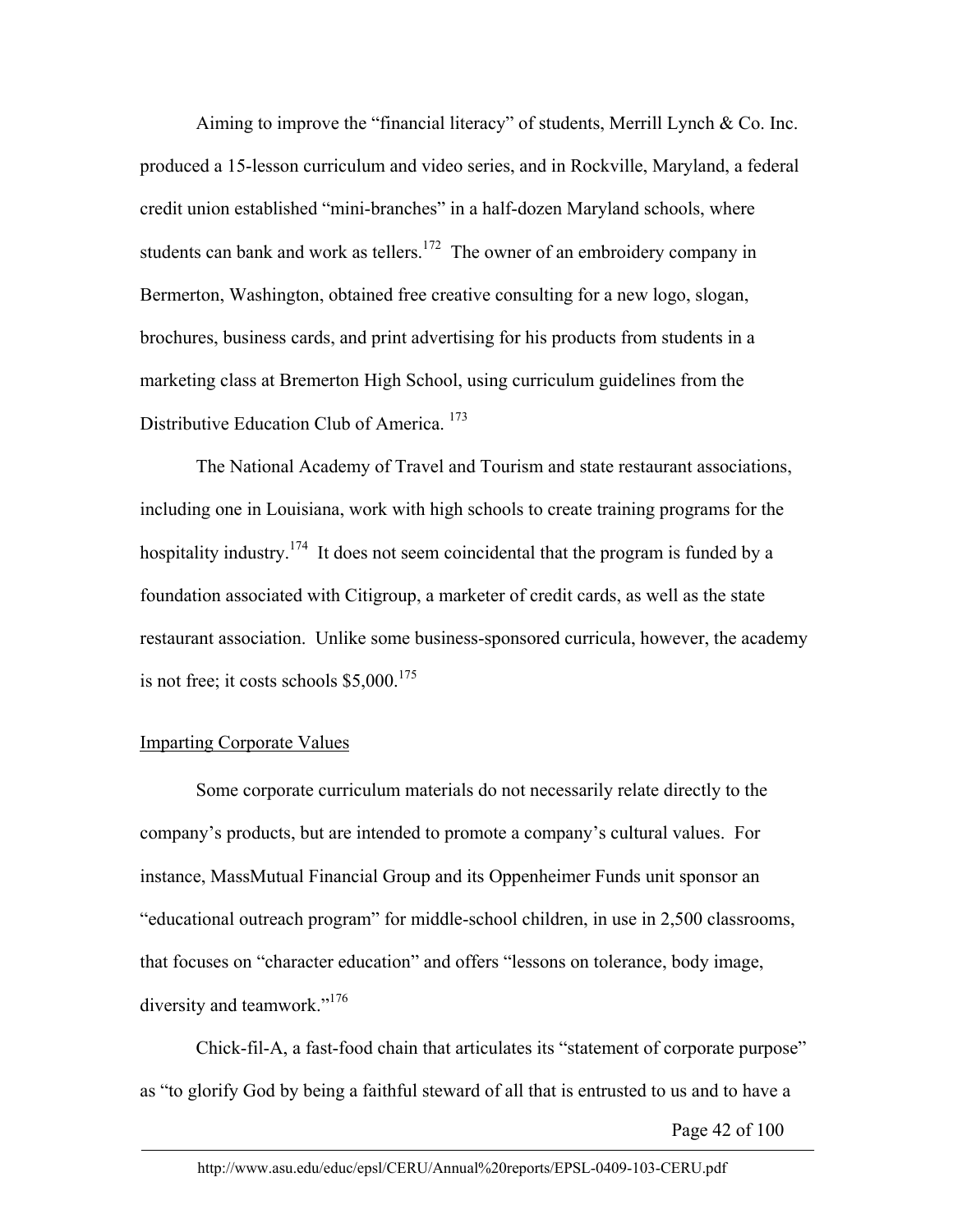Aiming to improve the "financial literacy" of students, Merrill Lynch & Co. Inc. produced a 15-lesson curriculum and video series, and in Rockville, Maryland, a federal credit union established "mini-branches" in a half-dozen Maryland schools, where students can bank and work as tellers.<sup>172</sup> The owner of an embroidery company in Bermerton, Washington, obtained free creative consulting for a new logo, slogan, brochures, business cards, and print advertising for his products from students in a marketing class at Bremerton High School, using curriculum guidelines from the Distributive Education Club of America.<sup>173</sup>

The National Academy of Travel and Tourism and state restaurant associations, including one in Louisiana, work with high schools to create training programs for the hospitality industry.<sup>174</sup> It does not seem coincidental that the program is funded by a foundation associated with Citigroup, a marketer of credit cards, as well as the state restaurant association. Unlike some business-sponsored curricula, however, the academy is not free; it costs schools  $$5,000$ .<sup>175</sup>

## Imparting Corporate Values

Some corporate curriculum materials do not necessarily relate directly to the company's products, but are intended to promote a company's cultural values. For instance, MassMutual Financial Group and its Oppenheimer Funds unit sponsor an "educational outreach program" for middle-school children, in use in 2,500 classrooms, that focuses on "character education" and offers "lessons on tolerance, body image, diversity and teamwork."176

Chick-fil-A, a fast-food chain that articulates its "statement of corporate purpose" as "to glorify God by being a faithful steward of all that is entrusted to us and to have a

Page 42 of 100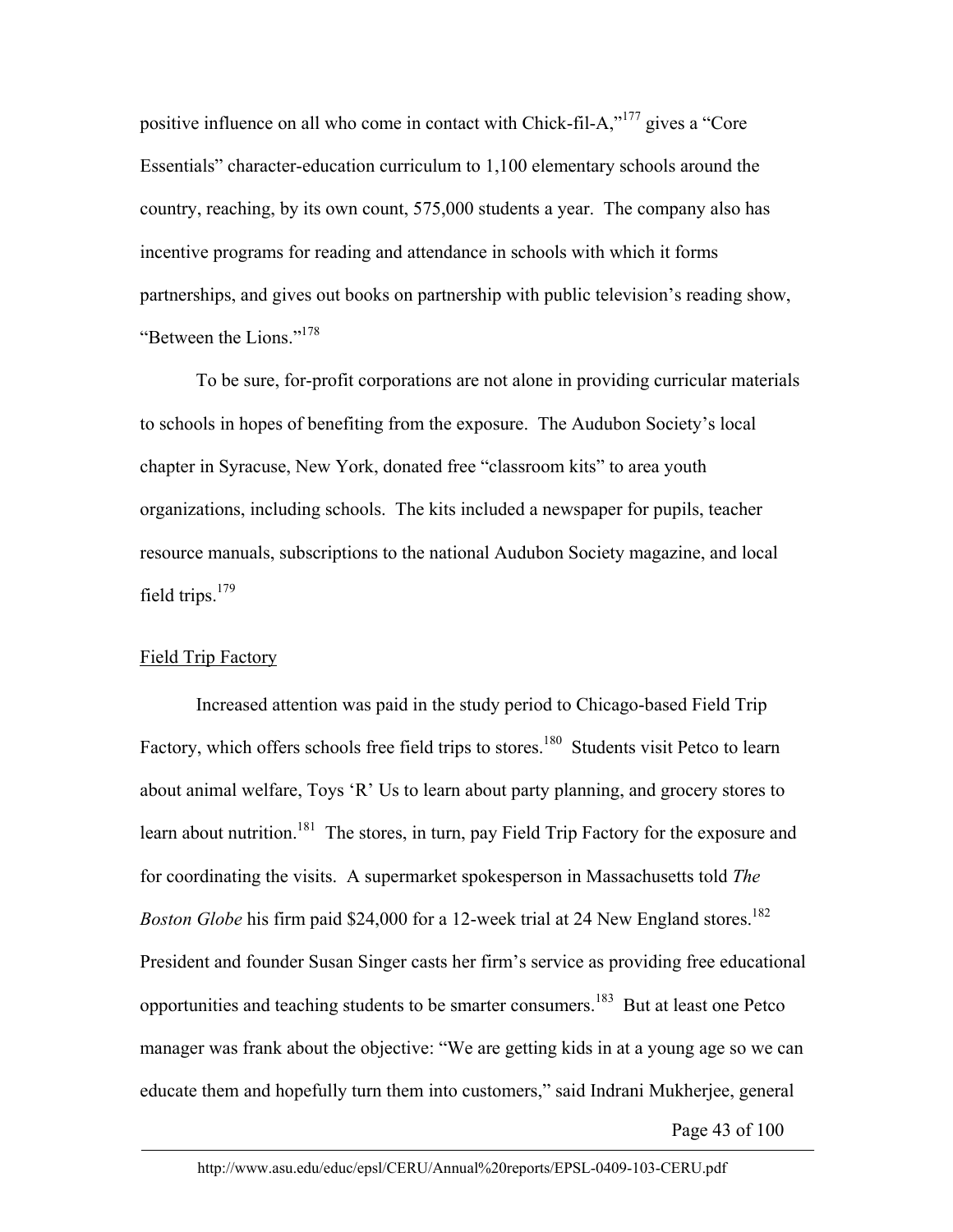positive influence on all who come in contact with Chick-fil-A,"177 gives a "Core Essentials" character-education curriculum to 1,100 elementary schools around the country, reaching, by its own count, 575,000 students a year. The company also has incentive programs for reading and attendance in schools with which it forms partnerships, and gives out books on partnership with public television's reading show, "Between the Lions."178

To be sure, for-profit corporations are not alone in providing curricular materials to schools in hopes of benefiting from the exposure. The Audubon Society's local chapter in Syracuse, New York, donated free "classroom kits" to area youth organizations, including schools. The kits included a newspaper for pupils, teacher resource manuals, subscriptions to the national Audubon Society magazine, and local field trips. $179$ 

## Field Trip Factory

Increased attention was paid in the study period to Chicago-based Field Trip Factory, which offers schools free field trips to stores.<sup>180</sup> Students visit Petco to learn about animal welfare, Toys 'R' Us to learn about party planning, and grocery stores to learn about nutrition.<sup>181</sup> The stores, in turn, pay Field Trip Factory for the exposure and for coordinating the visits. A supermarket spokesperson in Massachusetts told *The Boston Globe* his firm paid \$24,000 for a 12-week trial at 24 New England stores.<sup>182</sup> President and founder Susan Singer casts her firm's service as providing free educational opportunities and teaching students to be smarter consumers.183 But at least one Petco manager was frank about the objective: "We are getting kids in at a young age so we can educate them and hopefully turn them into customers," said Indrani Mukherjee, general

Page 43 of 100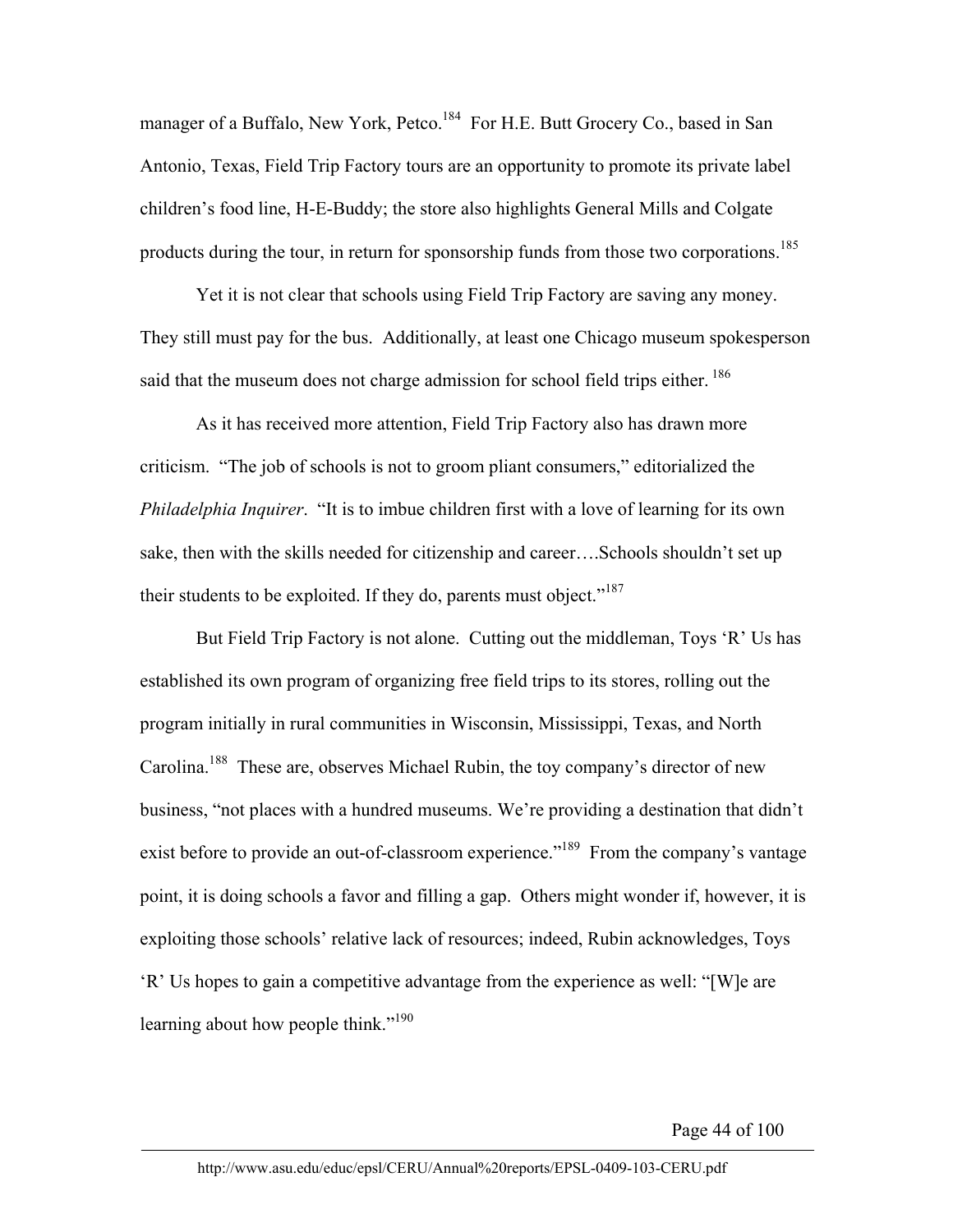manager of a Buffalo, New York, Petco.<sup>184</sup> For H.E. Butt Grocery Co., based in San Antonio, Texas, Field Trip Factory tours are an opportunity to promote its private label children's food line, H-E-Buddy; the store also highlights General Mills and Colgate products during the tour, in return for sponsorship funds from those two corporations.<sup>185</sup>

Yet it is not clear that schools using Field Trip Factory are saving any money. They still must pay for the bus. Additionally, at least one Chicago museum spokesperson said that the museum does not charge admission for school field trips either.<sup>186</sup>

As it has received more attention, Field Trip Factory also has drawn more criticism. "The job of schools is not to groom pliant consumers," editorialized the *Philadelphia Inquirer*. "It is to imbue children first with a love of learning for its own sake, then with the skills needed for citizenship and career….Schools shouldn't set up their students to be exploited. If they do, parents must object."<sup>187</sup>

But Field Trip Factory is not alone. Cutting out the middleman, Toys 'R' Us has established its own program of organizing free field trips to its stores, rolling out the program initially in rural communities in Wisconsin, Mississippi, Texas, and North Carolina.188 These are, observes Michael Rubin, the toy company's director of new business, "not places with a hundred museums. We're providing a destination that didn't exist before to provide an out-of-classroom experience."<sup>189</sup> From the company's vantage point, it is doing schools a favor and filling a gap. Others might wonder if, however, it is exploiting those schools' relative lack of resources; indeed, Rubin acknowledges, Toys 'R' Us hopes to gain a competitive advantage from the experience as well: "[W]e are learning about how people think." $190$ 

Page 44 of 100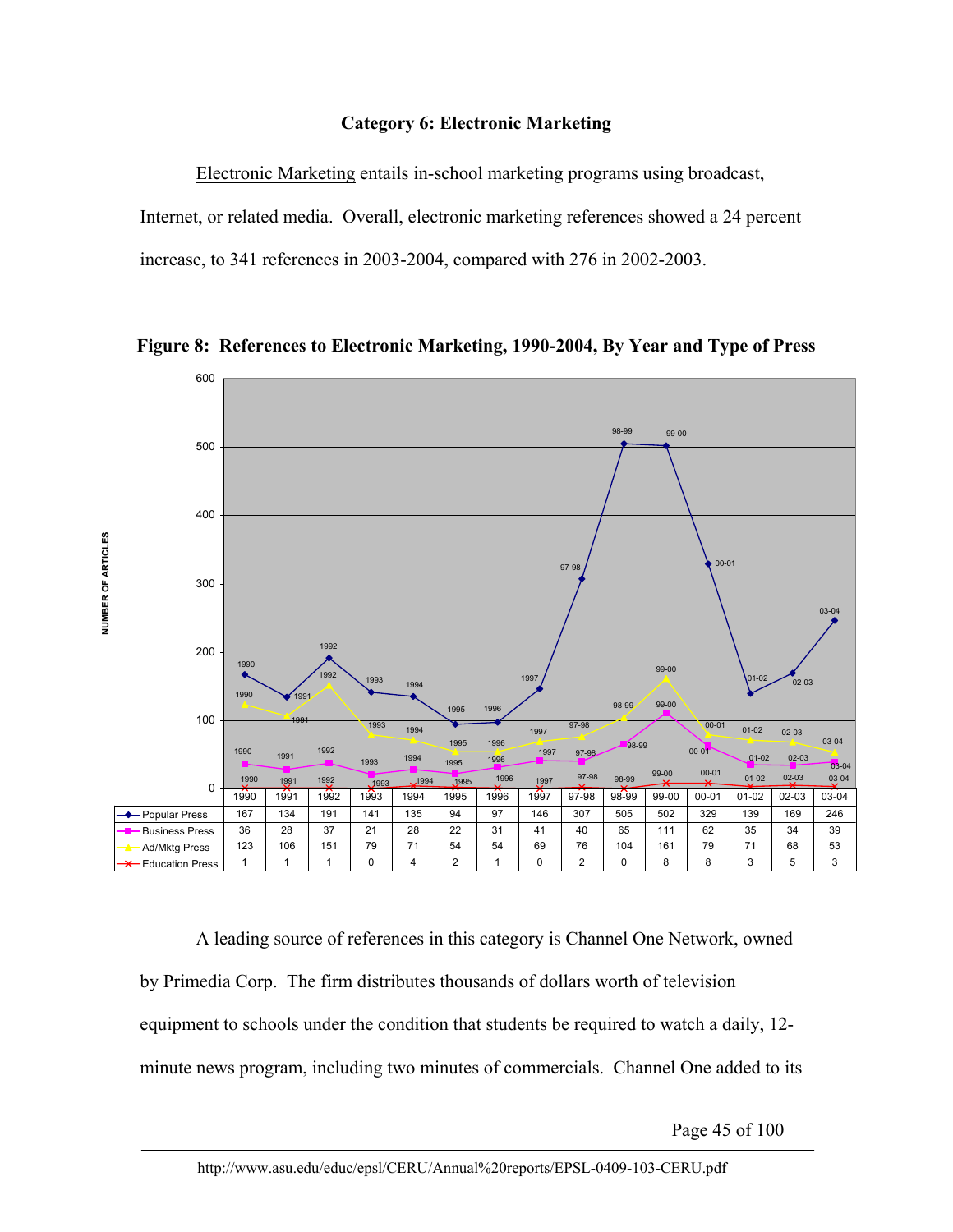# **Category 6: Electronic Marketing**

Electronic Marketing entails in-school marketing programs using broadcast, Internet, or related media. Overall, electronic marketing references showed a 24 percent increase, to 341 references in 2003-2004, compared with 276 in 2002-2003.



**Figure 8: References to Electronic Marketing, 1990-2004, By Year and Type of Press** 

A leading source of references in this category is Channel One Network, owned by Primedia Corp. The firm distributes thousands of dollars worth of television equipment to schools under the condition that students be required to watch a daily, 12 minute news program, including two minutes of commercials. Channel One added to its

Page 45 of 100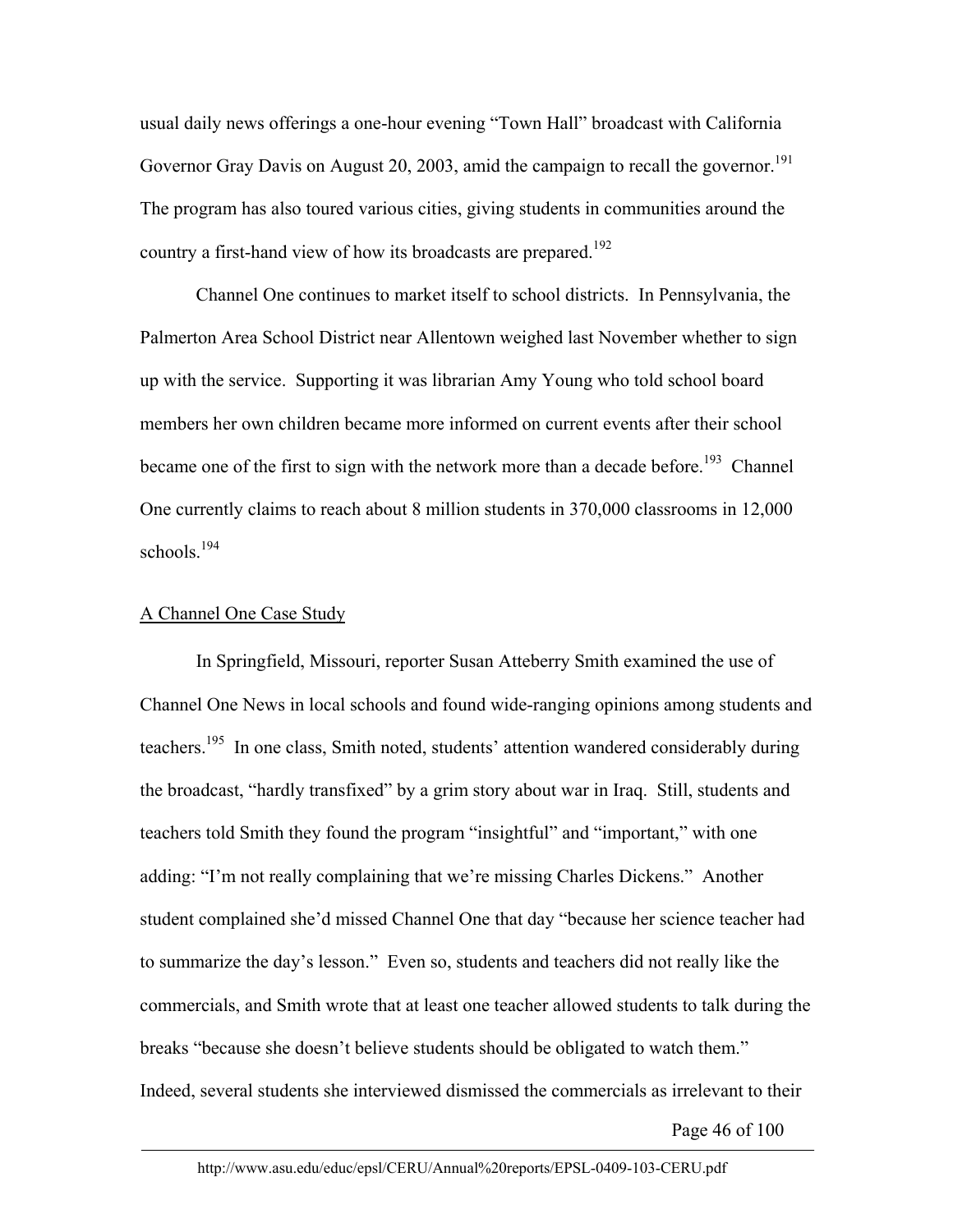usual daily news offerings a one-hour evening "Town Hall" broadcast with California Governor Gray Davis on August 20, 2003, amid the campaign to recall the governor.<sup>191</sup> The program has also toured various cities, giving students in communities around the country a first-hand view of how its broadcasts are prepared.<sup>192</sup>

Channel One continues to market itself to school districts. In Pennsylvania, the Palmerton Area School District near Allentown weighed last November whether to sign up with the service. Supporting it was librarian Amy Young who told school board members her own children became more informed on current events after their school became one of the first to sign with the network more than a decade before.<sup>193</sup> Channel One currently claims to reach about 8 million students in 370,000 classrooms in 12,000 schools.<sup>194</sup>

## A Channel One Case Study

In Springfield, Missouri, reporter Susan Atteberry Smith examined the use of Channel One News in local schools and found wide-ranging opinions among students and teachers.<sup>195</sup> In one class, Smith noted, students' attention wandered considerably during the broadcast, "hardly transfixed" by a grim story about war in Iraq. Still, students and teachers told Smith they found the program "insightful" and "important," with one adding: "I'm not really complaining that we're missing Charles Dickens." Another student complained she'd missed Channel One that day "because her science teacher had to summarize the day's lesson." Even so, students and teachers did not really like the commercials, and Smith wrote that at least one teacher allowed students to talk during the breaks "because she doesn't believe students should be obligated to watch them." Indeed, several students she interviewed dismissed the commercials as irrelevant to their

Page 46 of 100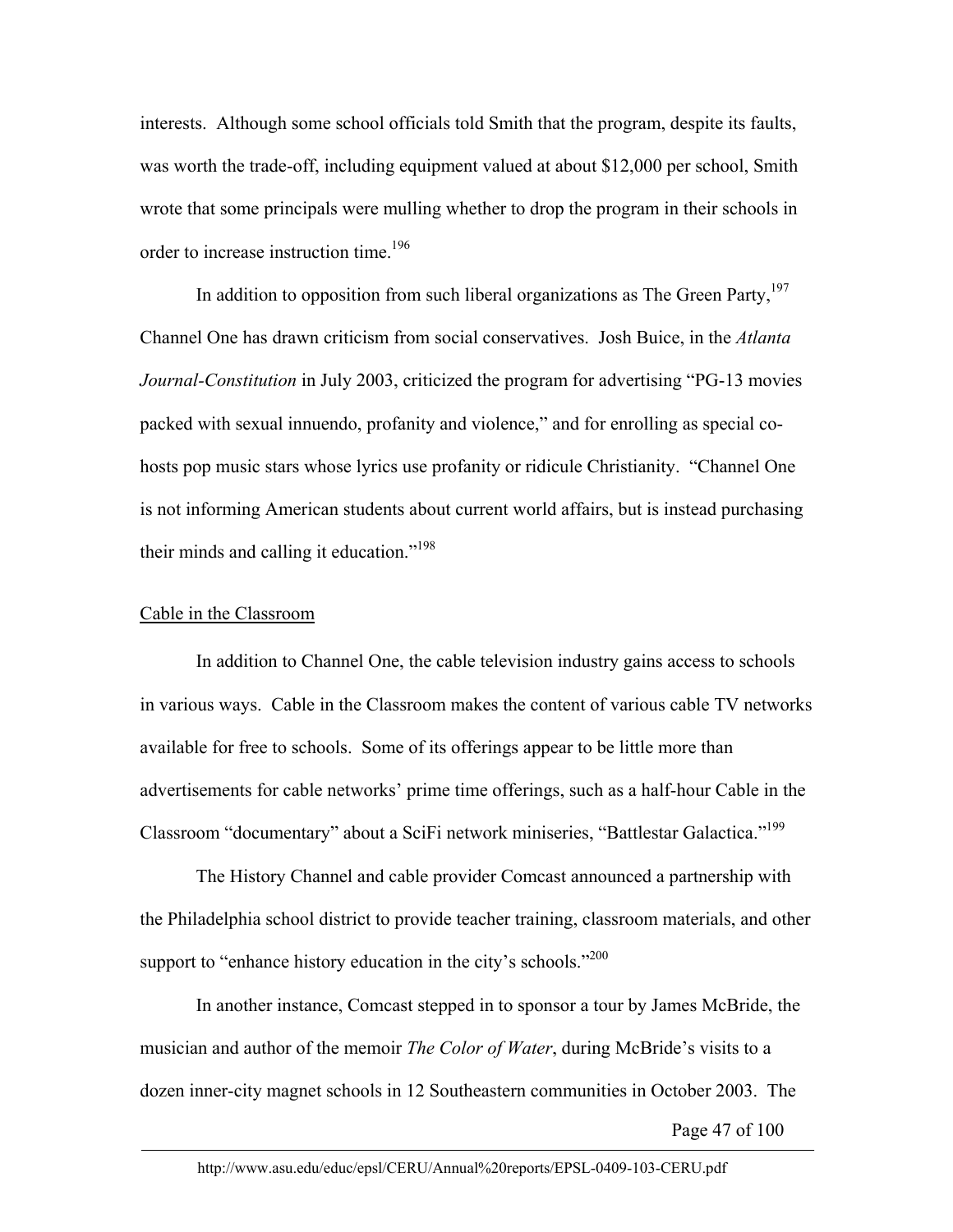interests. Although some school officials told Smith that the program, despite its faults, was worth the trade-off, including equipment valued at about \$12,000 per school, Smith wrote that some principals were mulling whether to drop the program in their schools in order to increase instruction time.196

In addition to opposition from such liberal organizations as The Green Party,  $197$ Channel One has drawn criticism from social conservatives. Josh Buice, in the *Atlanta Journal-Constitution* in July 2003, criticized the program for advertising "PG-13 movies packed with sexual innuendo, profanity and violence," and for enrolling as special cohosts pop music stars whose lyrics use profanity or ridicule Christianity. "Channel One is not informing American students about current world affairs, but is instead purchasing their minds and calling it education."198

## Cable in the Classroom

In addition to Channel One, the cable television industry gains access to schools in various ways. Cable in the Classroom makes the content of various cable TV networks available for free to schools. Some of its offerings appear to be little more than advertisements for cable networks' prime time offerings, such as a half-hour Cable in the Classroom "documentary" about a SciFi network miniseries, "Battlestar Galactica."199

The History Channel and cable provider Comcast announced a partnership with the Philadelphia school district to provide teacher training, classroom materials, and other support to "enhance history education in the city's schools."<sup>200</sup>

In another instance, Comcast stepped in to sponsor a tour by James McBride, the musician and author of the memoir *The Color of Water*, during McBride's visits to a dozen inner-city magnet schools in 12 Southeastern communities in October 2003. The

Page 47 of 100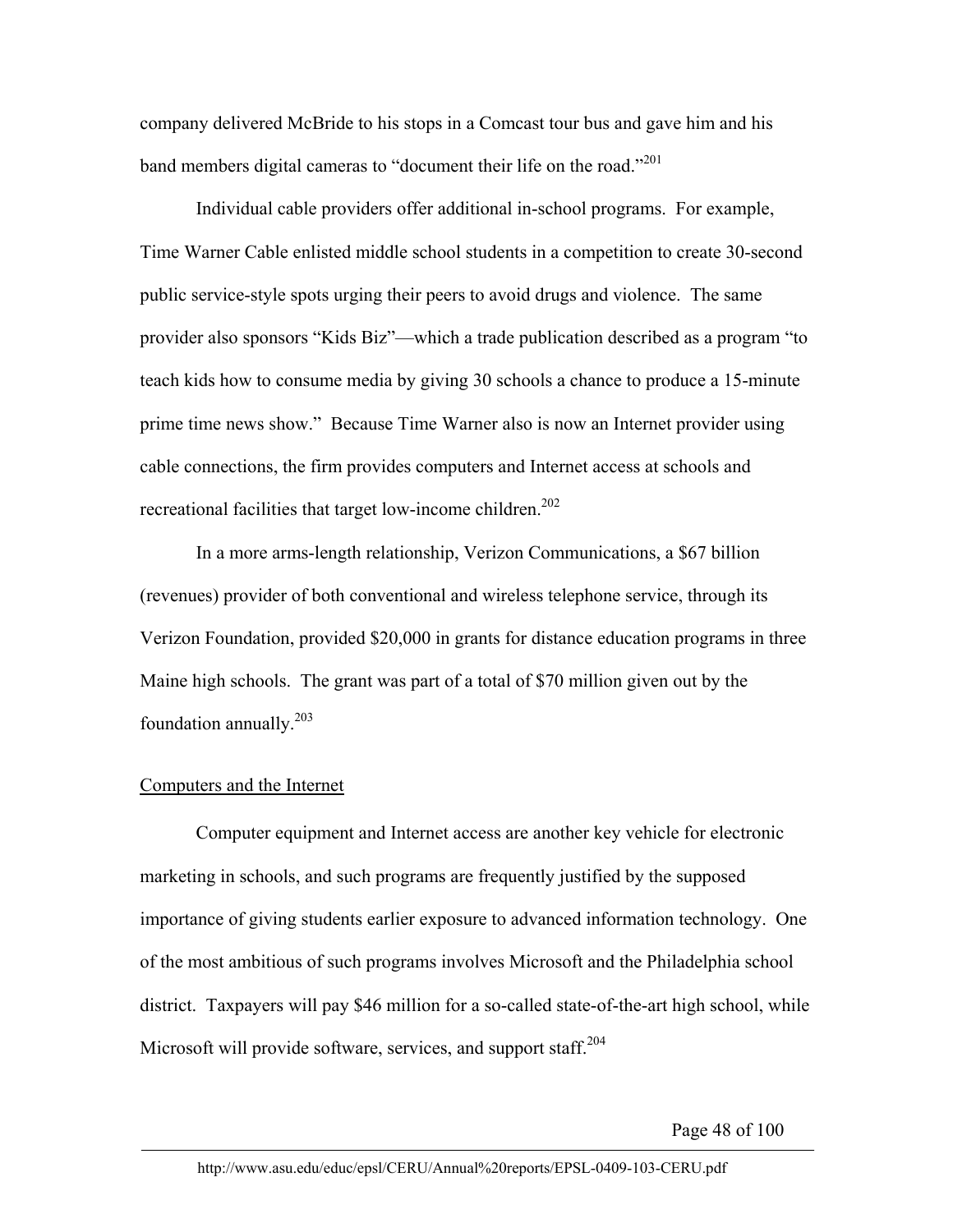company delivered McBride to his stops in a Comcast tour bus and gave him and his band members digital cameras to "document their life on the road."<sup>201</sup>

Individual cable providers offer additional in-school programs. For example, Time Warner Cable enlisted middle school students in a competition to create 30-second public service-style spots urging their peers to avoid drugs and violence. The same provider also sponsors "Kids Biz"—which a trade publication described as a program "to teach kids how to consume media by giving 30 schools a chance to produce a 15-minute prime time news show." Because Time Warner also is now an Internet provider using cable connections, the firm provides computers and Internet access at schools and recreational facilities that target low-income children.<sup>202</sup>

In a more arms-length relationship, Verizon Communications, a \$67 billion (revenues) provider of both conventional and wireless telephone service, through its Verizon Foundation, provided \$20,000 in grants for distance education programs in three Maine high schools. The grant was part of a total of \$70 million given out by the foundation annually.203

## Computers and the Internet

Computer equipment and Internet access are another key vehicle for electronic marketing in schools, and such programs are frequently justified by the supposed importance of giving students earlier exposure to advanced information technology. One of the most ambitious of such programs involves Microsoft and the Philadelphia school district. Taxpayers will pay \$46 million for a so-called state-of-the-art high school, while Microsoft will provide software, services, and support staff.<sup>204</sup>

Page 48 of 100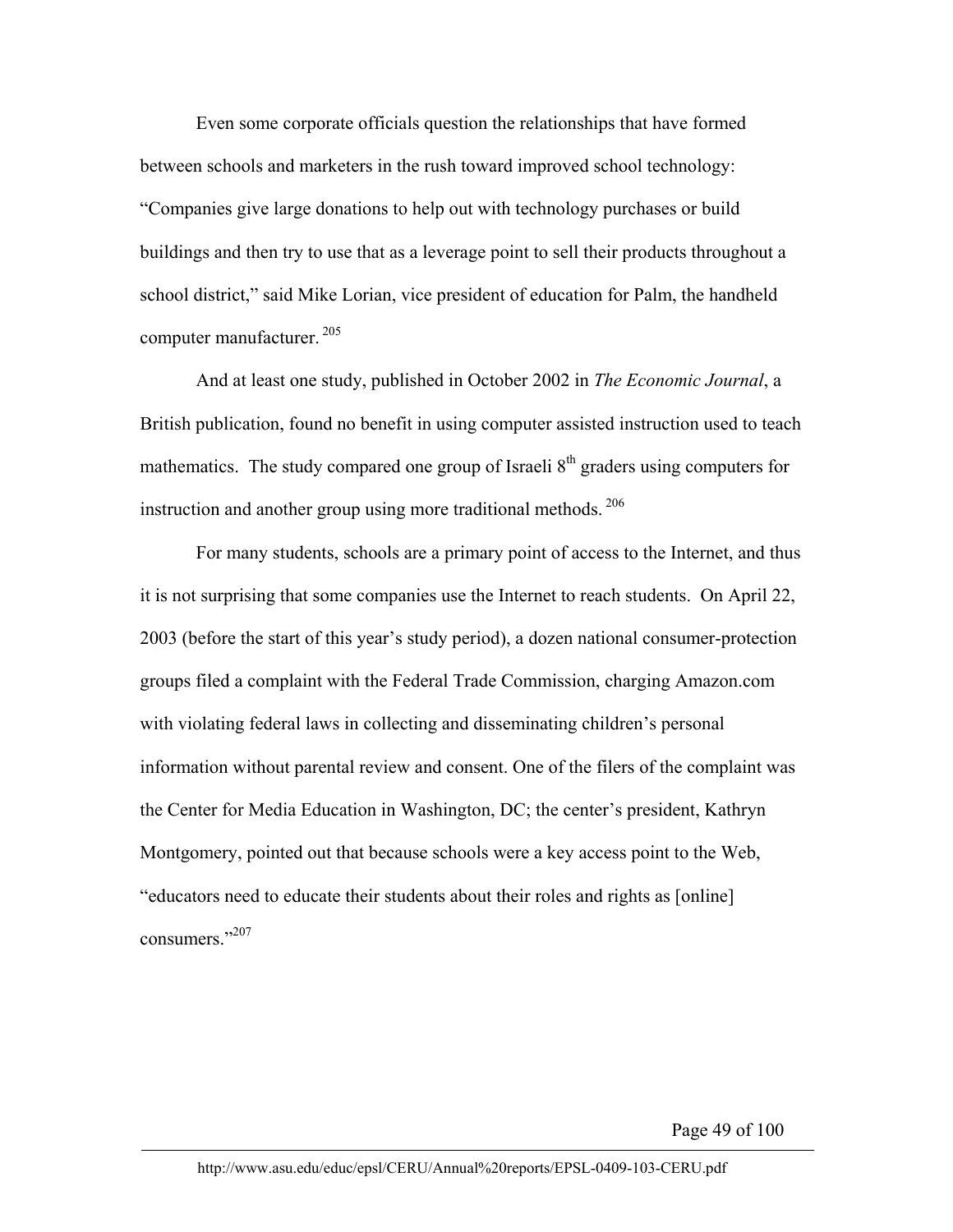Even some corporate officials question the relationships that have formed between schools and marketers in the rush toward improved school technology: "Companies give large donations to help out with technology purchases or build buildings and then try to use that as a leverage point to sell their products throughout a school district," said Mike Lorian, vice president of education for Palm, the handheld computer manufacturer. 205

And at least one study, published in October 2002 in *The Economic Journal*, a British publication, found no benefit in using computer assisted instruction used to teach mathematics. The study compared one group of Israeli  $8<sup>th</sup>$  graders using computers for instruction and another group using more traditional methods.  $206$ 

For many students, schools are a primary point of access to the Internet, and thus it is not surprising that some companies use the Internet to reach students. On April 22, 2003 (before the start of this year's study period), a dozen national consumer-protection groups filed a complaint with the Federal Trade Commission, charging Amazon.com with violating federal laws in collecting and disseminating children's personal information without parental review and consent. One of the filers of the complaint was the Center for Media Education in Washington, DC; the center's president, Kathryn Montgomery, pointed out that because schools were a key access point to the Web, "educators need to educate their students about their roles and rights as [online] consumers."207

Page 49 of 100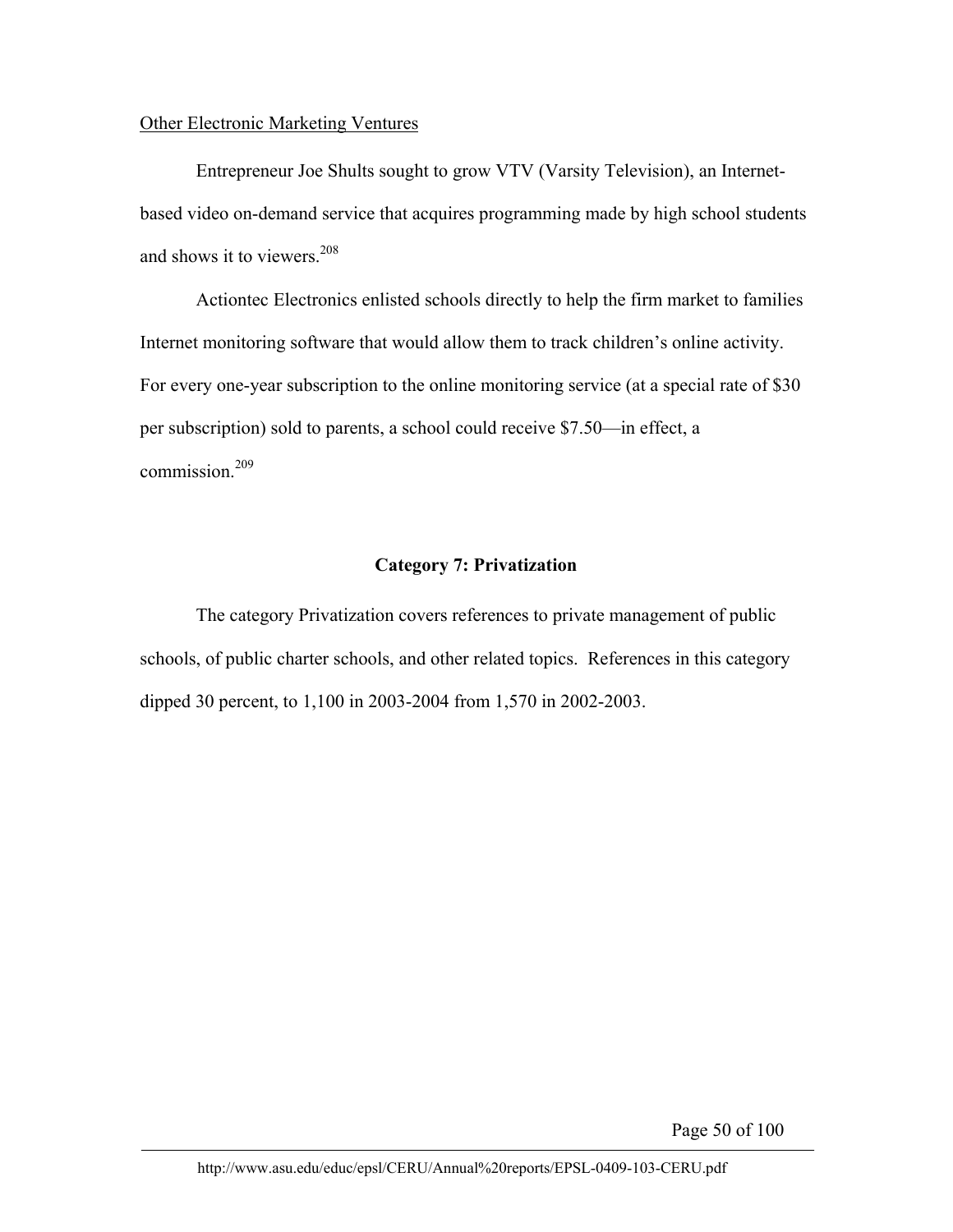# Other Electronic Marketing Ventures

Entrepreneur Joe Shults sought to grow VTV (Varsity Television), an Internetbased video on-demand service that acquires programming made by high school students and shows it to viewers.208

Actiontec Electronics enlisted schools directly to help the firm market to families Internet monitoring software that would allow them to track children's online activity. For every one-year subscription to the online monitoring service (at a special rate of \$30 per subscription) sold to parents, a school could receive \$7.50—in effect, a commission.<sup>209</sup>

# **Category 7: Privatization**

The category Privatization covers references to private management of public schools, of public charter schools, and other related topics. References in this category dipped 30 percent, to 1,100 in 2003-2004 from 1,570 in 2002-2003.

Page 50 of 100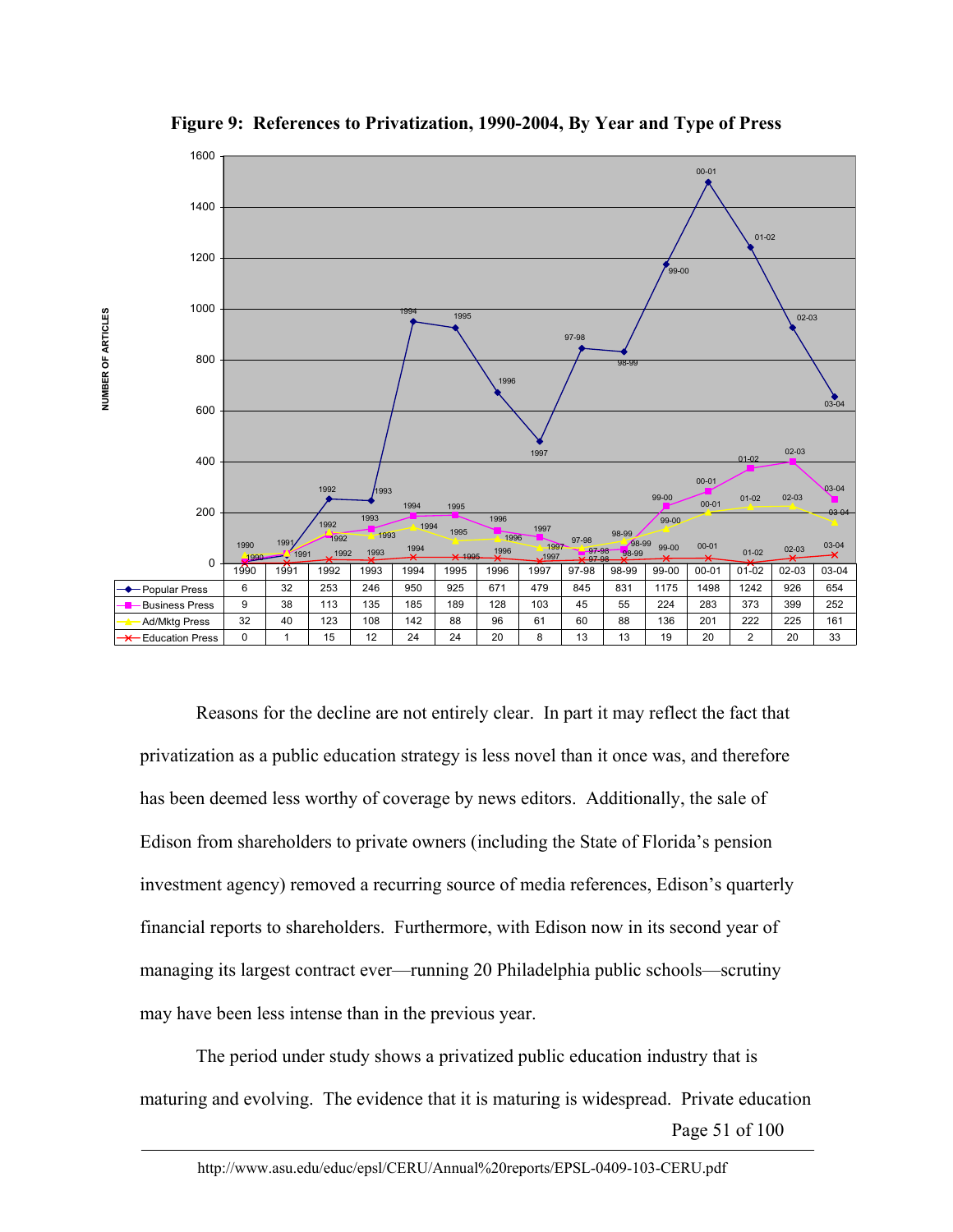

**Figure 9: References to Privatization, 1990-2004, By Year and Type of Press** 

Reasons for the decline are not entirely clear. In part it may reflect the fact that privatization as a public education strategy is less novel than it once was, and therefore has been deemed less worthy of coverage by news editors. Additionally, the sale of Edison from shareholders to private owners (including the State of Florida's pension investment agency) removed a recurring source of media references, Edison's quarterly financial reports to shareholders. Furthermore, with Edison now in its second year of managing its largest contract ever—running 20 Philadelphia public schools—scrutiny may have been less intense than in the previous year.

Page 51 of 100 The period under study shows a privatized public education industry that is maturing and evolving. The evidence that it is maturing is widespread. Private education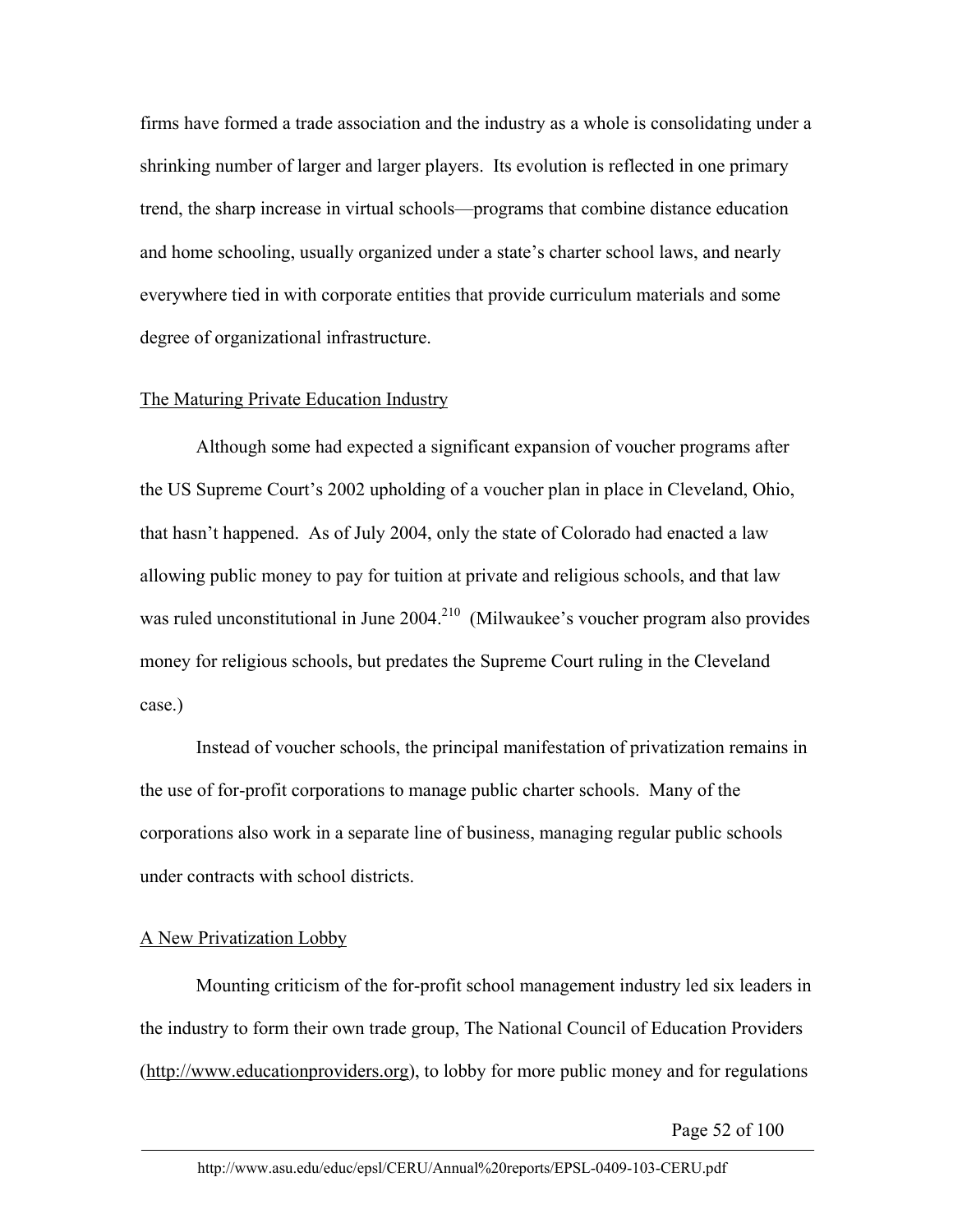firms have formed a trade association and the industry as a whole is consolidating under a shrinking number of larger and larger players. Its evolution is reflected in one primary trend, the sharp increase in virtual schools—programs that combine distance education and home schooling, usually organized under a state's charter school laws, and nearly everywhere tied in with corporate entities that provide curriculum materials and some degree of organizational infrastructure.

## The Maturing Private Education Industry

Although some had expected a significant expansion of voucher programs after the US Supreme Court's 2002 upholding of a voucher plan in place in Cleveland, Ohio, that hasn't happened. As of July 2004, only the state of Colorado had enacted a law allowing public money to pay for tuition at private and religious schools, and that law was ruled unconstitutional in June  $2004$ <sup>210</sup> (Milwaukee's voucher program also provides money for religious schools, but predates the Supreme Court ruling in the Cleveland case.)

Instead of voucher schools, the principal manifestation of privatization remains in the use of for-profit corporations to manage public charter schools. Many of the corporations also work in a separate line of business, managing regular public schools under contracts with school districts.

## A New Privatization Lobby

Mounting criticism of the for-profit school management industry led six leaders in the industry to form their own trade group, The National Council of Education Providers (http://www.educationproviders.org), to lobby for more public money and for regulations

Page 52 of 100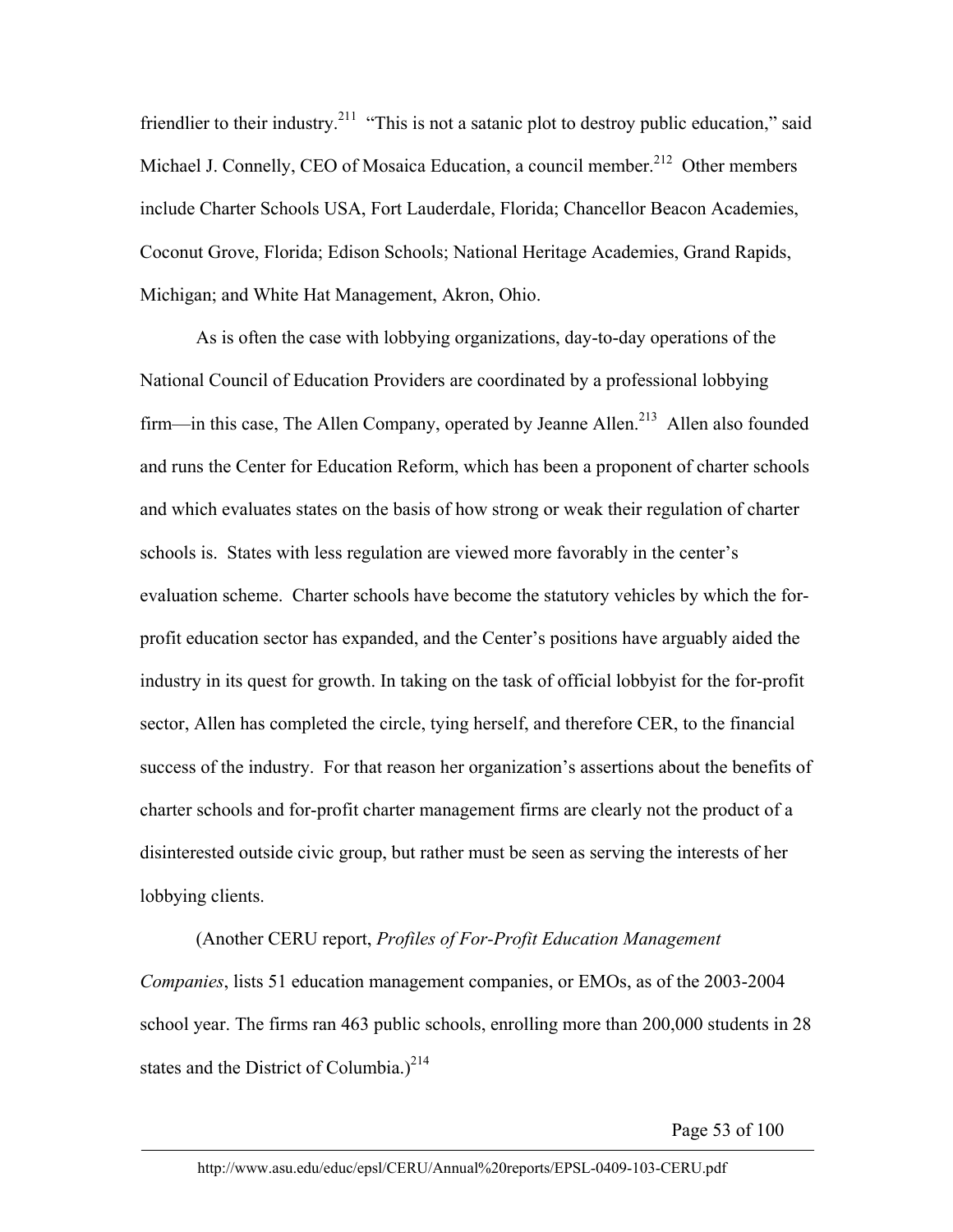friendlier to their industry.<sup>211</sup> "This is not a satanic plot to destroy public education," said Michael J. Connelly, CEO of Mosaica Education, a council member.<sup>212</sup> Other members include Charter Schools USA, Fort Lauderdale, Florida; Chancellor Beacon Academies, Coconut Grove, Florida; Edison Schools; National Heritage Academies, Grand Rapids, Michigan; and White Hat Management, Akron, Ohio.

As is often the case with lobbying organizations, day-to-day operations of the National Council of Education Providers are coordinated by a professional lobbying firm—in this case, The Allen Company, operated by Jeanne Allen.<sup>213</sup> Allen also founded and runs the Center for Education Reform, which has been a proponent of charter schools and which evaluates states on the basis of how strong or weak their regulation of charter schools is. States with less regulation are viewed more favorably in the center's evaluation scheme. Charter schools have become the statutory vehicles by which the forprofit education sector has expanded, and the Center's positions have arguably aided the industry in its quest for growth. In taking on the task of official lobbyist for the for-profit sector, Allen has completed the circle, tying herself, and therefore CER, to the financial success of the industry. For that reason her organization's assertions about the benefits of charter schools and for-profit charter management firms are clearly not the product of a disinterested outside civic group, but rather must be seen as serving the interests of her lobbying clients.

(Another CERU report, *Profiles of For-Profit Education Management Companies*, lists 51 education management companies, or EMOs, as of the 2003-2004 school year. The firms ran 463 public schools, enrolling more than 200,000 students in 28 states and the District of Columbia.)<sup>214</sup>

Page 53 of 100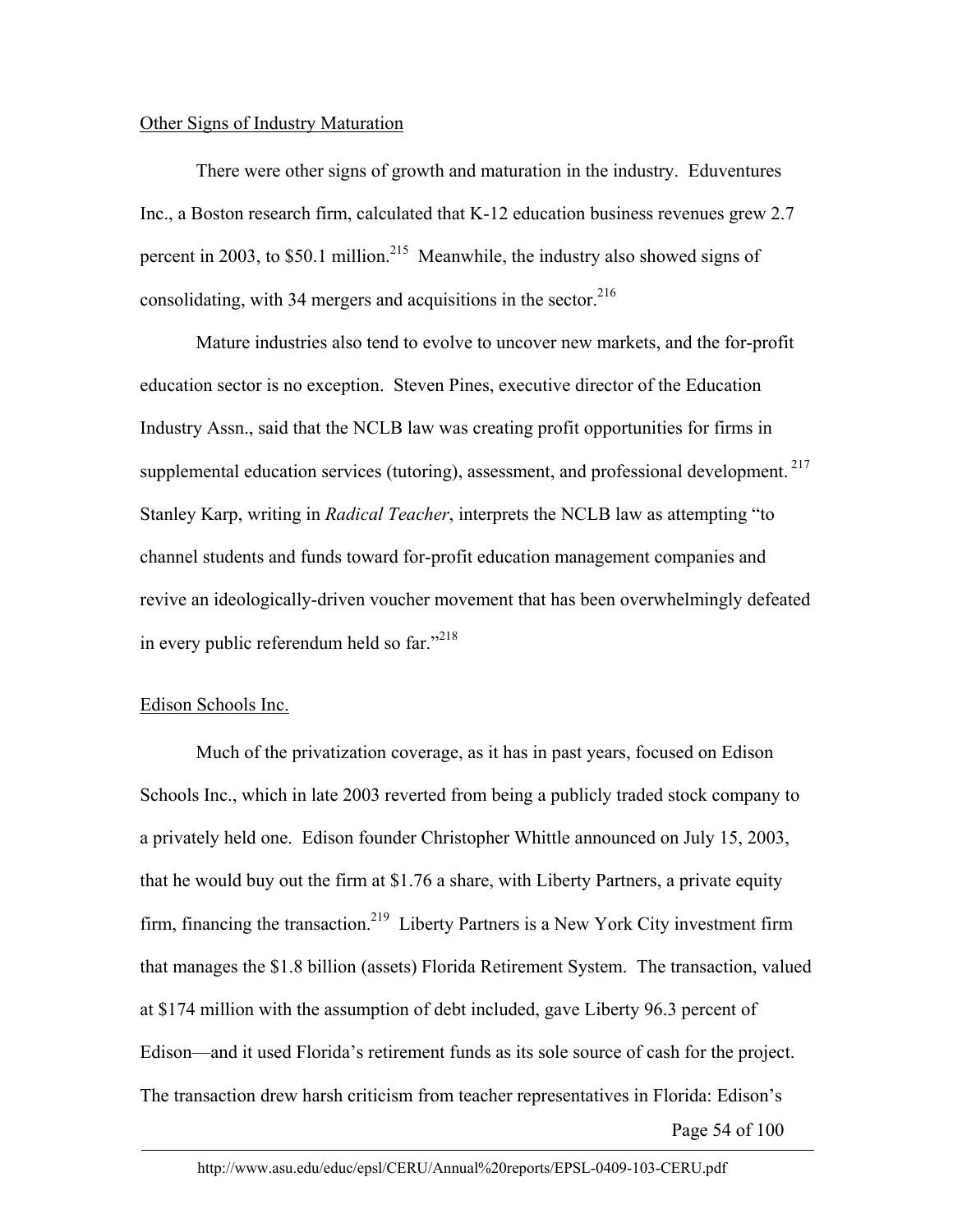## Other Signs of Industry Maturation

There were other signs of growth and maturation in the industry. Eduventures Inc., a Boston research firm, calculated that K-12 education business revenues grew 2.7 percent in 2003, to \$50.1 million.<sup>215</sup> Meanwhile, the industry also showed signs of consolidating, with 34 mergers and acquisitions in the sector.  $216$ 

Mature industries also tend to evolve to uncover new markets, and the for-profit education sector is no exception. Steven Pines, executive director of the Education Industry Assn., said that the NCLB law was creating profit opportunities for firms in supplemental education services (tutoring), assessment, and professional development.<sup>217</sup> Stanley Karp, writing in *Radical Teacher*, interprets the NCLB law as attempting "to channel students and funds toward for-profit education management companies and revive an ideologically-driven voucher movement that has been overwhelmingly defeated in every public referendum held so  $far.^{218}$ 

# Edison Schools Inc.

Page 54 of 100 Much of the privatization coverage, as it has in past years, focused on Edison Schools Inc., which in late 2003 reverted from being a publicly traded stock company to a privately held one. Edison founder Christopher Whittle announced on July 15, 2003, that he would buy out the firm at \$1.76 a share, with Liberty Partners, a private equity firm, financing the transaction.<sup>219</sup> Liberty Partners is a New York City investment firm that manages the \$1.8 billion (assets) Florida Retirement System. The transaction, valued at \$174 million with the assumption of debt included, gave Liberty 96.3 percent of Edison—and it used Florida's retirement funds as its sole source of cash for the project. The transaction drew harsh criticism from teacher representatives in Florida: Edison's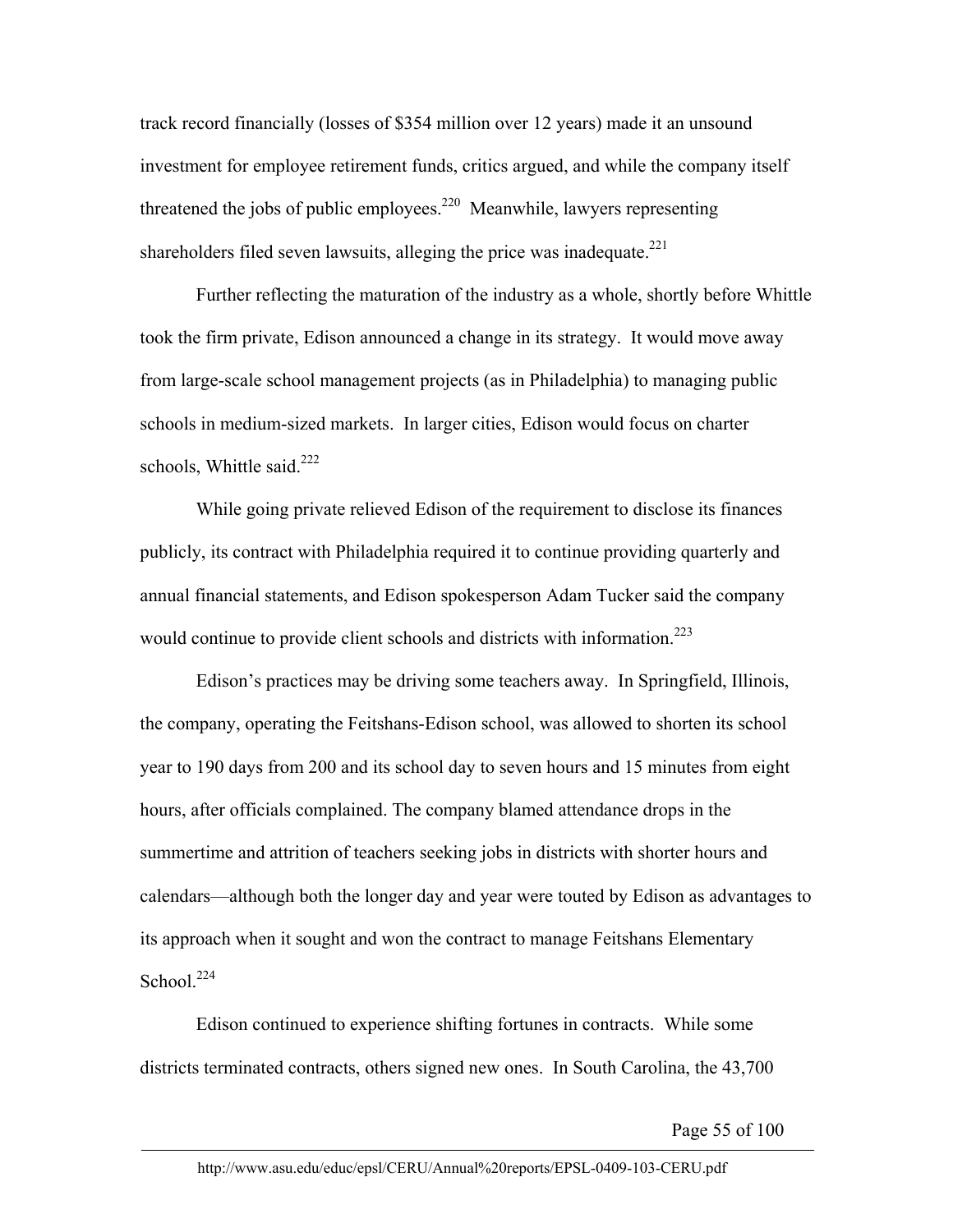track record financially (losses of \$354 million over 12 years) made it an unsound investment for employee retirement funds, critics argued, and while the company itself threatened the jobs of public employees.<sup>220</sup> Meanwhile, lawyers representing shareholders filed seven lawsuits, alleging the price was inadequate.<sup>221</sup>

Further reflecting the maturation of the industry as a whole, shortly before Whittle took the firm private, Edison announced a change in its strategy. It would move away from large-scale school management projects (as in Philadelphia) to managing public schools in medium-sized markets. In larger cities, Edison would focus on charter schools, Whittle said. $222$ 

While going private relieved Edison of the requirement to disclose its finances publicly, its contract with Philadelphia required it to continue providing quarterly and annual financial statements, and Edison spokesperson Adam Tucker said the company would continue to provide client schools and districts with information.<sup>223</sup>

Edison's practices may be driving some teachers away. In Springfield, Illinois, the company, operating the Feitshans-Edison school, was allowed to shorten its school year to 190 days from 200 and its school day to seven hours and 15 minutes from eight hours, after officials complained. The company blamed attendance drops in the summertime and attrition of teachers seeking jobs in districts with shorter hours and calendars—although both the longer day and year were touted by Edison as advantages to its approach when it sought and won the contract to manage Feitshans Elementary School. $224$ 

Edison continued to experience shifting fortunes in contracts. While some districts terminated contracts, others signed new ones. In South Carolina, the 43,700

Page 55 of 100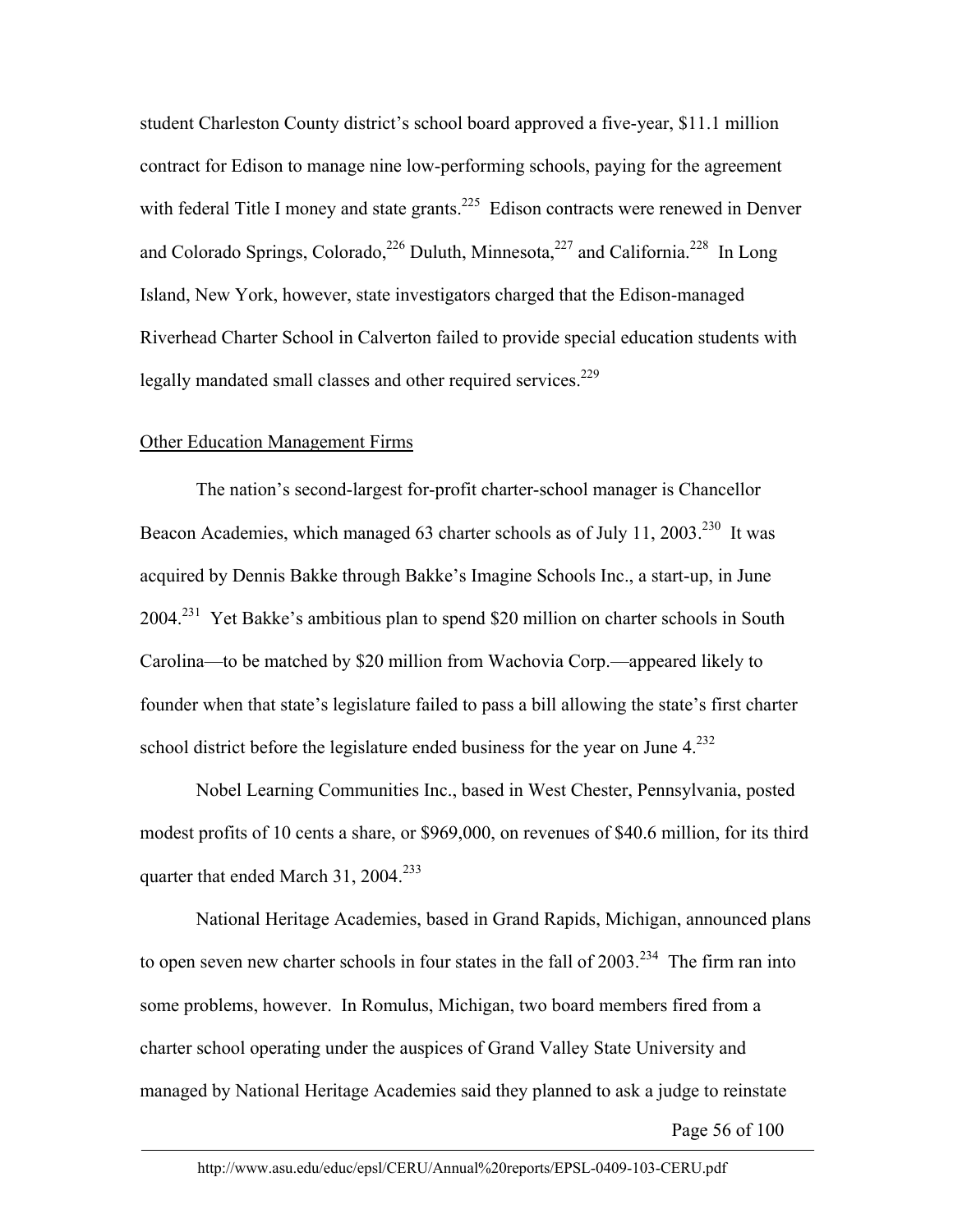student Charleston County district's school board approved a five-year, \$11.1 million contract for Edison to manage nine low-performing schools, paying for the agreement with federal Title I money and state grants.<sup>225</sup> Edison contracts were renewed in Denver and Colorado Springs, Colorado,<sup>226</sup> Duluth, Minnesota,<sup>227</sup> and California.<sup>228</sup> In Long Island, New York, however, state investigators charged that the Edison-managed Riverhead Charter School in Calverton failed to provide special education students with legally mandated small classes and other required services.<sup>229</sup>

## Other Education Management Firms

The nation's second-largest for-profit charter-school manager is Chancellor Beacon Academies, which managed 63 charter schools as of July 11, 2003.<sup>230</sup> It was acquired by Dennis Bakke through Bakke's Imagine Schools Inc., a start-up, in June 2004.<sup>231</sup> Yet Bakke's ambitious plan to spend \$20 million on charter schools in South Carolina—to be matched by \$20 million from Wachovia Corp.—appeared likely to founder when that state's legislature failed to pass a bill allowing the state's first charter school district before the legislature ended business for the year on June  $4.232$ 

Nobel Learning Communities Inc., based in West Chester, Pennsylvania, posted modest profits of 10 cents a share, or \$969,000, on revenues of \$40.6 million, for its third quarter that ended March 31, 2004.<sup>233</sup>

National Heritage Academies, based in Grand Rapids, Michigan, announced plans to open seven new charter schools in four states in the fall of  $2003$ <sup>234</sup>. The firm ran into some problems, however. In Romulus, Michigan, two board members fired from a charter school operating under the auspices of Grand Valley State University and managed by National Heritage Academies said they planned to ask a judge to reinstate

Page 56 of 100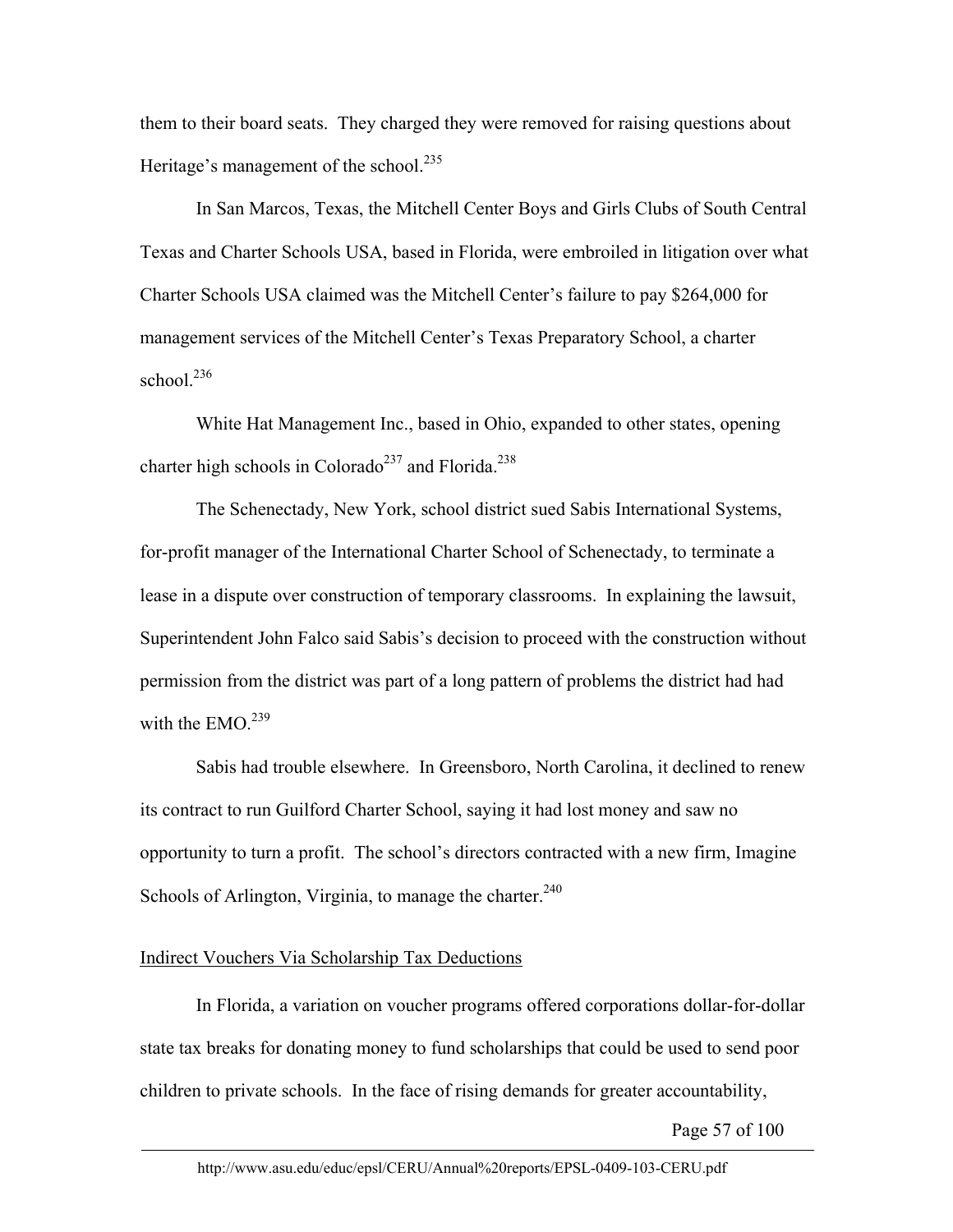them to their board seats. They charged they were removed for raising questions about Heritage's management of the school.<sup>235</sup>

In San Marcos, Texas, the Mitchell Center Boys and Girls Clubs of South Central Texas and Charter Schools USA, based in Florida, were embroiled in litigation over what Charter Schools USA claimed was the Mitchell Center's failure to pay \$264,000 for management services of the Mitchell Center's Texas Preparatory School, a charter school. $236$ 

White Hat Management Inc., based in Ohio, expanded to other states, opening charter high schools in Colorado<sup>237</sup> and Florida.<sup>238</sup>

The Schenectady, New York, school district sued Sabis International Systems, for-profit manager of the International Charter School of Schenectady, to terminate a lease in a dispute over construction of temporary classrooms. In explaining the lawsuit, Superintendent John Falco said Sabis's decision to proceed with the construction without permission from the district was part of a long pattern of problems the district had had with the EMO  $^{239}$ 

Sabis had trouble elsewhere. In Greensboro, North Carolina, it declined to renew its contract to run Guilford Charter School, saying it had lost money and saw no opportunity to turn a profit. The school's directors contracted with a new firm, Imagine Schools of Arlington, Virginia, to manage the charter. $240$ 

# Indirect Vouchers Via Scholarship Tax Deductions

In Florida, a variation on voucher programs offered corporations dollar-for-dollar state tax breaks for donating money to fund scholarships that could be used to send poor children to private schools. In the face of rising demands for greater accountability,

Page 57 of 100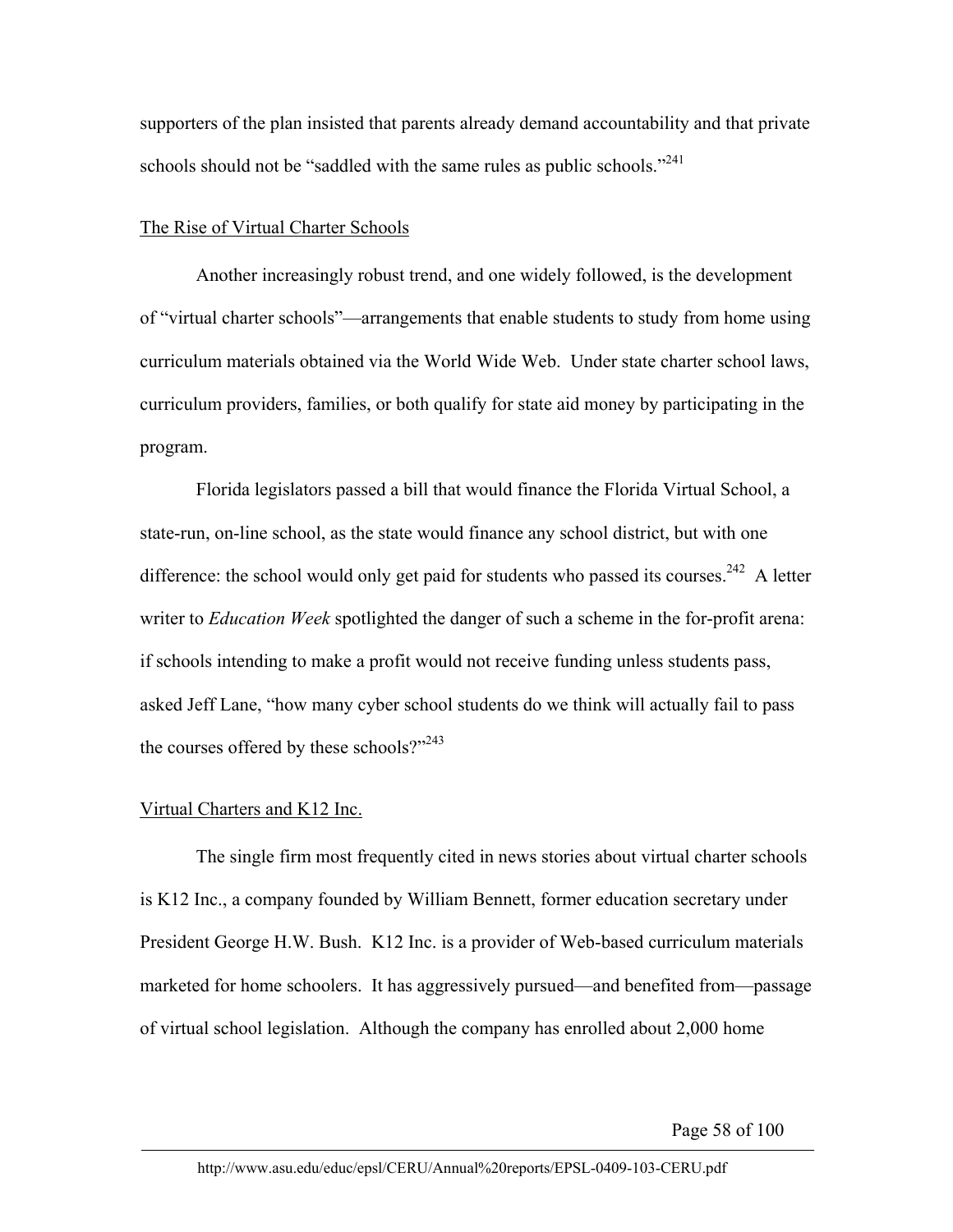supporters of the plan insisted that parents already demand accountability and that private schools should not be "saddled with the same rules as public schools."<sup>241</sup>

## The Rise of Virtual Charter Schools

Another increasingly robust trend, and one widely followed, is the development of "virtual charter schools"—arrangements that enable students to study from home using curriculum materials obtained via the World Wide Web. Under state charter school laws, curriculum providers, families, or both qualify for state aid money by participating in the program.

 Florida legislators passed a bill that would finance the Florida Virtual School, a state-run, on-line school, as the state would finance any school district, but with one difference: the school would only get paid for students who passed its courses.<sup>242</sup> A letter writer to *Education Week* spotlighted the danger of such a scheme in the for-profit arena: if schools intending to make a profit would not receive funding unless students pass, asked Jeff Lane, "how many cyber school students do we think will actually fail to pass the courses offered by these schools?" $243$ 

## Virtual Charters and K12 Inc.

 The single firm most frequently cited in news stories about virtual charter schools is K12 Inc., a company founded by William Bennett, former education secretary under President George H.W. Bush. K12 Inc. is a provider of Web-based curriculum materials marketed for home schoolers. It has aggressively pursued—and benefited from—passage of virtual school legislation. Although the company has enrolled about 2,000 home

Page 58 of 100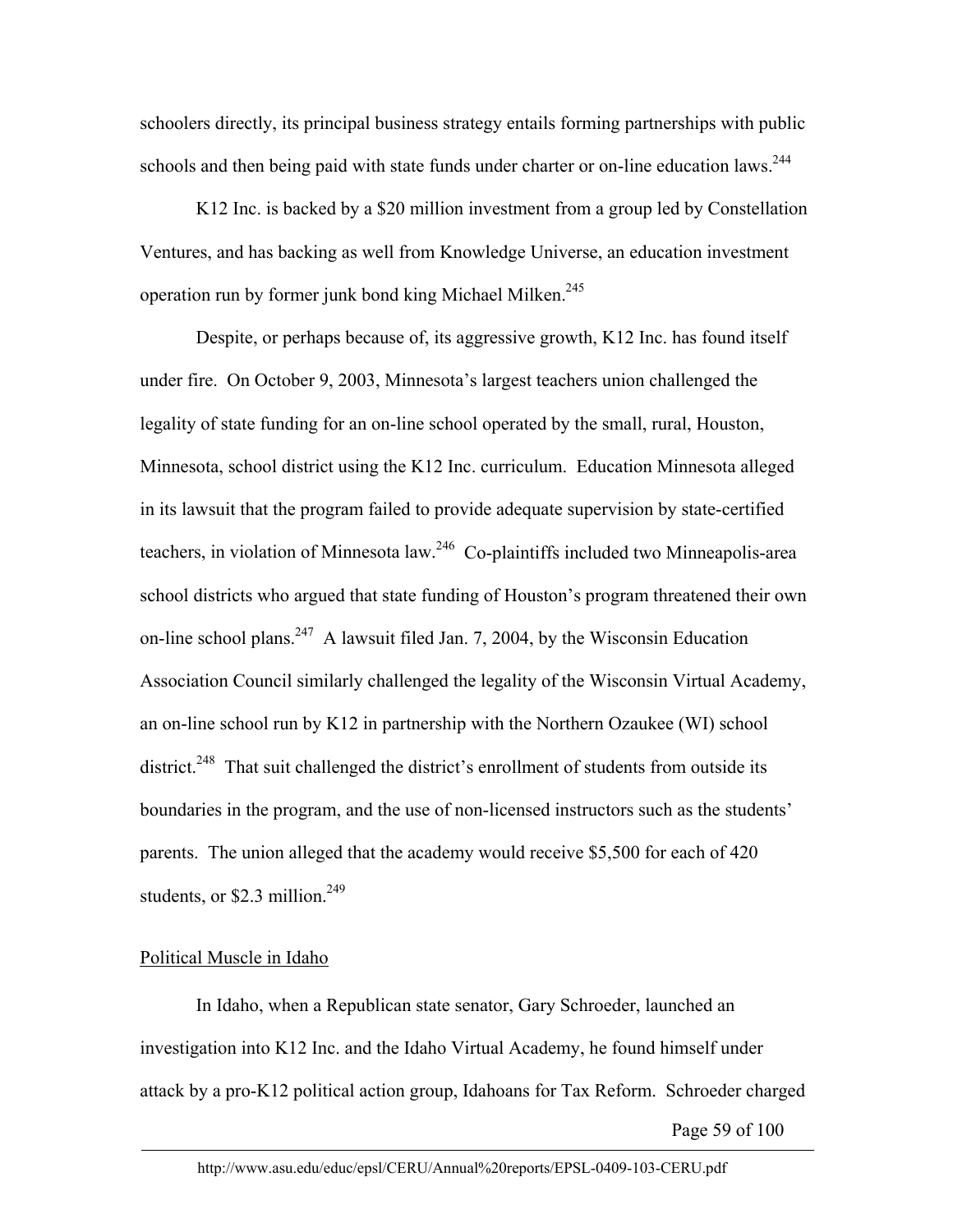schoolers directly, its principal business strategy entails forming partnerships with public schools and then being paid with state funds under charter or on-line education laws.<sup>244</sup>

K12 Inc. is backed by a \$20 million investment from a group led by Constellation Ventures, and has backing as well from Knowledge Universe, an education investment operation run by former junk bond king Michael Milken.<sup>245</sup>

Despite, or perhaps because of, its aggressive growth, K12 Inc. has found itself under fire. On October 9, 2003, Minnesota's largest teachers union challenged the legality of state funding for an on-line school operated by the small, rural, Houston, Minnesota, school district using the K12 Inc. curriculum. Education Minnesota alleged in its lawsuit that the program failed to provide adequate supervision by state-certified teachers, in violation of Minnesota law.<sup>246</sup> Co-plaintiffs included two Minneapolis-area school districts who argued that state funding of Houston's program threatened their own on-line school plans.<sup>247</sup> A lawsuit filed Jan. 7, 2004, by the Wisconsin Education Association Council similarly challenged the legality of the Wisconsin Virtual Academy, an on-line school run by K12 in partnership with the Northern Ozaukee (WI) school district.<sup>248</sup> That suit challenged the district's enrollment of students from outside its boundaries in the program, and the use of non-licensed instructors such as the students' parents. The union alleged that the academy would receive \$5,500 for each of 420 students, or \$2.3 million.<sup>249</sup>

# Political Muscle in Idaho

In Idaho, when a Republican state senator, Gary Schroeder, launched an investigation into K12 Inc. and the Idaho Virtual Academy, he found himself under attack by a pro-K12 political action group, Idahoans for Tax Reform. Schroeder charged

Page 59 of 100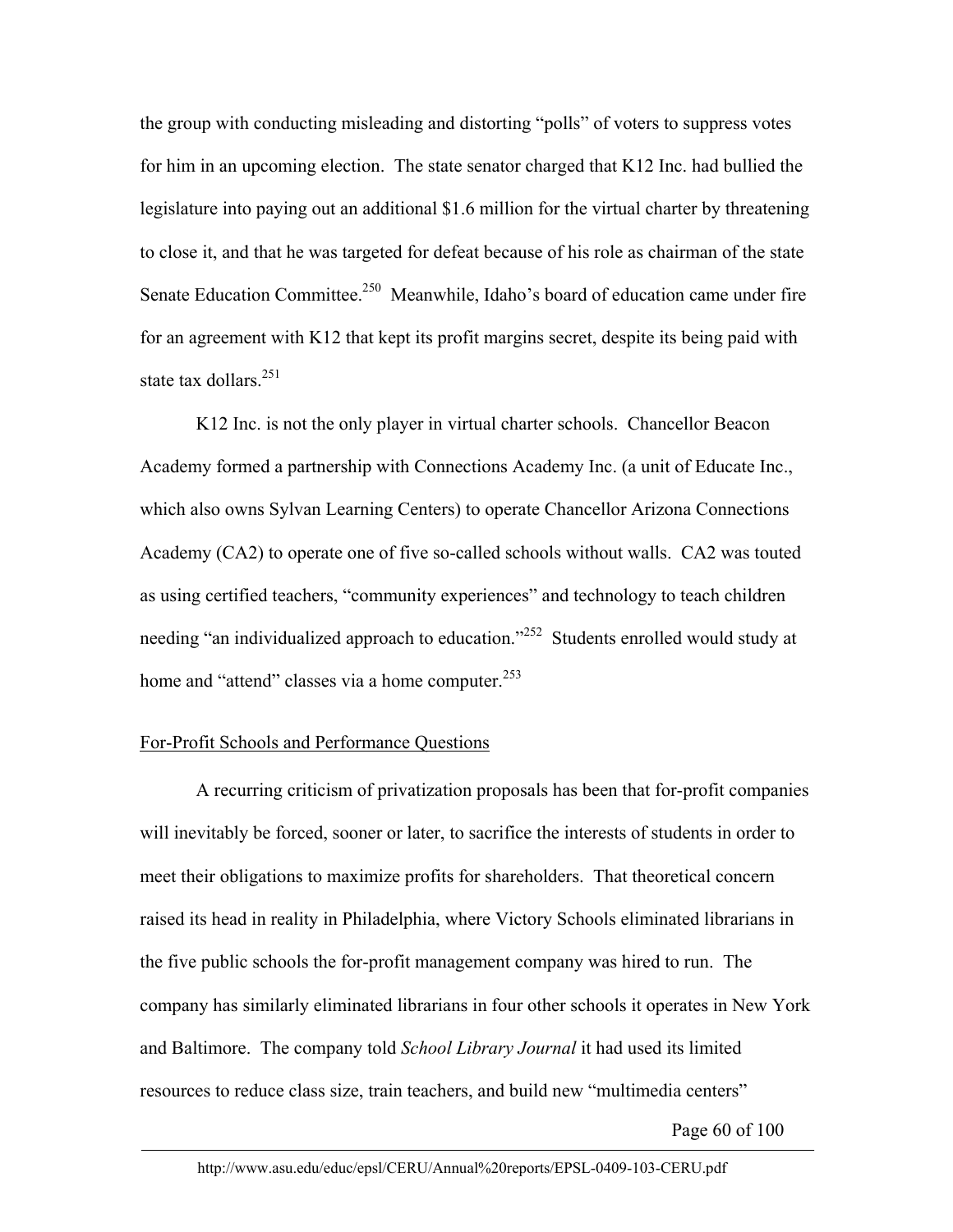the group with conducting misleading and distorting "polls" of voters to suppress votes for him in an upcoming election. The state senator charged that K12 Inc. had bullied the legislature into paying out an additional \$1.6 million for the virtual charter by threatening to close it, and that he was targeted for defeat because of his role as chairman of the state Senate Education Committee.<sup>250</sup> Meanwhile, Idaho's board of education came under fire for an agreement with K12 that kept its profit margins secret, despite its being paid with state tax dollars.<sup>251</sup>

 K12 Inc. is not the only player in virtual charter schools. Chancellor Beacon Academy formed a partnership with Connections Academy Inc. (a unit of Educate Inc., which also owns Sylvan Learning Centers) to operate Chancellor Arizona Connections Academy (CA2) to operate one of five so-called schools without walls. CA2 was touted as using certified teachers, "community experiences" and technology to teach children needing "an individualized approach to education."<sup>252</sup> Students enrolled would study at home and "attend" classes via a home computer.<sup>253</sup>

## For-Profit Schools and Performance Questions

 A recurring criticism of privatization proposals has been that for-profit companies will inevitably be forced, sooner or later, to sacrifice the interests of students in order to meet their obligations to maximize profits for shareholders. That theoretical concern raised its head in reality in Philadelphia, where Victory Schools eliminated librarians in the five public schools the for-profit management company was hired to run. The company has similarly eliminated librarians in four other schools it operates in New York and Baltimore. The company told *School Library Journal* it had used its limited resources to reduce class size, train teachers, and build new "multimedia centers"

Page 60 of 100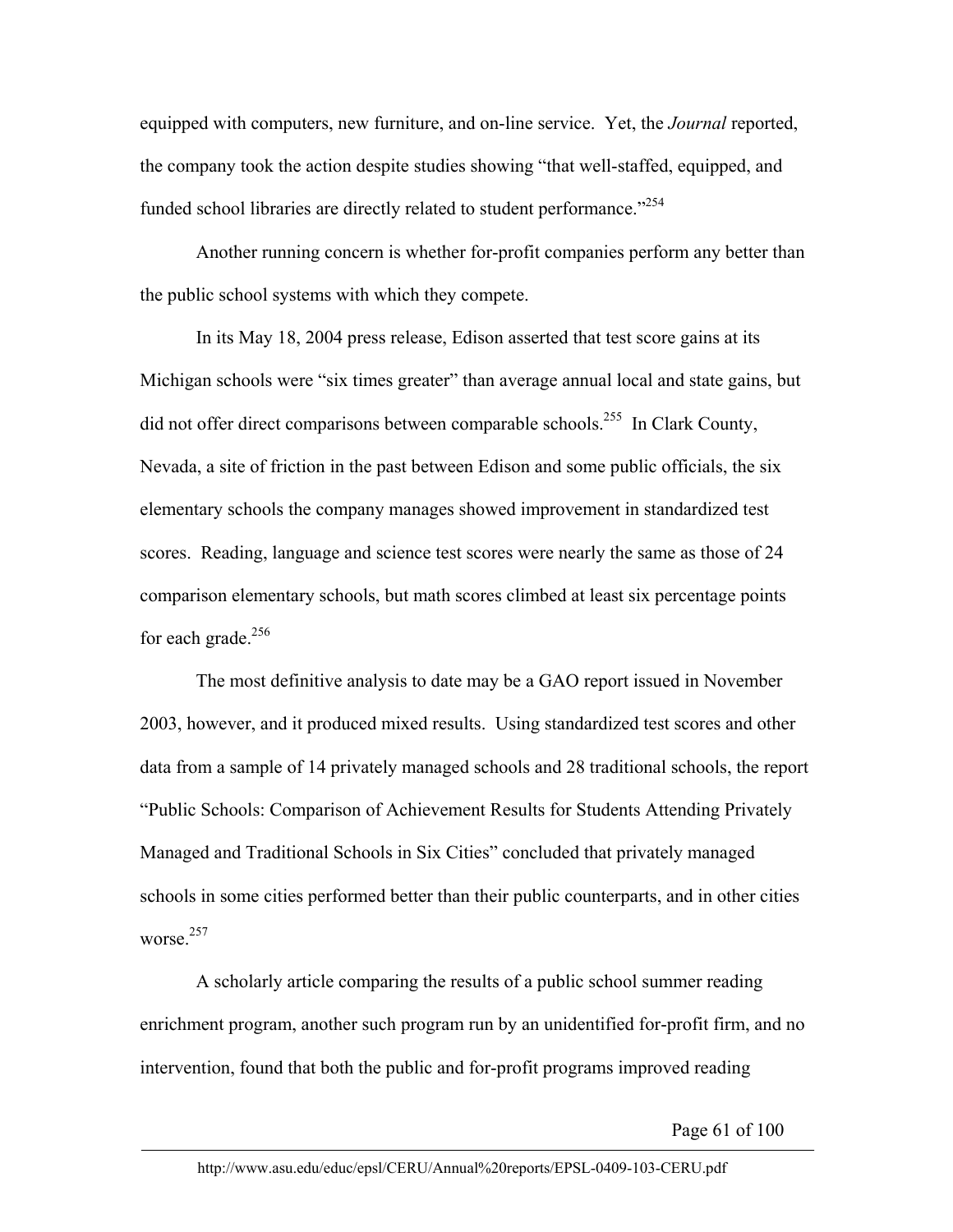equipped with computers, new furniture, and on-line service. Yet, the *Journal* reported, the company took the action despite studies showing "that well-staffed, equipped, and funded school libraries are directly related to student performance."<sup>254</sup>

Another running concern is whether for-profit companies perform any better than the public school systems with which they compete.

In its May 18, 2004 press release, Edison asserted that test score gains at its Michigan schools were "six times greater" than average annual local and state gains, but did not offer direct comparisons between comparable schools.<sup>255</sup> In Clark County, Nevada, a site of friction in the past between Edison and some public officials, the six elementary schools the company manages showed improvement in standardized test scores. Reading, language and science test scores were nearly the same as those of 24 comparison elementary schools, but math scores climbed at least six percentage points for each grade. $256$ 

The most definitive analysis to date may be a GAO report issued in November 2003, however, and it produced mixed results. Using standardized test scores and other data from a sample of 14 privately managed schools and 28 traditional schools, the report "Public Schools: Comparison of Achievement Results for Students Attending Privately Managed and Traditional Schools in Six Cities" concluded that privately managed schools in some cities performed better than their public counterparts, and in other cities worse<sup>257</sup>

A scholarly article comparing the results of a public school summer reading enrichment program, another such program run by an unidentified for-profit firm, and no intervention, found that both the public and for-profit programs improved reading

Page 61 of 100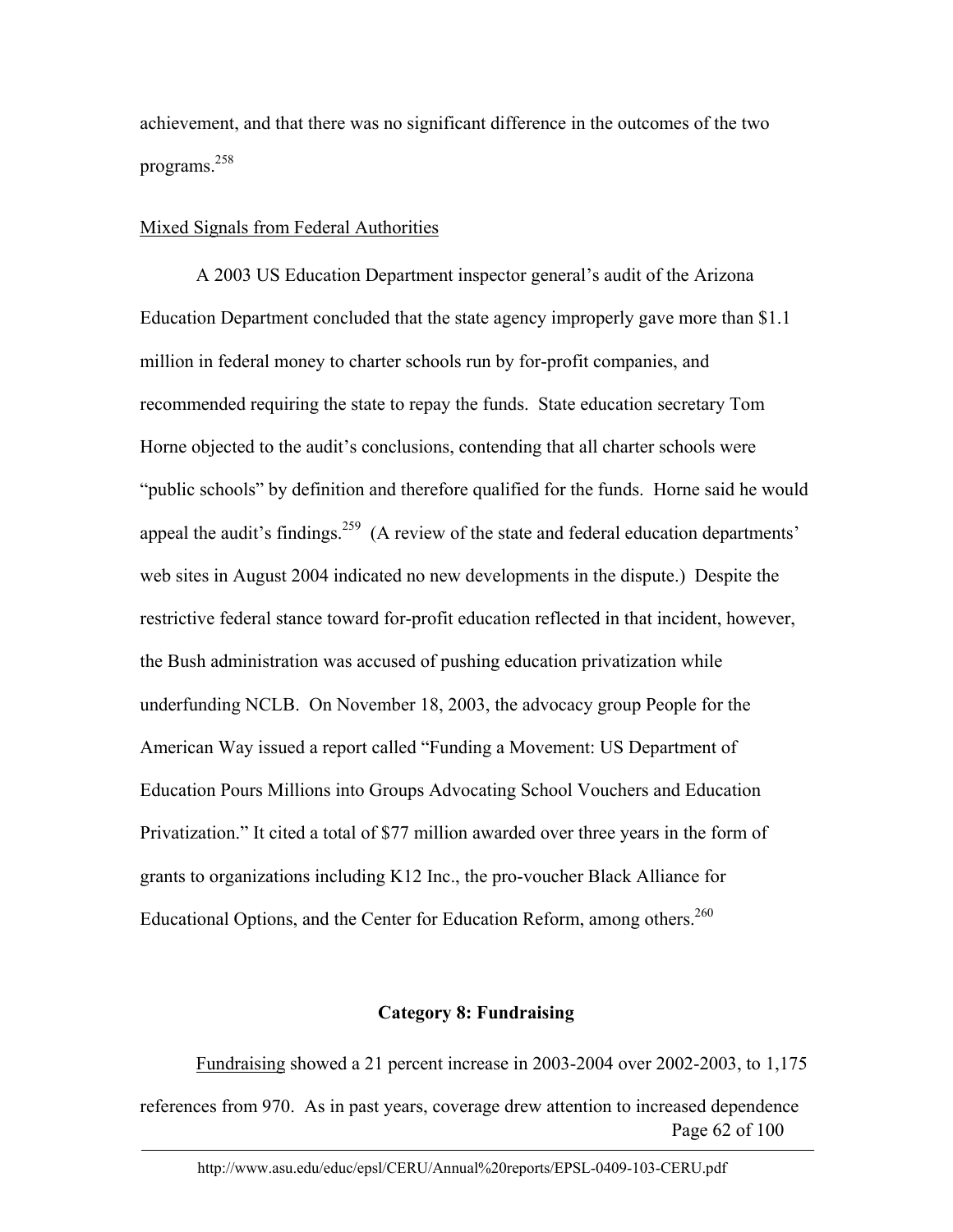achievement, and that there was no significant difference in the outcomes of the two programs.<sup>258</sup>

### Mixed Signals from Federal Authorities

 A 2003 US Education Department inspector general's audit of the Arizona Education Department concluded that the state agency improperly gave more than \$1.1 million in federal money to charter schools run by for-profit companies, and recommended requiring the state to repay the funds. State education secretary Tom Horne objected to the audit's conclusions, contending that all charter schools were "public schools" by definition and therefore qualified for the funds. Horne said he would appeal the audit's findings.<sup>259</sup> (A review of the state and federal education departments' web sites in August 2004 indicated no new developments in the dispute.) Despite the restrictive federal stance toward for-profit education reflected in that incident, however, the Bush administration was accused of pushing education privatization while underfunding NCLB. On November 18, 2003, the advocacy group People for the American Way issued a report called "Funding a Movement: US Department of Education Pours Millions into Groups Advocating School Vouchers and Education Privatization." It cited a total of \$77 million awarded over three years in the form of grants to organizations including K12 Inc., the pro-voucher Black Alliance for Educational Options, and the Center for Education Reform, among others.<sup>260</sup>

## **Category 8: Fundraising**

Page 62 of 100 Fundraising showed a 21 percent increase in 2003-2004 over 2002-2003, to 1,175 references from 970. As in past years, coverage drew attention to increased dependence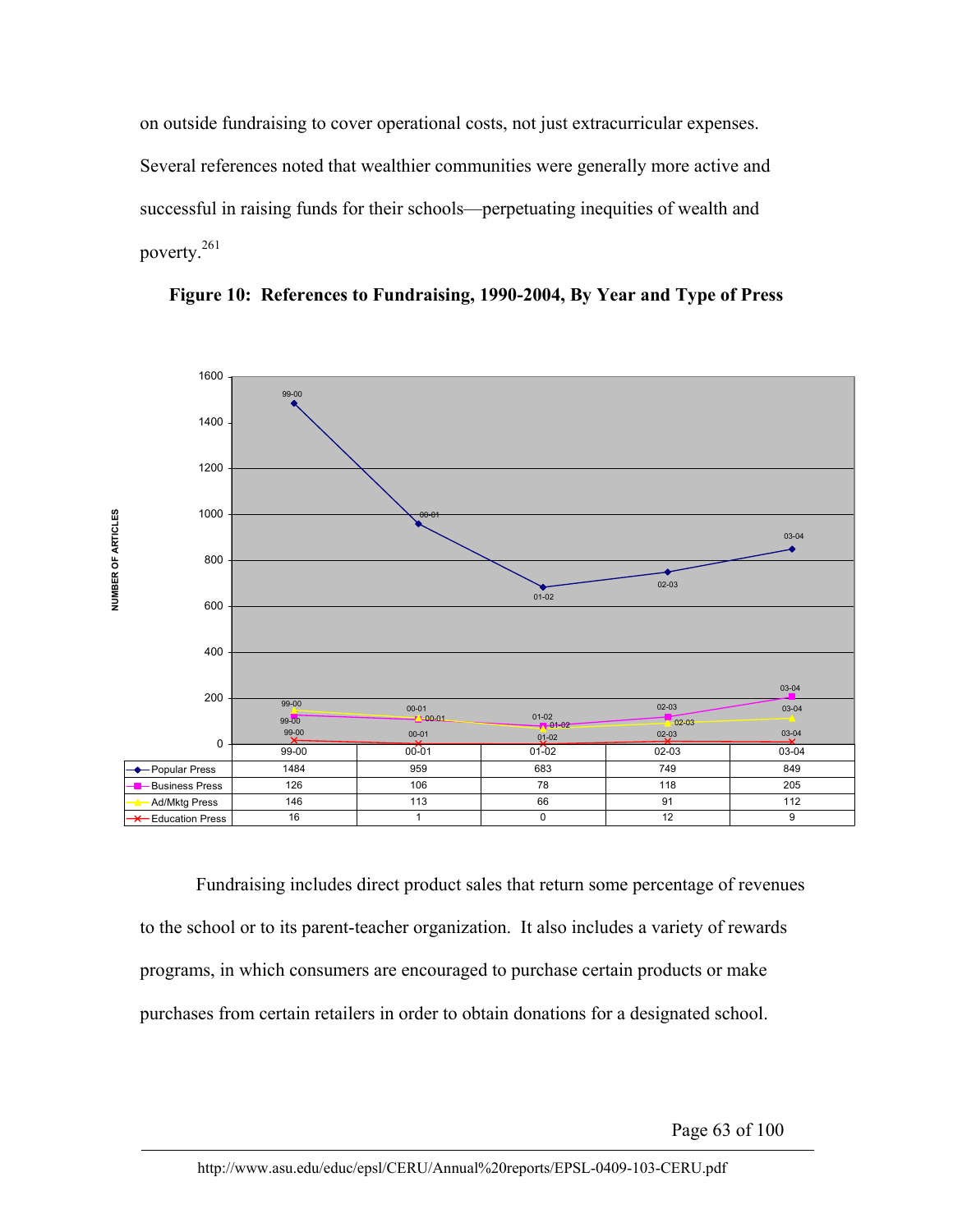on outside fundraising to cover operational costs, not just extracurricular expenses. Several references noted that wealthier communities were generally more active and successful in raising funds for their schools—perpetuating inequities of wealth and poverty.261





Fundraising includes direct product sales that return some percentage of revenues to the school or to its parent-teacher organization. It also includes a variety of rewards programs, in which consumers are encouraged to purchase certain products or make purchases from certain retailers in order to obtain donations for a designated school.

Page 63 of 100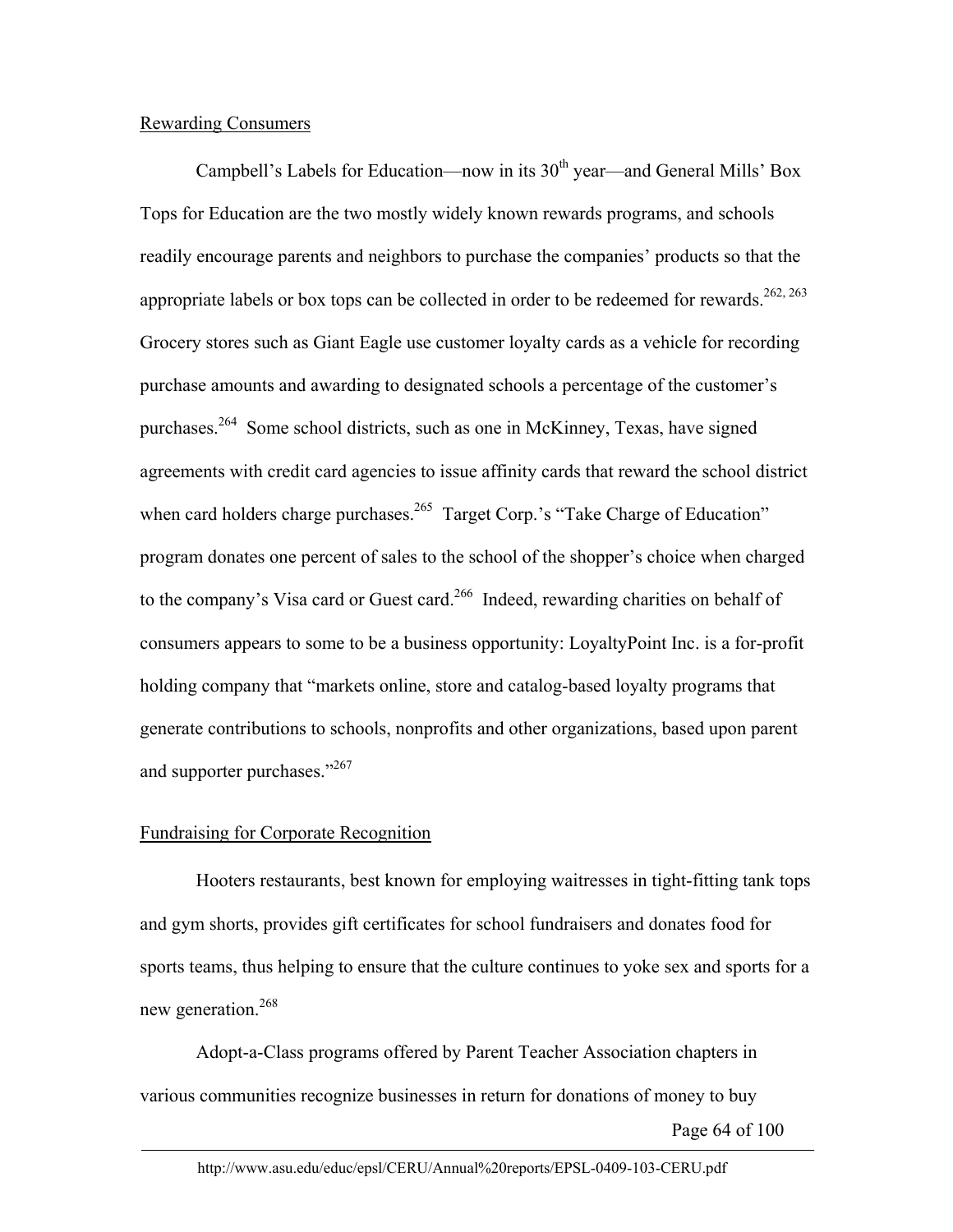# Rewarding Consumers

Campbell's Labels for Education—now in its  $30<sup>th</sup>$  year—and General Mills' Box Tops for Education are the two mostly widely known rewards programs, and schools readily encourage parents and neighbors to purchase the companies' products so that the appropriate labels or box tops can be collected in order to be redeemed for rewards.<sup>262, 263</sup> Grocery stores such as Giant Eagle use customer loyalty cards as a vehicle for recording purchase amounts and awarding to designated schools a percentage of the customer's purchases.<sup>264</sup> Some school districts, such as one in McKinney, Texas, have signed agreements with credit card agencies to issue affinity cards that reward the school district when card holders charge purchases.<sup>265</sup> Target Corp.'s "Take Charge of Education" program donates one percent of sales to the school of the shopper's choice when charged to the company's Visa card or Guest card.<sup>266</sup> Indeed, rewarding charities on behalf of consumers appears to some to be a business opportunity: LoyaltyPoint Inc. is a for-profit holding company that "markets online, store and catalog-based loyalty programs that generate contributions to schools, nonprofits and other organizations, based upon parent and supporter purchases."<sup>267</sup>

# Fundraising for Corporate Recognition

Hooters restaurants, best known for employing waitresses in tight-fitting tank tops and gym shorts, provides gift certificates for school fundraisers and donates food for sports teams, thus helping to ensure that the culture continues to yoke sex and sports for a new generation.<sup>268</sup>

Adopt-a-Class programs offered by Parent Teacher Association chapters in various communities recognize businesses in return for donations of money to buy

Page 64 of 100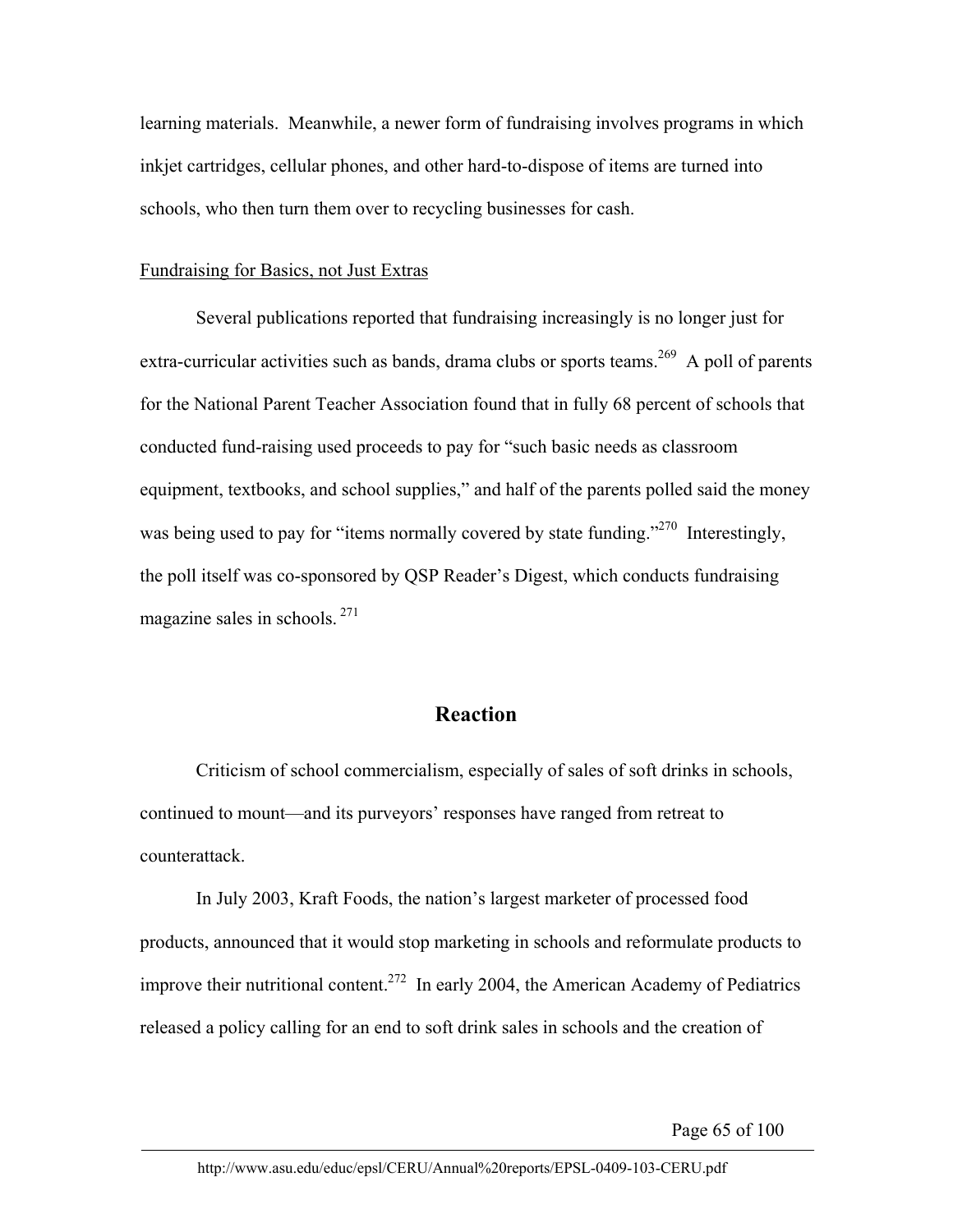learning materials. Meanwhile, a newer form of fundraising involves programs in which inkjet cartridges, cellular phones, and other hard-to-dispose of items are turned into schools, who then turn them over to recycling businesses for cash.

## Fundraising for Basics, not Just Extras

Several publications reported that fundraising increasingly is no longer just for extra-curricular activities such as bands, drama clubs or sports teams.<sup>269</sup> A poll of parents for the National Parent Teacher Association found that in fully 68 percent of schools that conducted fund-raising used proceeds to pay for "such basic needs as classroom equipment, textbooks, and school supplies," and half of the parents polled said the money was being used to pay for "items normally covered by state funding."<sup>270</sup> Interestingly, the poll itself was co-sponsored by QSP Reader's Digest, which conducts fundraising magazine sales in schools. 271

# **Reaction**

Criticism of school commercialism, especially of sales of soft drinks in schools, continued to mount—and its purveyors' responses have ranged from retreat to counterattack.

In July 2003, Kraft Foods, the nation's largest marketer of processed food products, announced that it would stop marketing in schools and reformulate products to improve their nutritional content.<sup>272</sup> In early 2004, the American Academy of Pediatrics released a policy calling for an end to soft drink sales in schools and the creation of

Page 65 of 100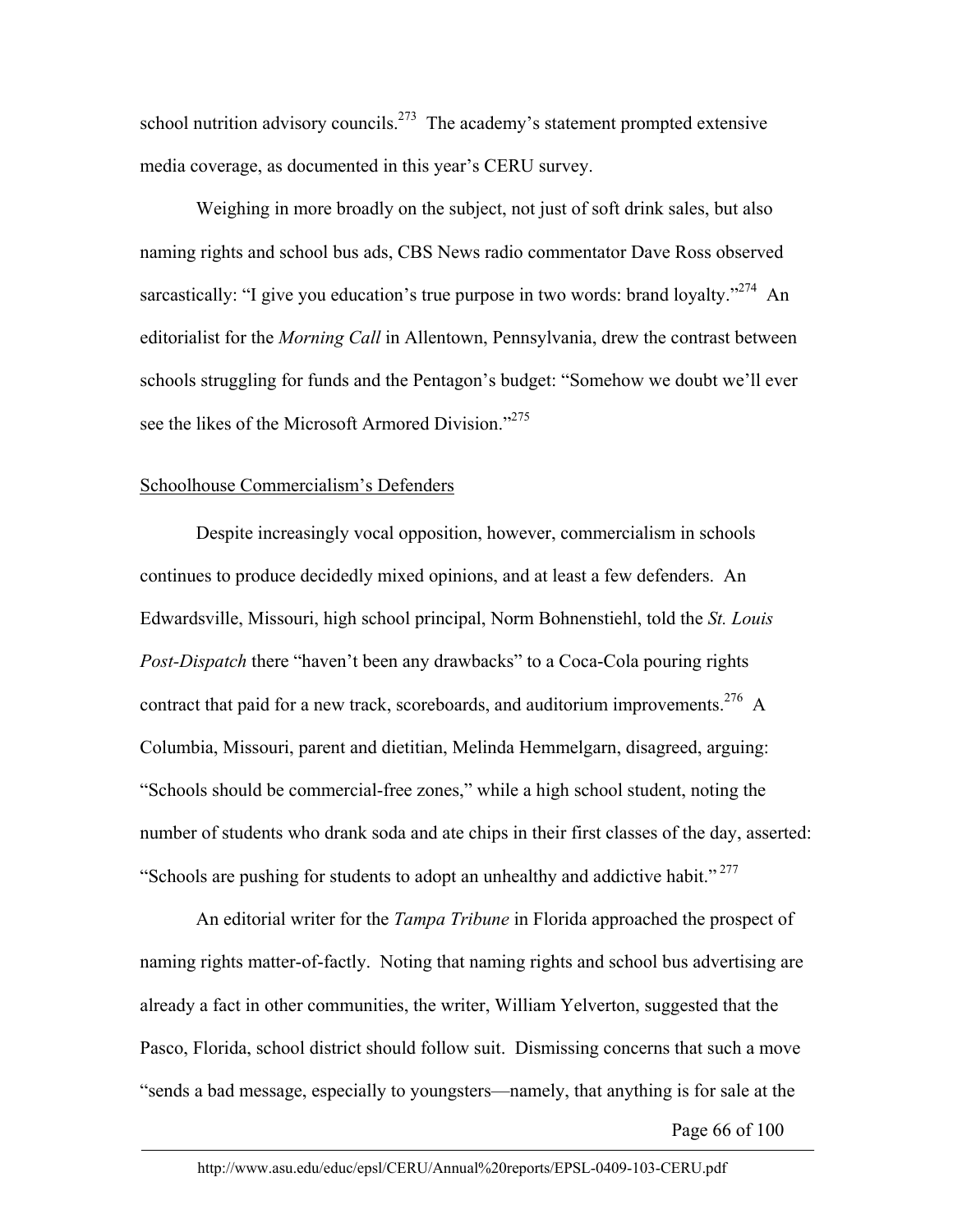school nutrition advisory councils.<sup>273</sup> The academy's statement prompted extensive media coverage, as documented in this year's CERU survey.

Weighing in more broadly on the subject, not just of soft drink sales, but also naming rights and school bus ads, CBS News radio commentator Dave Ross observed sarcastically: "I give you education's true purpose in two words: brand loyalty."<sup>274</sup> An editorialist for the *Morning Call* in Allentown, Pennsylvania, drew the contrast between schools struggling for funds and the Pentagon's budget: "Somehow we doubt we'll ever see the likes of the Microsoft Armored Division."<sup>275</sup>

# Schoolhouse Commercialism's Defenders

Despite increasingly vocal opposition, however, commercialism in schools continues to produce decidedly mixed opinions, and at least a few defenders. An Edwardsville, Missouri, high school principal, Norm Bohnenstiehl, told the *St. Louis Post-Dispatch* there "haven't been any drawbacks" to a Coca-Cola pouring rights contract that paid for a new track, scoreboards, and auditorium improvements.<sup>276</sup> A Columbia, Missouri, parent and dietitian, Melinda Hemmelgarn, disagreed, arguing: "Schools should be commercial-free zones," while a high school student, noting the number of students who drank soda and ate chips in their first classes of the day, asserted: "Schools are pushing for students to adopt an unhealthy and addictive habit."<sup>277</sup>

An editorial writer for the *Tampa Tribune* in Florida approached the prospect of naming rights matter-of-factly. Noting that naming rights and school bus advertising are already a fact in other communities, the writer, William Yelverton, suggested that the Pasco, Florida, school district should follow suit. Dismissing concerns that such a move "sends a bad message, especially to youngsters—namely, that anything is for sale at the

Page 66 of 100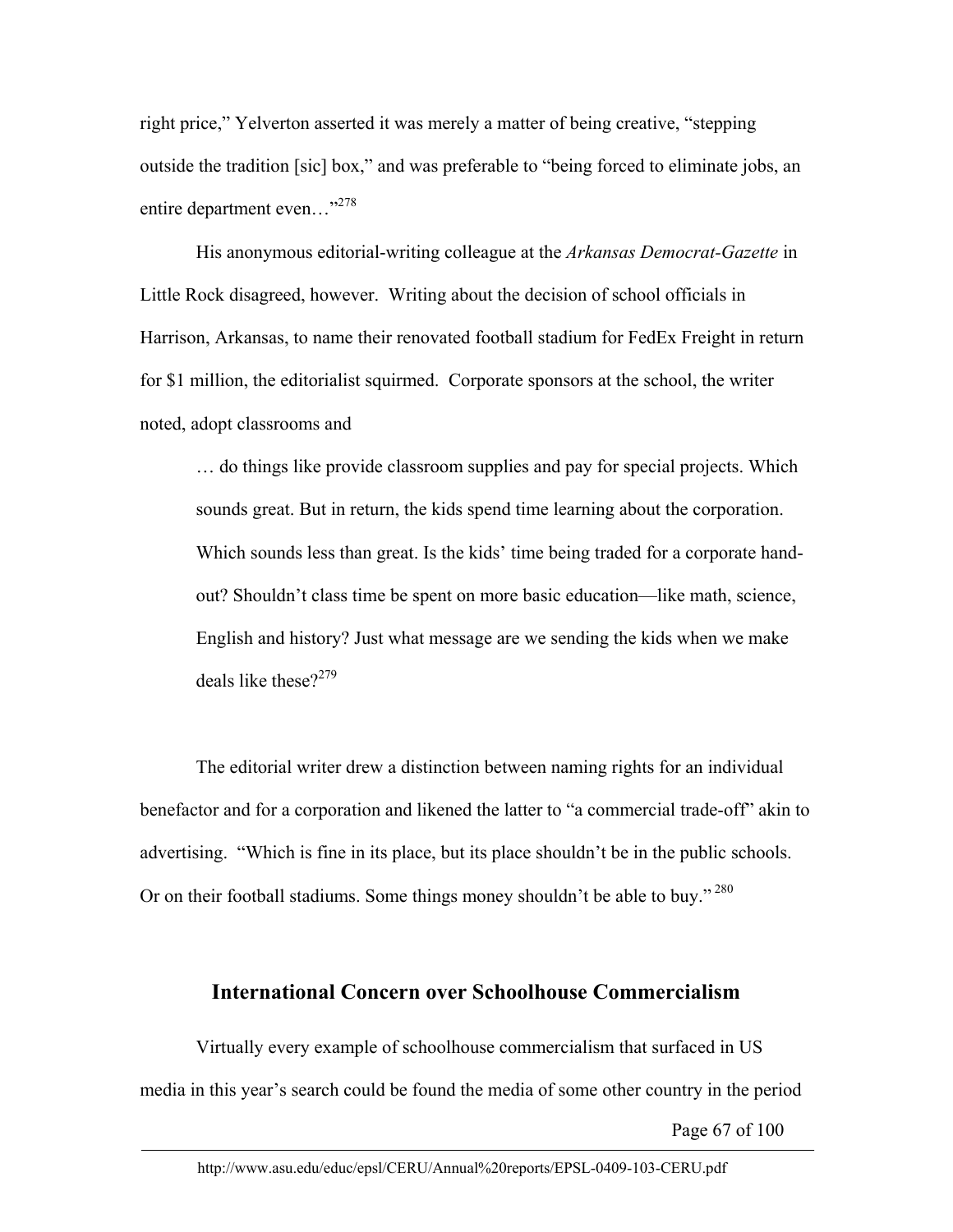right price," Yelverton asserted it was merely a matter of being creative, "stepping outside the tradition [sic] box," and was preferable to "being forced to eliminate jobs, an entire department even..."<sup>278</sup>

His anonymous editorial-writing colleague at the *Arkansas Democrat-Gazette* in Little Rock disagreed, however. Writing about the decision of school officials in Harrison, Arkansas, to name their renovated football stadium for FedEx Freight in return for \$1 million, the editorialist squirmed. Corporate sponsors at the school, the writer noted, adopt classrooms and

… do things like provide classroom supplies and pay for special projects. Which sounds great. But in return, the kids spend time learning about the corporation. Which sounds less than great. Is the kids' time being traded for a corporate handout? Shouldn't class time be spent on more basic education—like math, science, English and history? Just what message are we sending the kids when we make deals like these $2^{279}$ 

The editorial writer drew a distinction between naming rights for an individual benefactor and for a corporation and likened the latter to "a commercial trade-off" akin to advertising. "Which is fine in its place, but its place shouldn't be in the public schools. Or on their football stadiums. Some things money shouldn't be able to buy."<sup>280</sup>

#### **International Concern over Schoolhouse Commercialism**

Virtually every example of schoolhouse commercialism that surfaced in US media in this year's search could be found the media of some other country in the period

Page 67 of 100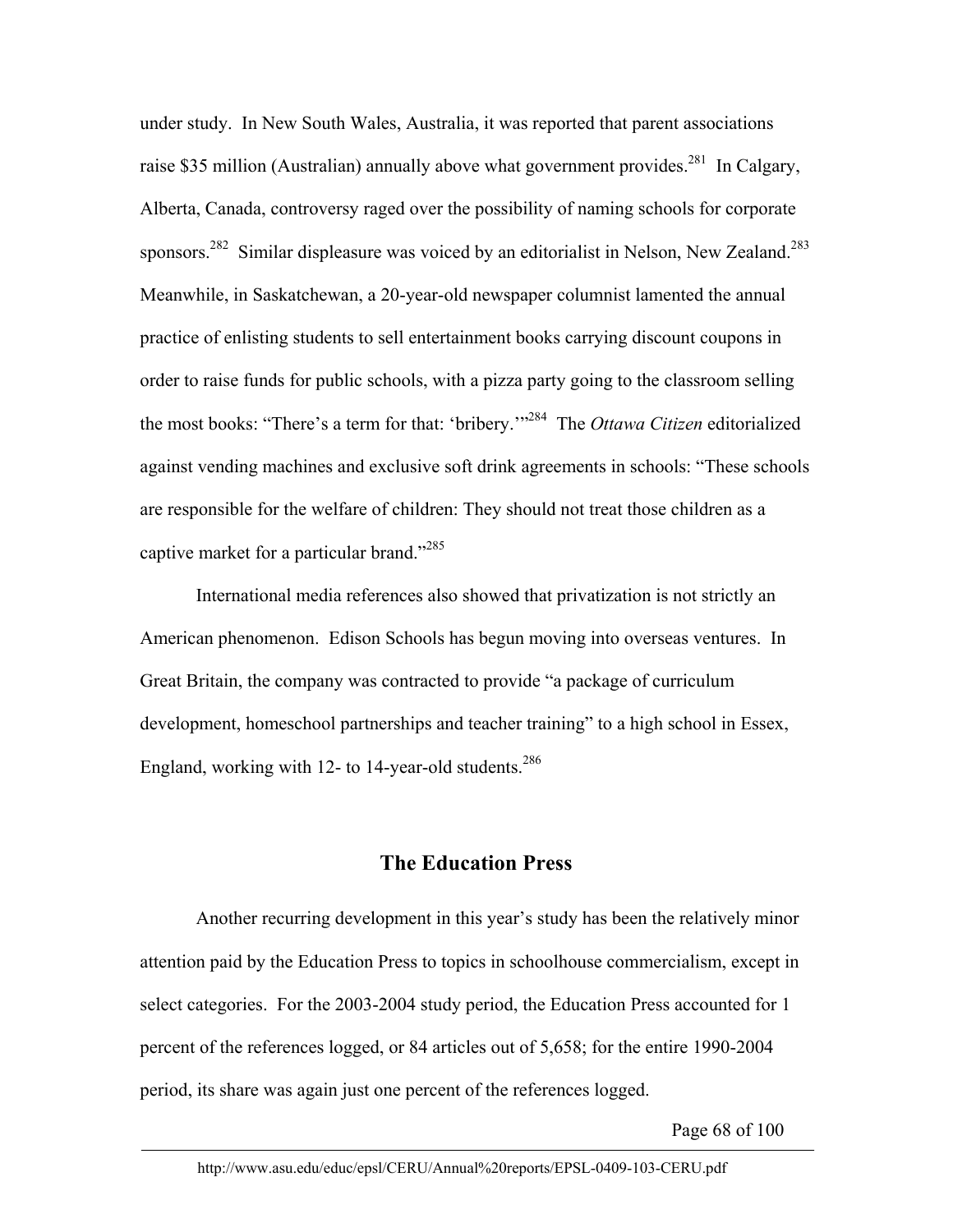under study. In New South Wales, Australia, it was reported that parent associations raise \$35 million (Australian) annually above what government provides.<sup>281</sup> In Calgary, Alberta, Canada, controversy raged over the possibility of naming schools for corporate sponsors.<sup>282</sup> Similar displeasure was voiced by an editorialist in Nelson, New Zealand.<sup>283</sup> Meanwhile, in Saskatchewan, a 20-year-old newspaper columnist lamented the annual practice of enlisting students to sell entertainment books carrying discount coupons in order to raise funds for public schools, with a pizza party going to the classroom selling the most books: "There's a term for that: 'bribery.'"284 The *Ottawa Citizen* editorialized against vending machines and exclusive soft drink agreements in schools: "These schools are responsible for the welfare of children: They should not treat those children as a captive market for a particular brand."285

International media references also showed that privatization is not strictly an American phenomenon. Edison Schools has begun moving into overseas ventures. In Great Britain, the company was contracted to provide "a package of curriculum development, homeschool partnerships and teacher training" to a high school in Essex, England, working with 12- to 14-year-old students.<sup>286</sup>

#### **The Education Press**

Another recurring development in this year's study has been the relatively minor attention paid by the Education Press to topics in schoolhouse commercialism, except in select categories. For the 2003-2004 study period, the Education Press accounted for 1 percent of the references logged, or 84 articles out of 5,658; for the entire 1990-2004 period, its share was again just one percent of the references logged.

Page 68 of 100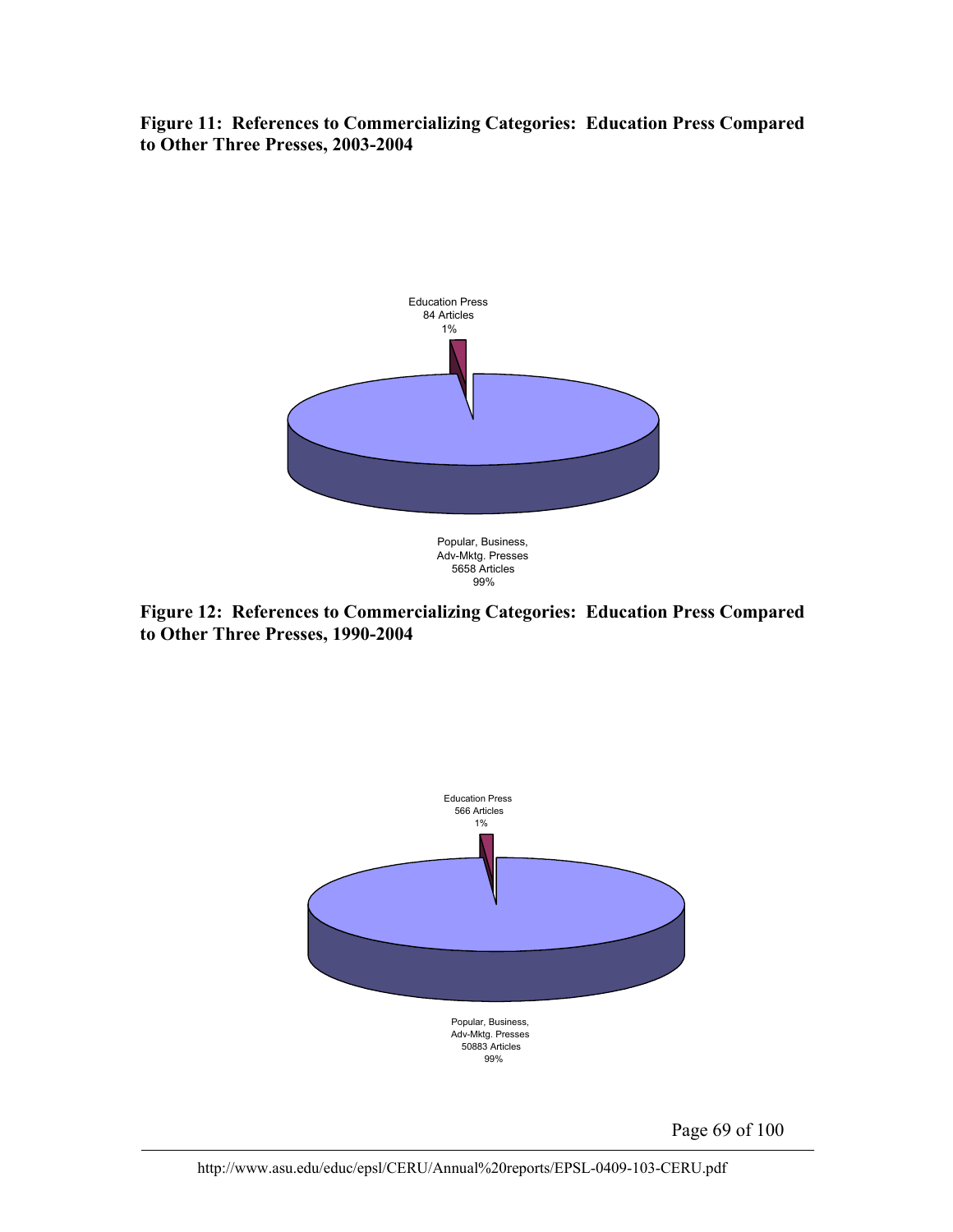**Figure 11: References to Commercializing Categories: Education Press Compared to Other Three Presses, 2003-2004** 



**Figure 12: References to Commercializing Categories: Education Press Compared to Other Three Presses, 1990-2004** 



Page 69 of 100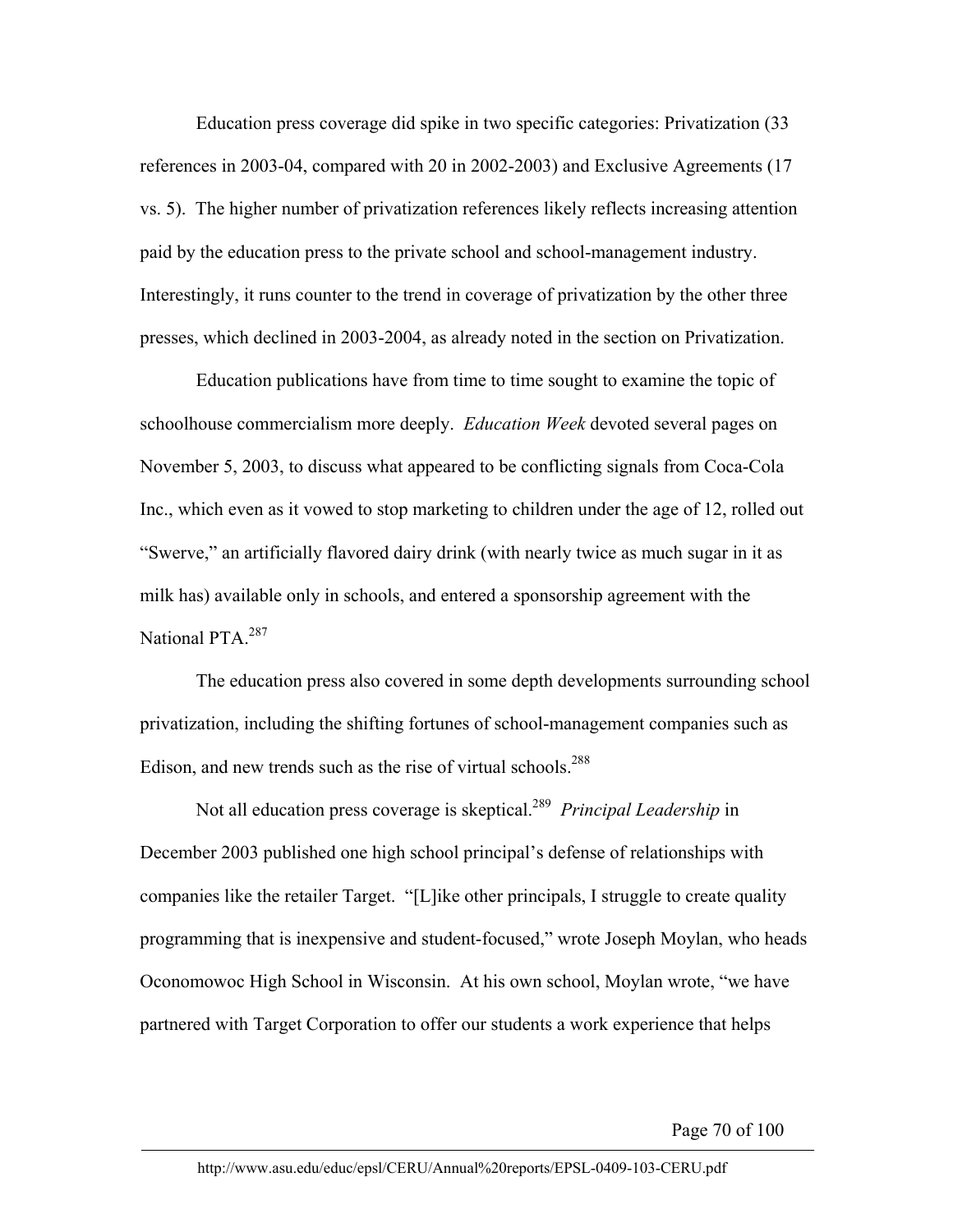Education press coverage did spike in two specific categories: Privatization (33 references in 2003-04, compared with 20 in 2002-2003) and Exclusive Agreements (17 vs. 5). The higher number of privatization references likely reflects increasing attention paid by the education press to the private school and school-management industry. Interestingly, it runs counter to the trend in coverage of privatization by the other three presses, which declined in 2003-2004, as already noted in the section on Privatization.

Education publications have from time to time sought to examine the topic of schoolhouse commercialism more deeply. *Education Week* devoted several pages on November 5, 2003, to discuss what appeared to be conflicting signals from Coca-Cola Inc., which even as it vowed to stop marketing to children under the age of 12, rolled out "Swerve," an artificially flavored dairy drink (with nearly twice as much sugar in it as milk has) available only in schools, and entered a sponsorship agreement with the National PTA.<sup>287</sup>

The education press also covered in some depth developments surrounding school privatization, including the shifting fortunes of school-management companies such as Edison, and new trends such as the rise of virtual schools.<sup>288</sup>

Not all education press coverage is skeptical.289 *Principal Leadership* in December 2003 published one high school principal's defense of relationships with companies like the retailer Target. "[L]ike other principals, I struggle to create quality programming that is inexpensive and student-focused," wrote Joseph Moylan, who heads Oconomowoc High School in Wisconsin. At his own school, Moylan wrote, "we have partnered with Target Corporation to offer our students a work experience that helps

Page 70 of 100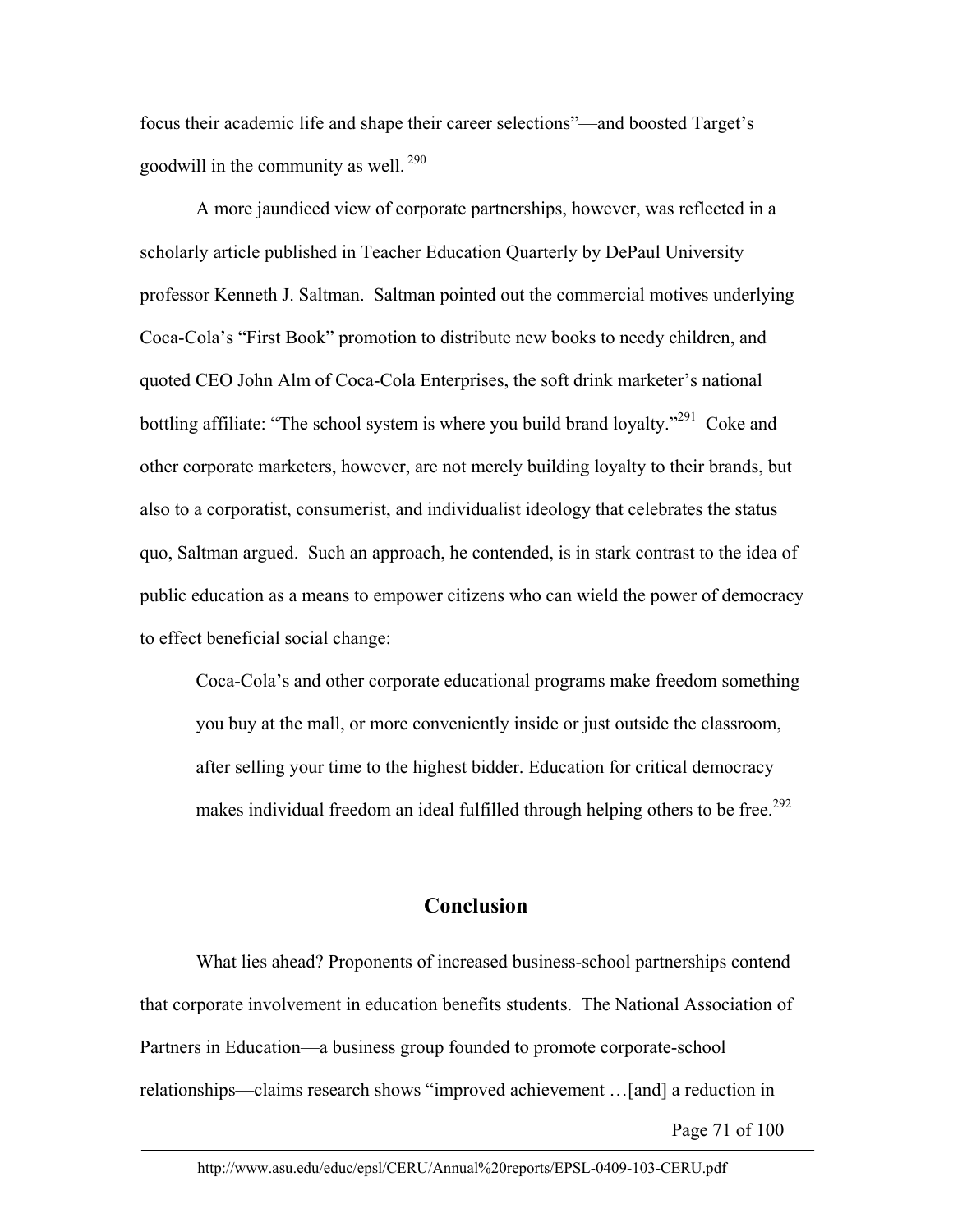focus their academic life and shape their career selections"—and boosted Target's goodwill in the community as well. 290

A more jaundiced view of corporate partnerships, however, was reflected in a scholarly article published in Teacher Education Quarterly by DePaul University professor Kenneth J. Saltman. Saltman pointed out the commercial motives underlying Coca-Cola's "First Book" promotion to distribute new books to needy children, and quoted CEO John Alm of Coca-Cola Enterprises, the soft drink marketer's national bottling affiliate: "The school system is where you build brand loyalty."<sup>291</sup> Coke and other corporate marketers, however, are not merely building loyalty to their brands, but also to a corporatist, consumerist, and individualist ideology that celebrates the status quo, Saltman argued. Such an approach, he contended, is in stark contrast to the idea of public education as a means to empower citizens who can wield the power of democracy to effect beneficial social change:

Coca-Cola's and other corporate educational programs make freedom something you buy at the mall, or more conveniently inside or just outside the classroom, after selling your time to the highest bidder. Education for critical democracy makes individual freedom an ideal fulfilled through helping others to be free.<sup>292</sup>

#### **Conclusion**

What lies ahead? Proponents of increased business-school partnerships contend that corporate involvement in education benefits students. The National Association of Partners in Education—a business group founded to promote corporate-school relationships—claims research shows "improved achievement …[and] a reduction in

Page 71 of 100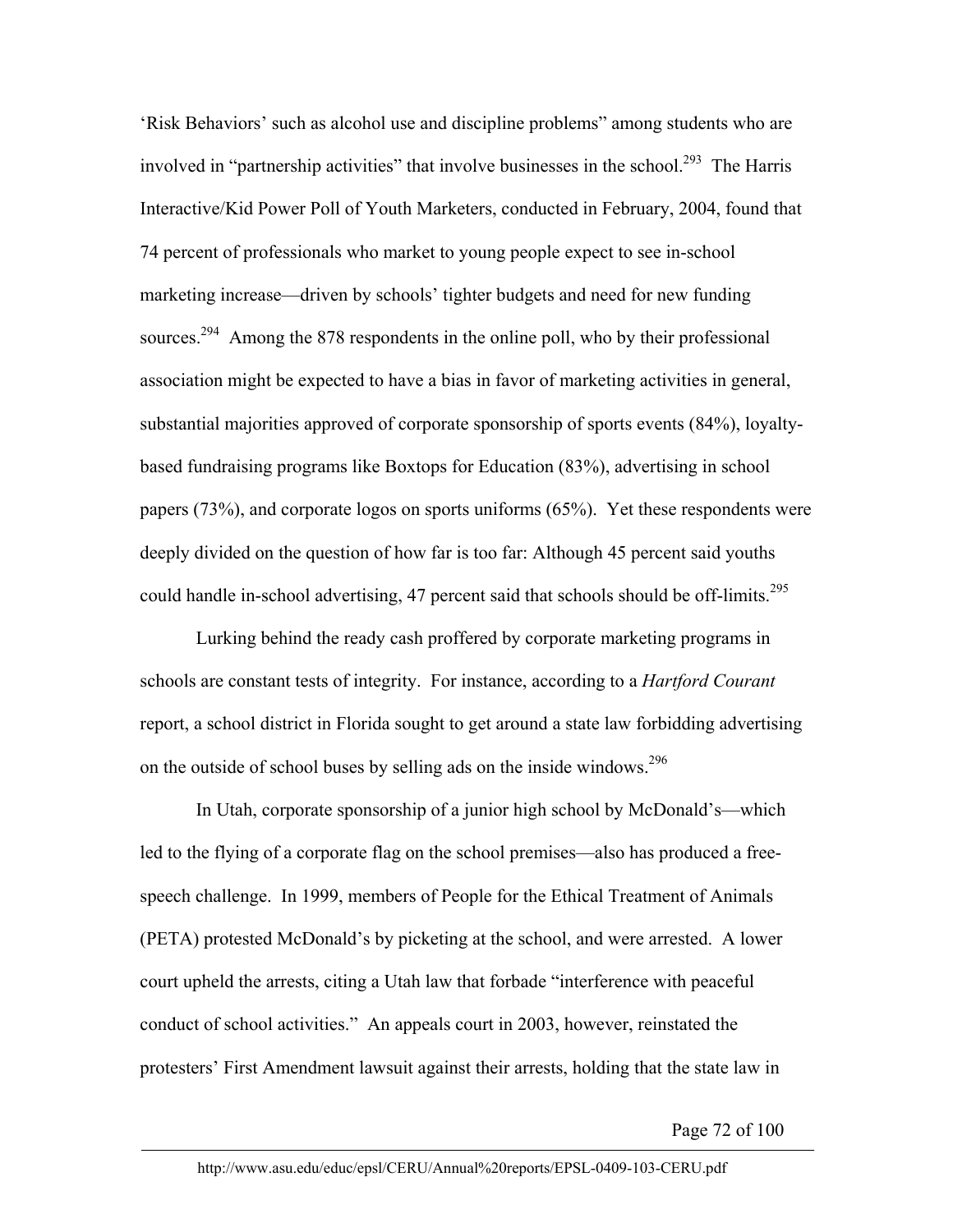'Risk Behaviors' such as alcohol use and discipline problems" among students who are involved in "partnership activities" that involve businesses in the school.<sup>293</sup> The Harris Interactive/Kid Power Poll of Youth Marketers, conducted in February, 2004, found that 74 percent of professionals who market to young people expect to see in-school marketing increase—driven by schools' tighter budgets and need for new funding sources.<sup>294</sup> Among the 878 respondents in the online poll, who by their professional association might be expected to have a bias in favor of marketing activities in general, substantial majorities approved of corporate sponsorship of sports events (84%), loyaltybased fundraising programs like Boxtops for Education (83%), advertising in school papers (73%), and corporate logos on sports uniforms (65%). Yet these respondents were deeply divided on the question of how far is too far: Although 45 percent said youths could handle in-school advertising, 47 percent said that schools should be off-limits.<sup>295</sup>

Lurking behind the ready cash proffered by corporate marketing programs in schools are constant tests of integrity. For instance, according to a *Hartford Courant*  report, a school district in Florida sought to get around a state law forbidding advertising on the outside of school buses by selling ads on the inside windows.<sup>296</sup>

In Utah, corporate sponsorship of a junior high school by McDonald's—which led to the flying of a corporate flag on the school premises—also has produced a freespeech challenge. In 1999, members of People for the Ethical Treatment of Animals (PETA) protested McDonald's by picketing at the school, and were arrested. A lower court upheld the arrests, citing a Utah law that forbade "interference with peaceful conduct of school activities." An appeals court in 2003, however, reinstated the protesters' First Amendment lawsuit against their arrests, holding that the state law in

Page 72 of 100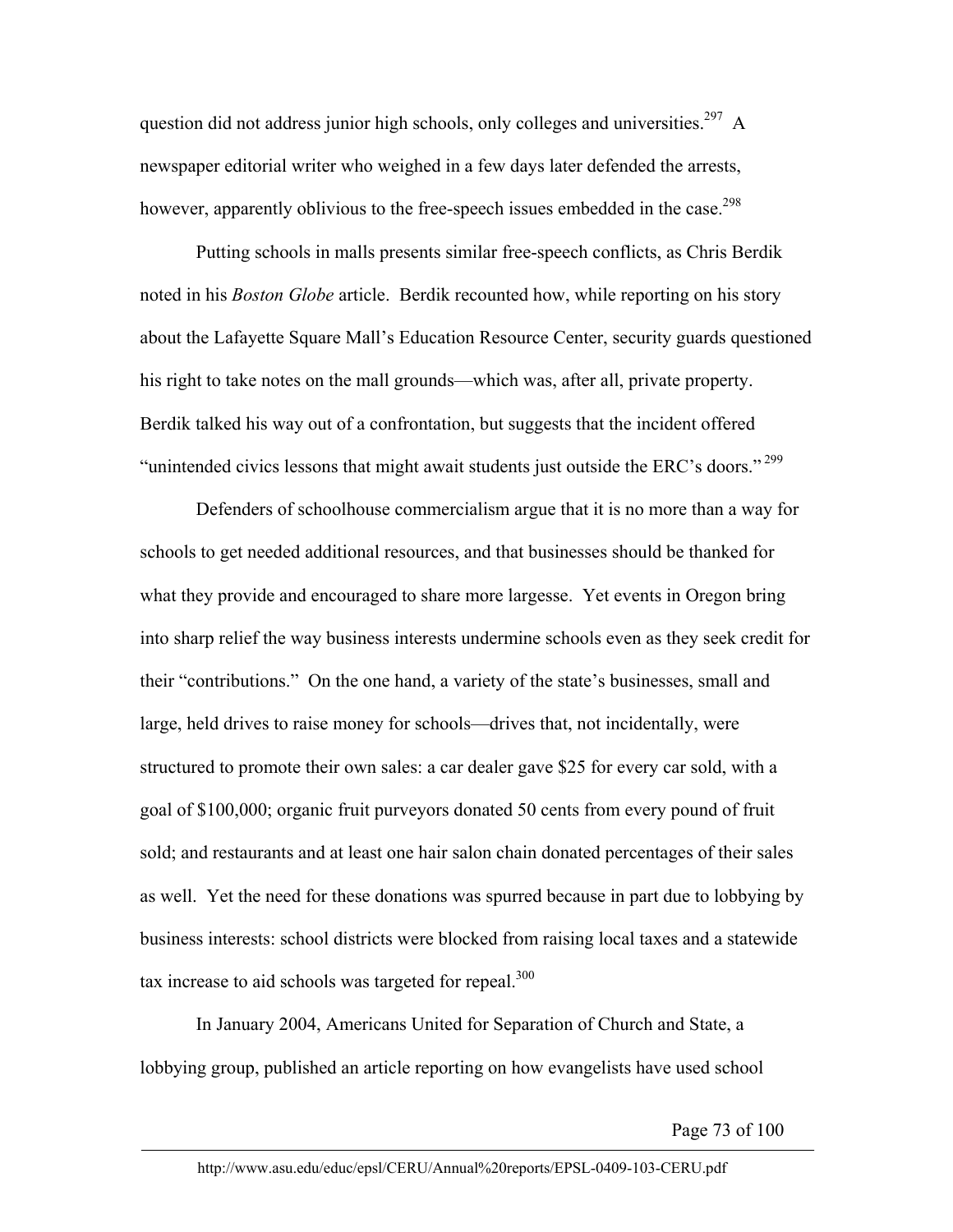question did not address junior high schools, only colleges and universities.<sup>297</sup> A newspaper editorial writer who weighed in a few days later defended the arrests, however, apparently oblivious to the free-speech issues embedded in the case.<sup>298</sup>

Putting schools in malls presents similar free-speech conflicts, as Chris Berdik noted in his *Boston Globe* article. Berdik recounted how, while reporting on his story about the Lafayette Square Mall's Education Resource Center, security guards questioned his right to take notes on the mall grounds—which was, after all, private property. Berdik talked his way out of a confrontation, but suggests that the incident offered "unintended civics lessons that might await students just outside the ERC's doors."<sup>299</sup>

Defenders of schoolhouse commercialism argue that it is no more than a way for schools to get needed additional resources, and that businesses should be thanked for what they provide and encouraged to share more largesse. Yet events in Oregon bring into sharp relief the way business interests undermine schools even as they seek credit for their "contributions." On the one hand, a variety of the state's businesses, small and large, held drives to raise money for schools—drives that, not incidentally, were structured to promote their own sales: a car dealer gave \$25 for every car sold, with a goal of \$100,000; organic fruit purveyors donated 50 cents from every pound of fruit sold; and restaurants and at least one hair salon chain donated percentages of their sales as well. Yet the need for these donations was spurred because in part due to lobbying by business interests: school districts were blocked from raising local taxes and a statewide tax increase to aid schools was targeted for repeal.<sup>300</sup>

In January 2004, Americans United for Separation of Church and State, a lobbying group, published an article reporting on how evangelists have used school

Page 73 of 100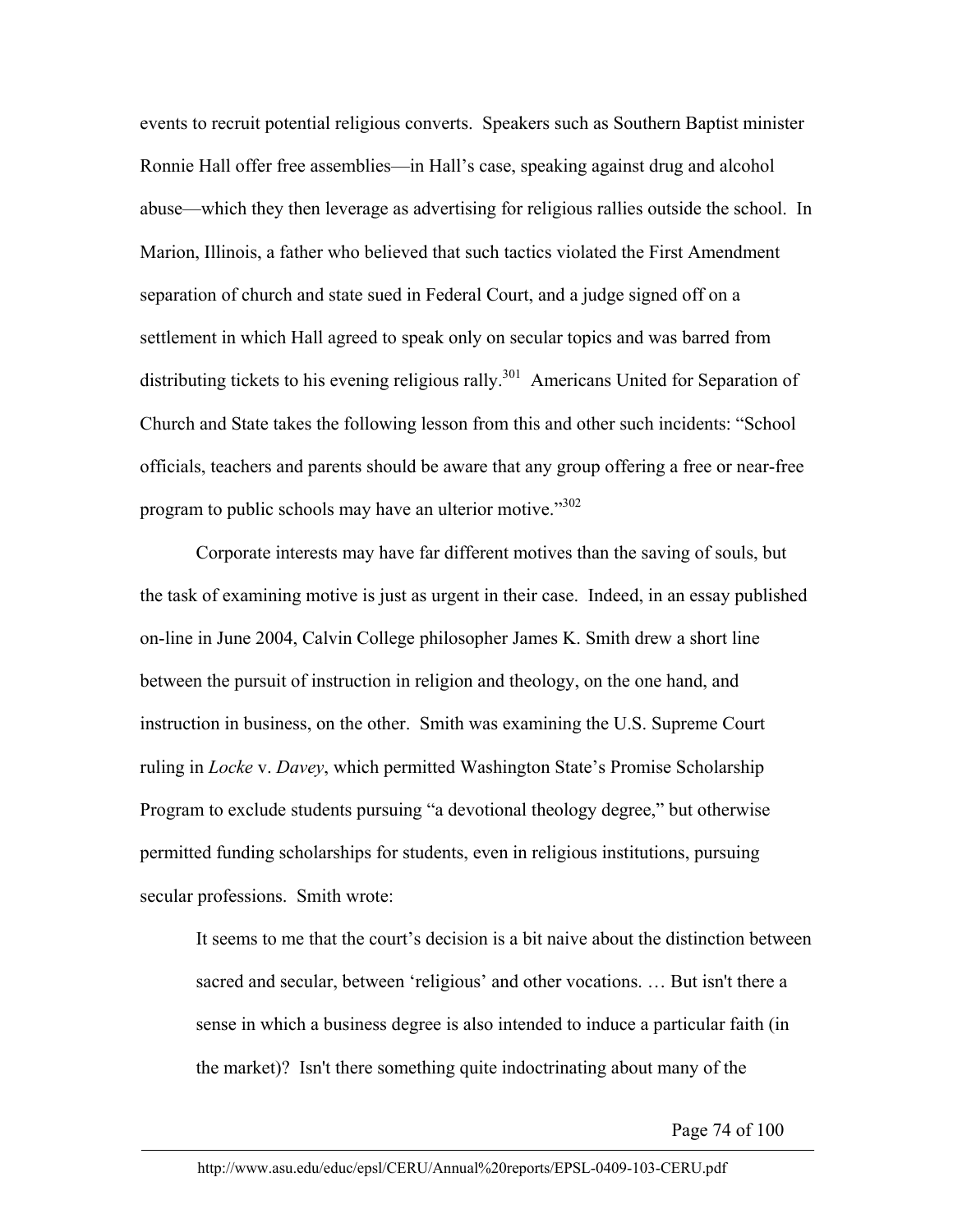events to recruit potential religious converts. Speakers such as Southern Baptist minister Ronnie Hall offer free assemblies—in Hall's case, speaking against drug and alcohol abuse—which they then leverage as advertising for religious rallies outside the school. In Marion, Illinois, a father who believed that such tactics violated the First Amendment separation of church and state sued in Federal Court, and a judge signed off on a settlement in which Hall agreed to speak only on secular topics and was barred from distributing tickets to his evening religious rally.<sup>301</sup> Americans United for Separation of Church and State takes the following lesson from this and other such incidents: "School officials, teachers and parents should be aware that any group offering a free or near-free program to public schools may have an ulterior motive."<sup>302</sup>

Corporate interests may have far different motives than the saving of souls, but the task of examining motive is just as urgent in their case. Indeed, in an essay published on-line in June 2004, Calvin College philosopher James K. Smith drew a short line between the pursuit of instruction in religion and theology, on the one hand, and instruction in business, on the other. Smith was examining the U.S. Supreme Court ruling in *Locke* v. *Davey*, which permitted Washington State's Promise Scholarship Program to exclude students pursuing "a devotional theology degree," but otherwise permitted funding scholarships for students, even in religious institutions, pursuing secular professions. Smith wrote:

It seems to me that the court's decision is a bit naive about the distinction between sacred and secular, between 'religious' and other vocations. … But isn't there a sense in which a business degree is also intended to induce a particular faith (in the market)? Isn't there something quite indoctrinating about many of the

Page 74 of 100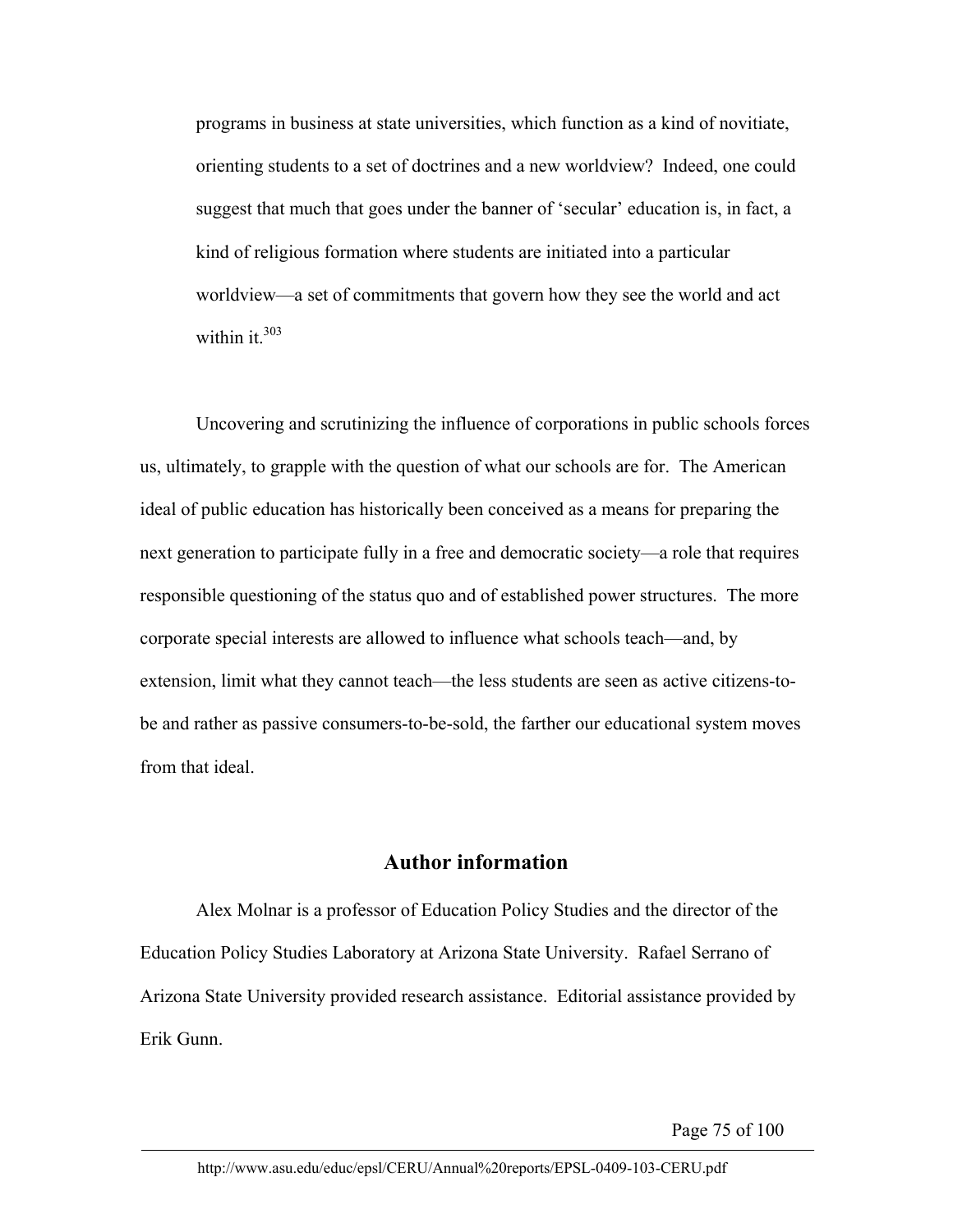programs in business at state universities, which function as a kind of novitiate, orienting students to a set of doctrines and a new worldview? Indeed, one could suggest that much that goes under the banner of 'secular' education is, in fact, a kind of religious formation where students are initiated into a particular worldview—a set of commitments that govern how they see the world and act within it.<sup>303</sup>

Uncovering and scrutinizing the influence of corporations in public schools forces us, ultimately, to grapple with the question of what our schools are for. The American ideal of public education has historically been conceived as a means for preparing the next generation to participate fully in a free and democratic society—a role that requires responsible questioning of the status quo and of established power structures. The more corporate special interests are allowed to influence what schools teach—and, by extension, limit what they cannot teach—the less students are seen as active citizens-tobe and rather as passive consumers-to-be-sold, the farther our educational system moves from that ideal.

#### **Author information**

Alex Molnar is a professor of Education Policy Studies and the director of the Education Policy Studies Laboratory at Arizona State University. Rafael Serrano of Arizona State University provided research assistance. Editorial assistance provided by Erik Gunn.

Page 75 of 100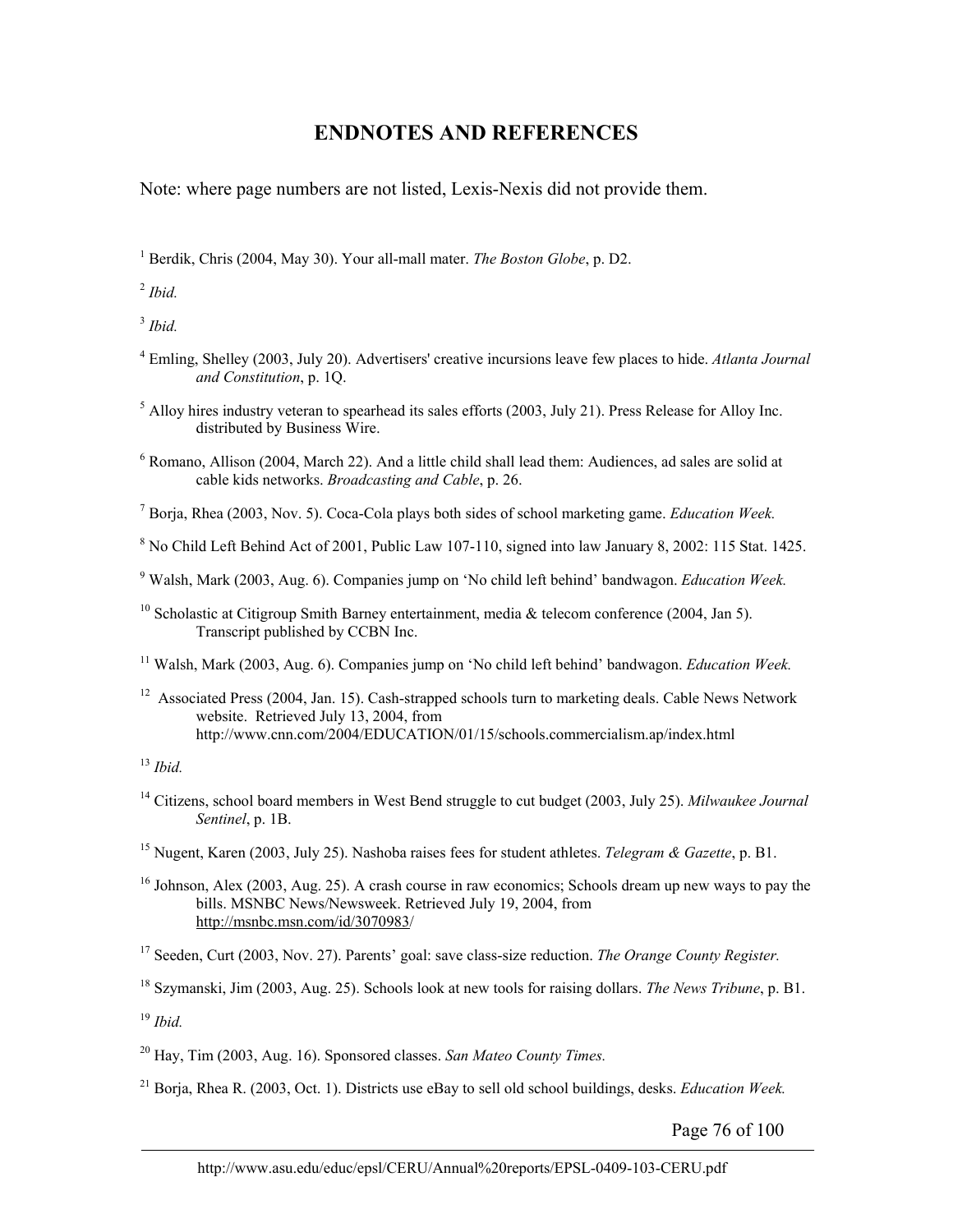## **ENDNOTES AND REFERENCES**

Note: where page numbers are not listed, Lexis-Nexis did not provide them.

<sup>1</sup> Berdik, Chris (2004, May 30). Your all-mall mater. *The Boston Globe*, p. D2.

<sup>2</sup> *Ibid.*

<sup>3</sup> *Ibid.*

4 Emling, Shelley (2003, July 20). Advertisers' creative incursions leave few places to hide. *Atlanta Journal and Constitution*, p. 1Q.

 $<sup>5</sup>$  Alloy hires industry veteran to spearhead its sales efforts (2003, July 21). Press Release for Alloy Inc.</sup> distributed by Business Wire.

<sup>6</sup> Romano, Allison (2004, March 22). And a little child shall lead them: Audiences, ad sales are solid at cable kids networks. *Broadcasting and Cable*, p. 26.

7 Borja, Rhea (2003, Nov. 5). Coca-Cola plays both sides of school marketing game. *Education Week.*

<sup>8</sup> No Child Left Behind Act of 2001, Public Law 107-110, signed into law January 8, 2002: 115 Stat. 1425.

9 Walsh, Mark (2003, Aug. 6). Companies jump on 'No child left behind' bandwagon. *Education Week.*

11 Walsh, Mark (2003, Aug. 6). Companies jump on 'No child left behind' bandwagon. *Education Week.*

<sup>12</sup> Associated Press (2004, Jan. 15). Cash-strapped schools turn to marketing deals. Cable News Network website. Retrieved July 13, 2004, from http://www.cnn.com/2004/EDUCATION/01/15/schools.commercialism.ap/index.html

<sup>13</sup> *Ibid.*

14 Citizens, school board members in West Bend struggle to cut budget (2003, July 25). *Milwaukee Journal Sentinel*, p. 1B.

<sup>16</sup> Johnson, Alex (2003, Aug. 25). A crash course in raw economics; Schools dream up new ways to pay the bills. MSNBC News/Newsweek. Retrieved July 19, 2004, from http://msnbc.msn.com/id/3070983/

17 Seeden, Curt (2003, Nov. 27). Parents' goal: save class-size reduction. *The Orange County Register.*

18 Szymanski, Jim (2003, Aug. 25). Schools look at new tools for raising dollars. *The News Tribune*, p. B1.

<sup>19</sup> *Ibid.*

20 Hay, Tim (2003, Aug. 16). Sponsored classes. *San Mateo County Times.*

21 Borja, Rhea R. (2003, Oct. 1). Districts use eBay to sell old school buildings, desks. *Education Week.* 

Page 76 of 100

<sup>&</sup>lt;sup>10</sup> Scholastic at Citigroup Smith Barney entertainment, media  $\&$  telecom conference (2004, Jan 5). Transcript published by CCBN Inc.

<sup>15</sup> Nugent, Karen (2003, July 25). Nashoba raises fees for student athletes. *Telegram & Gazette*, p. B1.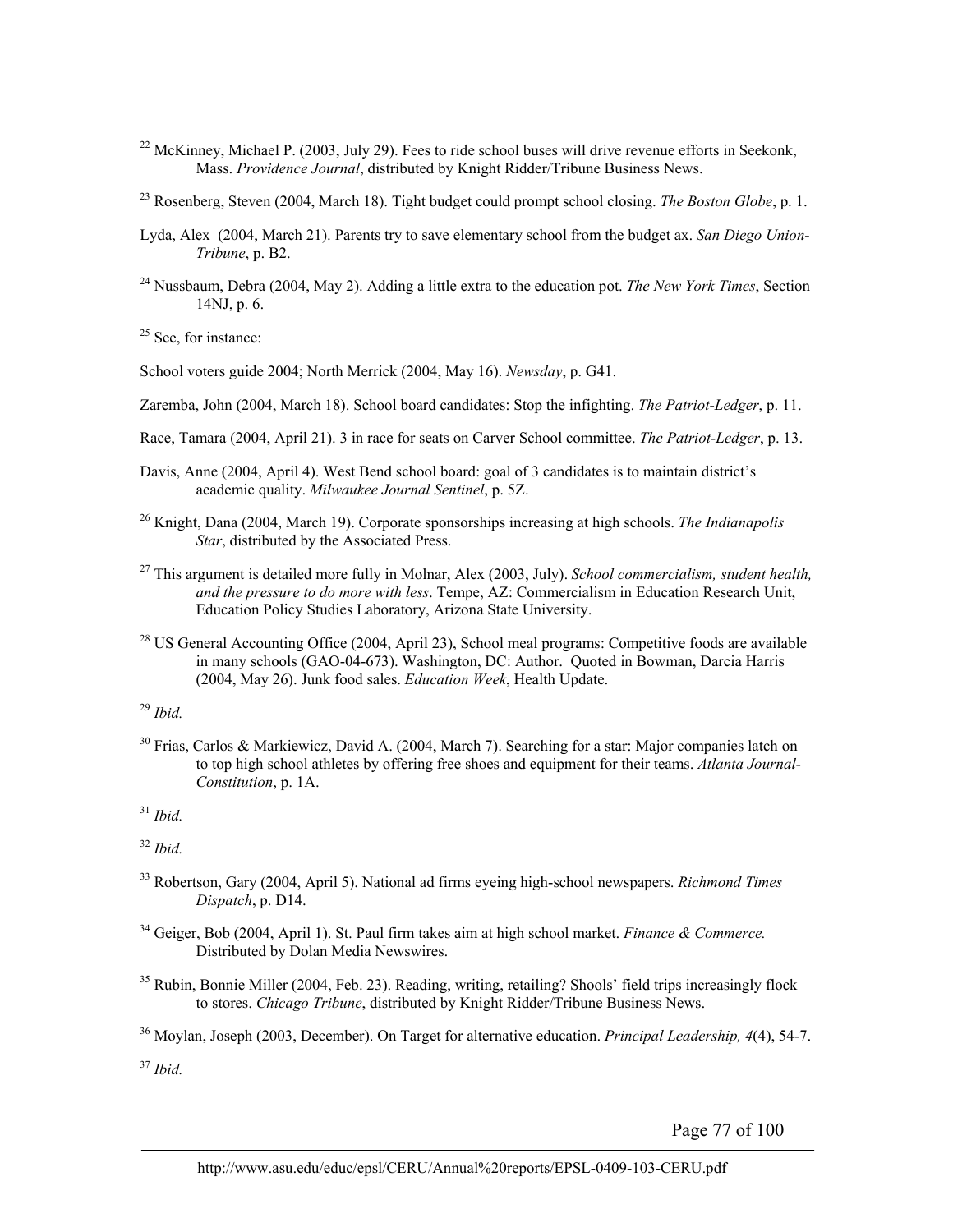- $^{22}$  McKinney, Michael P. (2003, July 29). Fees to ride school buses will drive revenue efforts in Seekonk, Mass. *Providence Journal*, distributed by Knight Ridder/Tribune Business News.
- 23 Rosenberg, Steven (2004, March 18). Tight budget could prompt school closing. *The Boston Globe*, p. 1.
- Lyda, Alex (2004, March 21). Parents try to save elementary school from the budget ax. *San Diego Union-Tribune*, p. B2.
- 24 Nussbaum, Debra (2004, May 2). Adding a little extra to the education pot. *The New York Times*, Section 14NJ, p. 6.

 $25$  See, for instance:

School voters guide 2004; North Merrick (2004, May 16). *Newsday*, p. G41.

Zaremba, John (2004, March 18). School board candidates: Stop the infighting. *The Patriot-Ledger*, p. 11.

- Race, Tamara (2004, April 21). 3 in race for seats on Carver School committee. *The Patriot-Ledger*, p. 13.
- Davis, Anne (2004, April 4). West Bend school board: goal of 3 candidates is to maintain district's academic quality. *Milwaukee Journal Sentinel*, p. 5Z.
- 26 Knight, Dana (2004, March 19). Corporate sponsorships increasing at high schools. *The Indianapolis Star*, distributed by the Associated Press.
- 27 This argument is detailed more fully in Molnar, Alex (2003, July). *School commercialism, student health, and the pressure to do more with less*. Tempe, AZ: Commercialism in Education Research Unit, Education Policy Studies Laboratory, Arizona State University.
- <sup>28</sup> US General Accounting Office (2004, April 23), School meal programs: Competitive foods are available in many schools (GAO-04-673). Washington, DC: Author. Quoted in Bowman, Darcia Harris (2004, May 26). Junk food sales. *Education Week*, Health Update.

<sup>29</sup> *Ibid.*

30 Frias, Carlos & Markiewicz, David A. (2004, March 7). Searching for a star: Major companies latch on to top high school athletes by offering free shoes and equipment for their teams. *Atlanta Journal-Constitution*, p. 1A.

<sup>31</sup> *Ibid.*

<sup>32</sup> *Ibid.*

- 33 Robertson, Gary (2004, April 5). National ad firms eyeing high-school newspapers. *Richmond Times Dispatch*, p. D14.
- 34 Geiger, Bob (2004, April 1). St. Paul firm takes aim at high school market. *Finance & Commerce.* Distributed by Dolan Media Newswires.
- <sup>35</sup> Rubin, Bonnie Miller (2004, Feb. 23). Reading, writing, retailing? Shools' field trips increasingly flock to stores. *Chicago Tribune*, distributed by Knight Ridder/Tribune Business News.

36 Moylan, Joseph (2003, December). On Target for alternative education. *Principal Leadership, 4*(4), 54-7.

<sup>37</sup> *Ibid.*

Page 77 of 100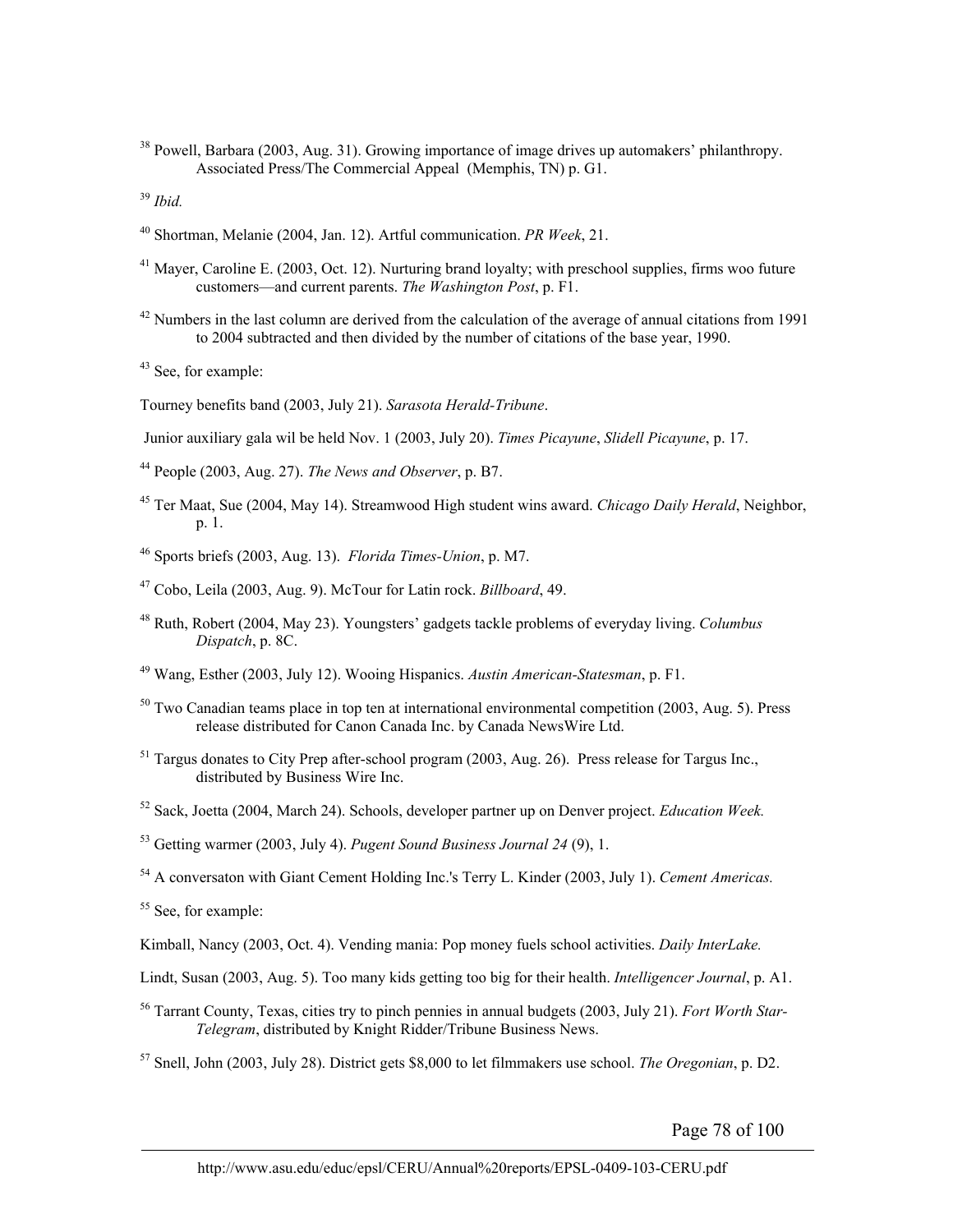<sup>38</sup> Powell, Barbara (2003, Aug. 31). Growing importance of image drives up automakers' philanthropy. Associated Press/The Commercial Appeal (Memphis, TN) p. G1.

<sup>39</sup> *Ibid.*

- 40 Shortman, Melanie (2004, Jan. 12). Artful communication. *PR Week*, 21.
- <sup>41</sup> Mayer, Caroline E. (2003, Oct. 12). Nurturing brand loyalty; with preschool supplies, firms woo future customers—and current parents. *The Washington Post*, p. F1.
- $42$  Numbers in the last column are derived from the calculation of the average of annual citations from 1991 to 2004 subtracted and then divided by the number of citations of the base year, 1990.

<sup>43</sup> See, for example:

Tourney benefits band (2003, July 21). *Sarasota Herald-Tribune*.

Junior auxiliary gala wil be held Nov. 1 (2003, July 20). *Times Picayune*, *Slidell Picayune*, p. 17.

44 People (2003, Aug. 27). *The News and Observer*, p. B7.

45 Ter Maat, Sue (2004, May 14). Streamwood High student wins award. *Chicago Daily Herald*, Neighbor, p. 1.

46 Sports briefs (2003, Aug. 13). *Florida Times-Union*, p. M7.

- 47 Cobo, Leila (2003, Aug. 9). McTour for Latin rock. *Billboard*, 49.
- 48 Ruth, Robert (2004, May 23). Youngsters' gadgets tackle problems of everyday living. *Columbus Dispatch*, p. 8C.
- 49 Wang, Esther (2003, July 12). Wooing Hispanics. *Austin American-Statesman*, p. F1.
- 50 Two Canadian teams place in top ten at international environmental competition (2003, Aug. 5). Press release distributed for Canon Canada Inc. by Canada NewsWire Ltd.
- $51$  Targus donates to City Prep after-school program (2003, Aug. 26). Press release for Targus Inc., distributed by Business Wire Inc.
- 52 Sack, Joetta (2004, March 24). Schools, developer partner up on Denver project. *Education Week.*
- 53 Getting warmer (2003, July 4). *Pugent Sound Business Journal 24* (9), 1.

54 A conversaton with Giant Cement Holding Inc.'s Terry L. Kinder (2003, July 1). *Cement Americas.*

55 See, for example:

- Kimball, Nancy (2003, Oct. 4). Vending mania: Pop money fuels school activities. *Daily InterLake.*
- Lindt, Susan (2003, Aug. 5). Too many kids getting too big for their health. *Intelligencer Journal*, p. A1.
- 56 Tarrant County, Texas, cities try to pinch pennies in annual budgets (2003, July 21). *Fort Worth Star-Telegram*, distributed by Knight Ridder/Tribune Business News.
- 57 Snell, John (2003, July 28). District gets \$8,000 to let filmmakers use school. *The Oregonian*, p. D2.

Page 78 of 100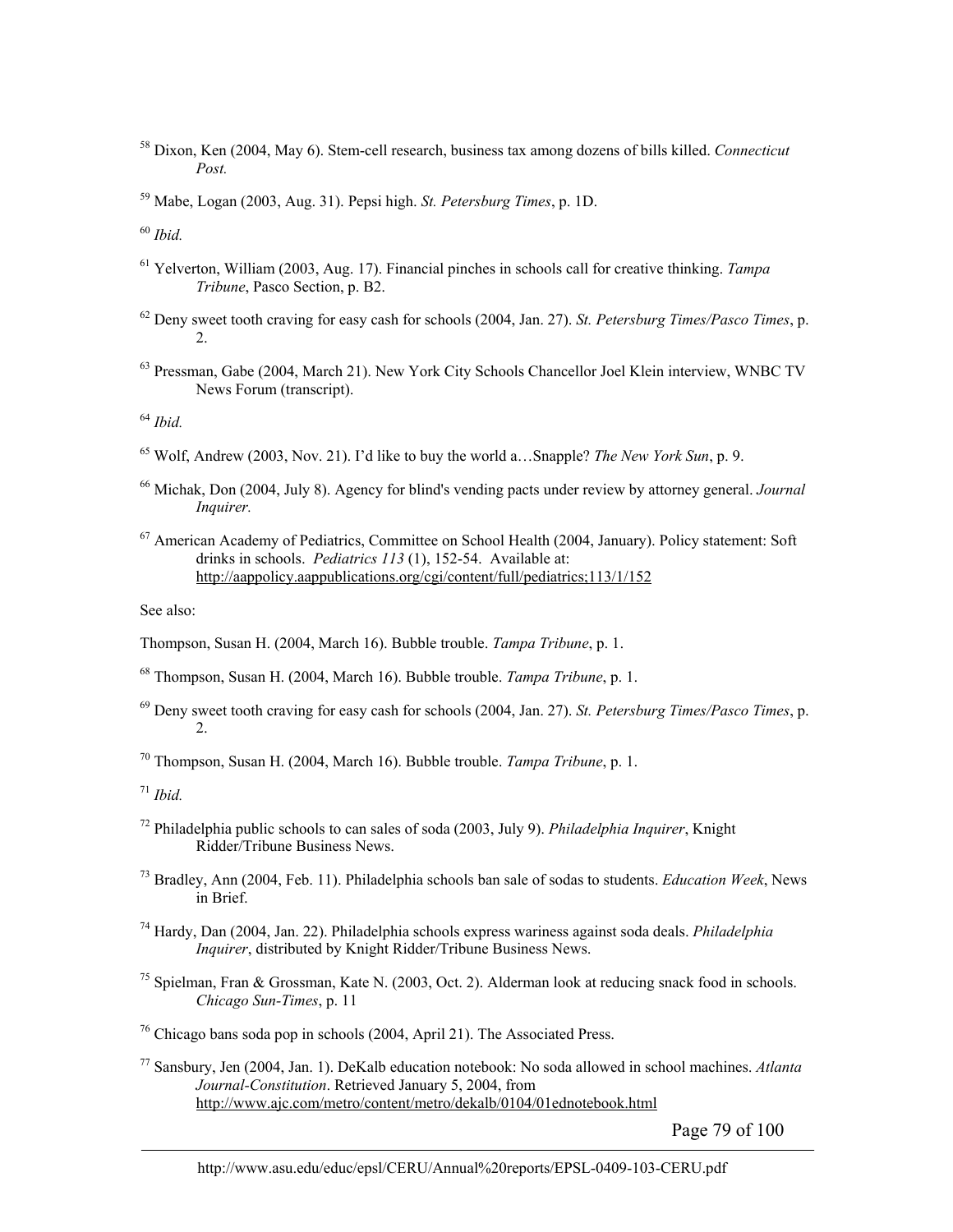58 Dixon, Ken (2004, May 6). Stem-cell research, business tax among dozens of bills killed. *Connecticut Post.*

<sup>60</sup> *Ibid.*

- 61 Yelverton, William (2003, Aug. 17). Financial pinches in schools call for creative thinking. *Tampa Tribune*, Pasco Section, p. B2.
- 62 Deny sweet tooth craving for easy cash for schools (2004, Jan. 27). *St. Petersburg Times/Pasco Times*, p. 2.
- <sup>63</sup> Pressman, Gabe (2004, March 21). New York City Schools Chancellor Joel Klein interview, WNBC TV News Forum (transcript).

<sup>64</sup> *Ibid.*

- 65 Wolf, Andrew (2003, Nov. 21). I'd like to buy the world a…Snapple? *The New York Sun*, p. 9.
- 66 Michak, Don (2004, July 8). Agency for blind's vending pacts under review by attorney general. *Journal Inquirer.*
- 67 American Academy of Pediatrics, Committee on School Health (2004, January). Policy statement: Soft drinks in schools. *Pediatrics 113* (1), 152-54. Available at: http://aappolicy.aappublications.org/cgi/content/full/pediatrics;113/1/152

See also:

- Thompson, Susan H. (2004, March 16). Bubble trouble. *Tampa Tribune*, p. 1.
- 68 Thompson, Susan H. (2004, March 16). Bubble trouble. *Tampa Tribune*, p. 1.
- 69 Deny sweet tooth craving for easy cash for schools (2004, Jan. 27). *St. Petersburg Times/Pasco Times*, p. 2.
- 70 Thompson, Susan H. (2004, March 16). Bubble trouble. *Tampa Tribune*, p. 1.

<sup>71</sup> *Ibid.*

- 72 Philadelphia public schools to can sales of soda (2003, July 9). *Philadelphia Inquirer*, Knight Ridder/Tribune Business News.
- 73 Bradley, Ann (2004, Feb. 11). Philadelphia schools ban sale of sodas to students. *Education Week*, News in Brief.
- 74 Hardy, Dan (2004, Jan. 22). Philadelphia schools express wariness against soda deals. *Philadelphia Inquirer*, distributed by Knight Ridder/Tribune Business News.
- 75 Spielman, Fran & Grossman, Kate N. (2003, Oct. 2). Alderman look at reducing snack food in schools. *Chicago Sun-Times*, p. 11
- $76$  Chicago bans soda pop in schools (2004, April 21). The Associated Press.

77 Sansbury, Jen (2004, Jan. 1). DeKalb education notebook: No soda allowed in school machines. *Atlanta Journal-Constitution*. Retrieved January 5, 2004, from http://www.ajc.com/metro/content/metro/dekalb/0104/01ednotebook.html

Page 79 of 100

<sup>59</sup> Mabe, Logan (2003, Aug. 31). Pepsi high. *St. Petersburg Times*, p. 1D.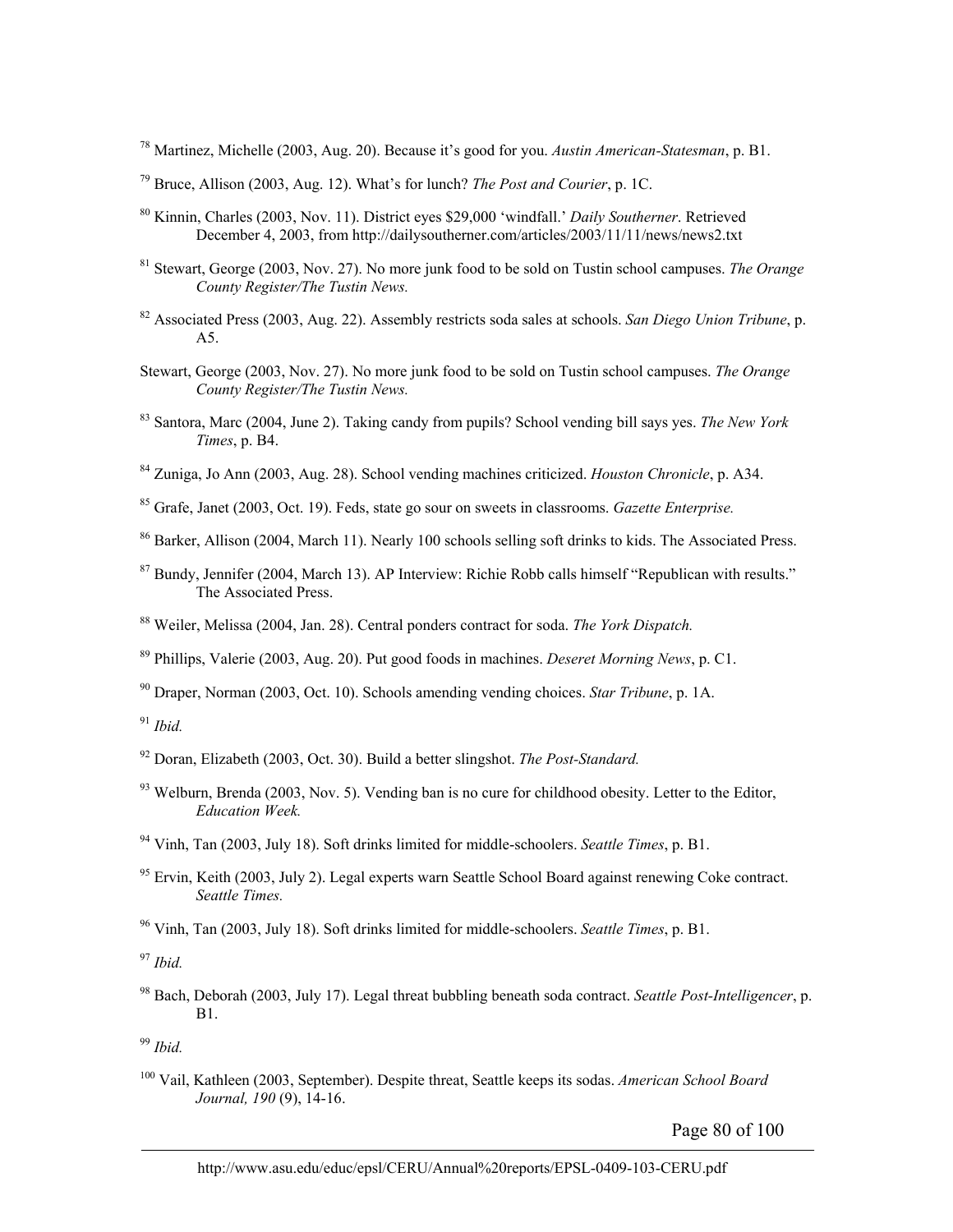78 Martinez, Michelle (2003, Aug. 20). Because it's good for you. *Austin American-Statesman*, p. B1.

- 79 Bruce, Allison (2003, Aug. 12). What's for lunch? *The Post and Courier*, p. 1C.
- 80 Kinnin, Charles (2003, Nov. 11). District eyes \$29,000 'windfall.' *Daily Southerner*. Retrieved December 4, 2003, from http://dailysoutherner.com/articles/2003/11/11/news/news2.txt
- 81 Stewart, George (2003, Nov. 27). No more junk food to be sold on Tustin school campuses. *The Orange County Register/The Tustin News.*
- 82 Associated Press (2003, Aug. 22). Assembly restricts soda sales at schools. *San Diego Union Tribune*, p. A5.
- Stewart, George (2003, Nov. 27). No more junk food to be sold on Tustin school campuses. *The Orange County Register/The Tustin News.*
- 83 Santora, Marc (2004, June 2). Taking candy from pupils? School vending bill says yes. *The New York Times*, p. B4.
- 84 Zuniga, Jo Ann (2003, Aug. 28). School vending machines criticized. *Houston Chronicle*, p. A34.

85 Grafe, Janet (2003, Oct. 19). Feds, state go sour on sweets in classrooms. *Gazette Enterprise.*

<sup>86</sup> Barker, Allison (2004, March 11). Nearly 100 schools selling soft drinks to kids. The Associated Press.

- <sup>87</sup> Bundy, Jennifer (2004, March 13). AP Interview: Richie Robb calls himself "Republican with results." The Associated Press.
- 88 Weiler, Melissa (2004, Jan. 28). Central ponders contract for soda. *The York Dispatch.*

89 Phillips, Valerie (2003, Aug. 20). Put good foods in machines. *Deseret Morning News*, p. C1.

90 Draper, Norman (2003, Oct. 10). Schools amending vending choices. *Star Tribune*, p. 1A.

<sup>91</sup> *Ibid.*

- 92 Doran, Elizabeth (2003, Oct. 30). Build a better slingshot. *The Post-Standard.*
- $93$  Welburn, Brenda (2003, Nov. 5). Vending ban is no cure for childhood obesity. Letter to the Editor, *Education Week.*
- 94 Vinh, Tan (2003, July 18). Soft drinks limited for middle-schoolers. *Seattle Times*, p. B1.
- $95$  Ervin, Keith (2003, July 2). Legal experts warn Seattle School Board against renewing Coke contract. *Seattle Times.*

96 Vinh, Tan (2003, July 18). Soft drinks limited for middle-schoolers. *Seattle Times*, p. B1.

<sup>97</sup> *Ibid.*

98 Bach, Deborah (2003, July 17). Legal threat bubbling beneath soda contract. *Seattle Post-Intelligencer*, p. B1.

<sup>99</sup> *Ibid.*

100 Vail, Kathleen (2003, September). Despite threat, Seattle keeps its sodas. *American School Board Journal, 190* (9), 14-16.

Page 80 of 100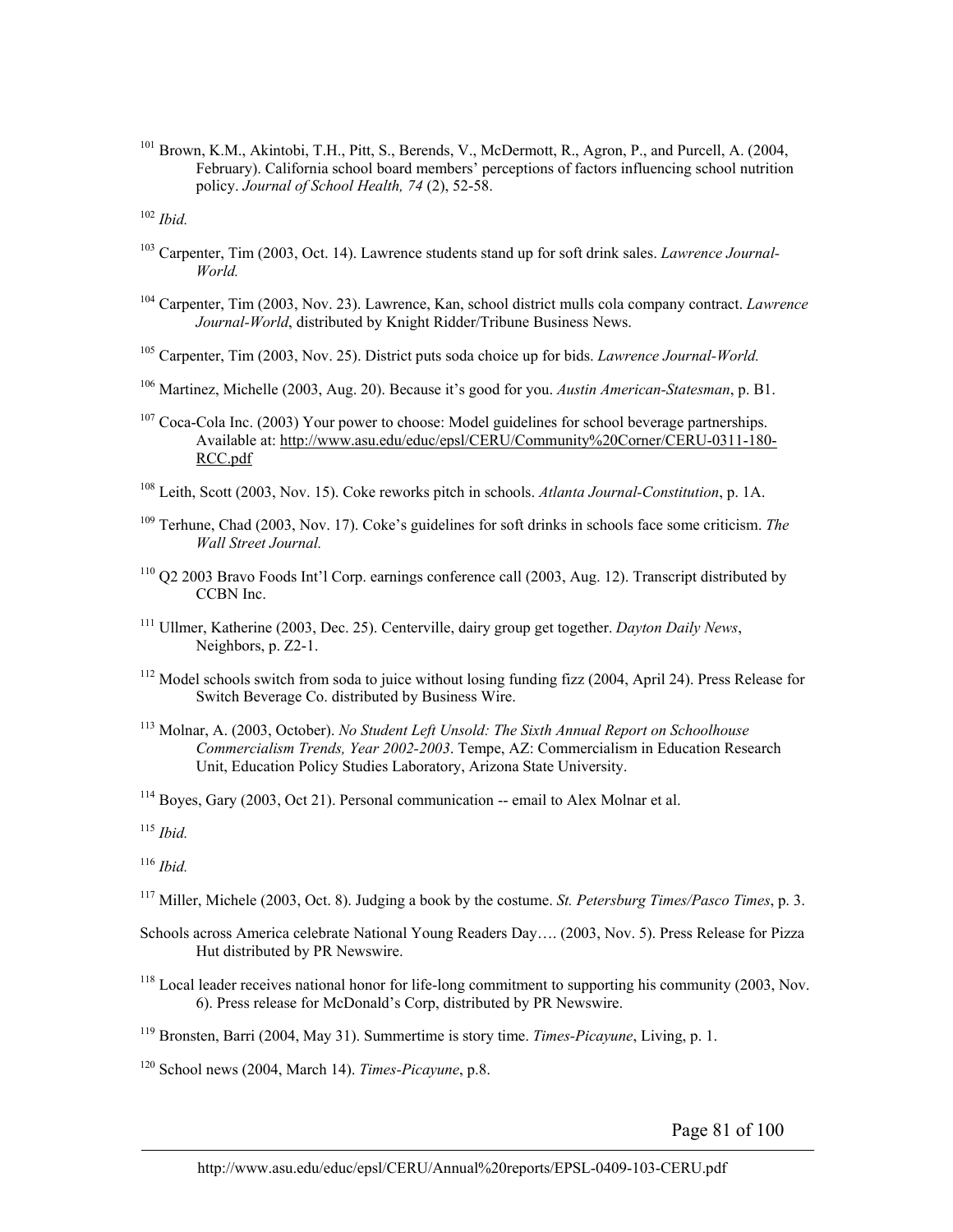101 Brown, K.M., Akintobi, T.H., Pitt, S., Berends, V., McDermott, R., Agron, P., and Purcell, A. (2004, February). California school board members' perceptions of factors influencing school nutrition policy. *Journal of School Health, 74* (2), 52-58.

<sup>102</sup> *Ibid.*

- 103 Carpenter, Tim (2003, Oct. 14). Lawrence students stand up for soft drink sales. *Lawrence Journal-World.*
- 104 Carpenter, Tim (2003, Nov. 23). Lawrence, Kan, school district mulls cola company contract. *Lawrence Journal-World*, distributed by Knight Ridder/Tribune Business News.
- 105 Carpenter, Tim (2003, Nov. 25). District puts soda choice up for bids. *Lawrence Journal-World.*
- 106 Martinez, Michelle (2003, Aug. 20). Because it's good for you. *Austin American-Statesman*, p. B1.
- <sup>107</sup> Coca-Cola Inc. (2003) Your power to choose: Model guidelines for school beverage partnerships. Available at: http://www.asu.edu/educ/epsl/CERU/Community%20Corner/CERU-0311-180- RCC.pdf
- 108 Leith, Scott (2003, Nov. 15). Coke reworks pitch in schools. *Atlanta Journal-Constitution*, p. 1A.
- 109 Terhune, Chad (2003, Nov. 17). Coke's guidelines for soft drinks in schools face some criticism. *The Wall Street Journal.*
- 110 Q2 2003 Bravo Foods Int'l Corp. earnings conference call (2003, Aug. 12). Transcript distributed by CCBN Inc.
- 111 Ullmer, Katherine (2003, Dec. 25). Centerville, dairy group get together. *Dayton Daily News*, Neighbors, p. Z2-1.
- <sup>112</sup> Model schools switch from soda to juice without losing funding fizz (2004, April 24). Press Release for Switch Beverage Co. distributed by Business Wire.
- 113 Molnar, A. (2003, October). *No Student Left Unsold: The Sixth Annual Report on Schoolhouse Commercialism Trends, Year 2002-2003*. Tempe, AZ: Commercialism in Education Research Unit, Education Policy Studies Laboratory, Arizona State University.
- 114 Boyes, Gary (2003, Oct 21). Personal communication -- email to Alex Molnar et al.

<sup>115</sup> *Ibid.*

<sup>116</sup> *Ibid.*

- 117 Miller, Michele (2003, Oct. 8). Judging a book by the costume. *St. Petersburg Times/Pasco Times*, p. 3.
- Schools across America celebrate National Young Readers Day…. (2003, Nov. 5). Press Release for Pizza Hut distributed by PR Newswire.
- <sup>118</sup> Local leader receives national honor for life-long commitment to supporting his community (2003, Nov. 6). Press release for McDonald's Corp, distributed by PR Newswire.
- 119 Bronsten, Barri (2004, May 31). Summertime is story time. *Times-Picayune*, Living, p. 1.
- 120 School news (2004, March 14). *Times-Picayune*, p.8.

Page 81 of 100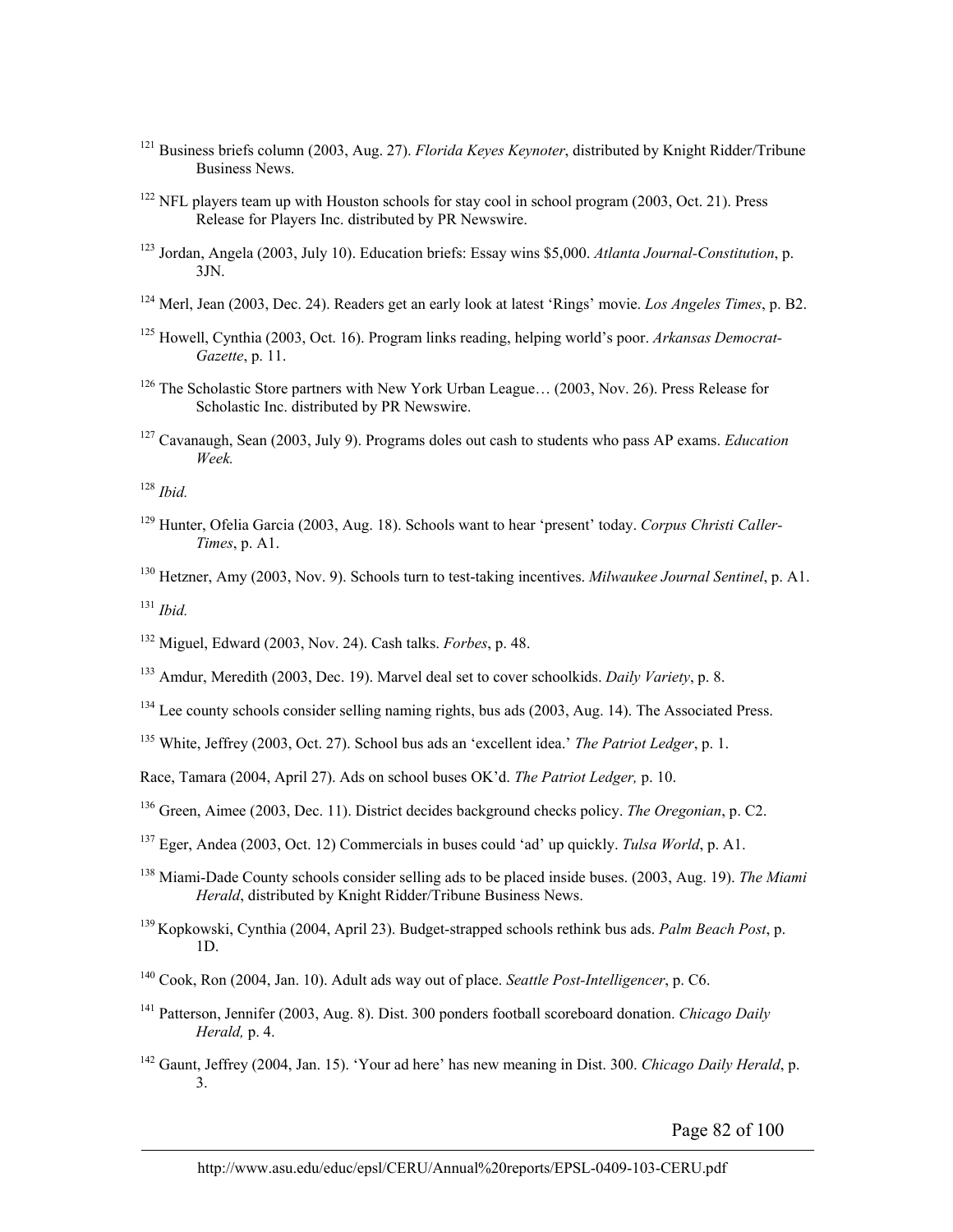- 121 Business briefs column (2003, Aug. 27). *Florida Keyes Keynoter*, distributed by Knight Ridder/Tribune Business News.
- <sup>122</sup> NFL players team up with Houston schools for stay cool in school program (2003, Oct. 21). Press Release for Players Inc. distributed by PR Newswire.
- 123 Jordan, Angela (2003, July 10). Education briefs: Essay wins \$5,000. *Atlanta Journal-Constitution*, p. 3JN.
- 124 Merl, Jean (2003, Dec. 24). Readers get an early look at latest 'Rings' movie. *Los Angeles Times*, p. B2.
- 125 Howell, Cynthia (2003, Oct. 16). Program links reading, helping world's poor. *Arkansas Democrat-Gazette*, p. 11.
- 126 The Scholastic Store partners with New York Urban League… (2003, Nov. 26). Press Release for Scholastic Inc. distributed by PR Newswire.
- 127 Cavanaugh, Sean (2003, July 9). Programs doles out cash to students who pass AP exams. *Education Week.*

<sup>128</sup> *Ibid.*

- 129 Hunter, Ofelia Garcia (2003, Aug. 18). Schools want to hear 'present' today. *Corpus Christi Caller-Times*, p. A1.
- 130 Hetzner, Amy (2003, Nov. 9). Schools turn to test-taking incentives. *Milwaukee Journal Sentinel*, p. A1.

<sup>131</sup> *Ibid.*

- 132 Miguel, Edward (2003, Nov. 24). Cash talks. *Forbes*, p. 48.
- 133 Amdur, Meredith (2003, Dec. 19). Marvel deal set to cover schoolkids. *Daily Variety*, p. 8.
- <sup>134</sup> Lee county schools consider selling naming rights, bus ads (2003, Aug. 14). The Associated Press.
- 135 White, Jeffrey (2003, Oct. 27). School bus ads an 'excellent idea.' *The Patriot Ledger*, p. 1.
- Race, Tamara (2004, April 27). Ads on school buses OK'd. *The Patriot Ledger,* p. 10.
- 136 Green, Aimee (2003, Dec. 11). District decides background checks policy. *The Oregonian*, p. C2.
- 137 Eger, Andea (2003, Oct. 12) Commercials in buses could 'ad' up quickly. *Tulsa World*, p. A1.
- 138 Miami-Dade County schools consider selling ads to be placed inside buses. (2003, Aug. 19). *The Miami Herald*, distributed by Knight Ridder/Tribune Business News.
- 139 Kopkowski, Cynthia (2004, April 23). Budget-strapped schools rethink bus ads. *Palm Beach Post*, p. 1D.
- 140 Cook, Ron (2004, Jan. 10). Adult ads way out of place. *Seattle Post-Intelligencer*, p. C6.
- 141 Patterson, Jennifer (2003, Aug. 8). Dist. 300 ponders football scoreboard donation. *Chicago Daily Herald,* p. 4.
- 142 Gaunt, Jeffrey (2004, Jan. 15). 'Your ad here' has new meaning in Dist. 300. *Chicago Daily Herald*, p. 3.

Page 82 of 100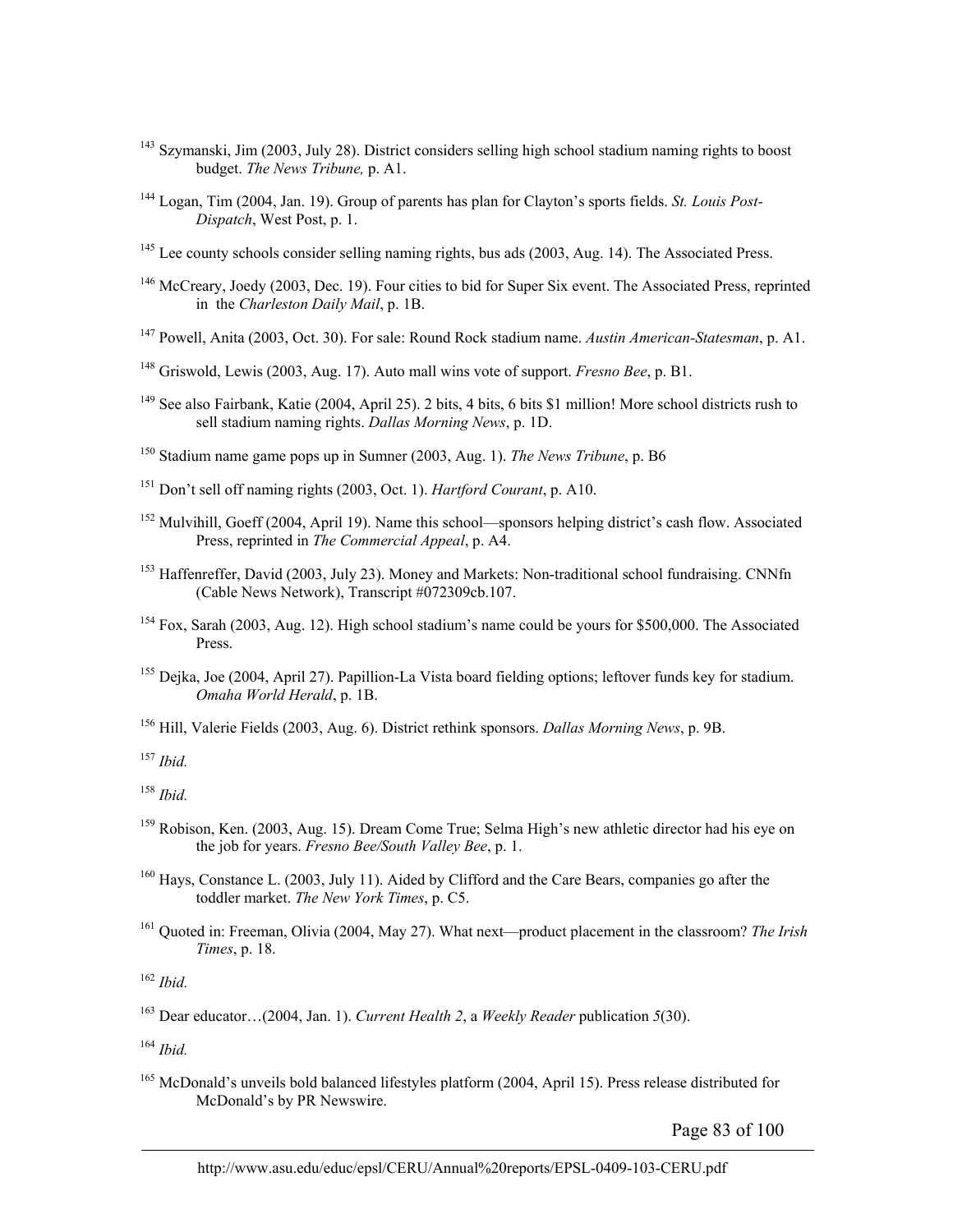- <sup>143</sup> Szymanski, Jim (2003, July 28). District considers selling high school stadium naming rights to boost budget. *The News Tribune,* p. A1.
- 144 Logan, Tim (2004, Jan. 19). Group of parents has plan for Clayton's sports fields. *St. Louis Post-Dispatch*, West Post, p. 1.
- <sup>145</sup> Lee county schools consider selling naming rights, bus ads (2003, Aug. 14). The Associated Press.
- <sup>146</sup> McCreary, Joedy (2003, Dec. 19). Four cities to bid for Super Six event. The Associated Press, reprinted in the *Charleston Daily Mail*, p. 1B.
- 147 Powell, Anita (2003, Oct. 30). For sale: Round Rock stadium name. *Austin American-Statesman*, p. A1.
- 148 Griswold, Lewis (2003, Aug. 17). Auto mall wins vote of support. *Fresno Bee*, p. B1.
- <sup>149</sup> See also Fairbank, Katie (2004, April 25). 2 bits, 4 bits, 6 bits \$1 million! More school districts rush to sell stadium naming rights. *Dallas Morning News*, p. 1D.
- 150 Stadium name game pops up in Sumner (2003, Aug. 1). *The News Tribune*, p. B6
- 151 Don't sell off naming rights (2003, Oct. 1). *Hartford Courant*, p. A10.
- <sup>152</sup> Mulvihill, Goeff (2004, April 19). Name this school—sponsors helping district's cash flow. Associated Press, reprinted in *The Commercial Appeal*, p. A4.
- <sup>153</sup> Haffenreffer, David (2003, July 23). Money and Markets: Non-traditional school fundraising. CNNfn (Cable News Network), Transcript #072309cb.107.
- 154 Fox, Sarah (2003, Aug. 12). High school stadium's name could be yours for \$500,000. The Associated Press.
- 155 Dejka, Joe (2004, April 27). Papillion-La Vista board fielding options; leftover funds key for stadium. *Omaha World Herald*, p. 1B.
- 156 Hill, Valerie Fields (2003, Aug. 6). District rethink sponsors. *Dallas Morning News*, p. 9B.

<sup>157</sup> *Ibid.*

- 159 Robison, Ken. (2003, Aug. 15). Dream Come True; Selma High's new athletic director had his eye on the job for years. *Fresno Bee/South Valley Bee*, p. 1.
- <sup>160</sup> Hays, Constance L. (2003, July 11). Aided by Clifford and the Care Bears, companies go after the toddler market. *The New York Times*, p. C5.
- 161 Quoted in: Freeman, Olivia (2004, May 27). What next—product placement in the classroom? *The Irish Times*, p. 18.

<sup>162</sup> *Ibid.*

<sup>164</sup> *Ibid.*

165 McDonald's unveils bold balanced lifestyles platform (2004, April 15). Press release distributed for McDonald's by PR Newswire.

Page 83 of 100

<sup>158</sup> *Ibid.*

<sup>163</sup> Dear educator…(2004, Jan. 1). *Current Health 2*, a *Weekly Reader* publication *5*(30).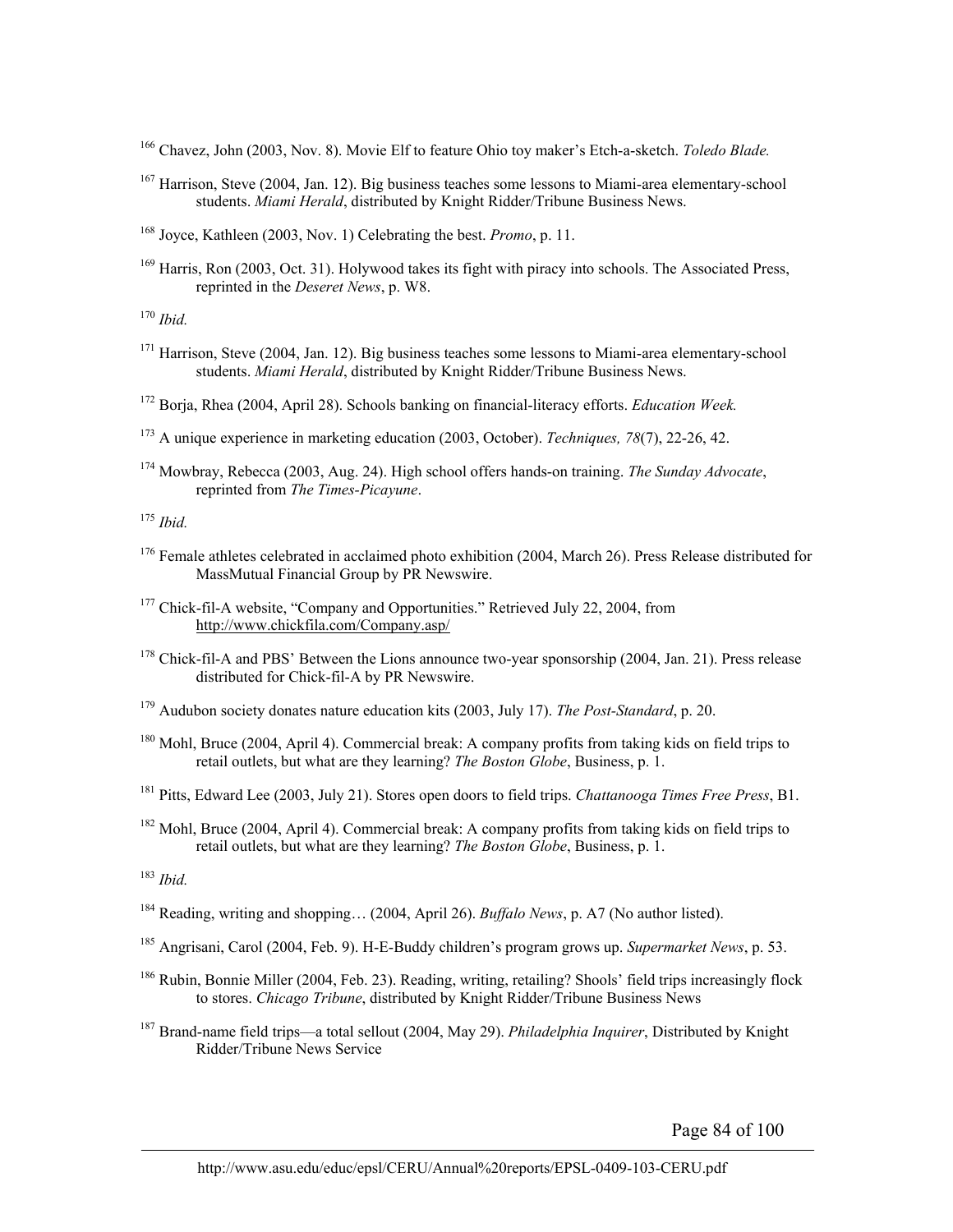166 Chavez, John (2003, Nov. 8). Movie Elf to feature Ohio toy maker's Etch-a-sketch. *Toledo Blade.*

167 Harrison, Steve (2004, Jan. 12). Big business teaches some lessons to Miami-area elementary-school students. *Miami Herald*, distributed by Knight Ridder/Tribune Business News.

168 Joyce, Kathleen (2003, Nov. 1) Celebrating the best. *Promo*, p. 11.

<sup>169</sup> Harris, Ron (2003, Oct. 31). Holywood takes its fight with piracy into schools. The Associated Press, reprinted in the *Deseret News*, p. W8.

<sup>170</sup> *Ibid.*

- <sup>171</sup> Harrison, Steve (2004, Jan. 12). Big business teaches some lessons to Miami-area elementary-school students. *Miami Herald*, distributed by Knight Ridder/Tribune Business News.
- 172 Borja, Rhea (2004, April 28). Schools banking on financial-literacy efforts. *Education Week.*
- 173 A unique experience in marketing education (2003, October). *Techniques, 78*(7), 22-26, 42.
- 174 Mowbray, Rebecca (2003, Aug. 24). High school offers hands-on training. *The Sunday Advocate*, reprinted from *The Times-Picayune*.

<sup>175</sup> *Ibid.*

- <sup>176</sup> Female athletes celebrated in acclaimed photo exhibition (2004, March 26). Press Release distributed for MassMutual Financial Group by PR Newswire.
- <sup>177</sup> Chick-fil-A website, "Company and Opportunities." Retrieved July 22, 2004, from http://www.chickfila.com/Company.asp/
- <sup>178</sup> Chick-fil-A and PBS' Between the Lions announce two-year sponsorship (2004, Jan. 21). Press release distributed for Chick-fil-A by PR Newswire.
- 179 Audubon society donates nature education kits (2003, July 17). *The Post-Standard*, p. 20.
- <sup>180</sup> Mohl, Bruce (2004, April 4). Commercial break: A company profits from taking kids on field trips to retail outlets, but what are they learning? *The Boston Globe*, Business, p. 1.
- 181 Pitts, Edward Lee (2003, July 21). Stores open doors to field trips. *Chattanooga Times Free Press*, B1.
- <sup>182</sup> Mohl, Bruce (2004, April 4). Commercial break: A company profits from taking kids on field trips to retail outlets, but what are they learning? *The Boston Globe*, Business, p. 1.

<sup>183</sup> *Ibid.*

- 184 Reading, writing and shopping… (2004, April 26). *Buffalo News*, p. A7 (No author listed).
- 185 Angrisani, Carol (2004, Feb. 9). H-E-Buddy children's program grows up. *Supermarket News*, p. 53.
- <sup>186</sup> Rubin, Bonnie Miller (2004, Feb. 23). Reading, writing, retailing? Shools' field trips increasingly flock to stores. *Chicago Tribune*, distributed by Knight Ridder/Tribune Business News
- 187 Brand-name field trips—a total sellout (2004, May 29). *Philadelphia Inquirer*, Distributed by Knight Ridder/Tribune News Service

Page 84 of 100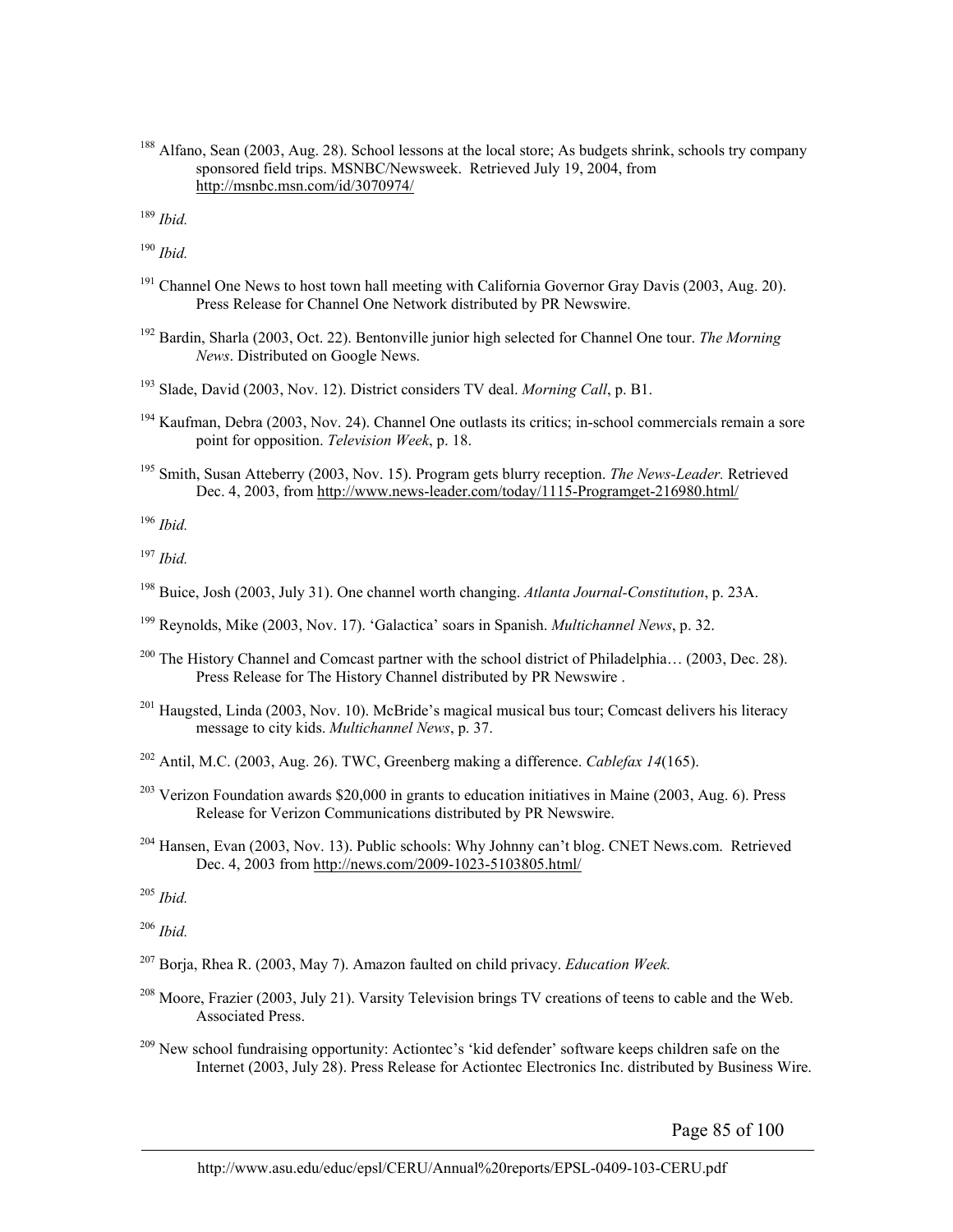188 Alfano, Sean (2003, Aug. 28). School lessons at the local store; As budgets shrink, schools try company sponsored field trips. MSNBC/Newsweek. Retrieved July 19, 2004, from http://msnbc.msn.com/id/3070974/

<sup>189</sup> *Ibid.*

<sup>190</sup> *Ibid.*

- <sup>191</sup> Channel One News to host town hall meeting with California Governor Gray Davis (2003, Aug. 20). Press Release for Channel One Network distributed by PR Newswire.
- 192 Bardin, Sharla (2003, Oct. 22). Bentonville junior high selected for Channel One tour. *The Morning News*. Distributed on Google News.
- 193 Slade, David (2003, Nov. 12). District considers TV deal. *Morning Call*, p. B1.
- <sup>194</sup> Kaufman, Debra (2003, Nov. 24). Channel One outlasts its critics; in-school commercials remain a sore point for opposition. *Television Week*, p. 18.
- 195 Smith, Susan Atteberry (2003, Nov. 15). Program gets blurry reception. *The News-Leader.* Retrieved Dec. 4, 2003, from http://www.news-leader.com/today/1115-Programget-216980.html/

<sup>196</sup> *Ibid.*

<sup>197</sup> *Ibid.*

- 198 Buice, Josh (2003, July 31). One channel worth changing. *Atlanta Journal-Constitution*, p. 23A.
- 199 Reynolds, Mike (2003, Nov. 17). 'Galactica' soars in Spanish. *Multichannel News*, p. 32.
- <sup>200</sup> The History Channel and Comcast partner with the school district of Philadelphia... (2003, Dec. 28). Press Release for The History Channel distributed by PR Newswire .
- 201 Haugsted, Linda (2003, Nov. 10). McBride's magical musical bus tour; Comcast delivers his literacy message to city kids. *Multichannel News*, p. 37.
- 202 Antil, M.C. (2003, Aug. 26). TWC, Greenberg making a difference. *Cablefax 14*(165).
- <sup>203</sup> Verizon Foundation awards \$20,000 in grants to education initiatives in Maine (2003, Aug. 6). Press Release for Verizon Communications distributed by PR Newswire.
- <sup>204</sup> Hansen, Evan (2003, Nov. 13). Public schools: Why Johnny can't blog. CNET News.com. Retrieved Dec. 4, 2003 from http://news.com/2009-1023-5103805.html/

<sup>205</sup> *Ibid.*

<sup>206</sup> *Ibid.*

- 207 Borja, Rhea R. (2003, May 7). Amazon faulted on child privacy. *Education Week.*
- $^{208}$  Moore, Frazier (2003, July 21). Varsity Television brings TV creations of teens to cable and the Web. Associated Press.
- <sup>209</sup> New school fundraising opportunity: Actiontec's 'kid defender' software keeps children safe on the Internet (2003, July 28). Press Release for Actiontec Electronics Inc. distributed by Business Wire.

Page 85 of 100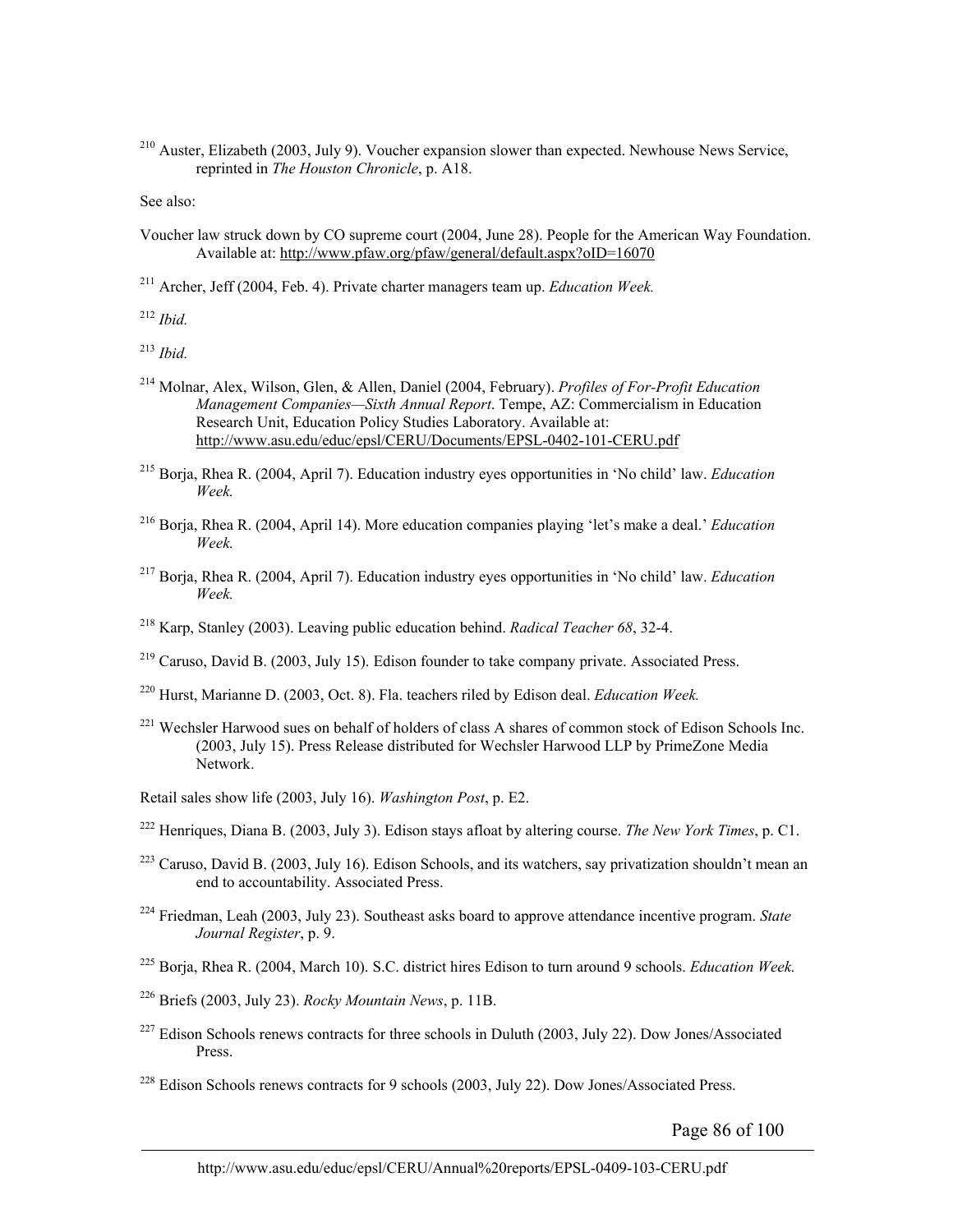210 Auster, Elizabeth (2003, July 9). Voucher expansion slower than expected. Newhouse News Service, reprinted in *The Houston Chronicle*, p. A18.

See also:

Voucher law struck down by CO supreme court (2004, June 28). People for the American Way Foundation. Available at: http://www.pfaw.org/pfaw/general/default.aspx?oID=16070

211 Archer, Jeff (2004, Feb. 4). Private charter managers team up. *Education Week.*

<sup>212</sup> *Ibid.*

<sup>213</sup> *Ibid.*

- 214 Molnar, Alex, Wilson, Glen, & Allen, Daniel (2004, February). *Profiles of For-Profit Education Management Companies—Sixth Annual Report*. Tempe, AZ: Commercialism in Education Research Unit, Education Policy Studies Laboratory. Available at: http://www.asu.edu/educ/epsl/CERU/Documents/EPSL-0402-101-CERU.pdf
- 215 Borja, Rhea R. (2004, April 7). Education industry eyes opportunities in 'No child' law. *Education Week.*
- 216 Borja, Rhea R. (2004, April 14). More education companies playing 'let's make a deal.' *Education Week.*
- 217 Borja, Rhea R. (2004, April 7). Education industry eyes opportunities in 'No child' law. *Education Week.*
- 218 Karp, Stanley (2003). Leaving public education behind. *Radical Teacher 68*, 32-4.
- $^{219}$  Caruso, David B. (2003, July 15). Edison founder to take company private. Associated Press.
- 220 Hurst, Marianne D. (2003, Oct. 8). Fla. teachers riled by Edison deal. *Education Week.*
- <sup>221</sup> Wechsler Harwood sues on behalf of holders of class A shares of common stock of Edison Schools Inc. (2003, July 15). Press Release distributed for Wechsler Harwood LLP by PrimeZone Media Network.

Retail sales show life (2003, July 16). *Washington Post*, p. E2.

- 222 Henriques, Diana B. (2003, July 3). Edison stays afloat by altering course. *The New York Times*, p. C1.
- <sup>223</sup> Caruso, David B. (2003, July 16). Edison Schools, and its watchers, say privatization shouldn't mean an end to accountability. Associated Press.
- 224 Friedman, Leah (2003, July 23). Southeast asks board to approve attendance incentive program. *State Journal Register*, p. 9.
- 225 Borja, Rhea R. (2004, March 10). S.C. district hires Edison to turn around 9 schools. *Education Week.*
- 226 Briefs (2003, July 23). *Rocky Mountain News*, p. 11B.
- <sup>227</sup> Edison Schools renews contracts for three schools in Duluth (2003, July 22). Dow Jones/Associated Press.
- <sup>228</sup> Edison Schools renews contracts for 9 schools (2003, July 22). Dow Jones/Associated Press.

Page 86 of 100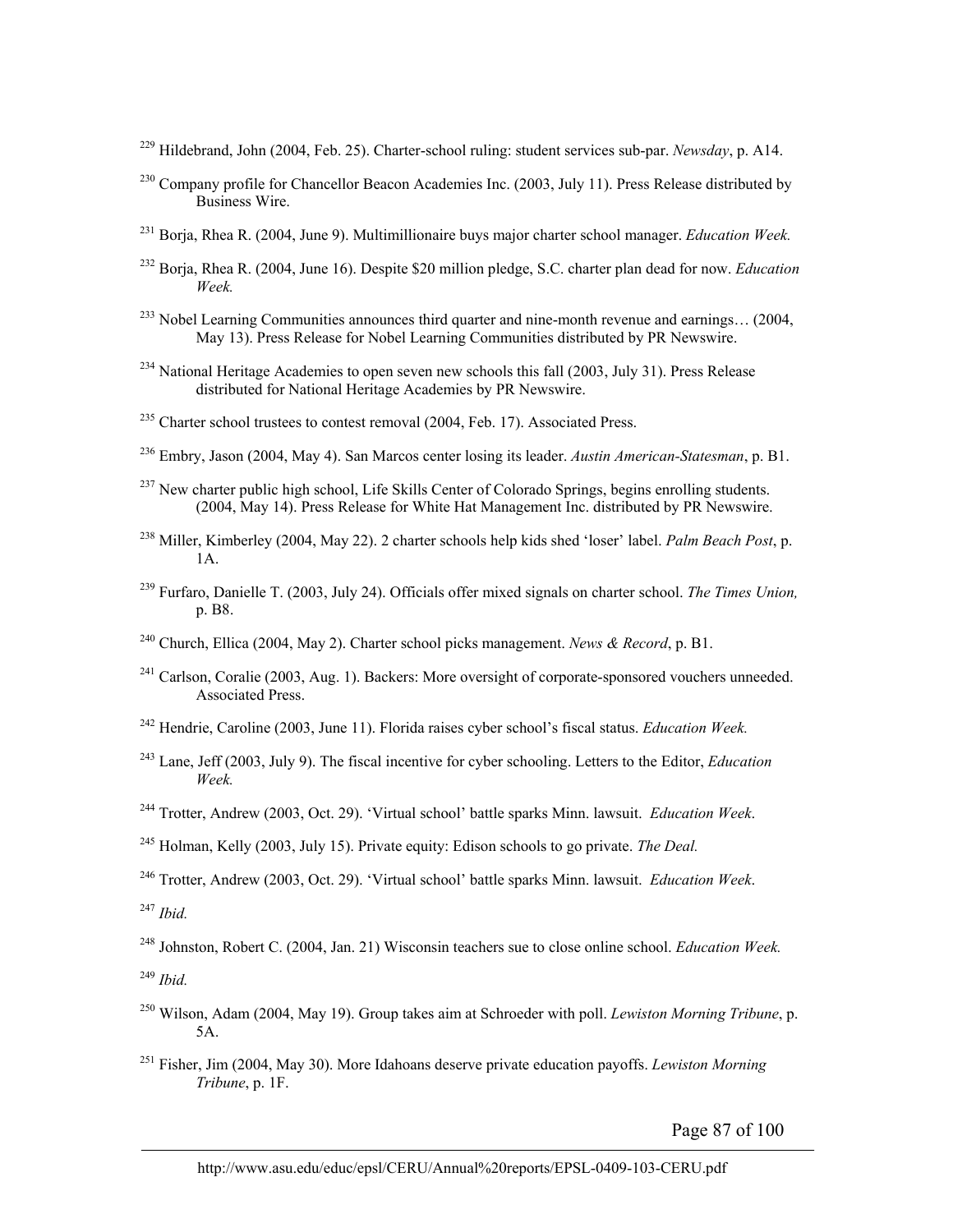- 229 Hildebrand, John (2004, Feb. 25). Charter-school ruling: student services sub-par. *Newsday*, p. A14.
- <sup>230</sup> Company profile for Chancellor Beacon Academies Inc. (2003, July 11). Press Release distributed by Business Wire.
- <sup>231</sup> Boria, Rhea R. (2004, June 9). Multimillionaire buys major charter school manager. *Education Week.*
- 232 Borja, Rhea R. (2004, June 16). Despite \$20 million pledge, S.C. charter plan dead for now. *Education Week.*
- $^{233}$  Nobel Learning Communities announces third quarter and nine-month revenue and earnings... (2004, May 13). Press Release for Nobel Learning Communities distributed by PR Newswire.
- <sup>234</sup> National Heritage Academies to open seven new schools this fall (2003, July 31). Press Release distributed for National Heritage Academies by PR Newswire.
- $235$  Charter school trustees to contest removal (2004, Feb. 17). Associated Press.
- 236 Embry, Jason (2004, May 4). San Marcos center losing its leader. *Austin American-Statesman*, p. B1.
- <sup>237</sup> New charter public high school, Life Skills Center of Colorado Springs, begins enrolling students. (2004, May 14). Press Release for White Hat Management Inc. distributed by PR Newswire.
- 238 Miller, Kimberley (2004, May 22). 2 charter schools help kids shed 'loser' label. *Palm Beach Post*, p. 1A.
- 239 Furfaro, Danielle T. (2003, July 24). Officials offer mixed signals on charter school. *The Times Union,* p. B8.
- 240 Church, Ellica (2004, May 2). Charter school picks management. *News & Record*, p. B1.
- <sup>241</sup> Carlson, Coralie (2003, Aug. 1). Backers: More oversight of corporate-sponsored vouchers unneeded. Associated Press.
- 242 Hendrie, Caroline (2003, June 11). Florida raises cyber school's fiscal status. *Education Week.*
- 243 Lane, Jeff (2003, July 9). The fiscal incentive for cyber schooling. Letters to the Editor, *Education Week.*
- 244 Trotter, Andrew (2003, Oct. 29). 'Virtual school' battle sparks Minn. lawsuit. *Education Week*.
- 245 Holman, Kelly (2003, July 15). Private equity: Edison schools to go private. *The Deal.*

246 Trotter, Andrew (2003, Oct. 29). 'Virtual school' battle sparks Minn. lawsuit. *Education Week*.

<sup>247</sup> *Ibid.*

248 Johnston, Robert C. (2004, Jan. 21) Wisconsin teachers sue to close online school. *Education Week.* 

<sup>249</sup> *Ibid.* 

- 250 Wilson, Adam (2004, May 19). Group takes aim at Schroeder with poll. *Lewiston Morning Tribune*, p. 5A.
- 251 Fisher, Jim (2004, May 30). More Idahoans deserve private education payoffs. *Lewiston Morning Tribune*, p. 1F.

Page 87 of 100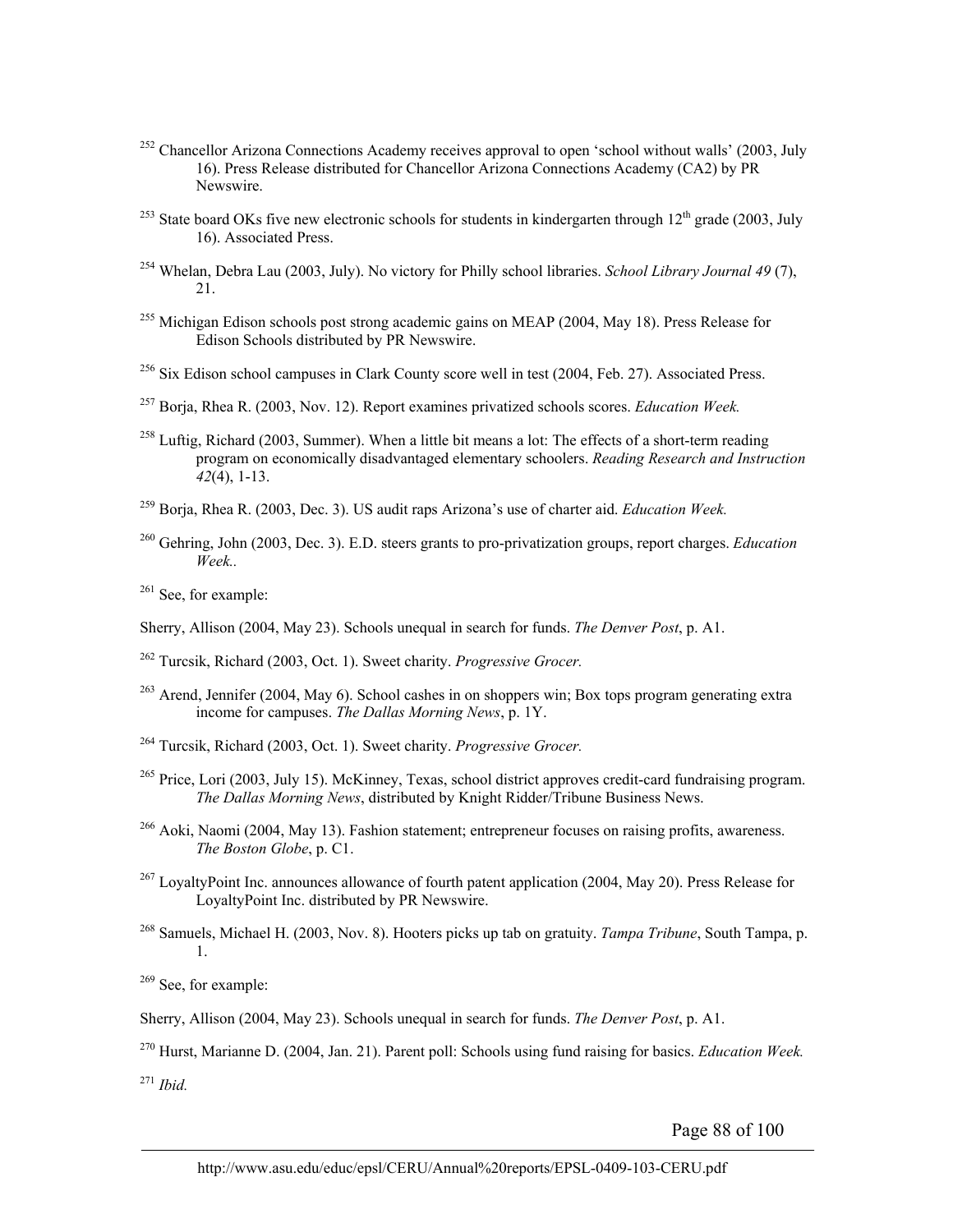- <sup>252</sup> Chancellor Arizona Connections Academy receives approval to open 'school without walls' (2003, July 16). Press Release distributed for Chancellor Arizona Connections Academy (CA2) by PR Newswire.
- <sup>253</sup> State board OKs five new electronic schools for students in kindergarten through  $12<sup>th</sup>$  grade (2003, July 16). Associated Press.
- 254 Whelan, Debra Lau (2003, July). No victory for Philly school libraries. *School Library Journal 49* (7),  $21$
- <sup>255</sup> Michigan Edison schools post strong academic gains on MEAP (2004, May 18). Press Release for Edison Schools distributed by PR Newswire.
- <sup>256</sup> Six Edison school campuses in Clark County score well in test (2004, Feb. 27). Associated Press.
- 257 Borja, Rhea R. (2003, Nov. 12). Report examines privatized schools scores. *Education Week.*
- <sup>258</sup> Luftig, Richard (2003, Summer). When a little bit means a lot: The effects of a short-term reading program on economically disadvantaged elementary schoolers. *Reading Research and Instruction 42*(4), 1-13.
- 259 Borja, Rhea R. (2003, Dec. 3). US audit raps Arizona's use of charter aid. *Education Week.*
- 260 Gehring, John (2003, Dec. 3). E.D. steers grants to pro-privatization groups, report charges. *Education Week..*
- $261$  See, for example:
- Sherry, Allison (2004, May 23). Schools unequal in search for funds. *The Denver Post*, p. A1.
- 262 Turcsik, Richard (2003, Oct. 1). Sweet charity. *Progressive Grocer.*
- <sup>263</sup> Arend, Jennifer (2004, May 6). School cashes in on shoppers win; Box tops program generating extra income for campuses. *The Dallas Morning News*, p. 1Y.
- 264 Turcsik, Richard (2003, Oct. 1). Sweet charity. *Progressive Grocer.*
- <sup>265</sup> Price, Lori (2003, July 15). McKinney, Texas, school district approves credit-card fundraising program. *The Dallas Morning News*, distributed by Knight Ridder/Tribune Business News.
- 266 Aoki, Naomi (2004, May 13). Fashion statement; entrepreneur focuses on raising profits, awareness. *The Boston Globe*, p. C1.
- <sup>267</sup> LoyaltyPoint Inc. announces allowance of fourth patent application (2004, May 20). Press Release for LoyaltyPoint Inc. distributed by PR Newswire.
- 268 Samuels, Michael H. (2003, Nov. 8). Hooters picks up tab on gratuity. *Tampa Tribune*, South Tampa, p. 1.

<sup>269</sup> See, for example:

Sherry, Allison (2004, May 23). Schools unequal in search for funds. *The Denver Post*, p. A1.

270 Hurst, Marianne D. (2004, Jan. 21). Parent poll: Schools using fund raising for basics. *Education Week.*

<sup>271</sup> *Ibid.*

Page 88 of 100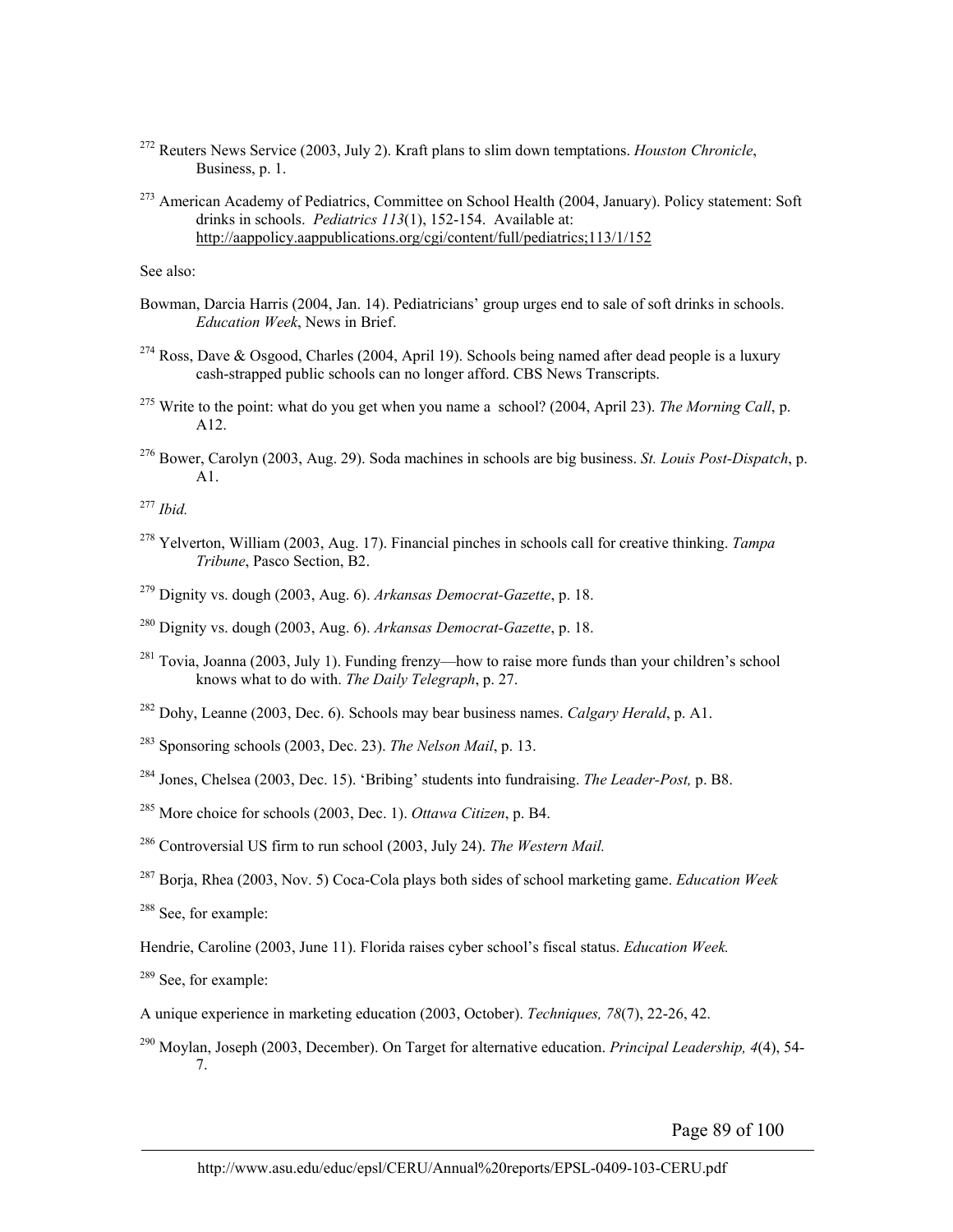- 272 Reuters News Service (2003, July 2). Kraft plans to slim down temptations. *Houston Chronicle*, Business, p. 1.
- <sup>273</sup> American Academy of Pediatrics, Committee on School Health (2004, January). Policy statement: Soft drinks in schools. *Pediatrics 113*(1), 152-154. Available at: http://aappolicy.aappublications.org/cgi/content/full/pediatrics;113/1/152

See also:

- Bowman, Darcia Harris (2004, Jan. 14). Pediatricians' group urges end to sale of soft drinks in schools. *Education Week*, News in Brief.
- <sup>274</sup> Ross, Dave & Osgood, Charles (2004, April 19). Schools being named after dead people is a luxury cash-strapped public schools can no longer afford. CBS News Transcripts.
- 275 Write to the point: what do you get when you name a school? (2004, April 23). *The Morning Call*, p. A12.
- 276 Bower, Carolyn (2003, Aug. 29). Soda machines in schools are big business. *St. Louis Post-Dispatch*, p. A1.

<sup>277</sup> *Ibid.*

- 278 Yelverton, William (2003, Aug. 17). Financial pinches in schools call for creative thinking. *Tampa Tribune*, Pasco Section, B2.
- 279 Dignity vs. dough (2003, Aug. 6). *Arkansas Democrat-Gazette*, p. 18.
- 280 Dignity vs. dough (2003, Aug. 6). *Arkansas Democrat-Gazette*, p. 18.
- 281 Tovia, Joanna (2003, July 1). Funding frenzy—how to raise more funds than your children's school knows what to do with. *The Daily Telegraph*, p. 27.
- 282 Dohy, Leanne (2003, Dec. 6). Schools may bear business names. *Calgary Herald*, p. A1.
- 283 Sponsoring schools (2003, Dec. 23). *The Nelson Mail*, p. 13.
- 284 Jones, Chelsea (2003, Dec. 15). 'Bribing' students into fundraising. *The Leader-Post,* p. B8.
- 285 More choice for schools (2003, Dec. 1). *Ottawa Citizen*, p. B4.
- 286 Controversial US firm to run school (2003, July 24). *The Western Mail.*
- 287 Borja, Rhea (2003, Nov. 5) Coca-Cola plays both sides of school marketing game. *Education Week*
- 288 See, for example:

Hendrie, Caroline (2003, June 11). Florida raises cyber school's fiscal status. *Education Week.*

- <sup>289</sup> See, for example:
- A unique experience in marketing education (2003, October). *Techniques, 78*(7), 22-26, 42.
- 290 Moylan, Joseph (2003, December). On Target for alternative education. *Principal Leadership, 4*(4), 54- 7.

Page 89 of 100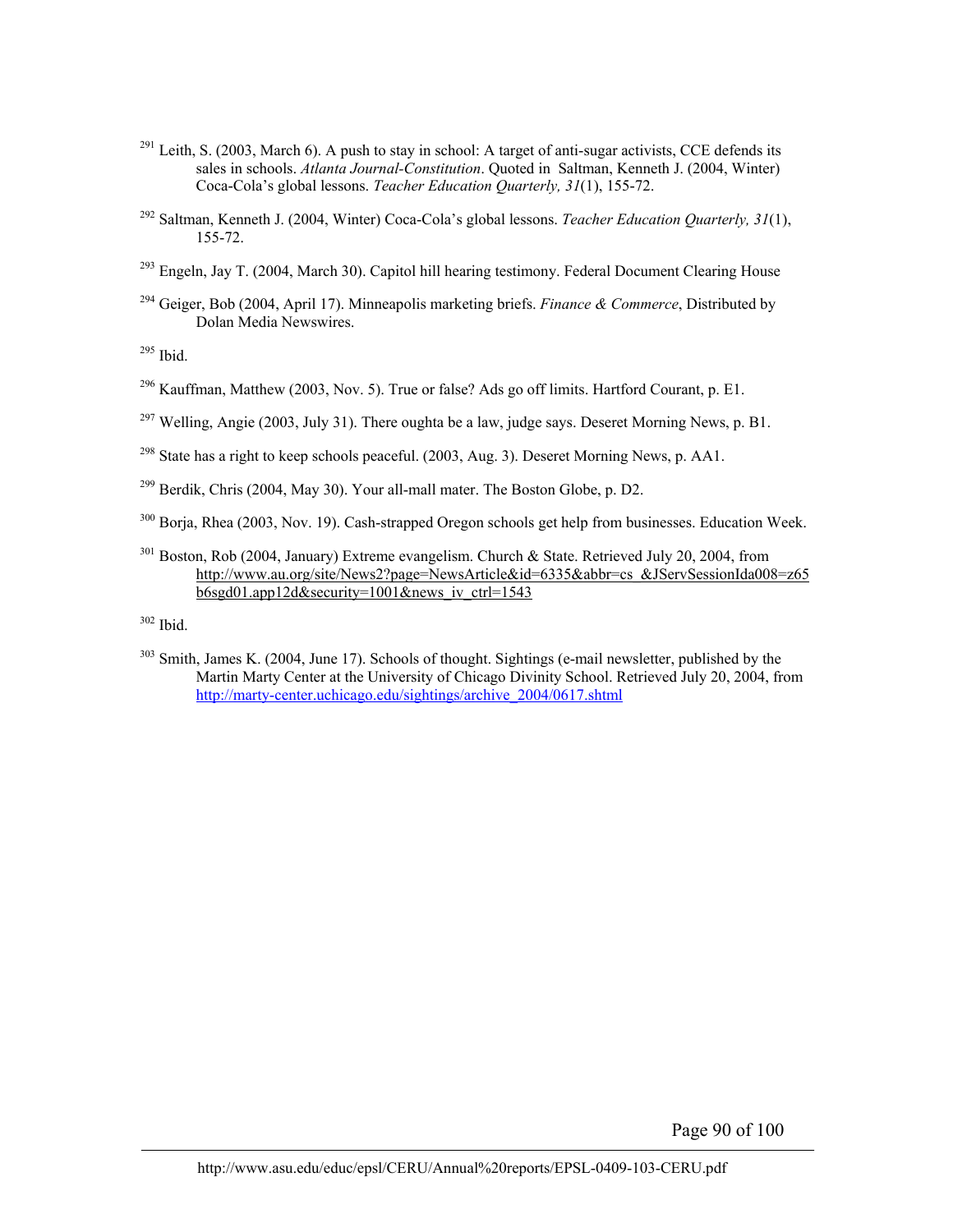- $^{291}$  Leith, S. (2003, March 6). A push to stay in school: A target of anti-sugar activists, CCE defends its sales in schools. *Atlanta Journal-Constitution*. Quoted in Saltman, Kenneth J. (2004, Winter) Coca-Cola's global lessons. *Teacher Education Quarterly, 31*(1), 155-72.
- 292 Saltman, Kenneth J. (2004, Winter) Coca-Cola's global lessons. *Teacher Education Quarterly, 31*(1), 155-72.
- <sup>293</sup> Engeln, Jay T. (2004, March 30). Capitol hill hearing testimony. Federal Document Clearing House
- 294 Geiger, Bob (2004, April 17). Minneapolis marketing briefs. *Finance & Commerce*, Distributed by Dolan Media Newswires.

295 Ibid.

- $^{296}$  Kauffman, Matthew (2003, Nov. 5). True or false? Ads go off limits. Hartford Courant, p. E1.
- <sup>297</sup> Welling, Angie (2003, July 31). There oughta be a law, judge says. Deseret Morning News, p. B1.
- <sup>298</sup> State has a right to keep schools peaceful. (2003, Aug. 3). Deseret Morning News, p. AA1.
- <sup>299</sup> Berdik, Chris (2004, May 30). Your all-mall mater. The Boston Globe, p. D2.
- <sup>300</sup> Borja, Rhea (2003, Nov. 19). Cash-strapped Oregon schools get help from businesses. Education Week.
- <sup>301</sup> Boston, Rob (2004, January) Extreme evangelism. Church & State. Retrieved July 20, 2004, from http://www.au.org/site/News2?page=NewsArticle&id=6335&abbr=cs\_&JServSessionIda008=z65 b6sgd01.app12d&security=1001&news\_iv\_ctrl=1543

302 Ibid.

<sup>303</sup> Smith, James K. (2004, June 17). Schools of thought. Sightings (e-mail newsletter, published by the Martin Marty Center at the University of Chicago Divinity School. Retrieved July 20, 2004, from http://marty-center.uchicago.edu/sightings/archive\_2004/0617.shtml

Page 90 of 100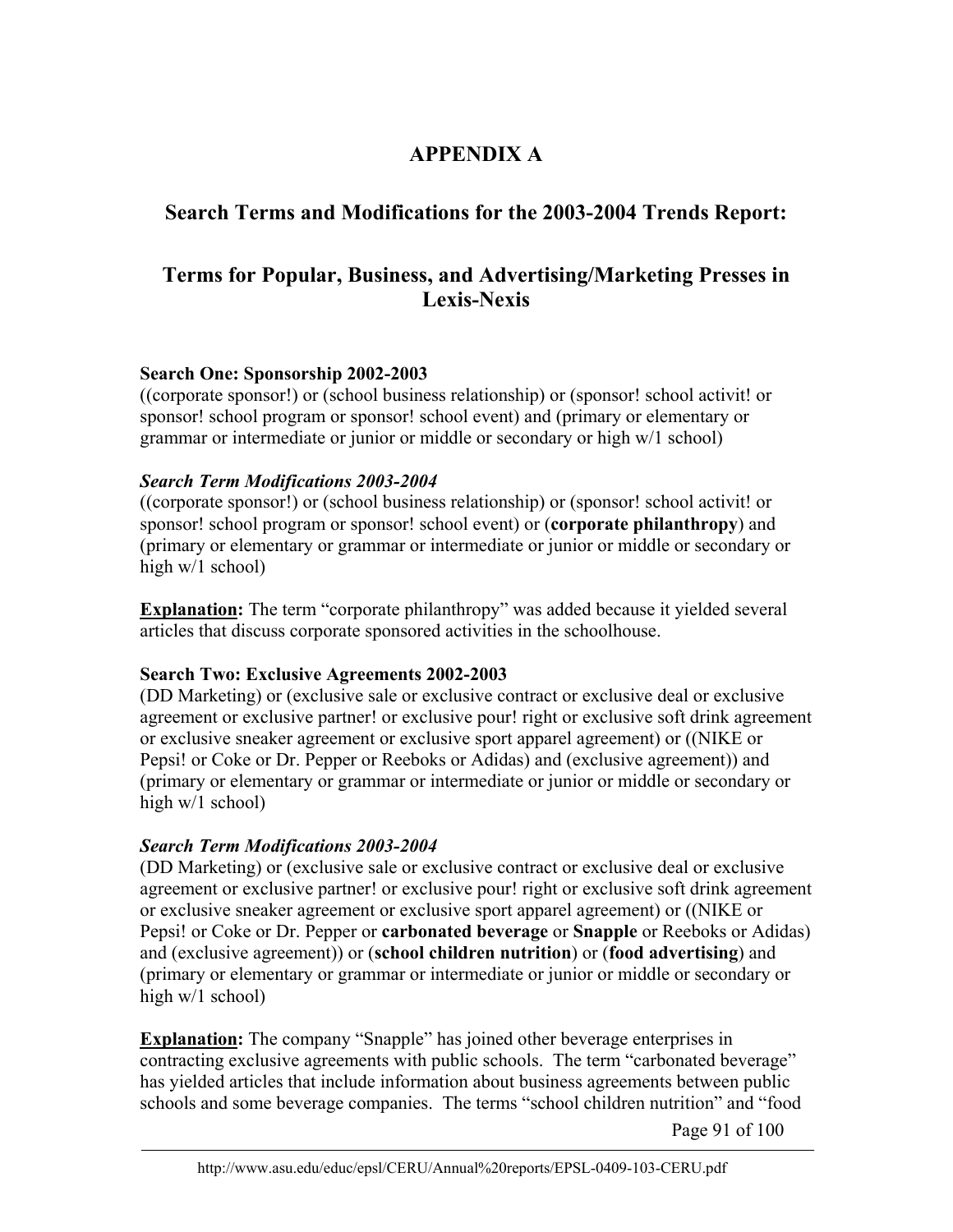# **APPENDIX A**

# **Search Terms and Modifications for the 2003-2004 Trends Report:**

# **Terms for Popular, Business, and Advertising/Marketing Presses in Lexis-Nexis**

#### **Search One: Sponsorship 2002-2003**

((corporate sponsor!) or (school business relationship) or (sponsor! school activit! or sponsor! school program or sponsor! school event) and (primary or elementary or grammar or intermediate or junior or middle or secondary or high w/1 school)

## *Search Term Modifications 2003-2004*

((corporate sponsor!) or (school business relationship) or (sponsor! school activit! or sponsor! school program or sponsor! school event) or (**corporate philanthropy**) and (primary or elementary or grammar or intermediate or junior or middle or secondary or high w/1 school)

**Explanation:** The term "corporate philanthropy" was added because it yielded several articles that discuss corporate sponsored activities in the schoolhouse.

#### **Search Two: Exclusive Agreements 2002-2003**

(DD Marketing) or (exclusive sale or exclusive contract or exclusive deal or exclusive agreement or exclusive partner! or exclusive pour! right or exclusive soft drink agreement or exclusive sneaker agreement or exclusive sport apparel agreement) or ((NIKE or Pepsi! or Coke or Dr. Pepper or Reeboks or Adidas) and (exclusive agreement)) and (primary or elementary or grammar or intermediate or junior or middle or secondary or high w/1 school)

## *Search Term Modifications 2003-2004*

(DD Marketing) or (exclusive sale or exclusive contract or exclusive deal or exclusive agreement or exclusive partner! or exclusive pour! right or exclusive soft drink agreement or exclusive sneaker agreement or exclusive sport apparel agreement) or ((NIKE or Pepsi! or Coke or Dr. Pepper or **carbonated beverage** or **Snapple** or Reeboks or Adidas) and (exclusive agreement)) or (**school children nutrition**) or (**food advertising**) and (primary or elementary or grammar or intermediate or junior or middle or secondary or high w/1 school)

**Explanation:** The company "Snapple" has joined other beverage enterprises in contracting exclusive agreements with public schools. The term "carbonated beverage" has yielded articles that include information about business agreements between public schools and some beverage companies. The terms "school children nutrition" and "food

Page 91 of 100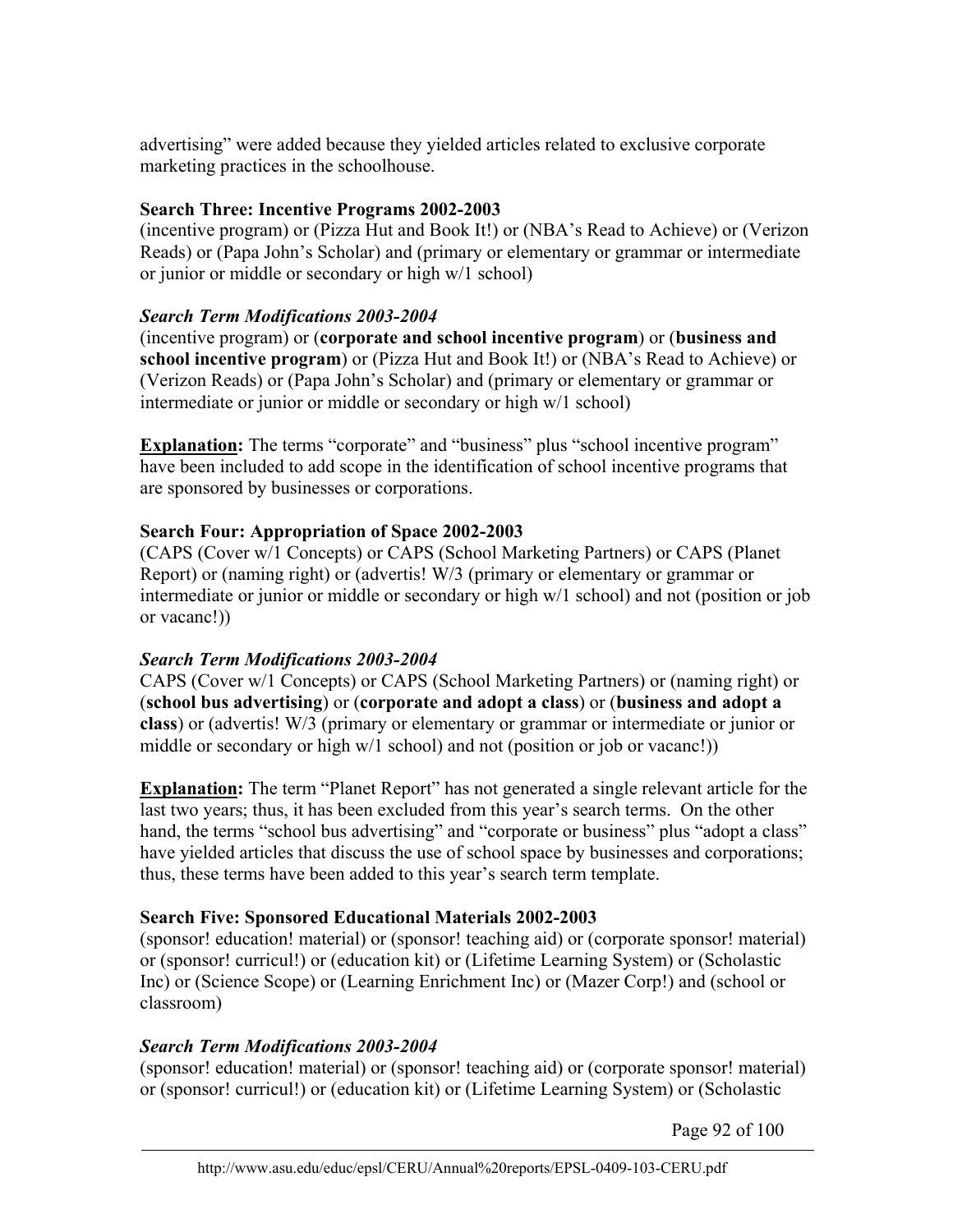advertising" were added because they yielded articles related to exclusive corporate marketing practices in the schoolhouse.

## **Search Three: Incentive Programs 2002-2003**

(incentive program) or (Pizza Hut and Book It!) or (NBA's Read to Achieve) or (Verizon Reads) or (Papa John's Scholar) and (primary or elementary or grammar or intermediate or junior or middle or secondary or high w/1 school)

# *Search Term Modifications 2003-2004*

(incentive program) or (**corporate and school incentive program**) or (**business and school incentive program**) or (Pizza Hut and Book It!) or (NBA's Read to Achieve) or (Verizon Reads) or (Papa John's Scholar) and (primary or elementary or grammar or intermediate or junior or middle or secondary or high w/1 school)

**Explanation:** The terms "corporate" and "business" plus "school incentive program" have been included to add scope in the identification of school incentive programs that are sponsored by businesses or corporations.

# **Search Four: Appropriation of Space 2002-2003**

(CAPS (Cover w/1 Concepts) or CAPS (School Marketing Partners) or CAPS (Planet Report) or (naming right) or (advertis! W/3 (primary or elementary or grammar or intermediate or junior or middle or secondary or high w/1 school) and not (position or job or vacanc!))

# *Search Term Modifications 2003-2004*

CAPS (Cover w/1 Concepts) or CAPS (School Marketing Partners) or (naming right) or (**school bus advertising**) or (**corporate and adopt a class**) or (**business and adopt a class**) or (advertis! W/3 (primary or elementary or grammar or intermediate or junior or middle or secondary or high w/1 school) and not (position or job or vacanc!))

**Explanation:** The term "Planet Report" has not generated a single relevant article for the last two years; thus, it has been excluded from this year's search terms. On the other hand, the terms "school bus advertising" and "corporate or business" plus "adopt a class" have yielded articles that discuss the use of school space by businesses and corporations; thus, these terms have been added to this year's search term template.

# **Search Five: Sponsored Educational Materials 2002-2003**

(sponsor! education! material) or (sponsor! teaching aid) or (corporate sponsor! material) or (sponsor! curricul!) or (education kit) or (Lifetime Learning System) or (Scholastic Inc) or (Science Scope) or (Learning Enrichment Inc) or (Mazer Corp!) and (school or classroom)

# *Search Term Modifications 2003-2004*

(sponsor! education! material) or (sponsor! teaching aid) or (corporate sponsor! material) or (sponsor! curricul!) or (education kit) or (Lifetime Learning System) or (Scholastic

Page 92 of 100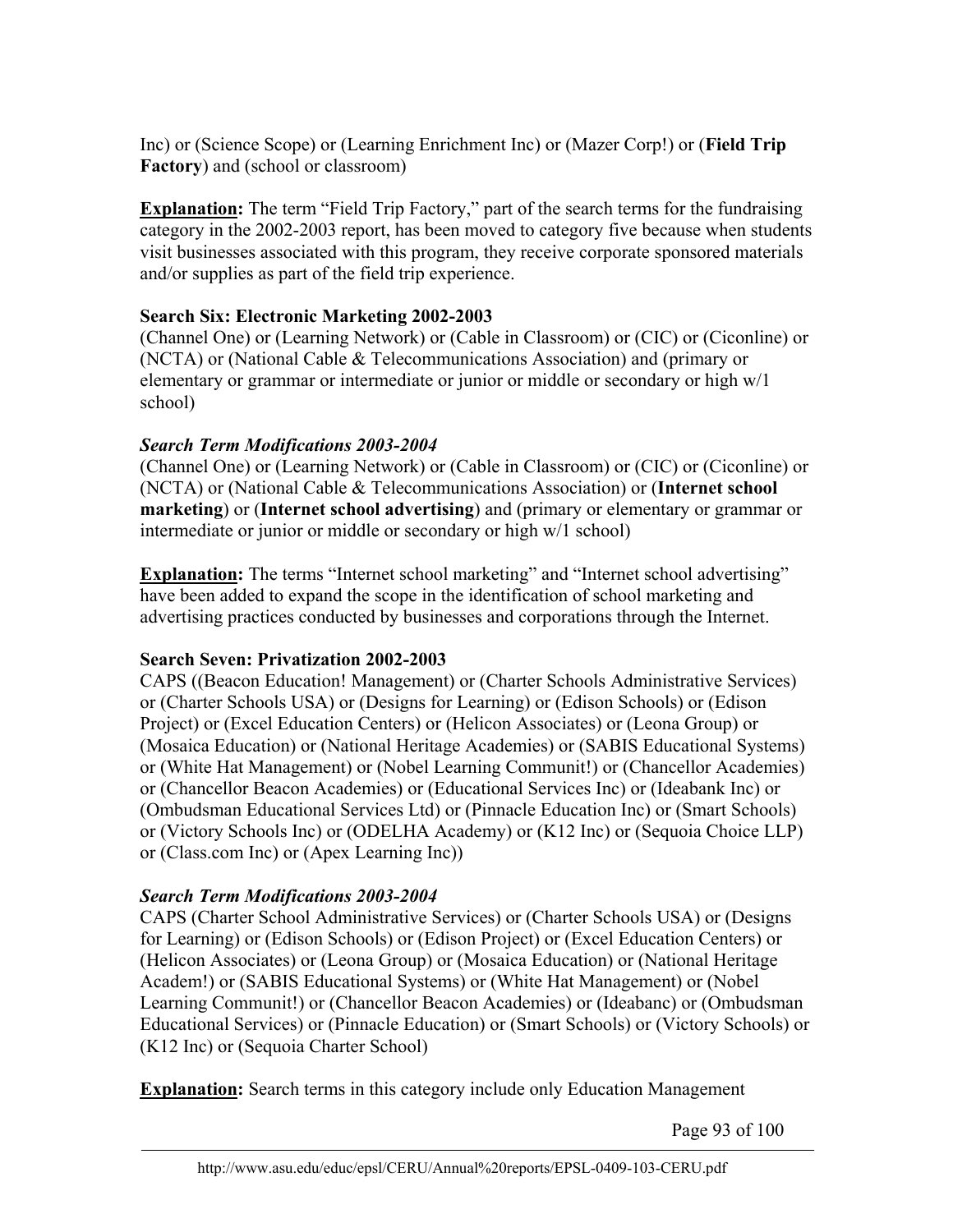Inc) or (Science Scope) or (Learning Enrichment Inc) or (Mazer Corp!) or (**Field Trip Factory**) and (school or classroom)

**Explanation:** The term "Field Trip Factory," part of the search terms for the fundraising category in the 2002-2003 report, has been moved to category five because when students visit businesses associated with this program, they receive corporate sponsored materials and/or supplies as part of the field trip experience.

# **Search Six: Electronic Marketing 2002-2003**

(Channel One) or (Learning Network) or (Cable in Classroom) or (CIC) or (Ciconline) or (NCTA) or (National Cable & Telecommunications Association) and (primary or elementary or grammar or intermediate or junior or middle or secondary or high w/1 school)

# *Search Term Modifications 2003-2004*

(Channel One) or (Learning Network) or (Cable in Classroom) or (CIC) or (Ciconline) or (NCTA) or (National Cable & Telecommunications Association) or (**Internet school marketing**) or (**Internet school advertising**) and (primary or elementary or grammar or intermediate or junior or middle or secondary or high w/1 school)

**Explanation:** The terms "Internet school marketing" and "Internet school advertising" have been added to expand the scope in the identification of school marketing and advertising practices conducted by businesses and corporations through the Internet.

# **Search Seven: Privatization 2002-2003**

CAPS ((Beacon Education! Management) or (Charter Schools Administrative Services) or (Charter Schools USA) or (Designs for Learning) or (Edison Schools) or (Edison Project) or (Excel Education Centers) or (Helicon Associates) or (Leona Group) or (Mosaica Education) or (National Heritage Academies) or (SABIS Educational Systems) or (White Hat Management) or (Nobel Learning Communit!) or (Chancellor Academies) or (Chancellor Beacon Academies) or (Educational Services Inc) or (Ideabank Inc) or (Ombudsman Educational Services Ltd) or (Pinnacle Education Inc) or (Smart Schools) or (Victory Schools Inc) or (ODELHA Academy) or (K12 Inc) or (Sequoia Choice LLP) or (Class.com Inc) or (Apex Learning Inc))

# *Search Term Modifications 2003-2004*

CAPS (Charter School Administrative Services) or (Charter Schools USA) or (Designs for Learning) or (Edison Schools) or (Edison Project) or (Excel Education Centers) or (Helicon Associates) or (Leona Group) or (Mosaica Education) or (National Heritage Academ!) or (SABIS Educational Systems) or (White Hat Management) or (Nobel Learning Communit!) or (Chancellor Beacon Academies) or (Ideabanc) or (Ombudsman Educational Services) or (Pinnacle Education) or (Smart Schools) or (Victory Schools) or (K12 Inc) or (Sequoia Charter School)

**Explanation:** Search terms in this category include only Education Management

Page 93 of 100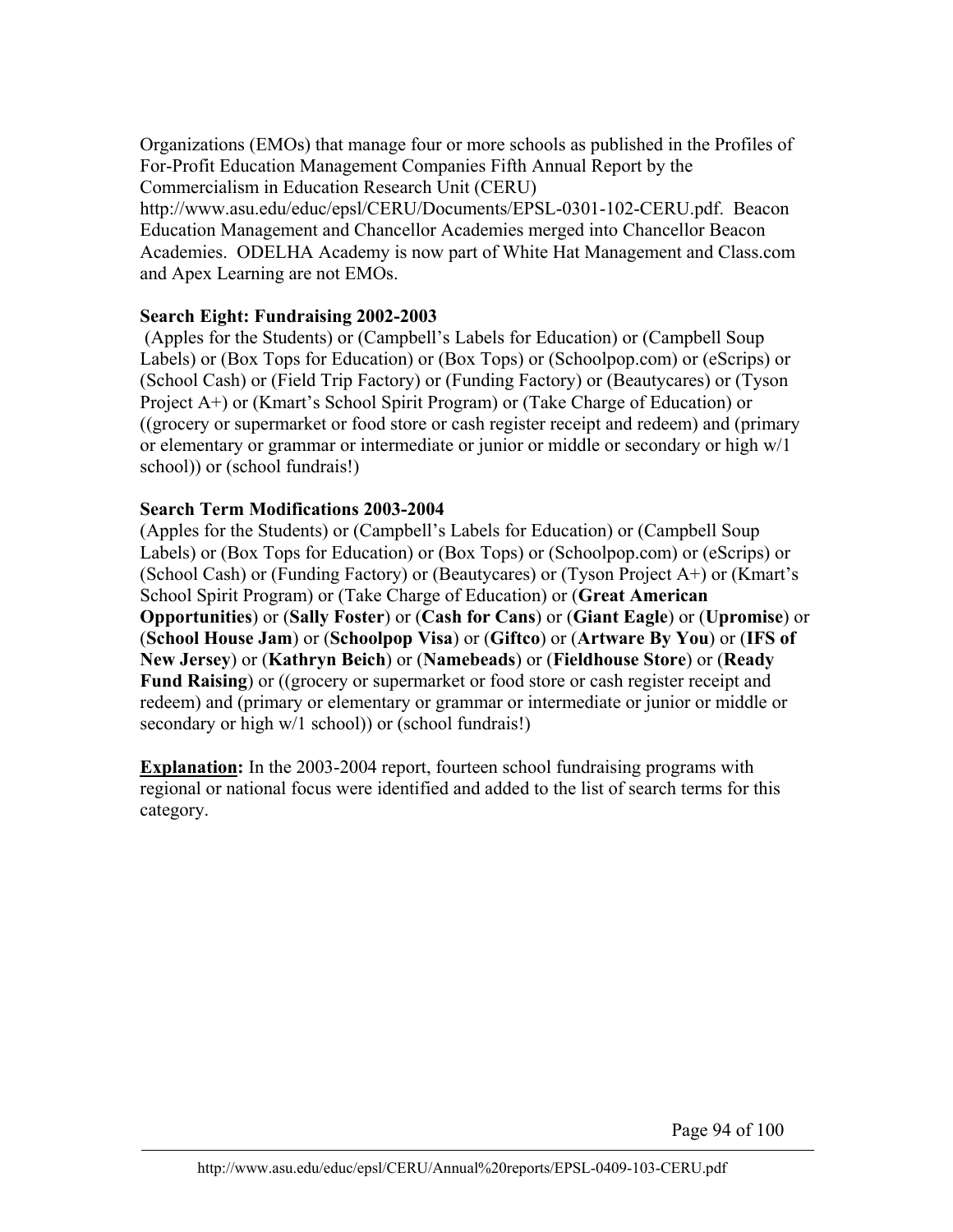Organizations (EMOs) that manage four or more schools as published in the Profiles of For-Profit Education Management Companies Fifth Annual Report by the Commercialism in Education Research Unit (CERU)

http://www.asu.edu/educ/epsl/CERU/Documents/EPSL-0301-102-CERU.pdf. Beacon Education Management and Chancellor Academies merged into Chancellor Beacon Academies. ODELHA Academy is now part of White Hat Management and Class.com and Apex Learning are not EMOs.

#### **Search Eight: Fundraising 2002-2003**

 (Apples for the Students) or (Campbell's Labels for Education) or (Campbell Soup Labels) or (Box Tops for Education) or (Box Tops) or (Schoolpop.com) or (eScrips) or (School Cash) or (Field Trip Factory) or (Funding Factory) or (Beautycares) or (Tyson Project A+) or (Kmart's School Spirit Program) or (Take Charge of Education) or ((grocery or supermarket or food store or cash register receipt and redeem) and (primary or elementary or grammar or intermediate or junior or middle or secondary or high w/1 school)) or (school fundrais!)

#### **Search Term Modifications 2003-2004**

(Apples for the Students) or (Campbell's Labels for Education) or (Campbell Soup Labels) or (Box Tops for Education) or (Box Tops) or (Schoolpop.com) or (eScrips) or (School Cash) or (Funding Factory) or (Beautycares) or (Tyson Project A+) or (Kmart's School Spirit Program) or (Take Charge of Education) or (**Great American Opportunities**) or (**Sally Foster**) or (**Cash for Cans**) or (**Giant Eagle**) or (**Upromise**) or (**School House Jam**) or (**Schoolpop Visa**) or (**Giftco**) or (**Artware By You**) or (**IFS of New Jersey**) or (**Kathryn Beich**) or (**Namebeads**) or (**Fieldhouse Store**) or (**Ready Fund Raising**) or ((grocery or supermarket or food store or cash register receipt and redeem) and (primary or elementary or grammar or intermediate or junior or middle or secondary or high w/1 school)) or (school fundrais!)

**Explanation:** In the 2003-2004 report, fourteen school fundraising programs with regional or national focus were identified and added to the list of search terms for this category.

Page 94 of 100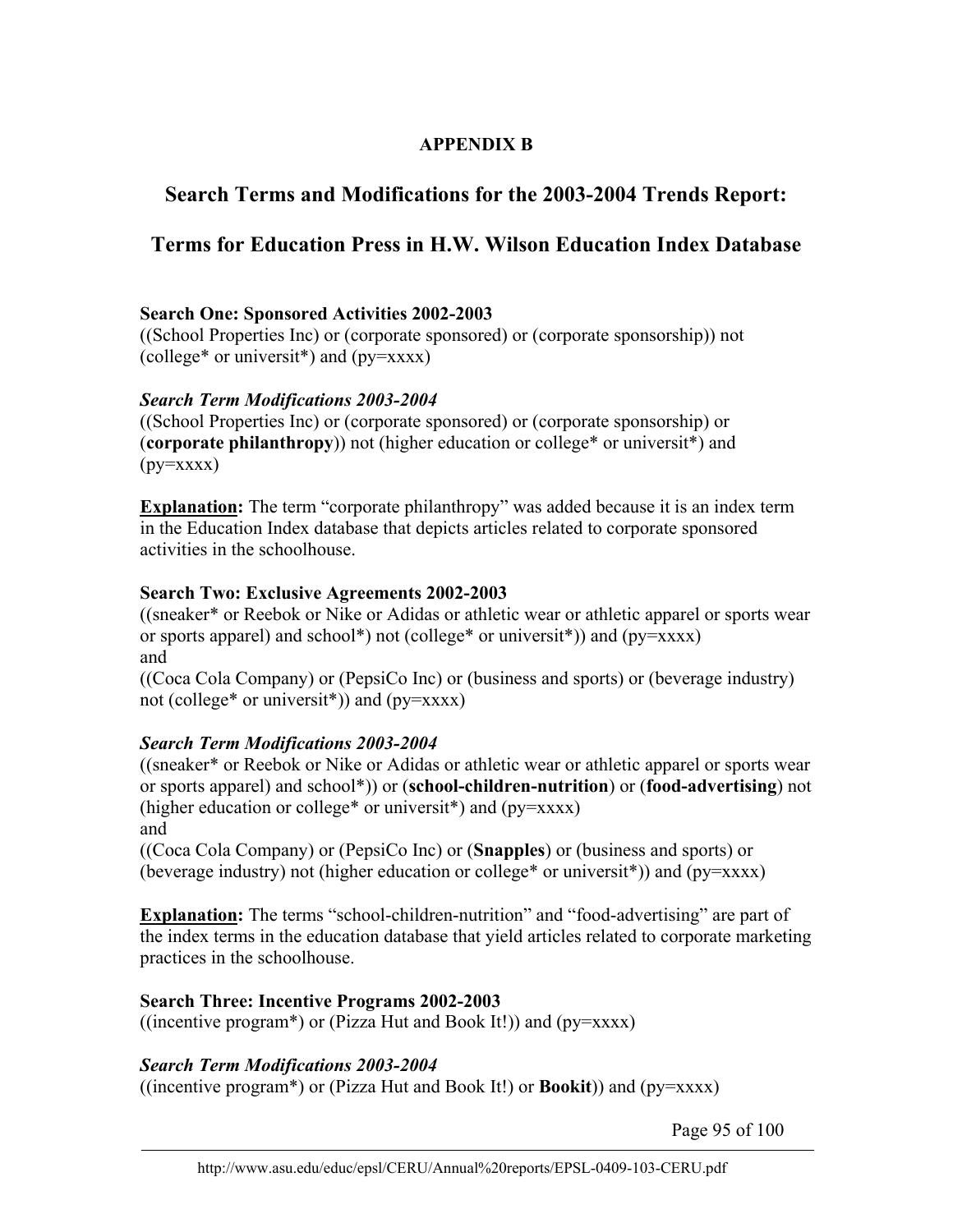# **APPENDIX B**

# **Search Terms and Modifications for the 2003-2004 Trends Report:**

# **Terms for Education Press in H.W. Wilson Education Index Database**

## **Search One: Sponsored Activities 2002-2003**

((School Properties Inc) or (corporate sponsored) or (corporate sponsorship)) not (college\* or universit\*) and  $(py=xxxx)$ 

## *Search Term Modifications 2003-2004*

((School Properties Inc) or (corporate sponsored) or (corporate sponsorship) or (**corporate philanthropy**)) not (higher education or college\* or universit\*) and  $(py=xxxx)$ 

**Explanation:** The term "corporate philanthropy" was added because it is an index term in the Education Index database that depicts articles related to corporate sponsored activities in the schoolhouse.

#### **Search Two: Exclusive Agreements 2002-2003**

((sneaker\* or Reebok or Nike or Adidas or athletic wear or athletic apparel or sports wear or sports apparel) and school\*) not (college\* or universit\*)) and ( $py=xxxx$ ) and

((Coca Cola Company) or (PepsiCo Inc) or (business and sports) or (beverage industry) not (college\* or universit\*)) and (py=xxxx)

## *Search Term Modifications 2003-2004*

((sneaker\* or Reebok or Nike or Adidas or athletic wear or athletic apparel or sports wear or sports apparel) and school\*)) or (**school-children-nutrition**) or (**food-advertising**) not (higher education or college<sup>\*</sup> or universit<sup>\*</sup>) and ( $pv = XXXX$ ) and

((Coca Cola Company) or (PepsiCo Inc) or (**Snapples**) or (business and sports) or (beverage industry) not (higher education or college\* or universit\*)) and (py=xxxx)

**Explanation:** The terms "school-children-nutrition" and "food-advertising" are part of the index terms in the education database that yield articles related to corporate marketing practices in the schoolhouse.

## **Search Three: Incentive Programs 2002-2003**

((incentive program\*) or (Pizza Hut and Book It!)) and  $(py=xxxx)$ 

## *Search Term Modifications 2003-2004*

((incentive program\*) or (Pizza Hut and Book It!) or **Bookit**)) and (py=xxxx)

Page 95 of 100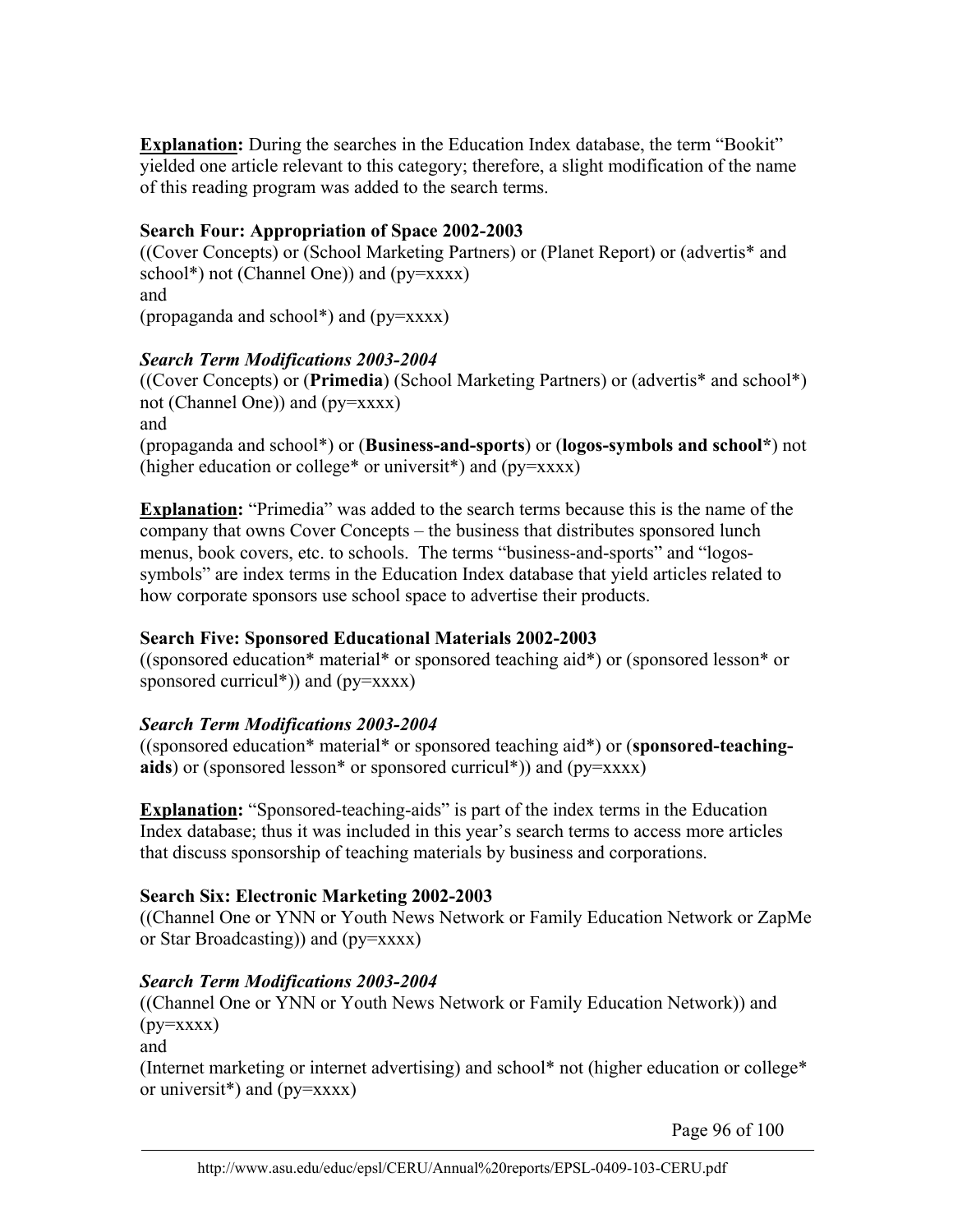**Explanation:** During the searches in the Education Index database, the term "Bookit" yielded one article relevant to this category; therefore, a slight modification of the name of this reading program was added to the search terms.

## **Search Four: Appropriation of Space 2002-2003**

((Cover Concepts) or (School Marketing Partners) or (Planet Report) or (advertis\* and school\*) not (Channel One)) and (py=xxxx) and (propaganda and school\*) and (py=xxxx)

## *Search Term Modifications 2003-2004*

((Cover Concepts) or (**Primedia**) (School Marketing Partners) or (advertis\* and school\*) not (Channel One)) and (py=xxxx) and (propaganda and school\*) or (**Business-and-sports**) or (**logos-symbols and school\***) not (higher education or college\* or universit\*) and  $(py=xxxx)$ 

**Explanation:** "Primedia" was added to the search terms because this is the name of the company that owns Cover Concepts – the business that distributes sponsored lunch menus, book covers, etc. to schools. The terms "business-and-sports" and "logossymbols" are index terms in the Education Index database that yield articles related to how corporate sponsors use school space to advertise their products.

# **Search Five: Sponsored Educational Materials 2002-2003**

((sponsored education\* material\* or sponsored teaching aid\*) or (sponsored lesson\* or sponsored curricul\*)) and (py=xxxx)

# *Search Term Modifications 2003-2004*

((sponsored education\* material\* or sponsored teaching aid\*) or (**sponsored-teachingaids**) or (sponsored lesson\* or sponsored curricul\*)) and (py=xxxx)

**Explanation:** "Sponsored-teaching-aids" is part of the index terms in the Education Index database; thus it was included in this year's search terms to access more articles that discuss sponsorship of teaching materials by business and corporations.

## **Search Six: Electronic Marketing 2002-2003**

((Channel One or YNN or Youth News Network or Family Education Network or ZapMe or Star Broadcasting)) and (py=xxxx)

## *Search Term Modifications 2003-2004*

((Channel One or YNN or Youth News Network or Family Education Network)) and  $(py=xxxx)$ 

and

(Internet marketing or internet advertising) and school\* not (higher education or college\* or universit<sup>\*</sup>) and ( $py=xxxx$ )

Page 96 of 100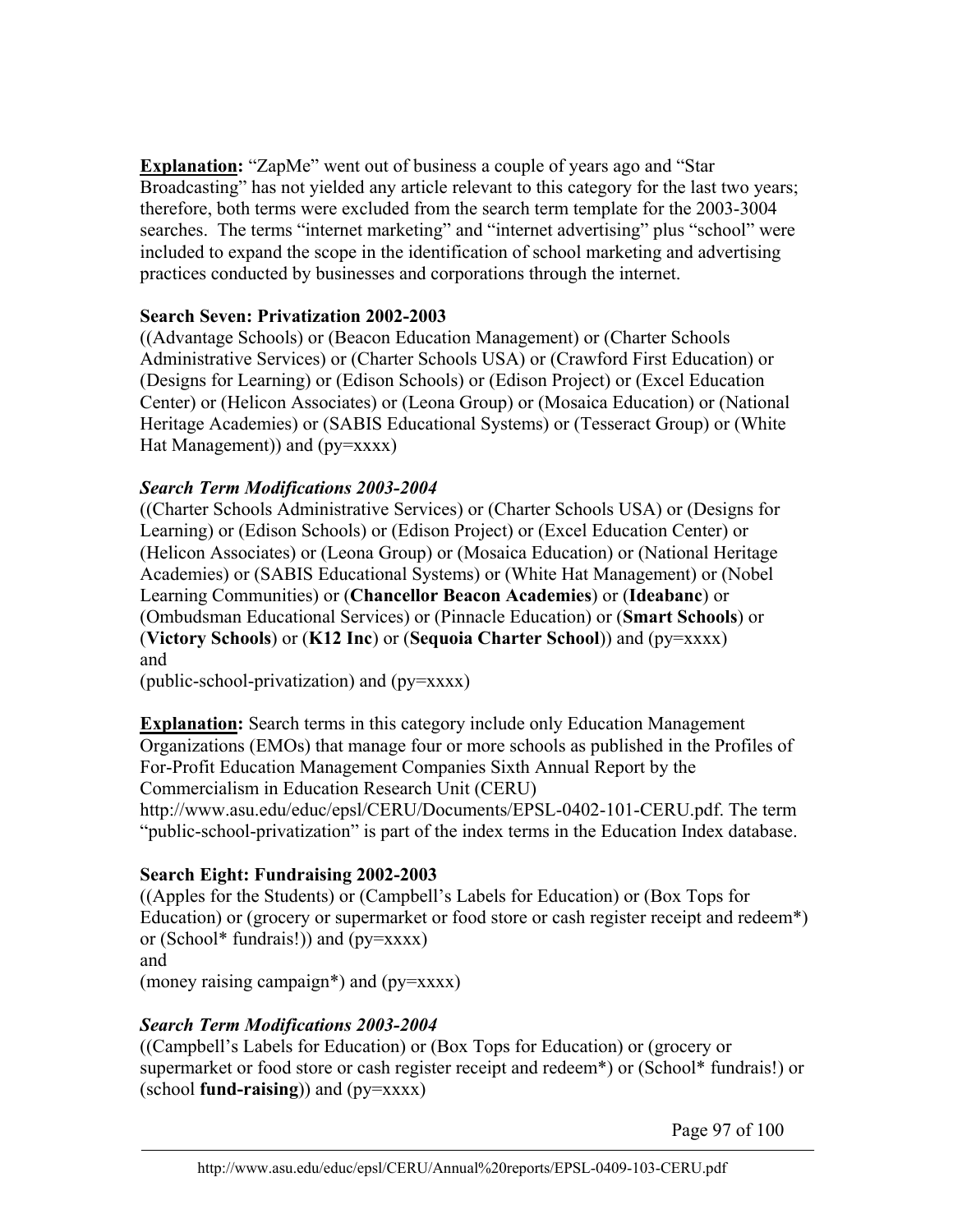**Explanation:** "ZapMe" went out of business a couple of years ago and "Star Broadcasting" has not yielded any article relevant to this category for the last two years; therefore, both terms were excluded from the search term template for the 2003-3004 searches. The terms "internet marketing" and "internet advertising" plus "school" were included to expand the scope in the identification of school marketing and advertising practices conducted by businesses and corporations through the internet.

## **Search Seven: Privatization 2002-2003**

((Advantage Schools) or (Beacon Education Management) or (Charter Schools Administrative Services) or (Charter Schools USA) or (Crawford First Education) or (Designs for Learning) or (Edison Schools) or (Edison Project) or (Excel Education Center) or (Helicon Associates) or (Leona Group) or (Mosaica Education) or (National Heritage Academies) or (SABIS Educational Systems) or (Tesseract Group) or (White Hat Management)) and (py=xxxx)

# *Search Term Modifications 2003-2004*

((Charter Schools Administrative Services) or (Charter Schools USA) or (Designs for Learning) or (Edison Schools) or (Edison Project) or (Excel Education Center) or (Helicon Associates) or (Leona Group) or (Mosaica Education) or (National Heritage Academies) or (SABIS Educational Systems) or (White Hat Management) or (Nobel Learning Communities) or (**Chancellor Beacon Academies**) or (**Ideabanc**) or (Ombudsman Educational Services) or (Pinnacle Education) or (**Smart Schools**) or (**Victory Schools**) or (**K12 Inc**) or (**Sequoia Charter School**)) and (py=xxxx) and

(public-school-privatization) and (py=xxxx)

**Explanation:** Search terms in this category include only Education Management Organizations (EMOs) that manage four or more schools as published in the Profiles of For-Profit Education Management Companies Sixth Annual Report by the Commercialism in Education Research Unit (CERU)

http://www.asu.edu/educ/epsl/CERU/Documents/EPSL-0402-101-CERU.pdf. The term "public-school-privatization" is part of the index terms in the Education Index database.

# **Search Eight: Fundraising 2002-2003**

((Apples for the Students) or (Campbell's Labels for Education) or (Box Tops for Education) or (grocery or supermarket or food store or cash register receipt and redeem<sup>\*</sup>) or (School\* fundrais!)) and  $(py=xxxx)$ and

(money raising campaign\*) and (py=xxxx)

# *Search Term Modifications 2003-2004*

((Campbell's Labels for Education) or (Box Tops for Education) or (grocery or supermarket or food store or cash register receipt and redeem\*) or (School\* fundrais!) or (school **fund-raising**)) and (py=xxxx)

Page 97 of 100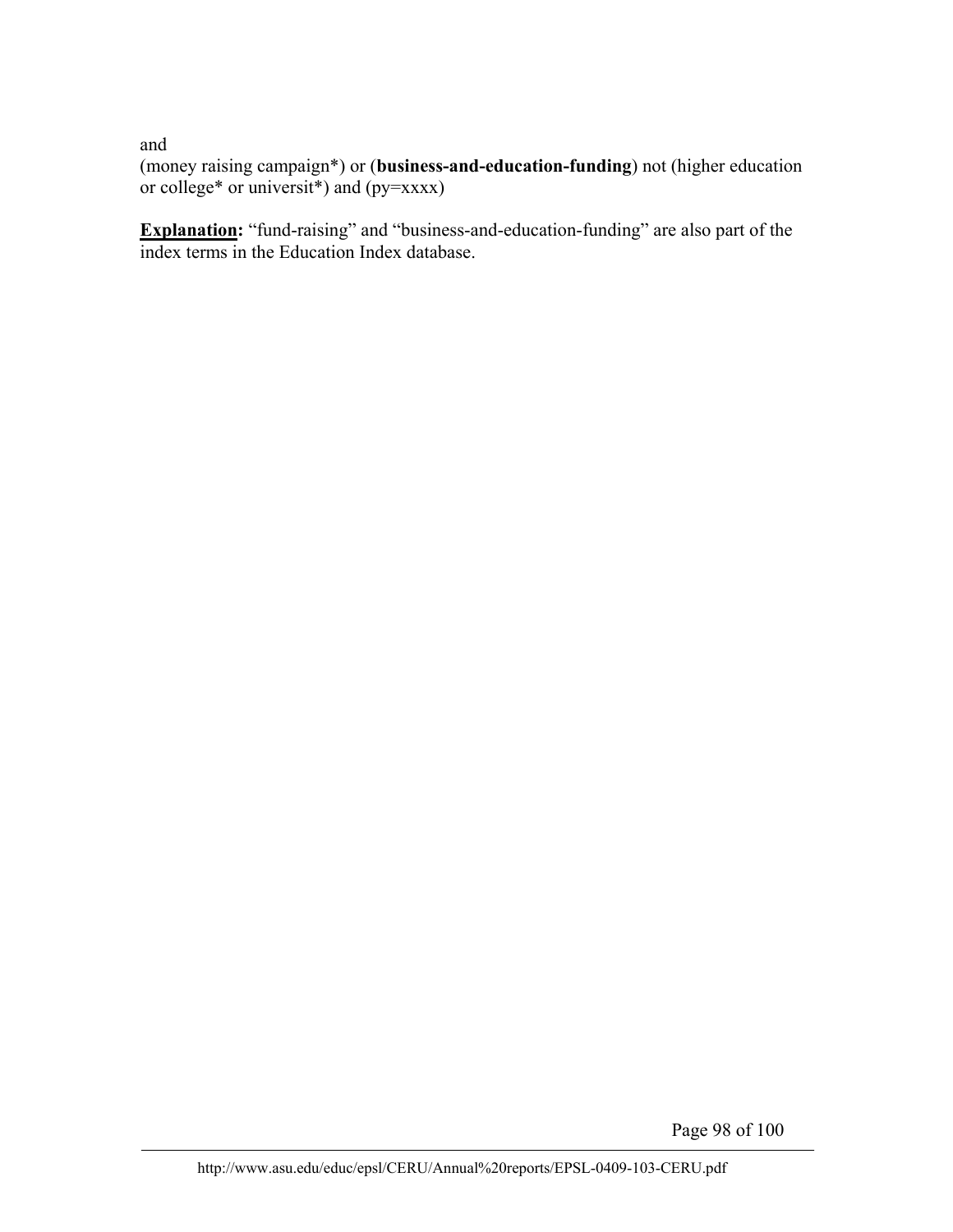and

(money raising campaign\*) or (**business-and-education-funding**) not (higher education or college\* or universit\*) and (py=xxxx)

**Explanation:** "fund-raising" and "business-and-education-funding" are also part of the index terms in the Education Index database.

Page 98 of 100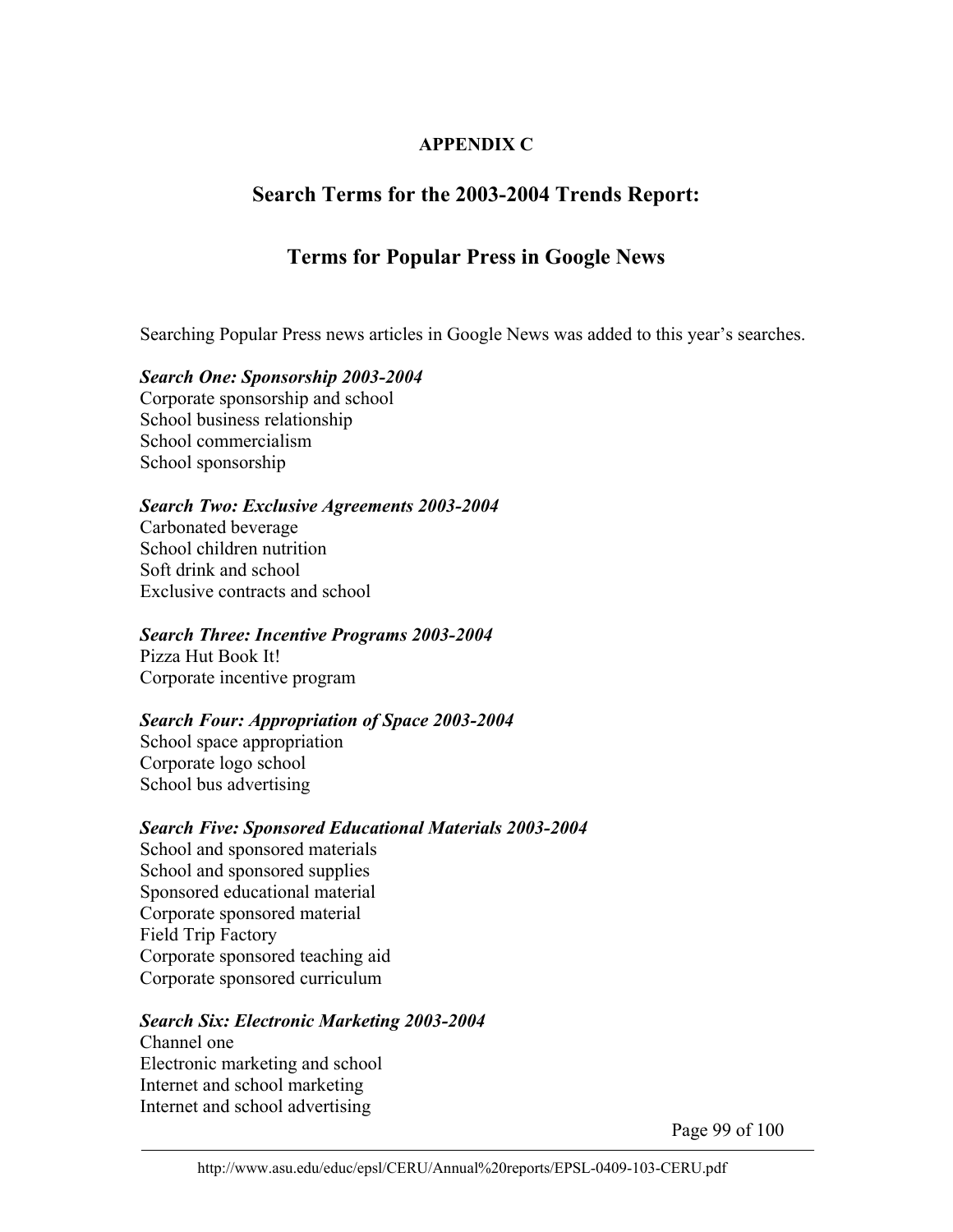## **APPENDIX C**

# **Search Terms for the 2003-2004 Trends Report:**

# **Terms for Popular Press in Google News**

Searching Popular Press news articles in Google News was added to this year's searches.

## *Search One: Sponsorship 2003-2004*

Corporate sponsorship and school School business relationship School commercialism School sponsorship

#### *Search Two: Exclusive Agreements 2003-2004*

Carbonated beverage School children nutrition Soft drink and school Exclusive contracts and school

## *Search Three: Incentive Programs 2003-2004*

Pizza Hut Book It! Corporate incentive program

## *Search Four: Appropriation of Space 2003-2004*

School space appropriation Corporate logo school School bus advertising

## *Search Five: Sponsored Educational Materials 2003-2004*

School and sponsored materials School and sponsored supplies Sponsored educational material Corporate sponsored material Field Trip Factory Corporate sponsored teaching aid Corporate sponsored curriculum

#### *Search Six: Electronic Marketing 2003-2004*

Channel one Electronic marketing and school Internet and school marketing Internet and school advertising

Page 99 of 100